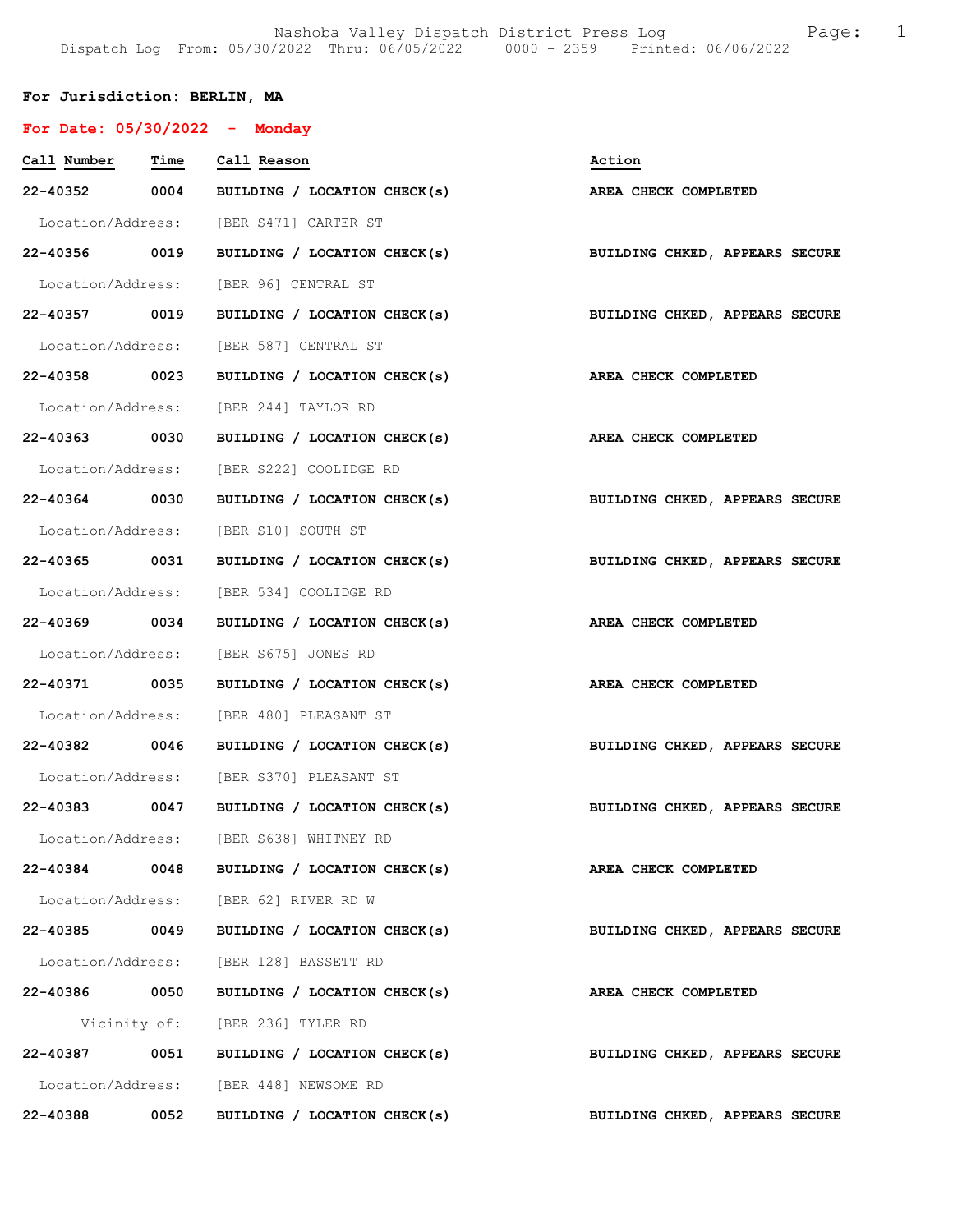## For Jurisdiction: BERLIN, MA

| For Date: 05/30/2022 - Monday |      |                                                                           |                                |
|-------------------------------|------|---------------------------------------------------------------------------|--------------------------------|
| Call Number Time Call Reason  |      |                                                                           | Action                         |
|                               |      | 22-40352 0004 BUILDING / LOCATION CHECK(s)                                | AREA CHECK COMPLETED           |
|                               |      | Location/Address: [BER S471] CARTER ST                                    |                                |
|                               |      | 22-40356 0019 BUILDING / LOCATION CHECK(s) BUILDING CHKED, APPEARS SECURE |                                |
|                               |      | Location/Address: [BER 96] CENTRAL ST                                     |                                |
|                               |      | 22-40357 0019 BUILDING / LOCATION CHECK(s) BUILDING CHKED, APPEARS SECURE |                                |
|                               |      | Location/Address: [BER 587] CENTRAL ST                                    |                                |
|                               |      | 22-40358 0023 BUILDING / LOCATION CHECK(s) AREA CHECK COMPLETED           |                                |
|                               |      | Location/Address: [BER 244] TAYLOR RD                                     |                                |
|                               |      | 22-40363 0030 BUILDING / LOCATION CHECK(s)                                | AREA CHECK COMPLETED           |
|                               |      | Location/Address: [BER S222] COOLIDGE RD                                  |                                |
|                               |      | 22-40364 0030 BUILDING / LOCATION CHECK(s) BUILDING CHKED, APPEARS SECURE |                                |
|                               |      | Location/Address: [BER S10] SOUTH ST                                      |                                |
|                               |      | 22-40365 0031 BUILDING / LOCATION CHECK(s)                                | BUILDING CHKED, APPEARS SECURE |
|                               |      | Location/Address: [BER 534] COOLIDGE RD                                   |                                |
|                               |      | 22-40369 0034 BUILDING / LOCATION CHECK(s)                                | AREA CHECK COMPLETED           |
|                               |      | Location/Address: [BER S675] JONES RD                                     |                                |
|                               |      | 22-40371 0035 BUILDING / LOCATION CHECK(s)                                | AREA CHECK COMPLETED           |
|                               |      | Location/Address: [BER 480] PLEASANT ST                                   |                                |
|                               |      | 22-40382 0046 BUILDING / LOCATION CHECK(s)                                | BUILDING CHKED, APPEARS SECURE |
|                               |      | Location/Address: [BER S370] PLEASANT ST                                  |                                |
| 22-40383 0047                 |      | BUILDING / LOCATION CHECK(s) BUILDING CHKED, APPEARS SECURE               |                                |
|                               |      | Location/Address: [BER S638] WHITNEY RD                                   |                                |
|                               |      | 22-40384 0048 BUILDING / LOCATION CHECK(s)                                | AREA CHECK COMPLETED           |
|                               |      | Location/Address: [BER 62] RIVER RD W                                     |                                |
| 22-40385                      | 0049 | BUILDING / LOCATION CHECK(s)                                              | BUILDING CHKED, APPEARS SECURE |
|                               |      | Location/Address: [BER 128] BASSETT RD                                    |                                |
| 22-40386 0050                 |      | BUILDING / LOCATION CHECK(s)                                              | AREA CHECK COMPLETED           |
|                               |      | Vicinity of: [BER 236] TYLER RD                                           |                                |
| 22-40387                      |      | 0051 BUILDING / LOCATION CHECK(s)                                         | BUILDING CHKED, APPEARS SECURE |
|                               |      | Location/Address: [BER 448] NEWSOME RD                                    |                                |
| 22-40388                      | 0052 | BUILDING / LOCATION CHECK(s)                                              | BUILDING CHKED, APPEARS SECURE |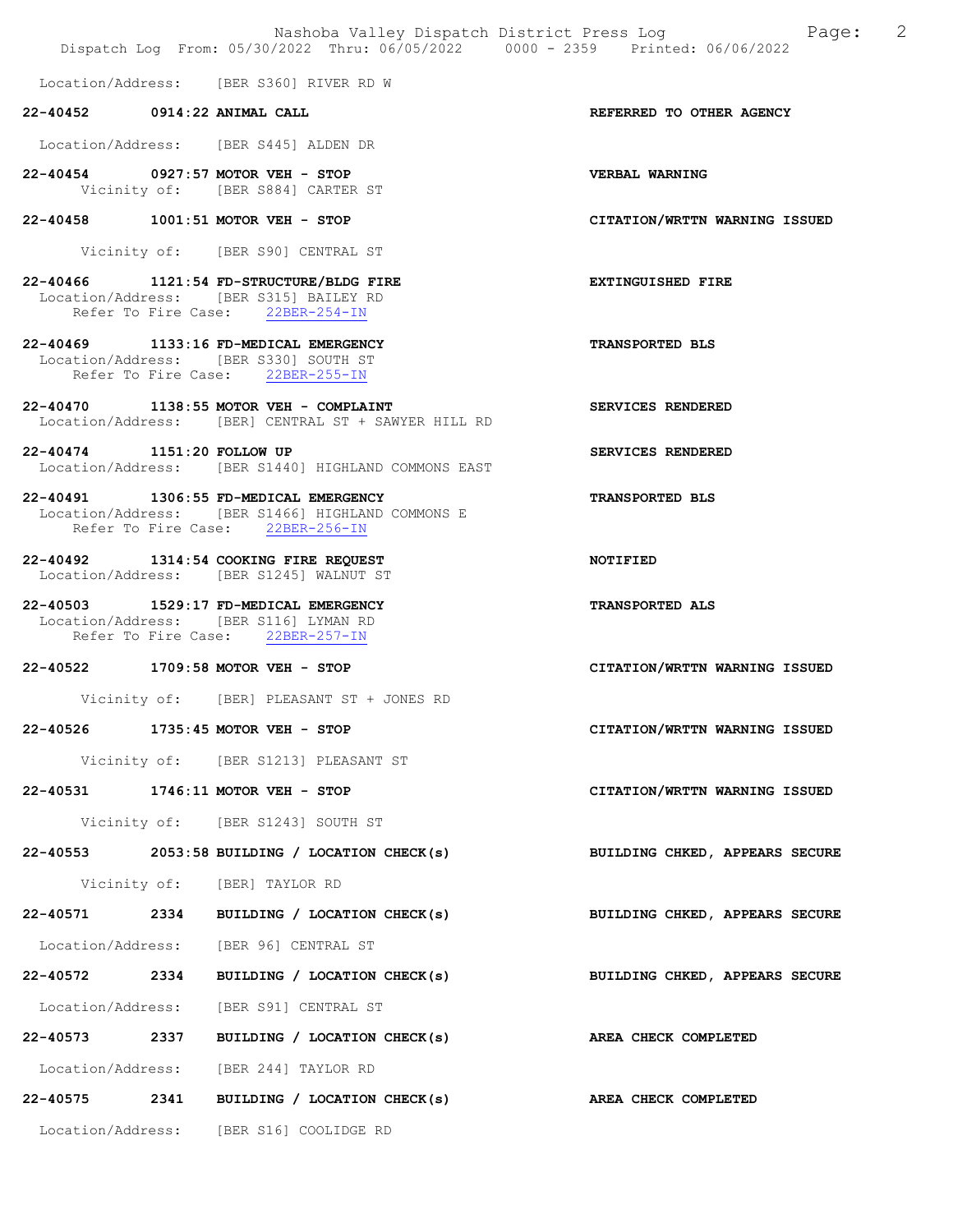Nashoba Valley Dispatch District Press Log Nashoba Valley Dispatch District Press Log Dispatch Log From: 05/30/2022 Thru: 06/05/2022 0000 - 2359 Printed: 06/06/2022 Location/Address: [BER S360] RIVER RD W 22-40452 0914:22 ANIMAL CALL REFERRED TO OTHER AGENCY Location/Address: [BER S445] ALDEN DR 22-40454 0927:57 MOTOR VEH - STOP VERBAL WARNING Vicinity of: [BER S884] CARTER ST 22-40458 1001:51 MOTOR VEH - STOP CITATION/WRTTN WARNING ISSUED Vicinity of: [BER S90] CENTRAL ST 22-40466 1121:54 FD-STRUCTURE/BLDG FIRE **EXTINGUISHED** FIRE Location/Address: [BER S315] BAILEY RD Refer To Fire Case: 22BER-254-IN 22-40469 1133:16 FD-MEDICAL EMERGENCY TRANSPORTED BLS Location/Address: [BER S330] SOUTH ST Refer To Fire Case: 22BER-255-IN 22-40470 1138:55 MOTOR VEH - COMPLAINT SERVICES RENDERED Location/Address: [BER] CENTRAL ST + SAWYER HILL RD 22-40474 1151:20 FOLLOW UP SERVICES RENDERED Location/Address: [BER S1440] HIGHLAND COMMONS EAST 22-40491 1306:55 FD-MEDICAL EMERGENCY TRANSPORTED BLS Location/Address: [BER S1466] HIGHLAND COMMONS E Refer To Fire Case: 22BER-256-IN 22-40492 1314:54 COOKING FIRE REQUEST NOTIFIED Location/Address: [BER S1245] WALNUT ST 22-40503 1529:17 FD-MEDICAL EMERGENCY TRANSPORTED ALS Location/Address: [BER S116] LYMAN RD Refer To Fire Case: 22BER-257-IN 22-40522 1709:58 MOTOR VEH - STOP CITATION/WRTTN WARNING ISSUED Vicinity of: [BER] PLEASANT ST + JONES RD 22-40526 1735:45 MOTOR VEH - STOP CITATION/WRTTN WARNING ISSUED Vicinity of: [BER S1213] PLEASANT ST 22-40531 1746:11 MOTOR VEH - STOP CITATION/WRTTN WARNING ISSUED Vicinity of: [BER S1243] SOUTH ST 22-40553 2053:58 BUILDING / LOCATION CHECK(s) BUILDING CHKED, APPEARS SECURE Vicinity of: [BER] TAYLOR RD 22-40571 2334 BUILDING / LOCATION CHECK(s) BUILDING CHKED, APPEARS SECURE Location/Address: [BER 96] CENTRAL ST 22-40572 2334 BUILDING / LOCATION CHECK(s) BUILDING CHKED, APPEARS SECURE Location/Address: [BER S91] CENTRAL ST 22-40573 2337 BUILDING / LOCATION CHECK(s) AREA CHECK COMPLETED Location/Address: [BER 244] TAYLOR RD 22-40575 2341 BUILDING / LOCATION CHECK(s) AREA CHECK COMPLETED

Location/Address: [BER S16] COOLIDGE RD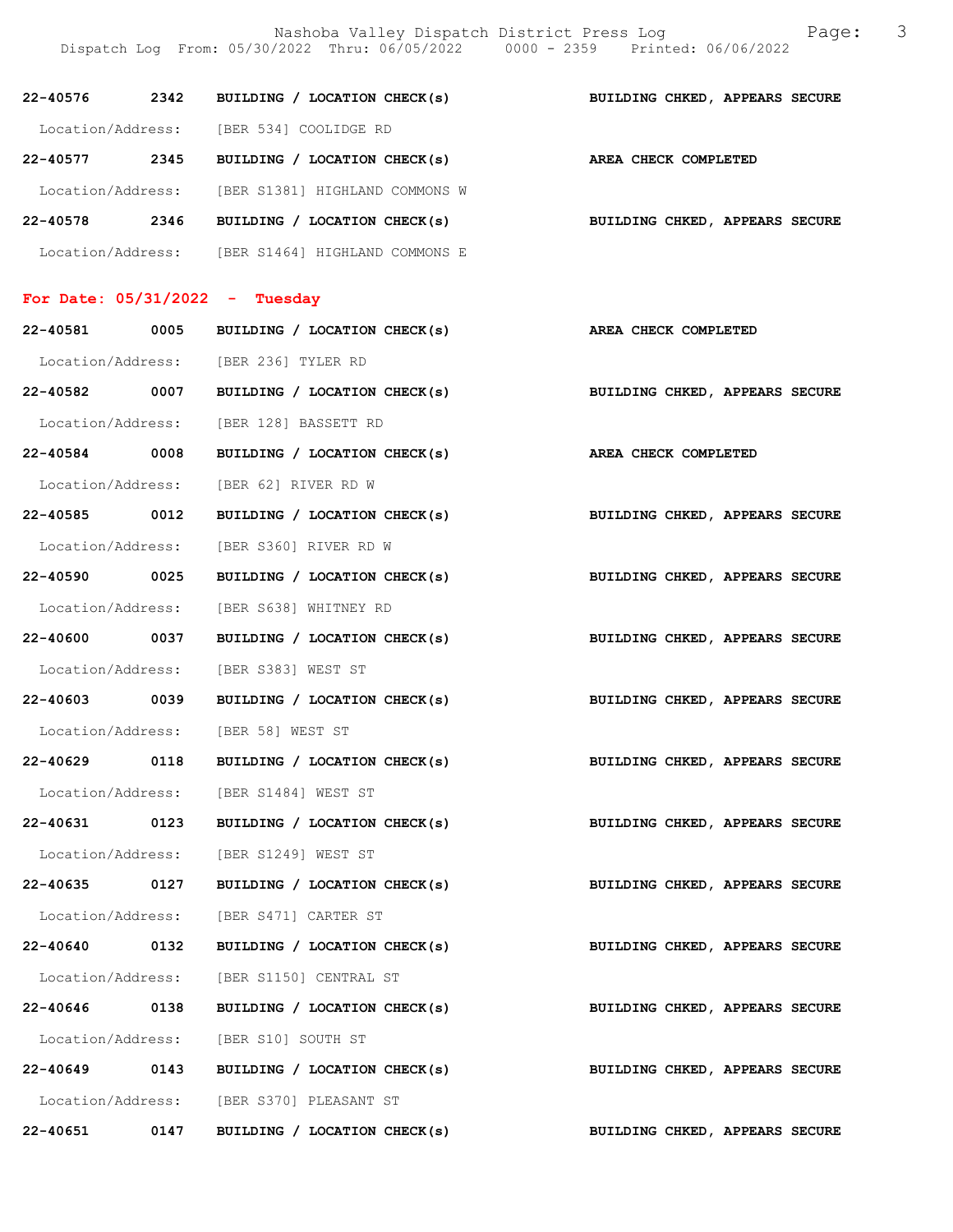Nashoba Valley Dispatch District Press Log Fage: 3 Dispatch Log From: 05/30/2022 Thru: 06/05/2022 0000 - 2359 Printed: 06/06/2022

| 22-40576          | 2342 | BUILDING / LOCATION CHECK(s)   | BUILDING CHKED, APPEARS SECURE |
|-------------------|------|--------------------------------|--------------------------------|
| Location/Address: |      | [BER 534] COOLIDGE RD          |                                |
| 22-40577          | 2345 | BUILDING / LOCATION CHECK(s)   | AREA CHECK COMPLETED           |
| Location/Address: |      | [BER S1381] HIGHLAND COMMONS W |                                |
| 22-40578          | 2346 | BUILDING / LOCATION CHECK(s)   | BUILDING CHKED, APPEARS SECURE |
| Location/Address: |      | [BER S1464] HIGHLAND COMMONS E |                                |

## For Date: 05/31/2022 - Tuesday

| 22-40581 0005     |      | BUILDING / LOCATION CHECK(s)             | AREA CHECK COMPLETED           |
|-------------------|------|------------------------------------------|--------------------------------|
|                   |      | Location/Address: [BER 236] TYLER RD     |                                |
| 22-40582 0007     |      | BUILDING / LOCATION CHECK(s)             | BUILDING CHKED, APPEARS SECURE |
|                   |      | Location/Address: [BER 128] BASSETT RD   |                                |
| 22-40584 0008     |      | BUILDING / LOCATION CHECK(s)             | AREA CHECK COMPLETED           |
|                   |      | Location/Address: [BER 62] RIVER RD W    |                                |
| 22-40585 0012     |      | BUILDING / LOCATION CHECK(s)             | BUILDING CHKED, APPEARS SECURE |
|                   |      | Location/Address: [BER S360] RIVER RD W  |                                |
| 22-40590 0025     |      | BUILDING / LOCATION CHECK(s)             | BUILDING CHKED, APPEARS SECURE |
|                   |      | Location/Address: [BER S638] WHITNEY RD  |                                |
| 22-40600 0037     |      | BUILDING / LOCATION CHECK(s)             | BUILDING CHKED, APPEARS SECURE |
|                   |      | Location/Address: [BER S383] WEST ST     |                                |
| 22-40603 0039     |      | BUILDING / LOCATION CHECK(s)             | BUILDING CHKED, APPEARS SECURE |
|                   |      | Location/Address: [BER 58] WEST ST       |                                |
| 22-40629 0118     |      | BUILDING / LOCATION CHECK(s)             | BUILDING CHKED, APPEARS SECURE |
|                   |      | Location/Address: [BER S1484] WEST ST    |                                |
| 22-40631 0123     |      | BUILDING / LOCATION CHECK(s)             | BUILDING CHKED, APPEARS SECURE |
|                   |      | Location/Address: [BER S1249] WEST ST    |                                |
| 22-40635 0127     |      | BUILDING / LOCATION CHECK(s)             | BUILDING CHKED, APPEARS SECURE |
|                   |      | Location/Address: [BER S471] CARTER ST   |                                |
| 22-40640 0132     |      | BUILDING / LOCATION CHECK(s)             | BUILDING CHKED, APPEARS SECURE |
|                   |      | Location/Address: [BER S1150] CENTRAL ST |                                |
| 22-40646 0138     |      | BUILDING / LOCATION CHECK(s)             | BUILDING CHKED, APPEARS SECURE |
| Location/Address: |      | [BER S10] SOUTH ST                       |                                |
| 22-40649          | 0143 | BUILDING / LOCATION CHECK(s)             | BUILDING CHKED, APPEARS SECURE |
| Location/Address: |      | [BER S370] PLEASANT ST                   |                                |
| 22-40651          | 0147 | BUILDING / LOCATION CHECK(s)             | BUILDING CHKED, APPEARS SECURE |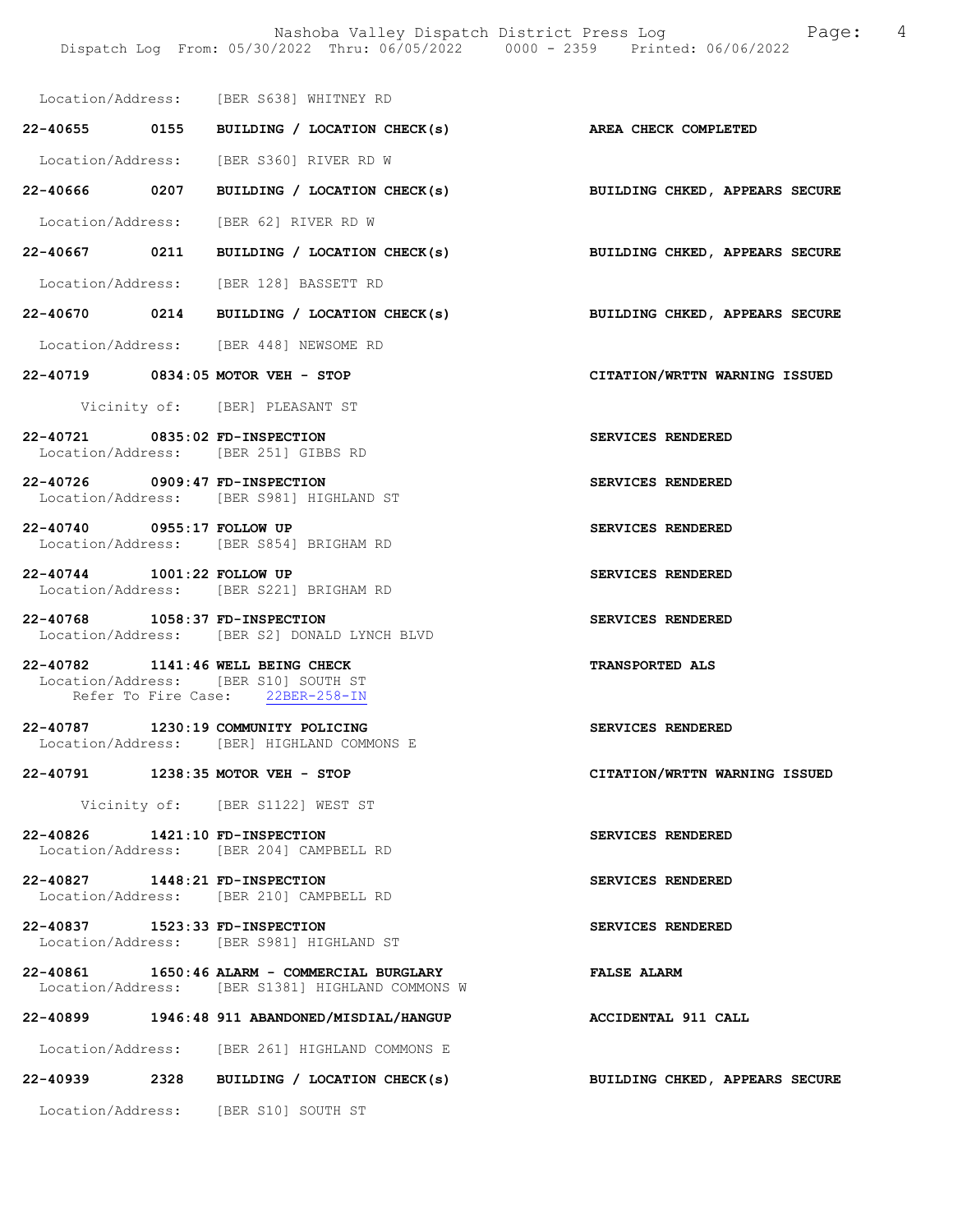|                                | Location/Address: [BER S638] WHITNEY RD                                                                       |                                |
|--------------------------------|---------------------------------------------------------------------------------------------------------------|--------------------------------|
|                                | 22-40655 0155 BUILDING / LOCATION CHECK(s) AREA CHECK COMPLETED                                               |                                |
|                                | Location/Address: [BER S360] RIVER RD W                                                                       |                                |
|                                | 22-40666 0207 BUILDING / LOCATION CHECK(s)                                                                    | BUILDING CHKED, APPEARS SECURE |
|                                | Location/Address: [BER 62] RIVER RD W                                                                         |                                |
|                                | 22-40667 0211 BUILDING / LOCATION CHECK(s) BUILDING CHKED, APPEARS SECURE                                     |                                |
|                                | Location/Address: [BER 128] BASSETT RD                                                                        |                                |
|                                | 22-40670 0214 BUILDING / LOCATION CHECK(s)                                                                    | BUILDING CHKED, APPEARS SECURE |
|                                | Location/Address: [BER 448] NEWSOME RD                                                                        |                                |
|                                | 22-40719 0834:05 MOTOR VEH - STOP                                                                             | CITATION/WRTTN WARNING ISSUED  |
|                                | Vicinity of: [BER] PLEASANT ST                                                                                |                                |
| 22-40721 0835:02 FD-INSPECTION | Location/Address: [BER 251] GIBBS RD                                                                          | SERVICES RENDERED              |
| 22-40726 0909:47 FD-INSPECTION | Location/Address: [BER S981] HIGHLAND ST                                                                      | SERVICES RENDERED              |
|                                | 22-40740 0955:17 FOLLOW UP<br>Location/Address: [BER S854] BRIGHAM RD                                         | SERVICES RENDERED              |
| 22-40744 1001:22 FOLLOW UP     | Location/Address: [BER S221] BRIGHAM RD                                                                       | SERVICES RENDERED              |
| 22-40768 1058:37 FD-INSPECTION | Location/Address: [BER S2] DONALD LYNCH BLVD                                                                  | SERVICES RENDERED              |
|                                | 22-40782 1141:46 WELL BEING CHECK<br>Location/Address: [BER S10] SOUTH ST<br>Refer To Fire Case: 22BER-258-IN | <b>TRANSPORTED ALS</b>         |
|                                | 22-40787 1230:19 COMMUNITY POLICING<br>Location/Address: [BER] HIGHLAND COMMONS E                             | <b>SERVICES RENDERED</b>       |
|                                | 22-40791 1238:35 MOTOR VEH - STOP                                                                             | CITATION/WRTTN WARNING ISSUED  |
|                                | Vicinity of: [BER S1122] WEST ST                                                                              |                                |
| 22-40826 1421:10 FD-INSPECTION | Location/Address: [BER 204] CAMPBELL RD                                                                       | SERVICES RENDERED              |
| 22-40827 1448:21 FD-INSPECTION | Location/Address: [BER 210] CAMPBELL RD                                                                       | SERVICES RENDERED              |
| 22-40837 1523:33 FD-INSPECTION | Location/Address: [BER S981] HIGHLAND ST                                                                      | SERVICES RENDERED              |
|                                | 22-40861 1650:46 ALARM - COMMERCIAL BURGLARY<br>Location/Address: [BER S1381] HIGHLAND COMMONS W              | <b>FALSE ALARM</b>             |
|                                | 22-40899 1946:48 911 ABANDONED/MISDIAL/HANGUP                                                                 | ACCIDENTAL 911 CALL            |
|                                | Location/Address: [BER 261] HIGHLAND COMMONS E                                                                |                                |
|                                | 22-40939 2328 BUILDING / LOCATION CHECK(s)                                                                    | BUILDING CHKED, APPEARS SECURE |
|                                | Location/Address: [BER S10] SOUTH ST                                                                          |                                |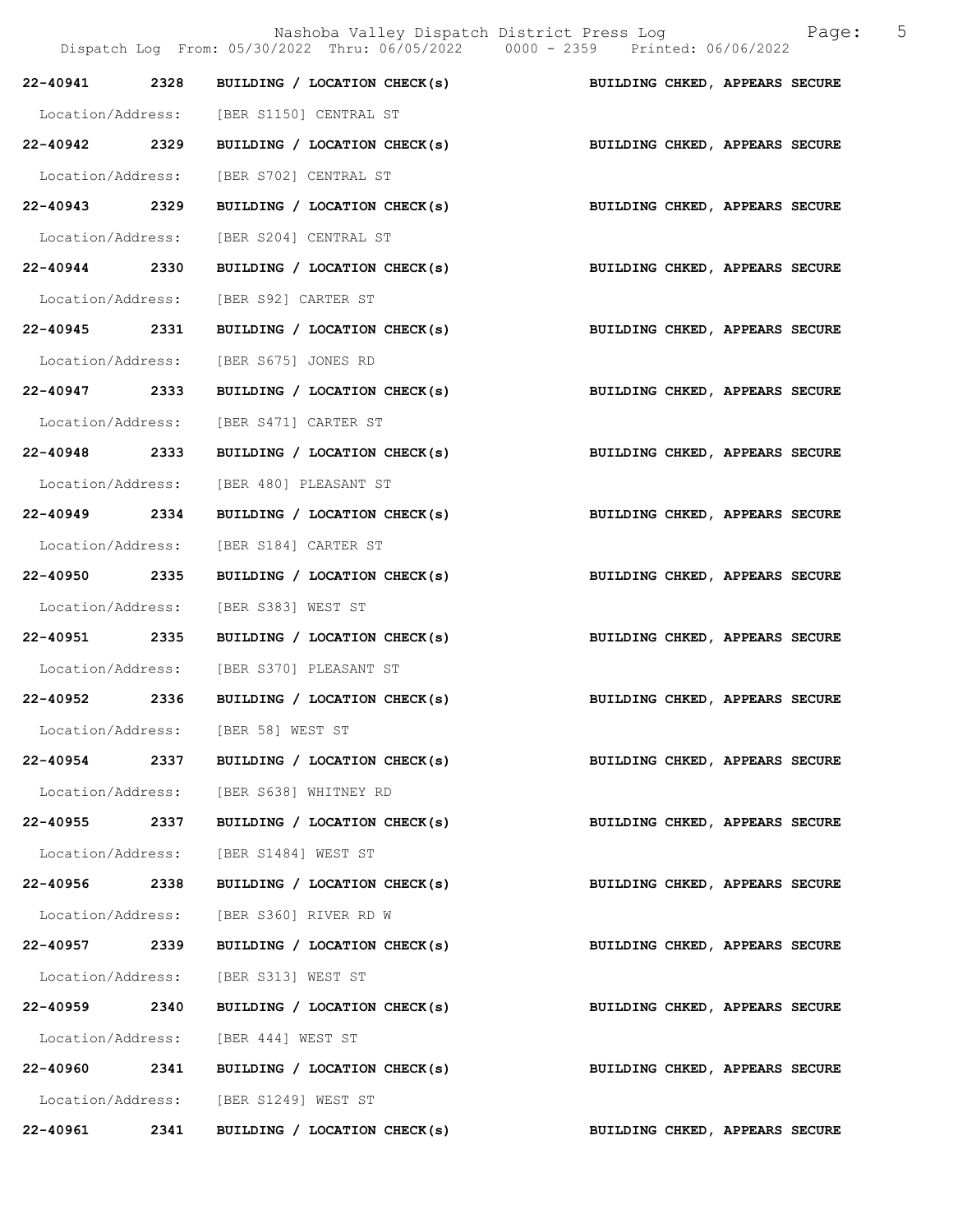|                   |      | Dispatch Log From: 05/30/2022 Thru: 06/05/2022 0000 - 2359 Printed: 06/06/2022 | 5<br>Nashoba Valley Dispatch District Press Log<br>Page:    |
|-------------------|------|--------------------------------------------------------------------------------|-------------------------------------------------------------|
| 22-40941 2328     |      |                                                                                | BUILDING / LOCATION CHECK(s) BUILDING CHKED, APPEARS SECURE |
| Location/Address: |      | [BER S1150] CENTRAL ST                                                         |                                                             |
| 22-40942 2329     |      | BUILDING / LOCATION CHECK(s)                                                   | BUILDING CHKED, APPEARS SECURE                              |
| Location/Address: |      | [BER S702] CENTRAL ST                                                          |                                                             |
| 22-40943 2329     |      | BUILDING / LOCATION CHECK(s)                                                   | BUILDING CHKED, APPEARS SECURE                              |
| Location/Address: |      | [BER S204] CENTRAL ST                                                          |                                                             |
| 22-40944 2330     |      | BUILDING / LOCATION CHECK(s)                                                   | BUILDING CHKED, APPEARS SECURE                              |
| Location/Address: |      | [BER S92] CARTER ST                                                            |                                                             |
| 22-40945 2331     |      | BUILDING / LOCATION CHECK(s)                                                   | BUILDING CHKED, APPEARS SECURE                              |
| Location/Address: |      | [BER S675] JONES RD                                                            |                                                             |
| 22-40947 2333     |      | BUILDING / LOCATION CHECK(s)                                                   | BUILDING CHKED, APPEARS SECURE                              |
| Location/Address: |      | [BER S471] CARTER ST                                                           |                                                             |
| 22-40948 2333     |      | BUILDING / LOCATION CHECK(s)                                                   | BUILDING CHKED, APPEARS SECURE                              |
| Location/Address: |      | [BER 480] PLEASANT ST                                                          |                                                             |
| 22-40949 2334     |      | BUILDING / LOCATION CHECK(s)                                                   | BUILDING CHKED, APPEARS SECURE                              |
| Location/Address: |      | [BER S184] CARTER ST                                                           |                                                             |
| 22-40950 2335     |      | BUILDING / LOCATION CHECK(s)                                                   | BUILDING CHKED, APPEARS SECURE                              |
| Location/Address: |      | [BER S383] WEST ST                                                             |                                                             |
| 22-40951 2335     |      | BUILDING / LOCATION CHECK(s)                                                   | BUILDING CHKED, APPEARS SECURE                              |
| Location/Address: |      | [BER S370] PLEASANT ST                                                         |                                                             |
|                   |      | 22-40952 2336 BUILDING / LOCATION CHECK(s)                                     | BUILDING CHKED, APPEARS SECURE                              |
|                   |      | Location/Address: [BER 58] WEST ST                                             |                                                             |
| 22-40954          | 2337 | BUILDING / LOCATION CHECK(s)                                                   | BUILDING CHKED, APPEARS SECURE                              |
|                   |      | Location/Address: [BER S638] WHITNEY RD                                        |                                                             |
| 22-40955 2337     |      | BUILDING / LOCATION CHECK(s)                                                   | BUILDING CHKED, APPEARS SECURE                              |
| Location/Address: |      | [BER S1484] WEST ST                                                            |                                                             |
| 22-40956 2338     |      | BUILDING / LOCATION CHECK(s)                                                   | BUILDING CHKED, APPEARS SECURE                              |
|                   |      | Location/Address: [BER S360] RIVER RD W                                        |                                                             |
| 22-40957          | 2339 | BUILDING / LOCATION CHECK(s)                                                   | BUILDING CHKED, APPEARS SECURE                              |
| Location/Address: |      | [BER S313] WEST ST                                                             |                                                             |
| 22-40959 2340     |      | BUILDING / LOCATION CHECK(s)                                                   | BUILDING CHKED, APPEARS SECURE                              |
| Location/Address: |      | [BER 444] WEST ST                                                              |                                                             |
| 22-40960 2341     |      | BUILDING / LOCATION CHECK(s)                                                   | BUILDING CHKED, APPEARS SECURE                              |
|                   |      | Location/Address: [BER S1249] WEST ST                                          |                                                             |
| 22-40961          | 2341 | BUILDING / LOCATION CHECK(s)                                                   | BUILDING CHKED, APPEARS SECURE                              |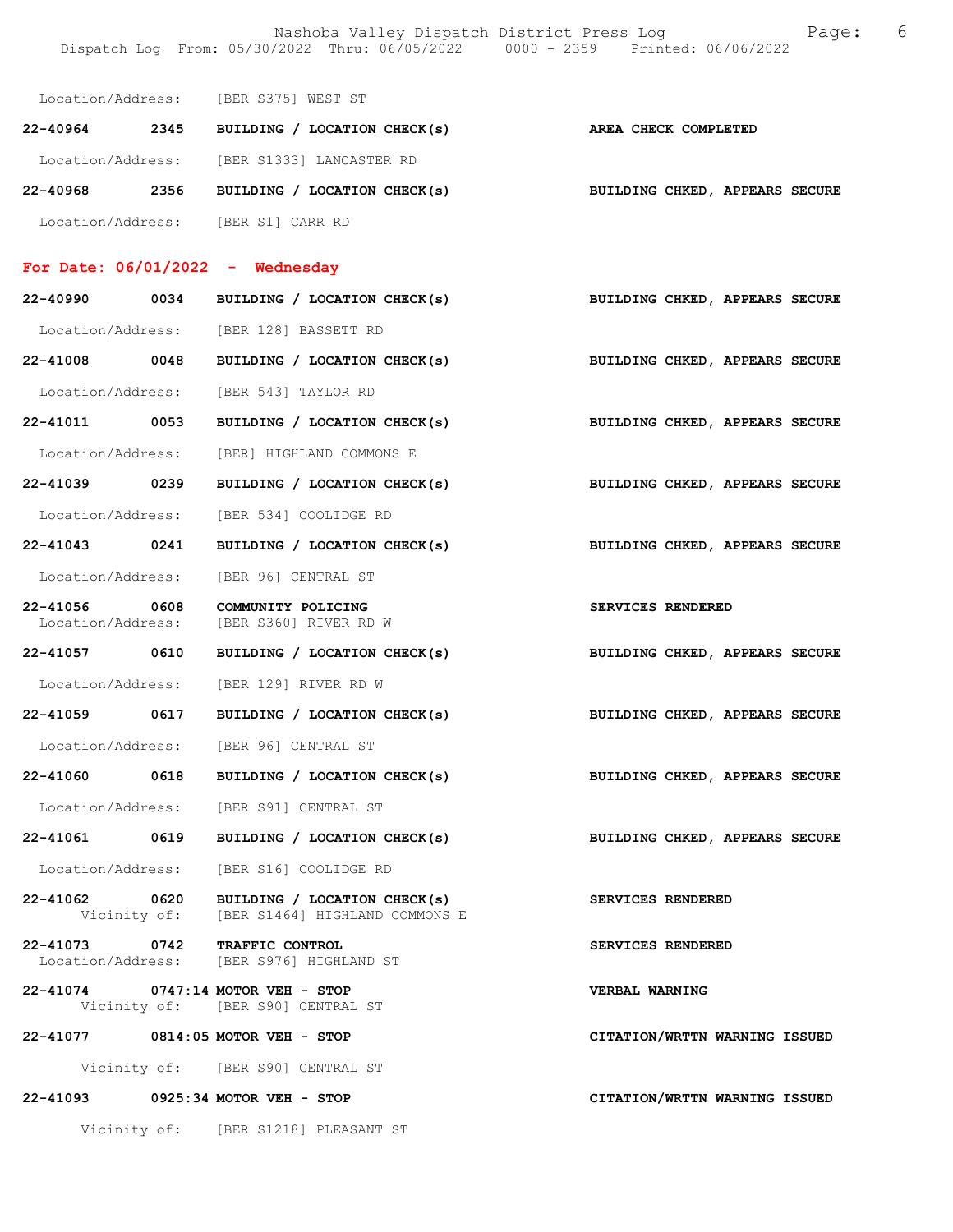Nashoba Valley Dispatch District Press Log Tage: 6 Dispatch Log From: 05/30/2022 Thru: 06/05/2022 0000 - 2359 Printed: 06/06/2022

| Location/Address: |      | [BER S375] WEST ST           |                                |
|-------------------|------|------------------------------|--------------------------------|
| 22-40964          | 2345 | BUILDING / LOCATION CHECK(s) | AREA CHECK COMPLETED           |
| Location/Address: |      | [BER S1333] LANCASTER RD     |                                |
| 22-40968          | 2356 | BUILDING / LOCATION CHECK(s) | BUILDING CHKED, APPEARS SECURE |
| Location/Address: |      | [BER S1] CARR RD             |                                |

# For Date: 06/01/2022 - Wednesday

| 22-40990 0034                      | BUILDING / LOCATION CHECK(s)                                                              | BUILDING CHKED, APPEARS SECURE |  |  |
|------------------------------------|-------------------------------------------------------------------------------------------|--------------------------------|--|--|
|                                    | Location/Address: [BER 128] BASSETT RD                                                    |                                |  |  |
| 22-41008 0048                      | BUILDING / LOCATION CHECK(s)                                                              | BUILDING CHKED, APPEARS SECURE |  |  |
|                                    | Location/Address: [BER 543] TAYLOR RD                                                     |                                |  |  |
| 22-41011 0053                      | BUILDING / LOCATION CHECK(s)                                                              | BUILDING CHKED, APPEARS SECURE |  |  |
|                                    | Location/Address: [BER] HIGHLAND COMMONS E                                                |                                |  |  |
|                                    | 22-41039 0239 BUILDING / LOCATION CHECK(s) BUILDING CHKED, APPEARS SECURE                 |                                |  |  |
|                                    | Location/Address: [BER 534] COOLIDGE RD                                                   |                                |  |  |
| 22-41043 0241                      | BUILDING / LOCATION CHECK(s) BUILDING CHKED, APPEARS SECURE                               |                                |  |  |
|                                    | Location/Address: [BER 96] CENTRAL ST                                                     |                                |  |  |
| 22-41056 0608<br>Location/Address: | COMMUNITY POLICING<br>[BER S360] RIVER RD W                                               | SERVICES RENDERED              |  |  |
|                                    | 22-41057 0610 BUILDING / LOCATION CHECK(s)                                                | BUILDING CHKED, APPEARS SECURE |  |  |
|                                    | Location/Address: [BER 129] RIVER RD W                                                    |                                |  |  |
| 22-41059 0617                      | BUILDING / LOCATION CHECK(s)                                                              | BUILDING CHKED, APPEARS SECURE |  |  |
|                                    | Location/Address: [BER 96] CENTRAL ST                                                     |                                |  |  |
| 22-41060 0618                      | BUILDING / LOCATION CHECK(s)                                                              | BUILDING CHKED, APPEARS SECURE |  |  |
|                                    | Location/Address: [BER S91] CENTRAL ST                                                    |                                |  |  |
|                                    | BUILDING CHKED, APPEARS SECURE<br>22-41061 0619 BUILDING / LOCATION CHECK(s)              |                                |  |  |
|                                    | Location/Address: [BER S16] COOLIDGE RD                                                   |                                |  |  |
|                                    | 22-41062 0620 BUILDING / LOCATION CHECK(s)<br>Vicinity of: [BER S1464] HIGHLAND COMMONS E | SERVICES RENDERED              |  |  |
|                                    | 22-41073 0742 TRAFFIC CONTROL<br>Location/Address: [BER S976] HIGHLAND ST                 | SERVICES RENDERED              |  |  |
|                                    | 22-41074 0747:14 MOTOR VEH - STOP<br>Vicinity of: [BER S90] CENTRAL ST                    | VERBAL WARNING                 |  |  |
|                                    | 22-41077 0814:05 MOTOR VEH - STOP                                                         | CITATION/WRTTN WARNING ISSUED  |  |  |
|                                    | Vicinity of: [BER S90] CENTRAL ST                                                         |                                |  |  |
|                                    | 22-41093 0925:34 MOTOR VEH - STOP                                                         | CITATION/WRTTN WARNING ISSUED  |  |  |
|                                    | Vicinity of: [BER S1218] PLEASANT ST                                                      |                                |  |  |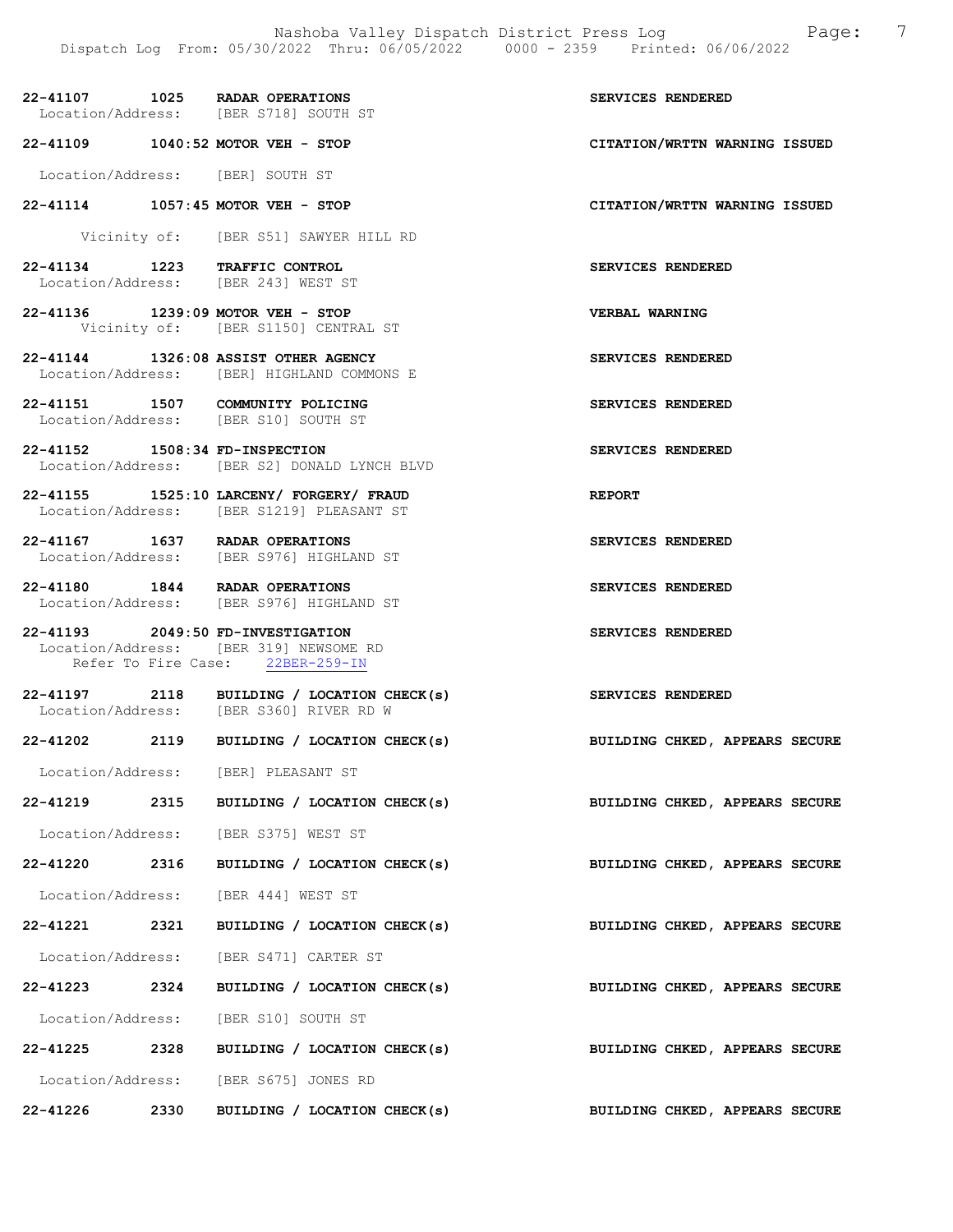|                                |      | 22-41107 1025 RADAR OPERATIONS<br>Location/Address: [BER S718] SOUTH ST                                         | SERVICES RENDERED              |
|--------------------------------|------|-----------------------------------------------------------------------------------------------------------------|--------------------------------|
|                                |      | 22-41109 1040:52 MOTOR VEH - STOP                                                                               | CITATION/WRTTN WARNING ISSUED  |
|                                |      | Location/Address: [BER] SOUTH ST                                                                                |                                |
|                                |      | 22-41114 1057:45 MOTOR VEH - STOP                                                                               | CITATION/WRTTN WARNING ISSUED  |
|                                |      | Vicinity of: [BER S51] SAWYER HILL RD                                                                           |                                |
|                                |      | 22-41134 1223 TRAFFIC CONTROL<br>Location/Address: [BER 243] WEST ST                                            | SERVICES RENDERED              |
|                                |      | 22-41136 1239:09 MOTOR VEH - STOP<br>Vicinity of: [BER S1150] CENTRAL ST                                        | <b>VERBAL WARNING</b>          |
|                                |      | 22-41144 1326:08 ASSIST OTHER AGENCY<br>Location/Address: [BER] HIGHLAND COMMONS E                              | SERVICES RENDERED              |
|                                |      | 22-41151 1507 COMMUNITY POLICING<br>Location/Address: [BER S10] SOUTH ST                                        | SERVICES RENDERED              |
| 22-41152 1508:34 FD-INSPECTION |      | Location/Address: [BER S2] DONALD LYNCH BLVD                                                                    | SERVICES RENDERED              |
|                                |      | 22-41155 1525:10 LARCENY/ FORGERY/ FRAUD<br>Location/Address: [BER S1219] PLEASANT ST                           | <b>REPORT</b>                  |
|                                |      | 22-41167 1637 RADAR OPERATIONS<br>Location/Address: [BER S976] HIGHLAND ST                                      | SERVICES RENDERED              |
|                                |      | 22-41180 1844 RADAR OPERATIONS<br>-- -----<br>Location/Address: [BER S976] HIGHLAND ST                          | SERVICES RENDERED              |
|                                |      | 22-41193 2049:50 FD-INVESTIGATION<br>Location/Address: [BER 319] NEWSOME RD<br>Refer To Fire Case: 22BER-259-IN | SERVICES RENDERED              |
|                                |      | 22-41197 2118 BUILDING / LOCATION CHECK(s)<br>Location/Address: [BER S360] RIVER RD W                           | SERVICES RENDERED              |
|                                |      | 22-41202 2119 BUILDING / LOCATION CHECK(s)                                                                      | BUILDING CHKED, APPEARS SECURE |
|                                |      | Location/Address: [BER] PLEASANT ST                                                                             |                                |
| 22-41219                       | 2315 | BUILDING / LOCATION CHECK(s)                                                                                    | BUILDING CHKED, APPEARS SECURE |
|                                |      | Location/Address: [BER S375] WEST ST                                                                            |                                |
| 22-41220 2316                  |      | BUILDING / LOCATION CHECK(s)                                                                                    | BUILDING CHKED, APPEARS SECURE |
|                                |      | Location/Address: [BER 444] WEST ST                                                                             |                                |
| 22-41221 2321                  |      | BUILDING / LOCATION CHECK(s)                                                                                    | BUILDING CHKED, APPEARS SECURE |
|                                |      | Location/Address: [BER S471] CARTER ST                                                                          |                                |
| 22-41223                       | 2324 | BUILDING / LOCATION CHECK(s)                                                                                    | BUILDING CHKED, APPEARS SECURE |
|                                |      | Location/Address: [BER S10] SOUTH ST                                                                            |                                |
| 22-41225                       | 2328 | BUILDING / LOCATION CHECK(s)                                                                                    | BUILDING CHKED, APPEARS SECURE |
|                                |      | Location/Address: [BER S675] JONES RD                                                                           |                                |
| 22-41226                       | 2330 | BUILDING / LOCATION CHECK(s)                                                                                    | BUILDING CHKED, APPEARS SECURE |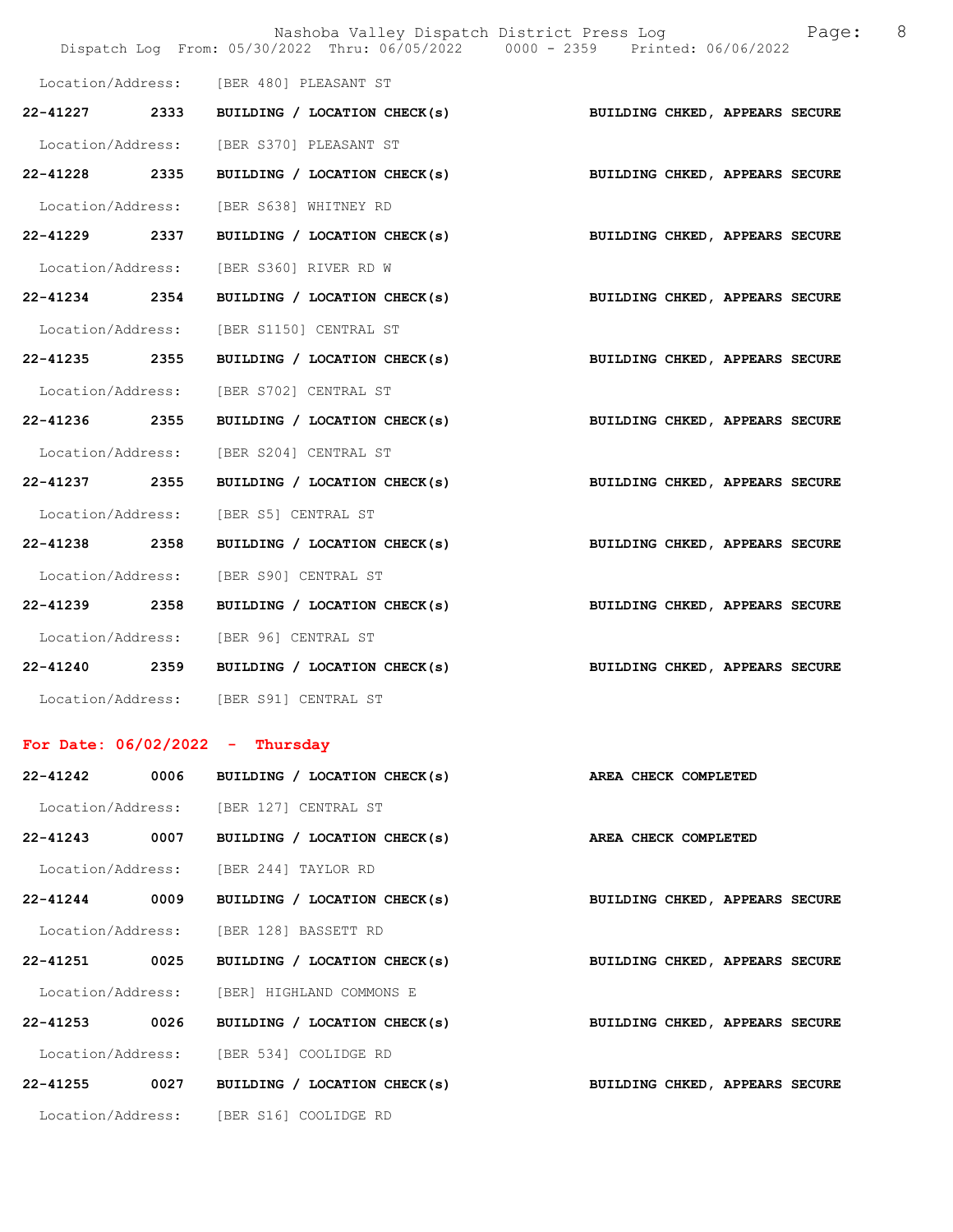|                   |      | Nashoba Valley Dispatch District Press Log<br>Dispatch Log From: 05/30/2022 Thru: 06/05/2022 0000 - 2359 Printed: 06/06/2022 | 8<br>Page:                     |
|-------------------|------|------------------------------------------------------------------------------------------------------------------------------|--------------------------------|
|                   |      | Location/Address: [BER 480] PLEASANT ST                                                                                      |                                |
| 22-41227 2333     |      | BUILDING / LOCATION CHECK(s)                                                                                                 | BUILDING CHKED, APPEARS SECURE |
| Location/Address: |      | [BER S370] PLEASANT ST                                                                                                       |                                |
| 22-41228 2335     |      | BUILDING / LOCATION CHECK(s)                                                                                                 | BUILDING CHKED, APPEARS SECURE |
| Location/Address: |      | [BER S638] WHITNEY RD                                                                                                        |                                |
| 22-41229 2337     |      | BUILDING / LOCATION CHECK(s)                                                                                                 | BUILDING CHKED, APPEARS SECURE |
| Location/Address: |      | [BER S360] RIVER RD W                                                                                                        |                                |
| 22-41234 2354     |      | BUILDING / LOCATION CHECK(s)                                                                                                 | BUILDING CHKED, APPEARS SECURE |
| Location/Address: |      | [BER S1150] CENTRAL ST                                                                                                       |                                |
| 22-41235 2355     |      | BUILDING / LOCATION CHECK(s)                                                                                                 | BUILDING CHKED, APPEARS SECURE |
| Location/Address: |      | [BER S702] CENTRAL ST                                                                                                        |                                |
| 22-41236 2355     |      | BUILDING / LOCATION CHECK(s)                                                                                                 | BUILDING CHKED, APPEARS SECURE |
| Location/Address: |      | [BER S204] CENTRAL ST                                                                                                        |                                |
| 22-41237 2355     |      | BUILDING / LOCATION CHECK(s)                                                                                                 | BUILDING CHKED, APPEARS SECURE |
| Location/Address: |      | [BER S5] CENTRAL ST                                                                                                          |                                |
| 22-41238 2358     |      | BUILDING / LOCATION CHECK(s)                                                                                                 | BUILDING CHKED, APPEARS SECURE |
| Location/Address: |      | [BER S90] CENTRAL ST                                                                                                         |                                |
| 22-41239 2358     |      | BUILDING / LOCATION CHECK(s)                                                                                                 | BUILDING CHKED, APPEARS SECURE |
| Location/Address: |      | [BER 96] CENTRAL ST                                                                                                          |                                |
| 22-41240 2359     |      | BUILDING / LOCATION CHECK(s)                                                                                                 | BUILDING CHKED, APPEARS SECURE |
|                   |      | Location/Address: [BER S91] CENTRAL ST                                                                                       |                                |
|                   |      | For Date: $06/02/2022 - Thursday$                                                                                            |                                |
| 22-41242          | 0006 | BUILDING / LOCATION CHECK(s)                                                                                                 | AREA CHECK COMPLETED           |
|                   |      | Location/Address: [BER 127] CENTRAL ST                                                                                       |                                |
| 22-41243          | 0007 | BUILDING / LOCATION CHECK(s)                                                                                                 | AREA CHECK COMPLETED           |
|                   |      | Location/Address: [BER 244] TAYLOR RD                                                                                        |                                |
| $22 - 41244$      | 0009 | BUILDING / LOCATION CHECK(s)                                                                                                 | BUILDING CHKED, APPEARS SECURE |

| 22-41242          | 0006 | BUILDING / LOCATION CHECK(s)               | AREA CHECK COMPLETED           |
|-------------------|------|--------------------------------------------|--------------------------------|
|                   |      | Location/Address: [BER 127] CENTRAL ST     |                                |
| 22-41243          | 0007 | BUILDING / LOCATION CHECK(s)               | AREA CHECK COMPLETED           |
|                   |      | Location/Address: [BER 244] TAYLOR RD      |                                |
| 22-41244          | 0009 | BUILDING / LOCATION CHECK(s)               | BUILDING CHKED, APPEARS SECURE |
|                   |      | Location/Address: [BER 128] BASSETT RD     |                                |
| 22-41251          | 0025 | BUILDING / LOCATION CHECK(s)               | BUILDING CHKED, APPEARS SECURE |
|                   |      | Location/Address: [BER] HIGHLAND COMMONS E |                                |
| 22-41253          | 0026 | BUILDING / LOCATION CHECK(s)               | BUILDING CHKED, APPEARS SECURE |
| Location/Address: |      | [BER 534] COOLIDGE RD                      |                                |
| $22 - 41255$      | 0027 | BUILDING / LOCATION CHECK(s)               | BUILDING CHKED, APPEARS SECURE |
|                   |      | Location/Address: [BER S16] COOLIDGE RD    |                                |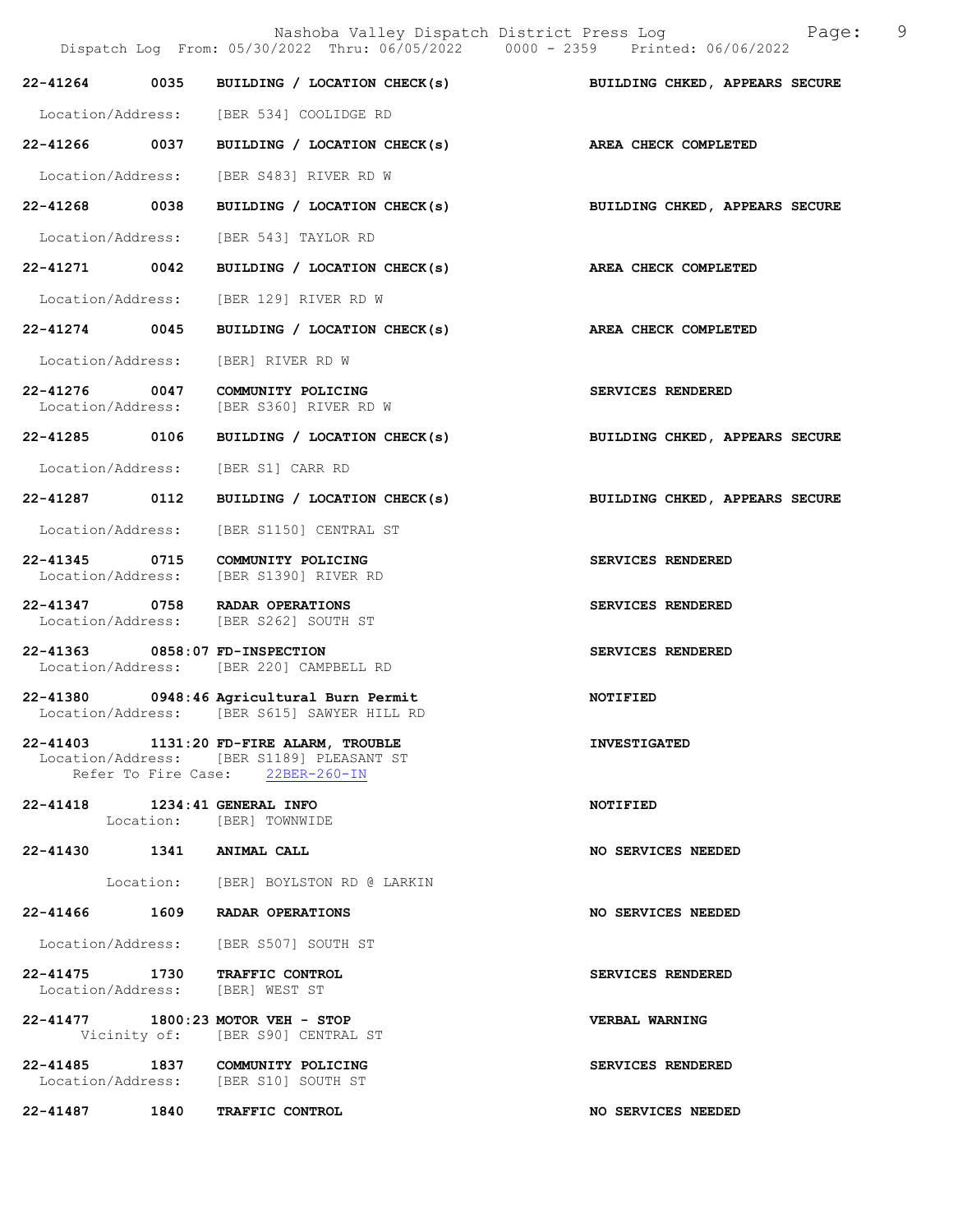|                                    |      | Nashoba Valley Dispatch District Press Log<br>Dispatch Log From: 05/30/2022 Thru: 06/05/2022 0000 - 2359 Printed: 06/06/2022 | 9<br>Page:                     |
|------------------------------------|------|------------------------------------------------------------------------------------------------------------------------------|--------------------------------|
| 22-41264                           | 0035 | BUILDING / LOCATION CHECK(s)                                                                                                 | BUILDING CHKED, APPEARS SECURE |
|                                    |      | Location/Address: [BER 534] COOLIDGE RD                                                                                      |                                |
| 22-41266 0037                      |      | BUILDING / LOCATION CHECK(s)                                                                                                 | AREA CHECK COMPLETED           |
| Location/Address:                  |      | [BER S483] RIVER RD W                                                                                                        |                                |
| 22-41268 0038                      |      | BUILDING / LOCATION CHECK(s)                                                                                                 | BUILDING CHKED, APPEARS SECURE |
|                                    |      | Location/Address: [BER 543] TAYLOR RD                                                                                        |                                |
| 22-41271                           | 0042 | BUILDING / LOCATION CHECK(s)                                                                                                 | AREA CHECK COMPLETED           |
| Location/Address:                  |      | [BER 129] RIVER RD W                                                                                                         |                                |
| 22-41274 0045                      |      | BUILDING / LOCATION CHECK(s)                                                                                                 | AREA CHECK COMPLETED           |
| Location/Address:                  |      | [BER] RIVER RD W                                                                                                             |                                |
| 22-41276 0047<br>Location/Address: |      | COMMUNITY POLICING<br>[BER S360] RIVER RD W                                                                                  | SERVICES RENDERED              |
| 22-41285 0106                      |      | BUILDING / LOCATION CHECK(s)                                                                                                 | BUILDING CHKED, APPEARS SECURE |
| Location/Address:                  |      | [BER S1] CARR RD                                                                                                             |                                |
| 22-41287 0112                      |      | BUILDING / LOCATION CHECK(s)                                                                                                 | BUILDING CHKED, APPEARS SECURE |
| Location/Address:                  |      | [BER S1150] CENTRAL ST                                                                                                       |                                |
| 22-41345 0715<br>Location/Address: |      | COMMUNITY POLICING<br>[BER S1390] RIVER RD                                                                                   | SERVICES RENDERED              |
|                                    |      | 22-41347 0758 RADAR OPERATIONS<br>Location/Address: [BER S262] SOUTH ST                                                      | SERVICES RENDERED              |
| 22-41363 0858:07 FD-INSPECTION     |      | Location/Address: [BER 220] CAMPBELL RD                                                                                      | SERVICES RENDERED              |
|                                    |      | 22-41380 0948:46 Agricultural Burn Permit<br>Location/Address: [BER S615] SAWYER HILL RD                                     | NOTIFIED                       |
|                                    |      | 22-41403 1131:20 FD-FIRE ALARM, TROUBLE<br>Location/Address: [BER S1189] PLEASANT ST<br>Refer To Fire Case: 22BER-260-IN     | <b>INVESTIGATED</b>            |
| 22-41418 1234:41 GENERAL INFO      |      | Location: [BER] TOWNWIDE                                                                                                     | <b>NOTIFIED</b>                |
| 22-41430 1341 ANIMAL CALL          |      |                                                                                                                              | NO SERVICES NEEDED             |
|                                    |      | Location: [BER] BOYLSTON RD @ LARKIN                                                                                         |                                |
|                                    |      | 22-41466 1609 RADAR OPERATIONS                                                                                               | NO SERVICES NEEDED             |
|                                    |      | Location/Address: [BER S507] SOUTH ST                                                                                        |                                |
|                                    |      | 22-41475 1730 TRAFFIC CONTROL<br>Location/Address: [BER] WEST ST                                                             | SERVICES RENDERED              |
|                                    |      | 22-41477 1800:23 MOTOR VEH - STOP<br>Vicinity of: [BER S90] CENTRAL ST                                                       | <b>VERBAL WARNING</b>          |
|                                    |      | 22-41485 1837 COMMUNITY POLICING<br>Location/Address: [BER S10] SOUTH ST                                                     | SERVICES RENDERED              |
|                                    |      | 22-41487 1840 TRAFFIC CONTROL                                                                                                | NO SERVICES NEEDED             |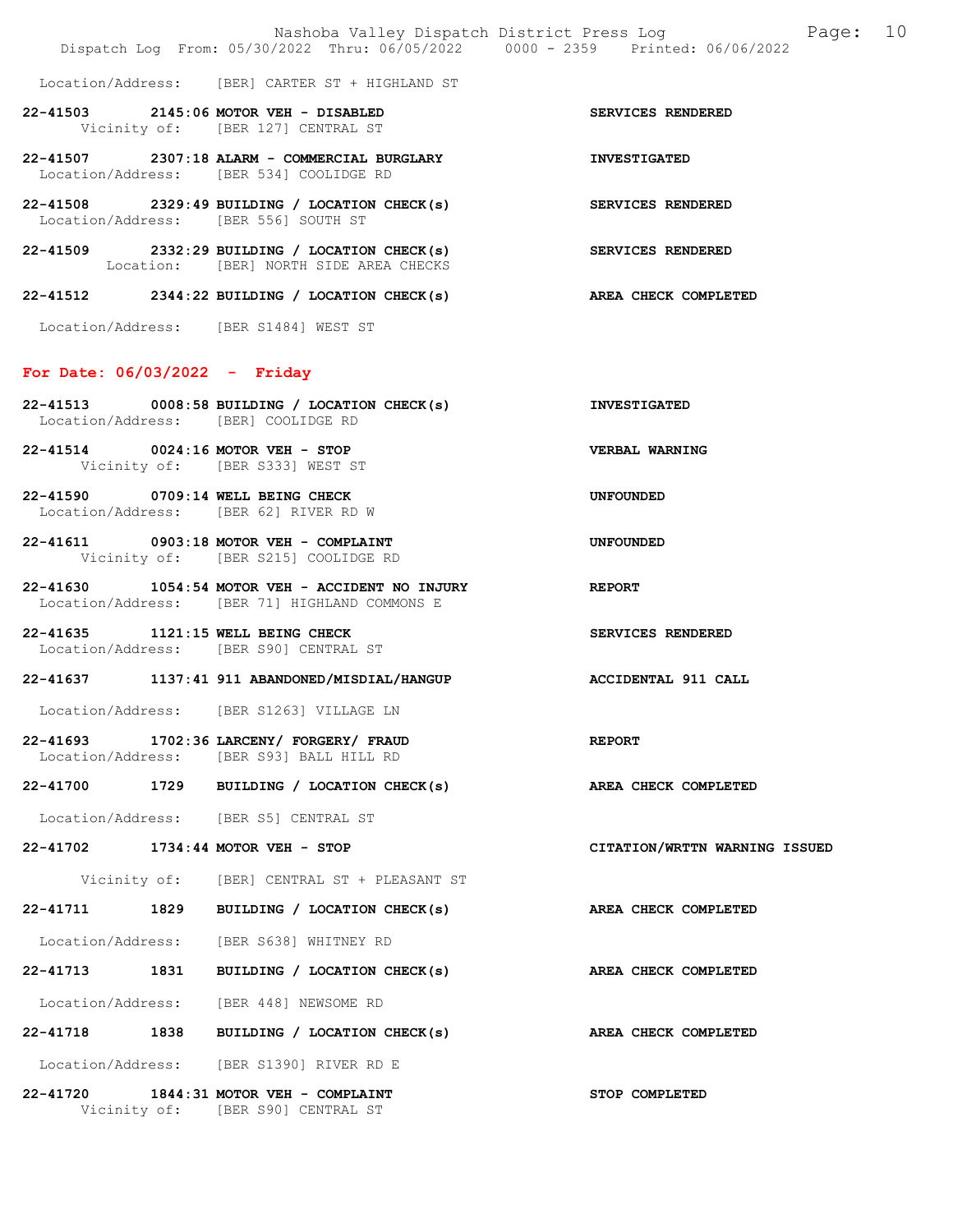22-41507 2307:18 ALARM - COMMERCIAL BURGLARY INVESTIGATED Location/Address: [BER 534] COOLIDGE RD

Location: [BER] NORTH SIDE AREA CHECKS

- 22-41508 2329:49 BUILDING / LOCATION CHECK(s) SERVICES RENDERED Location/Address: [BER 556] SOUTH ST
- 22-41509 2332:29 BUILDING / LOCATION CHECK(s) SERVICES RENDERED
- 22-41512 2344:22 BUILDING / LOCATION CHECK(s) AREA CHECK COMPLETED

Location/Address: [BER S1484] WEST ST

#### For Date: 06/03/2022 - Friday

- 22-41513 0008:58 BUILDING / LOCATION CHECK(s) INVESTIGATED Location/Address: [BER] COOLIDGE RD
- 22-41514 0024:16 MOTOR VEH STOP VERBAL WARNING Vicinity of: [BER S333] WEST ST
- 22-41590 0709:14 WELL BEING CHECK UNFOUNDED Location/Address: [BER 62] RIVER RD W
- 22-41611 0903:18 MOTOR VEH COMPLAINT UNFOUNDED Vicinity of: [BER S215] COOLIDGE RD
- 22-41630 1054:54 MOTOR VEH ACCIDENT NO INJURY REPORT Location/Address: [BER 71] HIGHLAND COMMONS E
- 22-41635 1121:15 WELL BEING CHECK SERVICES RENDERED Location/Address: [BER S90] CENTRAL ST
- 22-41637 1137:41 911 ABANDONED/MISDIAL/HANGUP ACCIDENTAL 911 CALL
- Location/Address: [BER S1263] VILLAGE LN
- 22-41693 1702:36 LARCENY/ FORGERY/ FRAUD REPORT Location/Address: [BER S93] BALL HILL RD
- 22-41700 1729 BUILDING / LOCATION CHECK(s) AREA CHECK COMPLETED
- Location/Address: [BER S5] CENTRAL ST
- 22-41702 1734:44 MOTOR VEH STOP CITATION/WRTTN WARNING ISSUED
	- Vicinity of: [BER] CENTRAL ST + PLEASANT ST
- 22-41711 1829 BUILDING / LOCATION CHECK(s) AREA CHECK COMPLETED
- Location/Address: [BER S638] WHITNEY RD
- 22-41713 1831 BUILDING / LOCATION CHECK(s) AREA CHECK COMPLETED
- Location/Address: [BER 448] NEWSOME RD
- 22-41718 1838 BUILDING / LOCATION CHECK(s) AREA CHECK COMPLETED
- Location/Address: [BER S1390] RIVER RD E
- 22-41720 1844:31 MOTOR VEH COMPLAINT STOP COMPLETED Vicinity of: [BER S90] CENTRAL ST
- 
- 
- 
- 
- 
- 
- 
- 
- 
- 
- 
-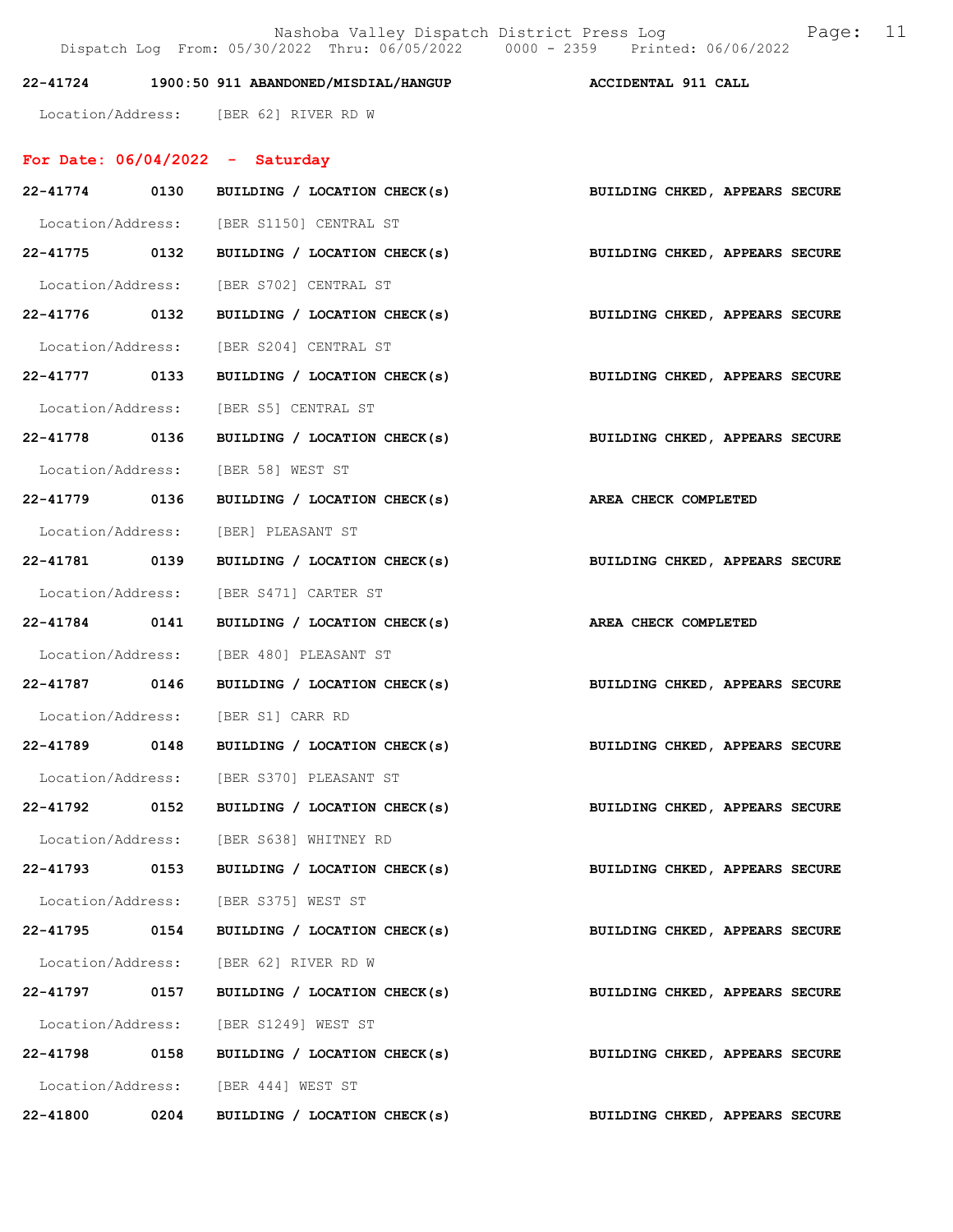## 22-41724 1900:50 911 ABANDONED/MISDIAL/HANGUP ACCIDENTAL 911 CALL

Location/Address: [BER 62] RIVER RD W

## For Date: 06/04/2022 - Saturday

|               |      | 22-41774 0130 BUILDING / LOCATION CHECK(s) BUILDING CHKED, APPEARS SECURE |                                |
|---------------|------|---------------------------------------------------------------------------|--------------------------------|
|               |      | Location/Address: [BER S1150] CENTRAL ST                                  |                                |
|               |      | 22-41775 0132 BUILDING / LOCATION CHECK(s) BUILDING CHKED, APPEARS SECURE |                                |
|               |      | Location/Address: [BER S702] CENTRAL ST                                   |                                |
|               |      | 22-41776 0132 BUILDING / LOCATION CHECK(s) BUILDING CHKED, APPEARS SECURE |                                |
|               |      | Location/Address: [BER S204] CENTRAL ST                                   |                                |
| 22-41777 0133 |      | BUILDING / LOCATION CHECK(s)                                              | BUILDING CHKED, APPEARS SECURE |
|               |      | Location/Address: [BER S5] CENTRAL ST                                     |                                |
|               |      | 22-41778 0136 BUILDING / LOCATION CHECK(s) BUILDING CHKED, APPEARS SECURE |                                |
|               |      | Location/Address: [BER 58] WEST ST                                        |                                |
|               |      | 22-41779 0136 BUILDING / LOCATION CHECK(s) AREA CHECK COMPLETED           |                                |
|               |      | Location/Address: [BER] PLEASANT ST                                       |                                |
|               |      | 22-41781 0139 BUILDING / LOCATION CHECK(s) BUILDING CHKED, APPEARS SECURE |                                |
|               |      | Location/Address: [BER S471] CARTER ST                                    |                                |
|               |      | 22-41784 0141 BUILDING / LOCATION CHECK(s) AREA CHECK COMPLETED           |                                |
|               |      | Location/Address: [BER 480] PLEASANT ST                                   |                                |
|               |      | 22-41787 0146 BUILDING / LOCATION CHECK(s) BUILDING CHKED, APPEARS SECURE |                                |
|               |      | Location/Address: [BER S1] CARR RD                                        |                                |
|               |      | 22-41789 0148 BUILDING / LOCATION CHECK(s) BUILDING CHKED, APPEARS SECURE |                                |
|               |      | Location/Address: [BER S370] PLEASANT ST                                  |                                |
|               |      | 22-41792 0152 BUILDING / LOCATION CHECK(s) BUILDING CHKED, APPEARS SECURE |                                |
|               |      | Location/Address: [BER S638] WHITNEY RD                                   |                                |
| 22-41793 0153 |      | BUILDING / LOCATION CHECK(s)                                              | BUILDING CHKED, APPEARS SECURE |
|               |      | Location/Address: [BER S375] WEST ST                                      |                                |
| $22 - 41795$  |      | 0154 BUILDING / LOCATION CHECK(s)                                         | BUILDING CHKED, APPEARS SECURE |
|               |      | Location/Address: [BER 62] RIVER RD W                                     |                                |
| 22-41797      | 0157 | BUILDING / LOCATION CHECK(s)                                              | BUILDING CHKED, APPEARS SECURE |
|               |      | Location/Address: [BER S1249] WEST ST                                     |                                |
| 22-41798 0158 |      | BUILDING / LOCATION CHECK(s)                                              | BUILDING CHKED, APPEARS SECURE |
|               |      | Location/Address: [BER 444] WEST ST                                       |                                |
| 22-41800      | 0204 | BUILDING / LOCATION CHECK(s)                                              | BUILDING CHKED, APPEARS SECURE |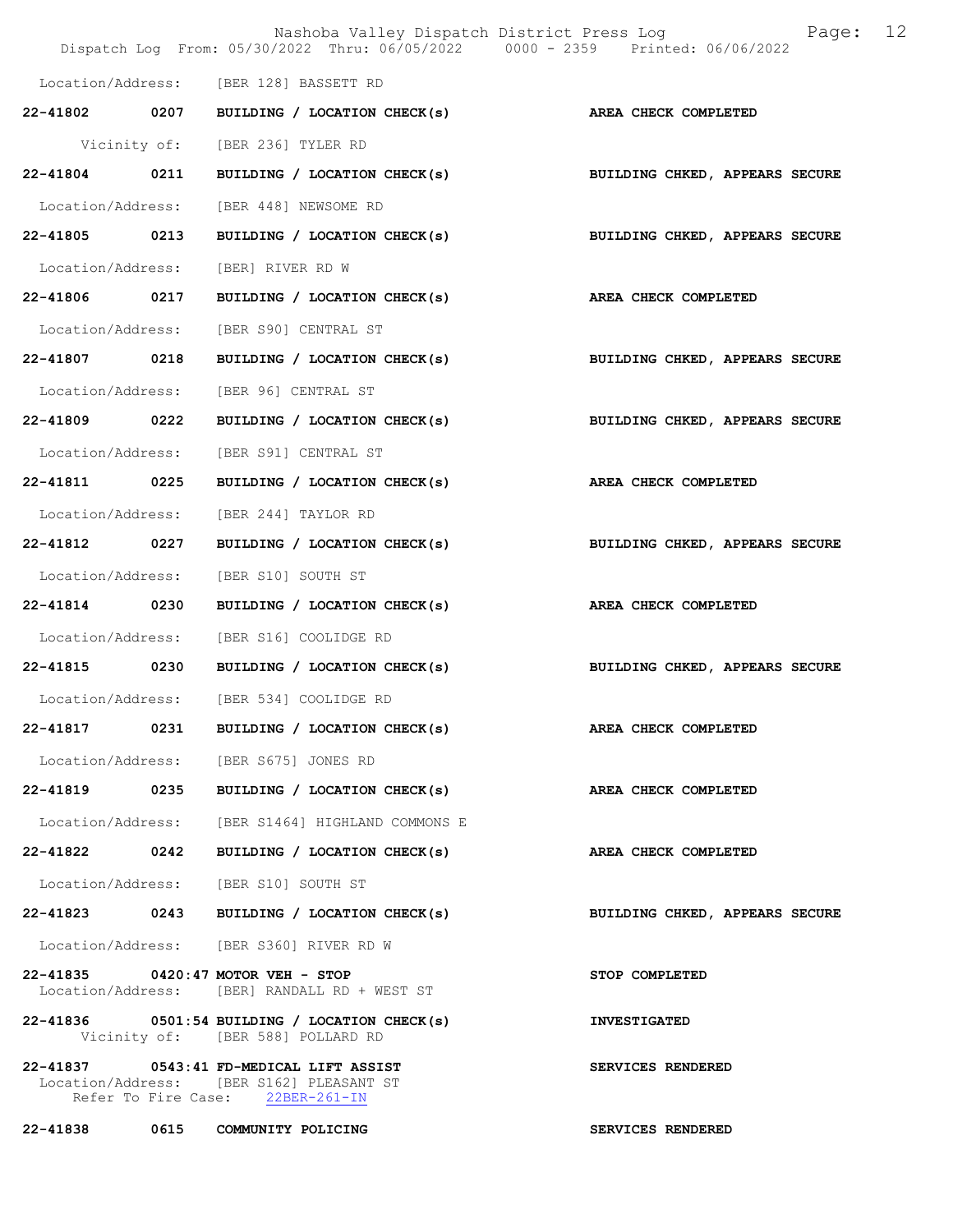|                   |      | Nashoba Valley Dispatch District Press Log<br>Dispatch Log From: 05/30/2022 Thru: 06/05/2022 0000 - 2359 Printed: 06/06/2022 | 12<br>Page:                    |
|-------------------|------|------------------------------------------------------------------------------------------------------------------------------|--------------------------------|
|                   |      | Location/Address: [BER 128] BASSETT RD                                                                                       |                                |
|                   |      | 22-41802 0207 BUILDING / LOCATION CHECK(s)                                                                                   | AREA CHECK COMPLETED           |
|                   |      | Vicinity of: [BER 236] TYLER RD                                                                                              |                                |
| 22-41804 0211     |      | BUILDING / LOCATION CHECK(s)                                                                                                 | BUILDING CHKED, APPEARS SECURE |
|                   |      | Location/Address: [BER 448] NEWSOME RD                                                                                       |                                |
| 22-41805 0213     |      | BUILDING / LOCATION CHECK(s)                                                                                                 | BUILDING CHKED, APPEARS SECURE |
| Location/Address: |      | [BER] RIVER RD W                                                                                                             |                                |
| 22-41806 0217     |      | BUILDING / LOCATION CHECK(s)                                                                                                 | AREA CHECK COMPLETED           |
| Location/Address: |      | [BER S90] CENTRAL ST                                                                                                         |                                |
| 22-41807          | 0218 | BUILDING / LOCATION CHECK(s)                                                                                                 | BUILDING CHKED, APPEARS SECURE |
| Location/Address: |      | [BER 96] CENTRAL ST                                                                                                          |                                |
| 22-41809 0222     |      | BUILDING / LOCATION CHECK(s)                                                                                                 | BUILDING CHKED, APPEARS SECURE |
| Location/Address: |      | [BER S91] CENTRAL ST                                                                                                         |                                |
| 22-41811 0225     |      | BUILDING / LOCATION CHECK(s)                                                                                                 | AREA CHECK COMPLETED           |
| Location/Address: |      | [BER 244] TAYLOR RD                                                                                                          |                                |
| 22-41812          | 0227 | BUILDING / LOCATION CHECK(s)                                                                                                 | BUILDING CHKED, APPEARS SECURE |
| Location/Address: |      | [BER S10] SOUTH ST                                                                                                           |                                |
| 22-41814 0230     |      | BUILDING / LOCATION CHECK(s)                                                                                                 | AREA CHECK COMPLETED           |
| Location/Address: |      | [BER S16] COOLIDGE RD                                                                                                        |                                |
| 22-41815 0230     |      | BUILDING / LOCATION CHECK(s)                                                                                                 | BUILDING CHKED, APPEARS SECURE |
|                   |      | Location/Address: [BER 534] COOLIDGE RD                                                                                      |                                |
| 22-41817          | 0231 | BUILDING / LOCATION CHECK(s)                                                                                                 | AREA CHECK COMPLETED           |
|                   |      | Location/Address: [BER S675] JONES RD                                                                                        |                                |
|                   |      | 22-41819 0235 BUILDING / LOCATION CHECK(s) AREA CHECK COMPLETED                                                              |                                |
|                   |      | Location/Address: [BER S1464] HIGHLAND COMMONS E                                                                             |                                |
|                   |      | 22-41822 0242 BUILDING / LOCATION CHECK(s)                                                                                   | <b>AREA CHECK COMPLETED</b>    |
|                   |      | Location/Address: [BER S10] SOUTH ST                                                                                         |                                |
|                   |      | 22-41823 0243 BUILDING / LOCATION CHECK(s)                                                                                   | BUILDING CHKED, APPEARS SECURE |
|                   |      | Location/Address: [BER S360] RIVER RD W                                                                                      |                                |
|                   |      | 22-41835 0420:47 MOTOR VEH - STOP<br>Location/Address: [BER] RANDALL RD + WEST ST                                            | STOP COMPLETED                 |
|                   |      | $22 - 41836$ 0501:54 BUILDING / LOCATION CHECK(s)<br>Vicinity of: [BER 588] POLLARD RD                                       | <b>INVESTIGATED</b>            |
|                   |      | 22-41837 0543:41 FD-MEDICAL LIFT ASSIST<br>Location/Address: [BER S162] PLEASANT ST<br>Refer To Fire Case: 22BER-261-IN      | SERVICES RENDERED              |
|                   |      | 22-41838 0615 COMMUNITY POLICING                                                                                             | SERVICES RENDERED              |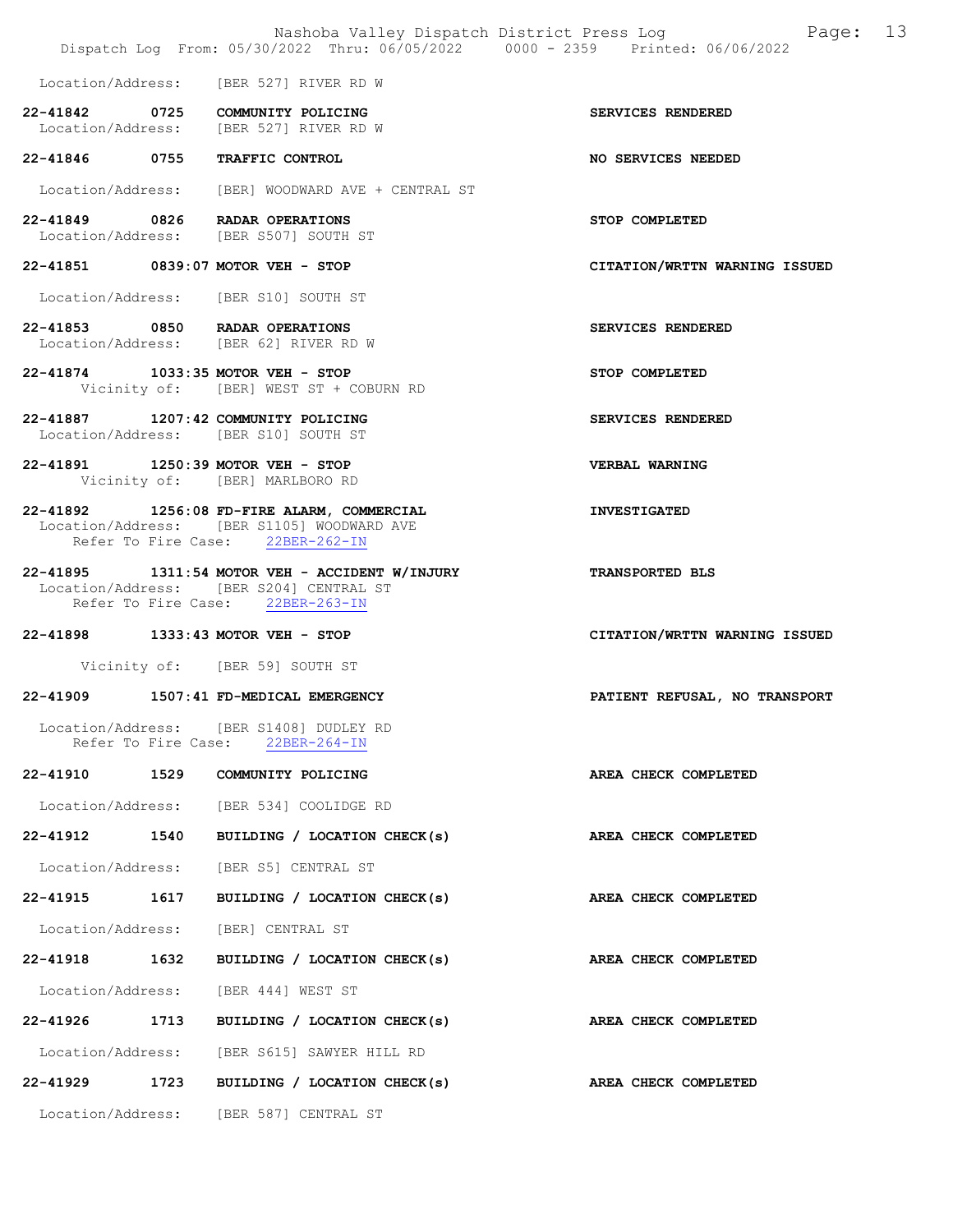|                     |      | Nashoba Valley Dispatch District Press Log<br>Dispatch Log From: 05/30/2022 Thru: 06/05/2022 0000 - 2359 Printed: 06/06/2022  | 13<br>Page:                   |
|---------------------|------|-------------------------------------------------------------------------------------------------------------------------------|-------------------------------|
|                     |      | Location/Address: [BER 527] RIVER RD W                                                                                        |                               |
|                     |      | 22-41842 0725 COMMUNITY POLICING<br>Location/Address: [BER 527] RIVER RD W                                                    | SERVICES RENDERED             |
|                     |      | 22-41846 0755 TRAFFIC CONTROL                                                                                                 | NO SERVICES NEEDED            |
|                     |      | Location/Address: [BER] WOODWARD AVE + CENTRAL ST                                                                             |                               |
|                     |      | 22-41849 0826 RADAR OPERATIONS<br>Location/Address: [BER S507] SOUTH ST                                                       | STOP COMPLETED                |
|                     |      | 22-41851 0839:07 MOTOR VEH - STOP                                                                                             | CITATION/WRTTN WARNING ISSUED |
|                     |      | Location/Address: [BER S10] SOUTH ST                                                                                          |                               |
|                     |      | 22-41853 0850 RADAR OPERATIONS<br>Location/Address: [BER 62] RIVER RD W                                                       | SERVICES RENDERED             |
|                     |      | 22-41874 1033:35 MOTOR VEH - STOP<br>Vicinity of: [BER] WEST ST + COBURN RD                                                   | STOP COMPLETED                |
|                     |      | 22-41887 1207:42 COMMUNITY POLICING<br>Location/Address: [BER S10] SOUTH ST                                                   | SERVICES RENDERED             |
|                     |      | 22-41891 1250:39 MOTOR VEH - STOP<br>Vicinity of: [BER] MARLBORO RD                                                           | VERBAL WARNING                |
|                     |      | 22-41892 1256:08 FD-FIRE ALARM, COMMERCIAL<br>Location/Address: [BER S1105] WOODWARD AVE<br>Refer To Fire Case: 22BER-262-IN  | <b>INVESTIGATED</b>           |
|                     |      | 22-41895 1311:54 MOTOR VEH - ACCIDENT W/INJURY<br>Location/Address: [BER S204] CENTRAL ST<br>Refer To Fire Case: 22BER-263-IN | TRANSPORTED BLS               |
|                     |      | 22-41898 1333:43 MOTOR VEH - STOP                                                                                             | CITATION/WRTTN WARNING ISSUED |
|                     |      | Vicinity of: [BER 59] SOUTH ST                                                                                                |                               |
|                     |      | 22-41909 1507:41 FD-MEDICAL EMERGENCY                                                                                         | PATIENT REFUSAL, NO TRANSPORT |
| Refer To Fire Case: |      | Location/Address: [BER S1408] DUDLEY RD<br>$22BER-264-IN$                                                                     |                               |
| 22-41910            | 1529 | COMMUNITY POLICING                                                                                                            | AREA CHECK COMPLETED          |
|                     |      | Location/Address: [BER 534] COOLIDGE RD                                                                                       |                               |
| 22-41912            | 1540 | BUILDING / LOCATION CHECK(s)                                                                                                  | AREA CHECK COMPLETED          |
| Location/Address:   |      | [BER S5] CENTRAL ST                                                                                                           |                               |
| 22-41915 1617       |      | BUILDING / LOCATION CHECK(s)                                                                                                  | AREA CHECK COMPLETED          |
| Location/Address:   |      | [BER] CENTRAL ST                                                                                                              |                               |
| 22-41918 1632       |      | BUILDING / LOCATION CHECK(s)                                                                                                  | AREA CHECK COMPLETED          |
| Location/Address:   |      | [BER 444] WEST ST                                                                                                             |                               |
| 22-41926            | 1713 | BUILDING / LOCATION CHECK(s)                                                                                                  | AREA CHECK COMPLETED          |
| Location/Address:   |      | [BER S615] SAWYER HILL RD                                                                                                     |                               |
| 22-41929            | 1723 | BUILDING / LOCATION CHECK(s)                                                                                                  | AREA CHECK COMPLETED          |
| Location/Address:   |      | [BER 587] CENTRAL ST                                                                                                          |                               |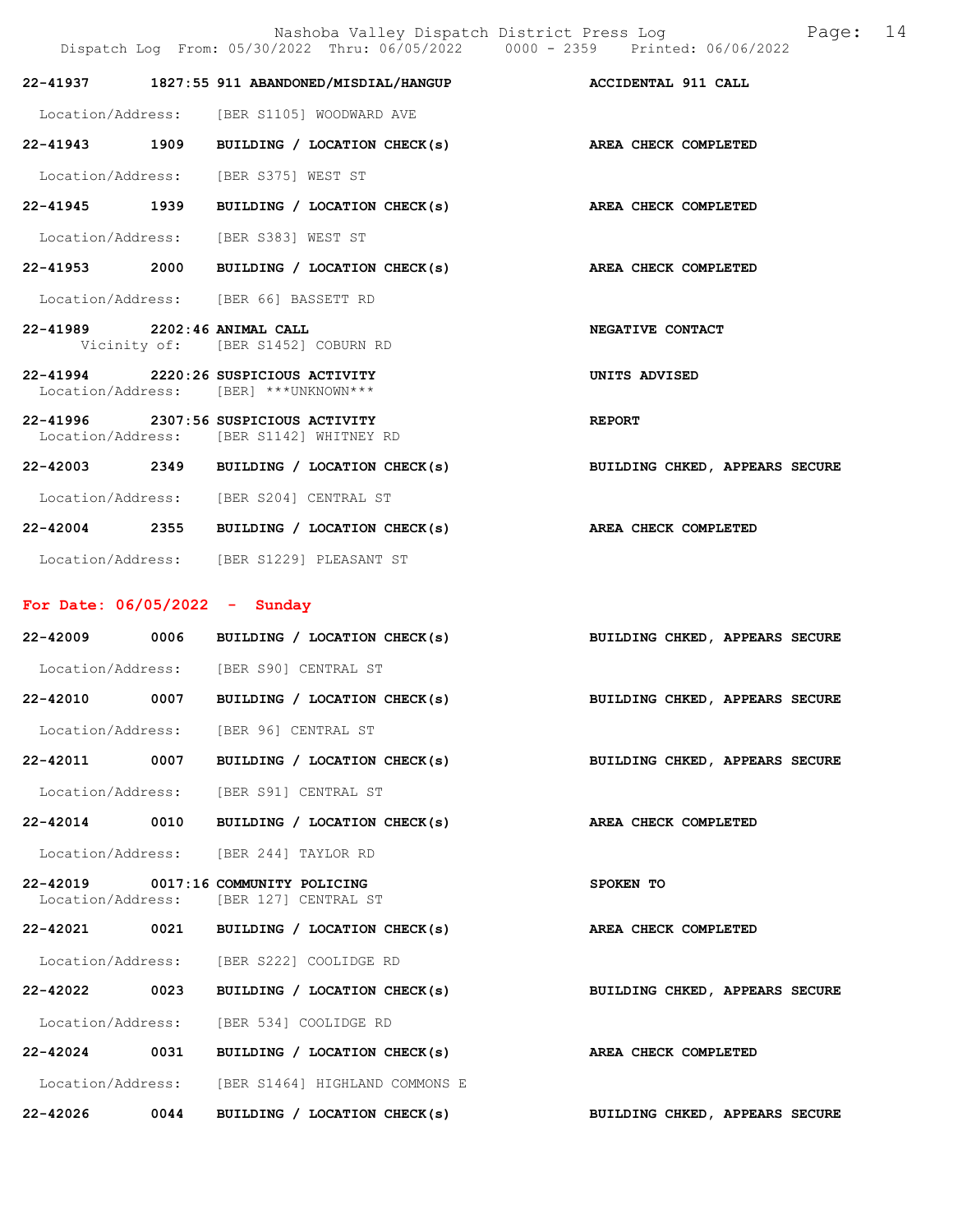Nashoba Valley Dispatch District Press Log Fage: 14

|                                 |      | Dispatch Log From: 05/30/2022 Thru: 06/05/2022 0000 - 2359 Printed: 06/06/2022   |                                |
|---------------------------------|------|----------------------------------------------------------------------------------|--------------------------------|
| 22-41937                        |      | 1827:55 911 ABANDONED/MISDIAL/HANGUP ACCIDENTAL 911 CALL                         |                                |
|                                 |      | Location/Address: [BER S1105] WOODWARD AVE                                       |                                |
|                                 |      | 22-41943 1909 BUILDING / LOCATION CHECK(s) AREA CHECK COMPLETED                  |                                |
|                                 |      | Location/Address: [BER S375] WEST ST                                             |                                |
| 22-41945 1939                   |      | BUILDING / LOCATION CHECK(s) AREA CHECK COMPLETED                                |                                |
|                                 |      | Location/Address: [BER S383] WEST ST                                             |                                |
|                                 |      | 22-41953 2000 BUILDING / LOCATION CHECK(s)                                       | AREA CHECK COMPLETED           |
|                                 |      | Location/Address: [BER 66] BASSETT RD                                            |                                |
| 22-41989 2202:46 ANIMAL CALL    |      | Vicinity of: [BER S1452] COBURN RD                                               | NEGATIVE CONTACT               |
|                                 |      | 22-41994 2220:26 SUSPICIOUS ACTIVITY<br>Location/Address: [BER] ***UNKNOWN***    | UNITS ADVISED                  |
|                                 |      | 22-41996 2307:56 SUSPICIOUS ACTIVITY<br>Location/Address: [BER S1142] WHITNEY RD | <b>REPORT</b>                  |
|                                 |      | 22-42003 2349 BUILDING / LOCATION CHECK(s)                                       | BUILDING CHKED, APPEARS SECURE |
|                                 |      | Location/Address: [BER S204] CENTRAL ST                                          |                                |
|                                 |      | 22-42004 2355 BUILDING / LOCATION CHECK(s)                                       | AREA CHECK COMPLETED           |
|                                 |      | Location/Address: [BER S1229] PLEASANT ST                                        |                                |
|                                 |      |                                                                                  |                                |
| For Date: $06/05/2022 -$ Sunday |      |                                                                                  |                                |
|                                 |      | 22-42009 0006 BUILDING / LOCATION CHECK(s)                                       | BUILDING CHKED, APPEARS SECURE |
|                                 |      | Location/Address: [BER S90] CENTRAL ST                                           |                                |
|                                 |      | 22-42010 0007 BUILDING / LOCATION CHECK(s)                                       | BUILDING CHKED, APPEARS SECURE |
|                                 |      | Location/Address: [BER 96] CENTRAL ST                                            |                                |
|                                 |      | 22-42011 0007 BUILDING / LOCATION CHECK(s)                                       | BUILDING CHKED, APPEARS SECURE |
|                                 |      | Location/Address: [BER S91] CENTRAL ST                                           |                                |
| 22-42014                        | 0010 | BUILDING / LOCATION CHECK(s)                                                     | AREA CHECK COMPLETED           |
|                                 |      | Location/Address: [BER 244] TAYLOR RD                                            |                                |
|                                 |      | 22-42019 0017:16 COMMUNITY POLICING<br>Location/Address: [BER 127] CENTRAL ST    | SPOKEN TO                      |
| 22-42021                        |      | 0021 BUILDING / LOCATION CHECK(s)                                                | AREA CHECK COMPLETED           |
|                                 |      | Location/Address: [BER S222] COOLIDGE RD                                         |                                |
| 22-42022 0023                   |      | BUILDING / LOCATION CHECK(s)                                                     | BUILDING CHKED, APPEARS SECURE |
|                                 |      | Location/Address: [BER 534] COOLIDGE RD                                          |                                |
|                                 |      | 22-42024 0031 BUILDING / LOCATION CHECK(s)                                       | AREA CHECK COMPLETED           |
|                                 |      | Location/Address: [BER S1464] HIGHLAND COMMONS E                                 |                                |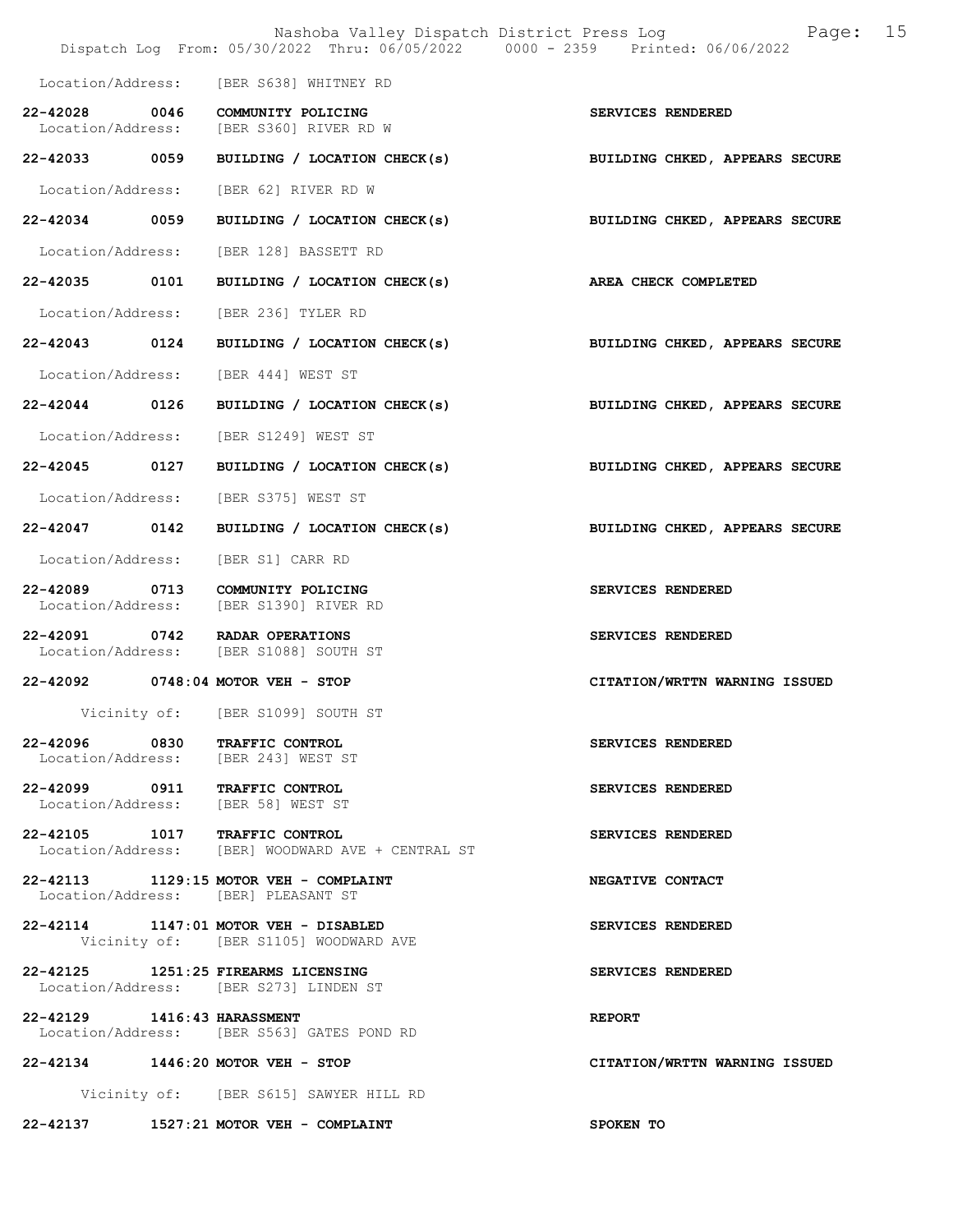|                                    |      | Nashoba Valley Dispatch District Press Log<br>Dispatch Log From: 05/30/2022 Thru: 06/05/2022 0000 - 2359 Printed: 06/06/2022 | 15<br>Page:                    |
|------------------------------------|------|------------------------------------------------------------------------------------------------------------------------------|--------------------------------|
|                                    |      | Location/Address: [BER S638] WHITNEY RD                                                                                      |                                |
| 22-42028 0046                      |      |                                                                                                                              |                                |
|                                    |      | COMMUNITY POLICING<br>Location/Address: [BER S360] RIVER RD W                                                                | SERVICES RENDERED              |
| 22-42033 0059                      |      | BUILDING / LOCATION CHECK(s)                                                                                                 | BUILDING CHKED, APPEARS SECURE |
| Location/Address:                  |      | [BER 62] RIVER RD W                                                                                                          |                                |
| 22-42034 0059                      |      | BUILDING / LOCATION CHECK(s)                                                                                                 | BUILDING CHKED, APPEARS SECURE |
| Location/Address:                  |      | [BER 128] BASSETT RD                                                                                                         |                                |
| 22-42035                           | 0101 | BUILDING / LOCATION CHECK(s)                                                                                                 | AREA CHECK COMPLETED           |
| Location/Address:                  |      | [BER 236] TYLER RD                                                                                                           |                                |
| 22-42043 0124                      |      | BUILDING / LOCATION CHECK(s) BUILDING CHKED, APPEARS SECURE                                                                  |                                |
| Location/Address:                  |      | [BER 444] WEST ST                                                                                                            |                                |
| 22-42044 0126                      |      | BUILDING / LOCATION CHECK(s)                                                                                                 | BUILDING CHKED, APPEARS SECURE |
| Location/Address:                  |      | [BER S1249] WEST ST                                                                                                          |                                |
| 22-42045 0127                      |      | BUILDING / LOCATION CHECK(s)                                                                                                 | BUILDING CHKED, APPEARS SECURE |
| Location/Address:                  |      | [BER S375] WEST ST                                                                                                           |                                |
| 22-42047 0142                      |      | BUILDING / LOCATION CHECK(s)                                                                                                 | BUILDING CHKED, APPEARS SECURE |
| Location/Address:                  |      | [BER S1] CARR RD                                                                                                             |                                |
| 22-42089 0713<br>Location/Address: |      | COMMUNITY POLICING<br>[BER S1390] RIVER RD                                                                                   | SERVICES RENDERED              |
|                                    |      | 22-42091 0742 RADAR OPERATIONS<br>Location/Address: [BER S1088] SOUTH ST                                                     | SERVICES RENDERED              |
|                                    |      | 22-42092 0748:04 MOTOR VEH - STOP                                                                                            | CITATION/WRTTN WARNING ISSUED  |
| Vicinity of:                       |      | [BER S1099] SOUTH ST                                                                                                         |                                |
|                                    |      | 22-42096 0830 TRAFFIC CONTROL<br>Location/Address: [BER 243] WEST ST                                                         | SERVICES RENDERED              |
|                                    |      | 22-42099 0911 TRAFFIC CONTROL<br>Location/Address: [BER 58] WEST ST                                                          | SERVICES RENDERED              |
|                                    |      | 22-42105 1017 TRAFFIC CONTROL<br>Location/Address: [BER] WOODWARD AVE + CENTRAL ST                                           | SERVICES RENDERED              |
|                                    |      | 22-42113 1129:15 MOTOR VEH - COMPLAINT<br>Location/Address: [BER] PLEASANT ST                                                | NEGATIVE CONTACT               |
|                                    |      | 22-42114 1147:01 MOTOR VEH - DISABLED<br>Vicinity of: [BER S1105] WOODWARD AVE                                               | SERVICES RENDERED              |
|                                    |      | 22-42125 1251:25 FIREARMS LICENSING<br>Location/Address: [BER S273] LINDEN ST                                                | SERVICES RENDERED              |
| 22-42129 1416:43 HARASSMENT        |      | Location/Address: [BER S563] GATES POND RD                                                                                   | <b>REPORT</b>                  |
|                                    |      | 22-42134 1446:20 MOTOR VEH - STOP                                                                                            | CITATION/WRTTN WARNING ISSUED  |
|                                    |      | Vicinity of: [BER S615] SAWYER HILL RD                                                                                       |                                |
|                                    |      | 22-42137 1527:21 MOTOR VEH - COMPLAINT                                                                                       | SPOKEN TO                      |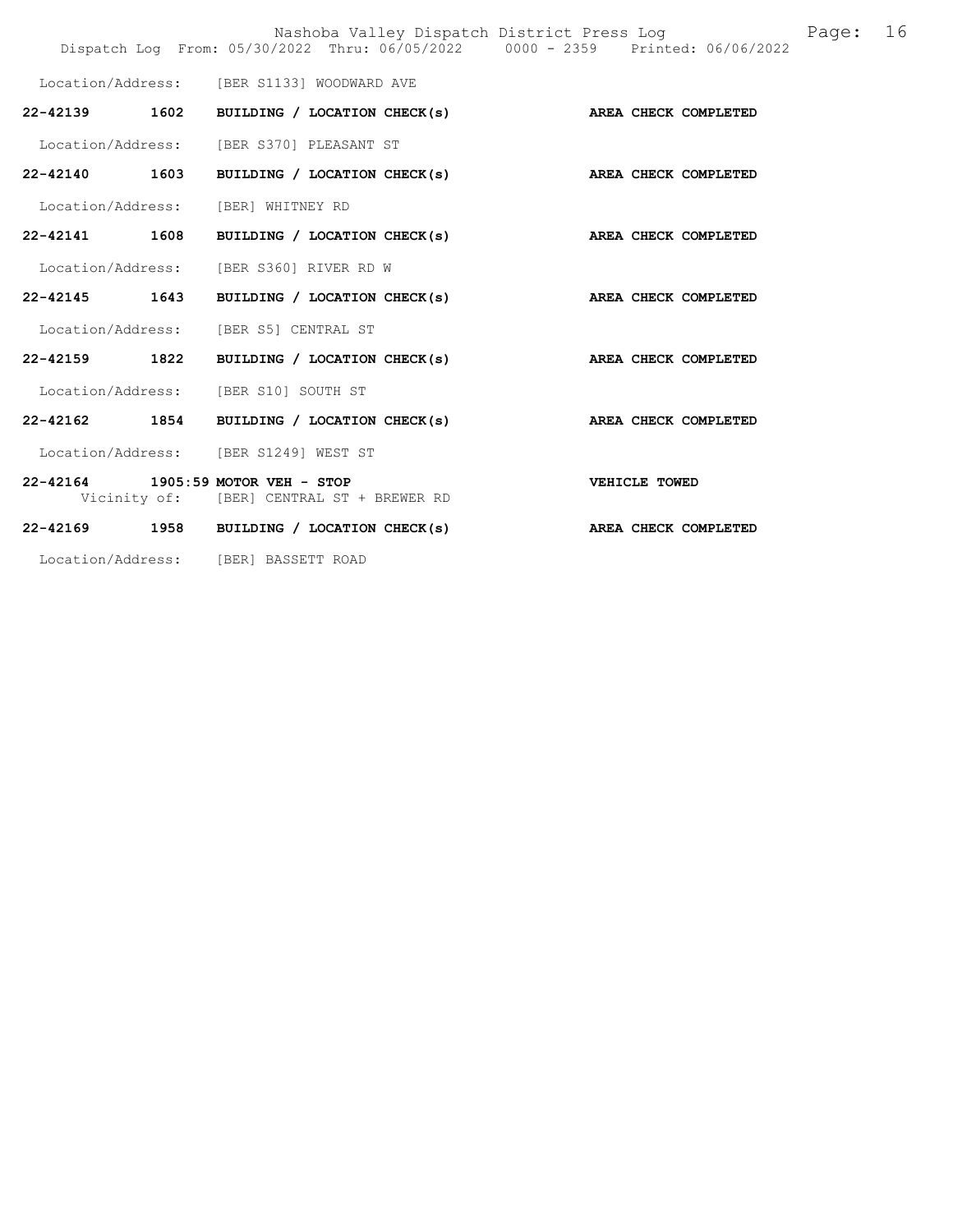|                                            |                                           |                              | Nashoba Valley Dispatch District Press Log<br>Dispatch Log From: 05/30/2022 Thru: 06/05/2022 0000 - 2359 Printed: 06/06/2022 |               |  | Page: | 16 |
|--------------------------------------------|-------------------------------------------|------------------------------|------------------------------------------------------------------------------------------------------------------------------|---------------|--|-------|----|
| Location/Address: [BER S1133] WOODWARD AVE |                                           |                              |                                                                                                                              |               |  |       |    |
| 22-42139 1602                              |                                           | BUILDING / LOCATION CHECK(s) | AREA CHECK COMPLETED                                                                                                         |               |  |       |    |
| Location/Address: [BER S370] PLEASANT ST   |                                           |                              |                                                                                                                              |               |  |       |    |
| 22-42140 1603                              |                                           |                              | BUILDING / LOCATION CHECK(s) AREA CHECK COMPLETED                                                                            |               |  |       |    |
| Location/Address: [BER] WHITNEY RD         |                                           |                              |                                                                                                                              |               |  |       |    |
| 22-42141 1608                              |                                           |                              | BUILDING / LOCATION CHECK(s) AREA CHECK COMPLETED                                                                            |               |  |       |    |
| Location/Address: [BER S360] RIVER RD W    |                                           |                              |                                                                                                                              |               |  |       |    |
| 22-42145 1643                              |                                           |                              | BUILDING / LOCATION CHECK(s) AREA CHECK COMPLETED                                                                            |               |  |       |    |
| Location/Address: [BER S5] CENTRAL ST      |                                           |                              |                                                                                                                              |               |  |       |    |
| 22-42159 1822                              |                                           |                              | BUILDING / LOCATION CHECK(s) AREA CHECK COMPLETED                                                                            |               |  |       |    |
| Location/Address: [BER S10] SOUTH ST       |                                           |                              |                                                                                                                              |               |  |       |    |
| 22-42162 1854                              |                                           |                              | BUILDING / LOCATION CHECK(s) AREA CHECK COMPLETED                                                                            |               |  |       |    |
| Location/Address: [BER S1249] WEST ST      |                                           |                              |                                                                                                                              |               |  |       |    |
| 22-42164 1905:59 MOTOR VEH - STOP          | Vicinity of: [BER] CENTRAL ST + BREWER RD |                              |                                                                                                                              | VEHICLE TOWED |  |       |    |
| 22-42169 1958 BUILDING / LOCATION CHECK(s) |                                           |                              | AREA CHECK COMPLETED                                                                                                         |               |  |       |    |
| Location/Address: [BER] BASSETT ROAD       |                                           |                              |                                                                                                                              |               |  |       |    |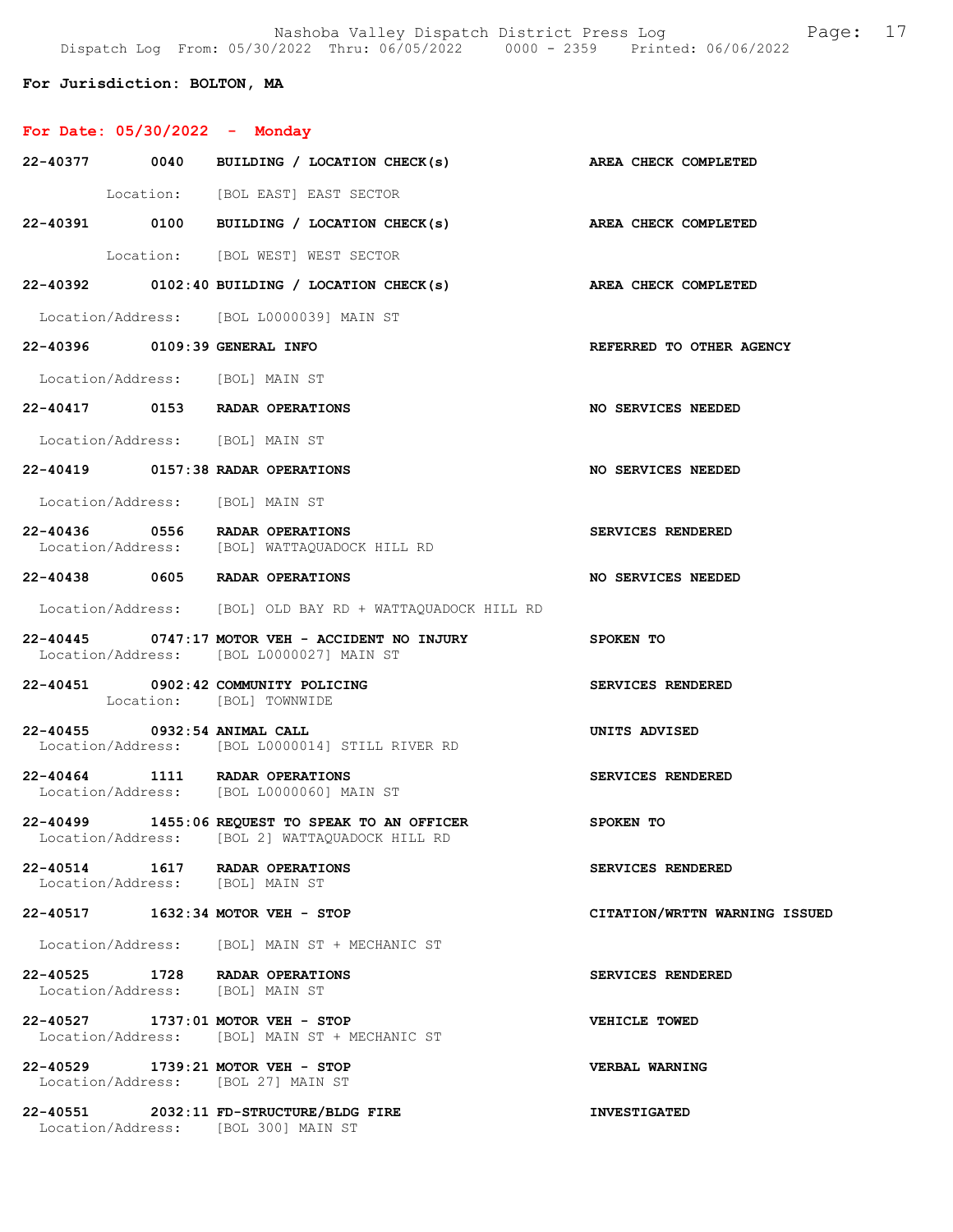Nashoba Valley Dispatch District Press Log Fage: 17 Dispatch Log From: 05/30/2022 Thru: 06/05/2022 0000 - 2359 Printed: 06/06/2022

## For Jurisdiction: BOLTON, MA

| For Date: $05/30/2022 -$ Monday                                         |                                                                                                   |                               |
|-------------------------------------------------------------------------|---------------------------------------------------------------------------------------------------|-------------------------------|
|                                                                         | 22-40377 0040 BUILDING / LOCATION CHECK(s) AREA CHECK COMPLETED                                   |                               |
|                                                                         | Location: [BOL EAST] EAST SECTOR                                                                  |                               |
|                                                                         | 22-40391 0100 BUILDING / LOCATION CHECK(s) AREA CHECK COMPLETED                                   |                               |
|                                                                         | Location: [BOL WEST] WEST SECTOR                                                                  |                               |
|                                                                         | $22-40392$ 0102:40 BUILDING / LOCATION CHECK(s)                                                   | <b>AREA CHECK COMPLETED</b>   |
|                                                                         | Location/Address: [BOL L0000039] MAIN ST                                                          |                               |
| 22-40396 0109:39 GENERAL INFO                                           |                                                                                                   | REFERRED TO OTHER AGENCY      |
| Location/Address: [BOL] MAIN ST                                         |                                                                                                   |                               |
| 22-40417 0153 RADAR OPERATIONS                                          |                                                                                                   | NO SERVICES NEEDED            |
| Location/Address: [BOL] MAIN ST                                         |                                                                                                   |                               |
| 22-40419 0157:38 RADAR OPERATIONS                                       |                                                                                                   | <b>NO SERVICES NEEDED</b>     |
| Location/Address: [BOL] MAIN ST                                         |                                                                                                   |                               |
|                                                                         | 22-40436 0556 RADAR OPERATIONS<br>Location/Address: [BOL] WATTAQUADOCK HILL RD                    | SERVICES RENDERED             |
| 22-40438 0605 RADAR OPERATIONS                                          |                                                                                                   | NO SERVICES NEEDED            |
|                                                                         | Location/Address: [BOL] OLD BAY RD + WATTAQUADOCK HILL RD                                         |                               |
|                                                                         | 22-40445 0747:17 MOTOR VEH - ACCIDENT NO INJURY<br>Location/Address: [BOL L0000027] MAIN ST       | SPOKEN TO                     |
| 22-40451 0902:42 COMMUNITY POLICING                                     | Location: [BOL] TOWNWIDE                                                                          | SERVICES RENDERED             |
| 22-40455 0932:54 ANIMAL CALL                                            | Location/Address: [BOL L0000014] STILL RIVER RD                                                   | UNITS ADVISED                 |
| 22-40464 1111 RADAR OPERATIONS                                          | Location/Address: [BOL L0000060] MAIN ST                                                          | SERVICES RENDERED             |
|                                                                         | 22-40499 1455:06 REQUEST TO SPEAK TO AN OFFICER<br>Location/Address: [BOL 2] WATTAQUADOCK HILL RD | SPOKEN TO                     |
| 22-40514 1617 RADAR OPERATIONS<br>Location/Address: [BOL] MAIN ST       |                                                                                                   | SERVICES RENDERED             |
| 22-40517 1632:34 MOTOR VEH - STOP                                       |                                                                                                   | CITATION/WRTTN WARNING ISSUED |
|                                                                         | Location/Address: [BOL] MAIN ST + MECHANIC ST                                                     |                               |
| 22-40525 1728 RADAR OPERATIONS<br>Location/Address: [BOL] MAIN ST       |                                                                                                   | SERVICES RENDERED             |
| 22-40527 1737:01 MOTOR VEH - STOP                                       | Location/Address: [BOL] MAIN ST + MECHANIC ST                                                     | VEHICLE TOWED                 |
| 22-40529 1739:21 MOTOR VEH - STOP<br>Location/Address: [BOL 27] MAIN ST |                                                                                                   | VERBAL WARNING                |
| Location/Address: [BOL 300] MAIN ST                                     | 22-40551 2032:11 FD-STRUCTURE/BLDG FIRE                                                           | <b>INVESTIGATED</b>           |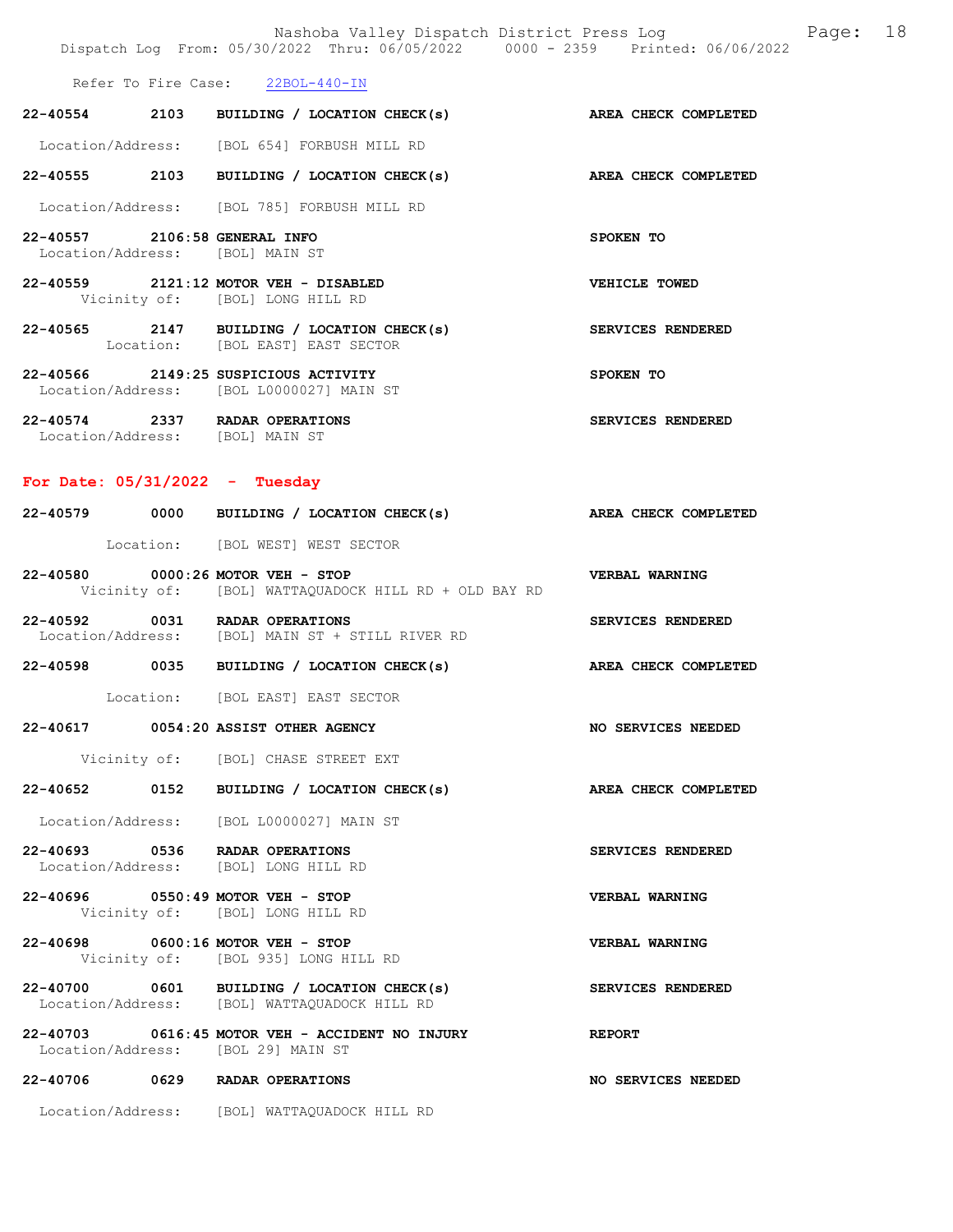|                                                                  | Nashoba Valley Dispatch District Press Log Fage: 18<br>Dispatch Log From: 05/30/2022 Thru: 06/05/2022 0000 - 2359 Printed: 06/06/2022 |                       |  |
|------------------------------------------------------------------|---------------------------------------------------------------------------------------------------------------------------------------|-----------------------|--|
|                                                                  | Refer To Fire Case: 22BOL-440-IN                                                                                                      |                       |  |
|                                                                  | 22-40554 2103 BUILDING / LOCATION CHECK(s) AREA CHECK COMPLETED                                                                       |                       |  |
|                                                                  | Location/Address: [BOL 654] FORBUSH MILL RD                                                                                           |                       |  |
|                                                                  | 22-40555 2103 BUILDING / LOCATION CHECK(s) AREA CHECK COMPLETED                                                                       |                       |  |
|                                                                  | Location/Address: [BOL 785] FORBUSH MILL RD                                                                                           |                       |  |
| 22-40557 2106:58 GENERAL INFO<br>Location/Address: [BOL] MAIN ST |                                                                                                                                       | SPOKEN TO             |  |
|                                                                  | 22-40559 2121:12 MOTOR VEH - DISABLED<br>Vicinity of: [BOL] LONG HILL RD                                                              | VEHICLE TOWED         |  |
|                                                                  | 22-40565 2147 BUILDING / LOCATION CHECK(s)<br>Location: [BOL EAST] EAST SECTOR                                                        | SERVICES RENDERED     |  |
|                                                                  | 22-40566 2149:25 SUSPICIOUS ACTIVITY<br>Location/Address: [BOL L0000027] MAIN ST                                                      | SPOKEN TO             |  |
| Location/Address: [BOL] MAIN ST                                  | 22-40574 2337 RADAR OPERATIONS                                                                                                        | SERVICES RENDERED     |  |
| For Date: $05/31/2022 - Tuesday$                                 |                                                                                                                                       |                       |  |
|                                                                  | 22-40579 0000 BUILDING / LOCATION CHECK(s) AREA CHECK COMPLETED                                                                       |                       |  |
|                                                                  | Location: [BOL WEST] WEST SECTOR                                                                                                      |                       |  |
|                                                                  | 22-40580 0000:26 MOTOR VEH - STOP<br>Vicinity of: [BOL] WATTAQUADOCK HILL RD + OLD BAY RD                                             | <b>VERBAL WARNING</b> |  |
|                                                                  | 22-40592 0031 RADAR OPERATIONS<br>Location/Address: [BOL] MAIN ST + STILL RIVER RD                                                    | SERVICES RENDERED     |  |
|                                                                  | 22-40598 0035 BUILDING / LOCATION CHECK(s) AREA CHECK COMPLETED                                                                       |                       |  |
|                                                                  | Location: [BOL EAST] EAST SECTOR                                                                                                      |                       |  |
|                                                                  | 22-40617 0054:20 ASSIST OTHER AGENCY                                                                                                  | NO SERVICES NEEDED    |  |
|                                                                  | Vicinity of: [BOL] CHASE STREET EXT                                                                                                   |                       |  |
|                                                                  | 22-40652 0152 BUILDING / LOCATION CHECK(s)                                                                                            | AREA CHECK COMPLETED  |  |
|                                                                  | Location/Address: [BOL L0000027] MAIN ST                                                                                              |                       |  |
|                                                                  | 22-40693 0536 RADAR OPERATIONS<br>Location/Address: [BOL] LONG HILL RD                                                                | SERVICES RENDERED     |  |
|                                                                  | 22-40696 0550:49 MOTOR VEH - STOP<br>Vicinity of: [BOL] LONG HILL RD                                                                  | VERBAL WARNING        |  |
|                                                                  | 22-40698 0600:16 MOTOR VEH - STOP<br>Vicinity of: [BOL 935] LONG HILL RD                                                              | VERBAL WARNING        |  |
|                                                                  | 22-40700 0601 BUILDING / LOCATION CHECK(s)<br>Location/Address: [BOL] WATTAQUADOCK HILL RD                                            | SERVICES RENDERED     |  |
|                                                                  | 22-40703 0616:45 MOTOR VEH - ACCIDENT NO INJURY<br>Location/Address: [BOL 29] MAIN ST                                                 | <b>REPORT</b>         |  |
|                                                                  | 22-40706 0629 RADAR OPERATIONS                                                                                                        | NO SERVICES NEEDED    |  |
|                                                                  | Location/Address: [BOL] WATTAQUADOCK HILL RD                                                                                          |                       |  |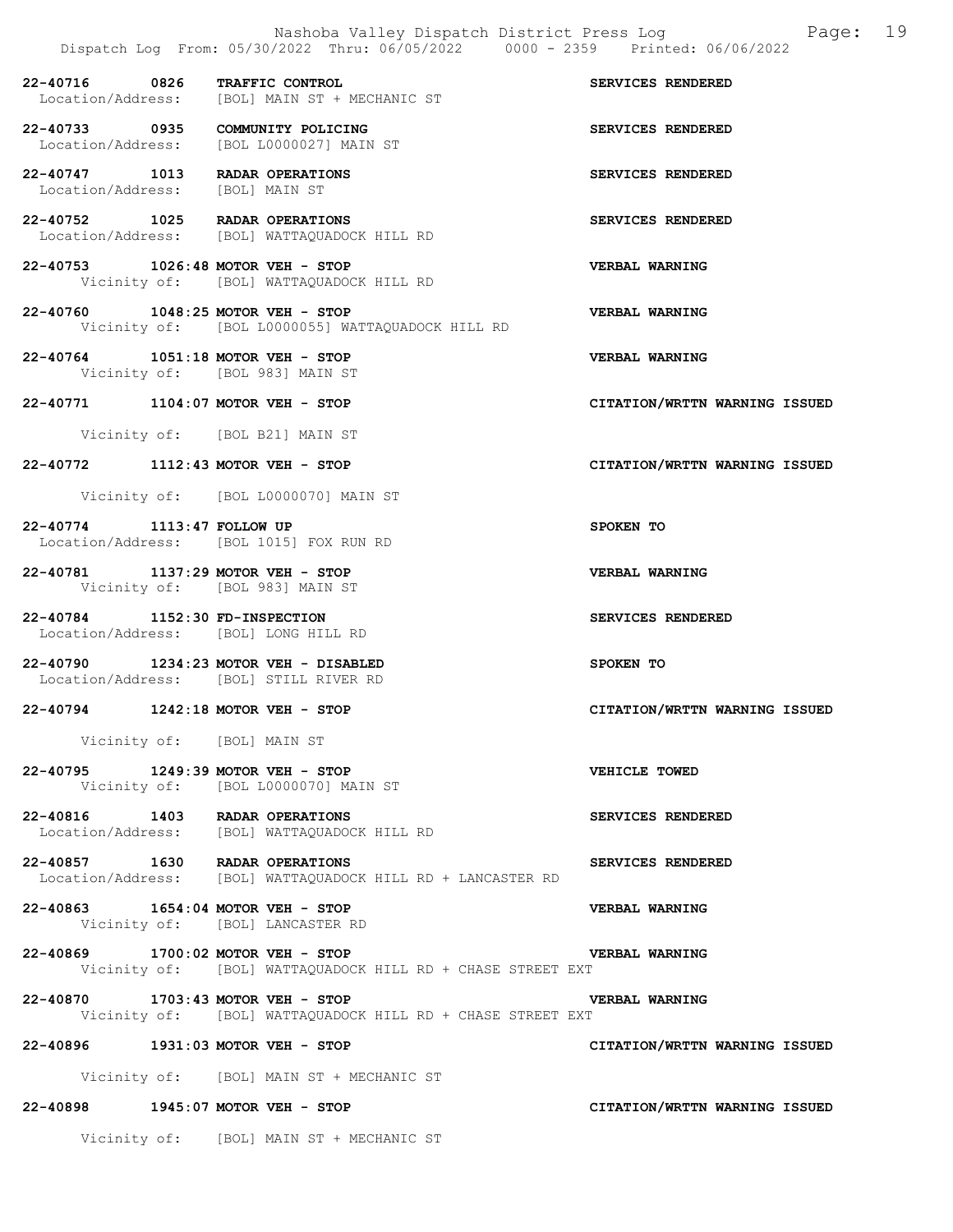22-40716 0826 TRAFFIC CONTROL SERVICES RENDERED<br>Location/Address: [BOL] MAIN ST + MECHANIC ST Location/Address: [BOL] MAIN ST + MECHANIC ST 22-40733 0935 COMMUNITY POLICING<br>
Location/Address: [BOL L0000027] MAIN ST Location/Address: [BOL L0000027] MAIN ST 22-40747 1013 RADAR OPERATIONS SERVICES RENDERED Location/Address: [BOL] MAIN ST 22-40752 1025 RADAR OPERATIONS SERVICES RENDERED Location/Address: [BOL] WATTAQUADOCK HILL RD 22-40753 1026:48 MOTOR VEH - STOP<br>Vicinity of: [BOL] WATTAQUADOCK HILL RD<br>Wicinity of: [BOL] WATTAQUADOCK HILL RD [BOL] WATTAQUADOCK HILL RD 22-40760 1048:25 MOTOR VEH - STOP VERBAL WARNING Vicinity of: [BOL L0000055] WATTAQUADOCK HILL RD 22-40764 1051:18 MOTOR VEH - STOP VERBAL WARNING Vicinity of: [BOL 983] MAIN ST 22-40771 1104:07 MOTOR VEH - STOP CITATION/WRTTN WARNING ISSUED Vicinity of: [BOL B21] MAIN ST 22-40772 1112:43 MOTOR VEH - STOP CITATION/WRTTN WARNING ISSUED Vicinity of: [BOL L0000070] MAIN ST 22-40774 1113:47 FOLLOW UP SPOKEN TO Location/Address: [BOL 1015] FOX RUN RD 22-40781 1137:29 MOTOR VEH - STOP VERBAL WARNING Vicinity of: [BOL 983] MAIN ST 22-40784 1152:30 FD-INSPECTION SERVICES RENDERED Location/Address: [BOL] LONG HILL RD 22-40790 1234:23 MOTOR VEH - DISABLED SPOKEN TO Location/Address: [BOL] STILL RIVER RD 22-40794 1242:18 MOTOR VEH - STOP CITATION/WRTTN WARNING ISSUED Vicinity of: [BOL] MAIN ST 22-40795 1249:39 MOTOR VEH - STOP VEHICLE TOWED Vicinity of: [BOL L0000070] MAIN ST 22-40816 1403 RADAR OPERATIONS SERVICES RENDERED Location/Address: [BOL] WATTAQUADOCK HILL RD 22-40857 1630 RADAR OPERATIONS SERVICES RENDERED Location/Address: [BOL] WATTAQUADOCK HILL RD + LANCASTER RD 22-40863 1654:04 MOTOR VEH - STOP VERBAL WARNING Vicinity of: [BOL] LANCASTER RD 22-40869 1700:02 MOTOR VEH - STOP VERBAL WARNING Vicinity of: [BOL] WATTAQUADOCK HILL RD + CHASE STREET EXT 22-40870 1703:43 MOTOR VEH - STOP VERBAL WARNING Vicinity of: [BOL] WATTAQUADOCK HILL RD + CHASE STREET EXT 22-40896 1931:03 MOTOR VEH - STOP CITATION/WRTTN WARNING ISSUED Vicinity of: [BOL] MAIN ST + MECHANIC ST 22-40898 1945:07 MOTOR VEH - STOP CITATION/WRTTN WARNING ISSUED

Vicinity of: [BOL] MAIN ST + MECHANIC ST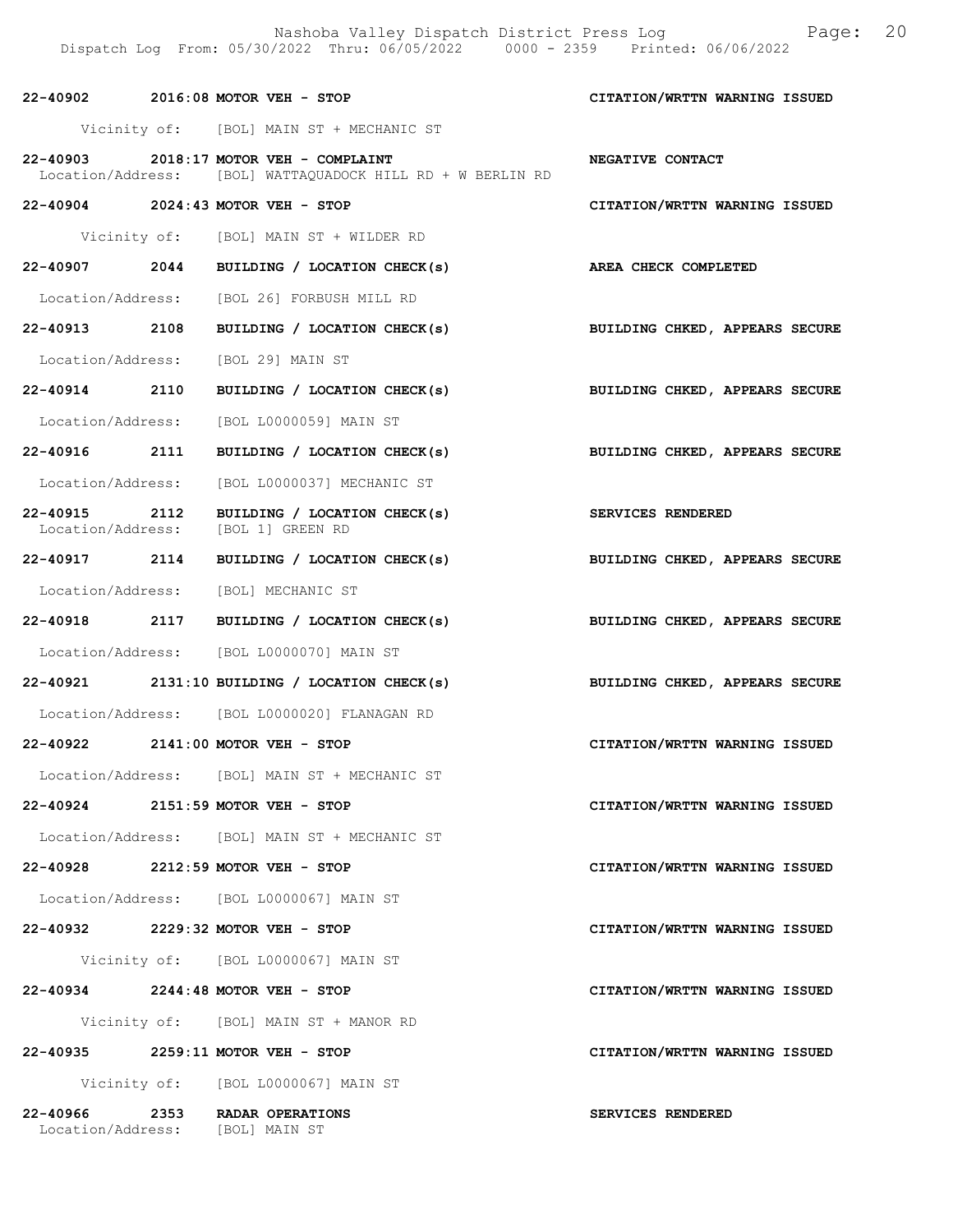|               | 22-40902 2016:08 MOTOR VEH - STOP                                                                    | CITATION/WRTTN WARNING ISSUED  |
|---------------|------------------------------------------------------------------------------------------------------|--------------------------------|
|               | Vicinity of: [BOL] MAIN ST + MECHANIC ST                                                             |                                |
|               | 22-40903 2018:17 MOTOR VEH - COMPLAINT<br>Location/Address: [BOL] WATTAQUADOCK HILL RD + W BERLIN RD | NEGATIVE CONTACT               |
|               | 22-40904 2024:43 MOTOR VEH - STOP                                                                    | CITATION/WRTTN WARNING ISSUED  |
|               | Vicinity of: [BOL] MAIN ST + WILDER RD                                                               |                                |
|               | 22-40907 2044 BUILDING / LOCATION CHECK(s) AREA CHECK COMPLETED                                      |                                |
|               | Location/Address: [BOL 26] FORBUSH MILL RD                                                           |                                |
| 22-40913 2108 | BUILDING / LOCATION CHECK(s)                                                                         | BUILDING CHKED, APPEARS SECURE |
|               | Location/Address: [BOL 29] MAIN ST                                                                   |                                |
|               | 22-40914 2110 BUILDING / LOCATION CHECK(s) BUILDING CHKED, APPEARS SECURE                            |                                |
|               | Location/Address: [BOL L0000059] MAIN ST                                                             |                                |
|               | 22-40916 2111 BUILDING / LOCATION CHECK(s)                                                           | BUILDING CHKED, APPEARS SECURE |
|               | Location/Address: [BOL L0000037] MECHANIC ST                                                         |                                |
| 22-40915 2112 | BUILDING / LOCATION CHECK(s)<br>Location/Address: [BOL 1] GREEN RD                                   | <b>SERVICES RENDERED</b>       |
|               | 22-40917 2114 BUILDING / LOCATION CHECK(s)                                                           | BUILDING CHKED, APPEARS SECURE |
|               | Location/Address: [BOL] MECHANIC ST                                                                  |                                |
|               | 22-40918 2117 BUILDING / LOCATION CHECK(s)                                                           | BUILDING CHKED, APPEARS SECURE |
|               | Location/Address: [BOL L0000070] MAIN ST                                                             |                                |
|               | $22-40921$ 2131:10 BUILDING / LOCATION CHECK(s)                                                      | BUILDING CHKED, APPEARS SECURE |
|               | Location/Address: [BOL L0000020] FLANAGAN RD                                                         |                                |
|               | 22-40922 2141:00 MOTOR VEH - STOP                                                                    | CITATION/WRTTN WARNING ISSUED  |
|               | Location/Address: [BOL] MAIN ST + MECHANIC ST                                                        |                                |
|               | 22-40924 2151:59 MOTOR VEH - STOP                                                                    | CITATION/WRTTN WARNING ISSUED  |
|               | Location/Address: [BOL] MAIN ST + MECHANIC ST                                                        |                                |
|               | 22-40928 2212:59 MOTOR VEH - STOP                                                                    | CITATION/WRTTN WARNING ISSUED  |
|               | Location/Address: [BOL L0000067] MAIN ST                                                             |                                |
|               | 22-40932 2229:32 MOTOR VEH - STOP                                                                    | CITATION/WRTTN WARNING ISSUED  |
|               | Vicinity of: [BOL L0000067] MAIN ST                                                                  |                                |
|               | 22-40934 2244:48 MOTOR VEH - STOP                                                                    | CITATION/WRTTN WARNING ISSUED  |
|               | Vicinity of: [BOL] MAIN ST + MANOR RD                                                                |                                |
|               | 22-40935 2259:11 MOTOR VEH - STOP                                                                    | CITATION/WRTTN WARNING ISSUED  |
|               | Vicinity of: [BOL L0000067] MAIN ST                                                                  |                                |
|               | 22-40966 2353 RADAR OPERATIONS<br>Location/Address: [BOL] MAIN ST                                    | SERVICES RENDERED              |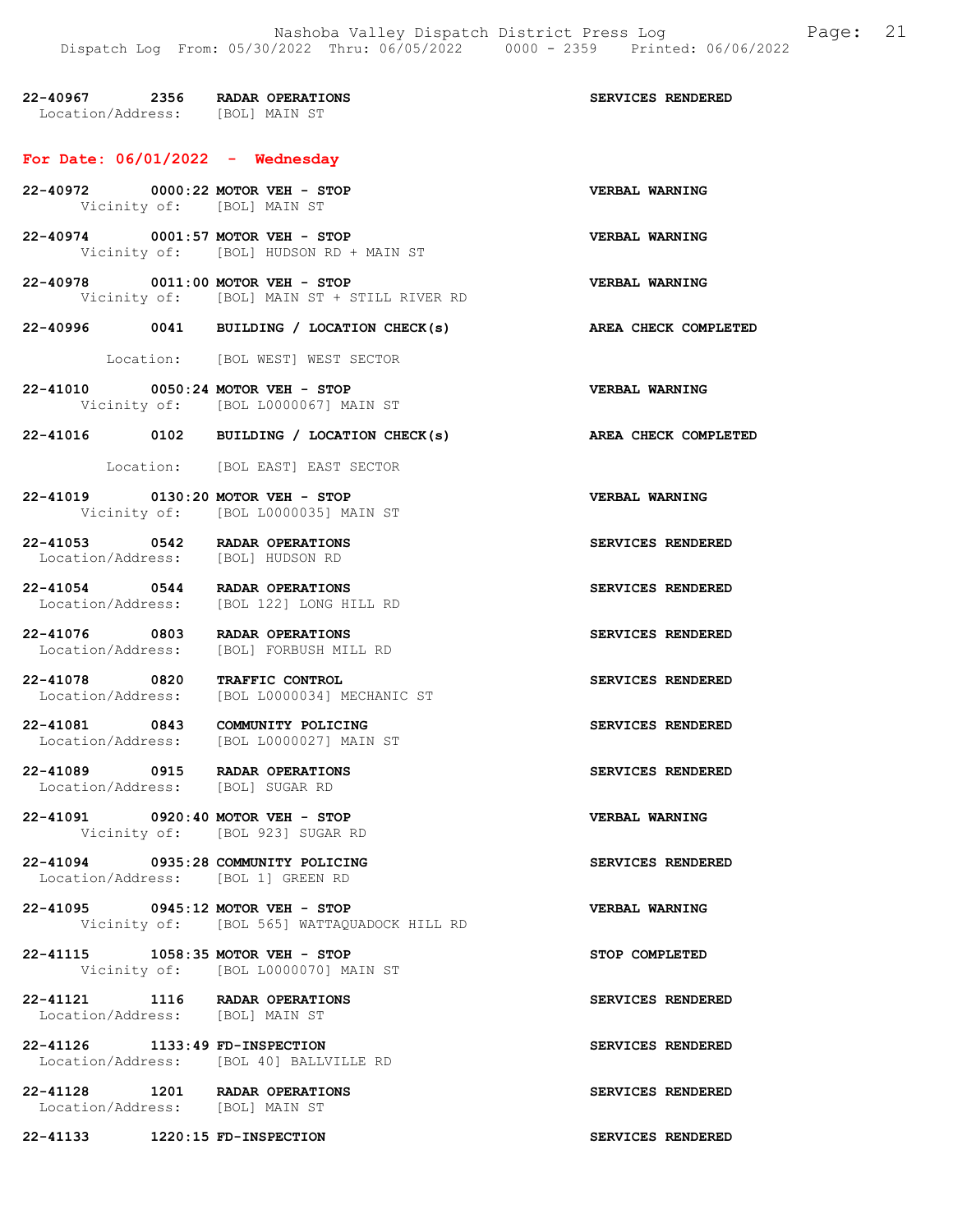|                                                                           | DISPACUL DUQ TIUM, VU/UV/ZVZZ INIU, VV/VU/ZVZZ<br>vvvv                   | ムココン                     |
|---------------------------------------------------------------------------|--------------------------------------------------------------------------|--------------------------|
| 22-40967 2356 RADAR OPERATIONS<br>Location/Address: [BOL] MAIN ST         |                                                                          | SERVICES RENDERED        |
| For Date: $06/01/2022 -$ Wednesday                                        |                                                                          |                          |
| 22-40972 0000:22 MOTOR VEH - STOP<br>Vicinity of: [BOL] MAIN ST           |                                                                          | VERBAL WARNING           |
| 22-40974 0001:57 MOTOR VEH - STOP                                         | Vicinity of: [BOL] HUDSON RD + MAIN ST                                   | VERBAL WARNING           |
| 22-40978 0011:00 MOTOR VEH - STOP                                         | Vicinity of: [BOL] MAIN ST + STILL RIVER RD                              | <b>VERBAL WARNING</b>    |
|                                                                           | 22-40996 0041 BUILDING / LOCATION CHECK(s)                               | AREA CHECK COMPLETED     |
|                                                                           | Location: [BOL WEST] WEST SECTOR                                         |                          |
|                                                                           | 22-41010 0050:24 MOTOR VEH - STOP<br>Vicinity of: [BOL L0000067] MAIN ST | VERBAL WARNING           |
|                                                                           | 22-41016 0102 BUILDING / LOCATION CHECK(s)                               | AREA CHECK COMPLETED     |
|                                                                           | Location: [BOL EAST] EAST SECTOR                                         |                          |
| 22-41019 0130:20 MOTOR VEH - STOP                                         | Vicinity of: [BOL L0000035] MAIN ST                                      | VERBAL WARNING           |
| 22-41053 0542 RADAR OPERATIONS<br>Location/Address: [BOL] HUDSON RD       |                                                                          | SERVICES RENDERED        |
| 22-41054 0544 RADAR OPERATIONS                                            | Location/Address: [BOL 122] LONG HILL RD                                 | SERVICES RENDERED        |
| 22-41076 0803 RADAR OPERATIONS                                            | Location/Address: [BOL] FORBUSH MILL RD                                  | SERVICES RENDERED        |
| 22-41078 0820 TRAFFIC CONTROL                                             | Location/Address: [BOL L0000034] MECHANIC ST                             | SERVICES RENDERED        |
| 22-41081 0843 COMMUNITY POLICING<br>Location/Address:                     | [BOL L0000027] MAIN ST                                                   | SERVICES RENDERED        |
| 22-41089 0915 RADAR OPERATIONS<br>Location/Address: [BOL] SUGAR RD        |                                                                          | <b>SERVICES RENDERED</b> |
| 22-41091 0920:40 MOTOR VEH - STOP                                         | Vicinity of: [BOL 923] SUGAR RD                                          | <b>VERBAL WARNING</b>    |
| 22-41094 0935:28 COMMUNITY POLICING<br>Location/Address: [BOL 1] GREEN RD |                                                                          | SERVICES RENDERED        |
| 22-41095 0945:12 MOTOR VEH - STOP                                         | Vicinity of: [BOL 565] WATTAQUADOCK HILL RD                              | VERBAL WARNING           |
| 22-41115 1058:35 MOTOR VEH - STOP                                         | Vicinity of: [BOL L0000070] MAIN ST                                      | STOP COMPLETED           |
| 22-41121 1116 RADAR OPERATIONS<br>Location/Address: [BOL] MAIN ST         |                                                                          | SERVICES RENDERED        |
| 22-41126 1133:49 FD-INSPECTION                                            | Location/Address: [BOL 40] BALLVILLE RD                                  | SERVICES RENDERED        |
| 22-41128 1201 RADAR OPERATIONS<br>Location/Address: [BOL] MAIN ST         |                                                                          | SERVICES RENDERED        |
| 22-41133 1220:15 FD-INSPECTION                                            |                                                                          | SERVICES RENDERED        |
|                                                                           |                                                                          |                          |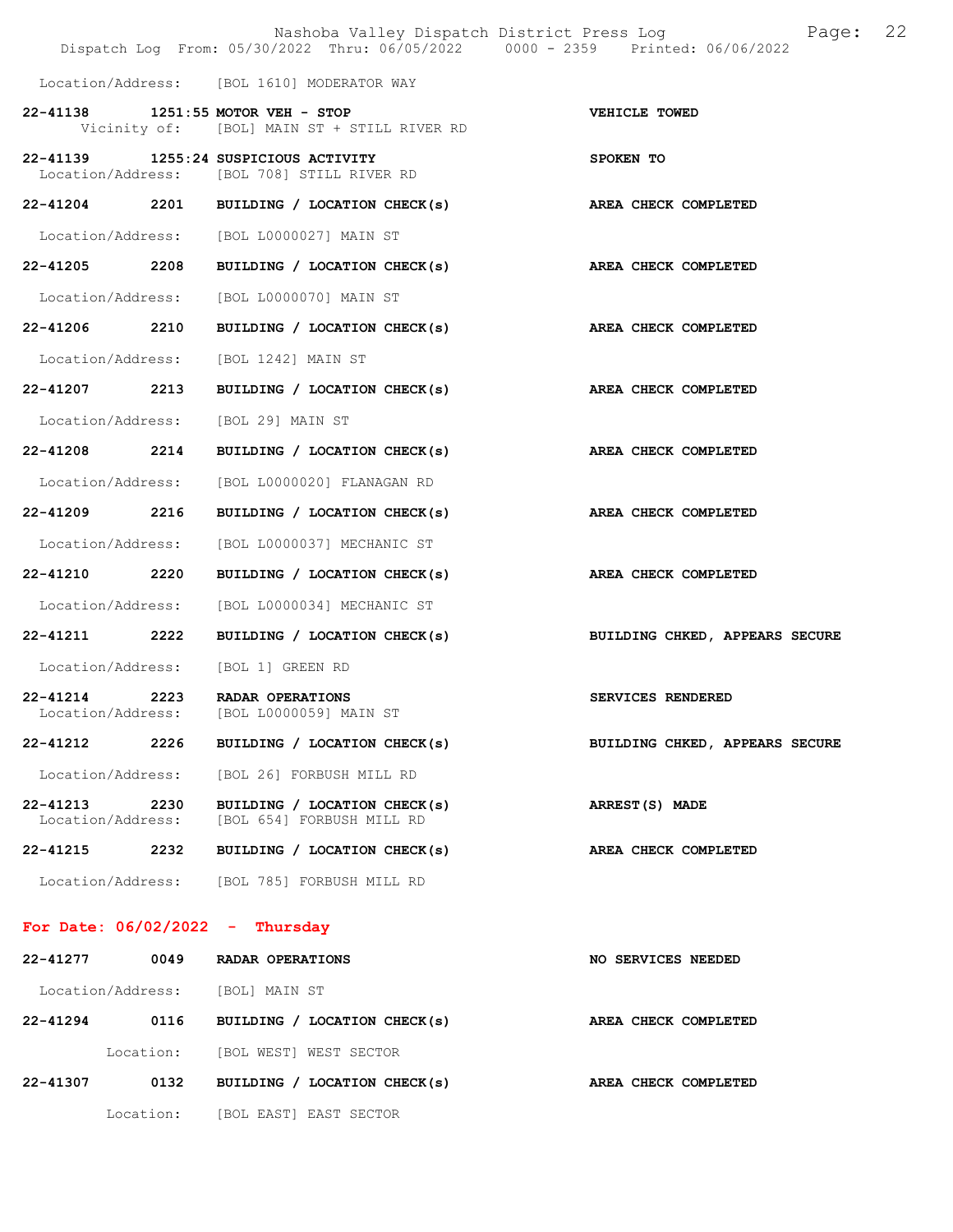|                               |      | Dispatch Log From: 05/30/2022 Thru: 06/05/2022 0000 - 2359 Printed: 06/06/2022     | Nashoba Valley Dispatch District Press Log<br>Page: | 22 |
|-------------------------------|------|------------------------------------------------------------------------------------|-----------------------------------------------------|----|
|                               |      | Location/Address: [BOL 1610] MODERATOR WAY                                         |                                                     |    |
|                               |      | 22-41138 1251:55 MOTOR VEH - STOP<br>Vicinity of: [BOL] MAIN ST + STILL RIVER RD   | VEHICLE TOWED                                       |    |
|                               |      | 22-41139 1255:24 SUSPICIOUS ACTIVITY<br>Location/Address: [BOL 708] STILL RIVER RD | SPOKEN TO                                           |    |
|                               |      | 22-41204 2201 BUILDING / LOCATION CHECK(s) AREA CHECK COMPLETED                    |                                                     |    |
|                               |      | Location/Address: [BOL L0000027] MAIN ST                                           |                                                     |    |
| 22-41205 2208                 |      | BUILDING / LOCATION CHECK(s)                                                       | AREA CHECK COMPLETED                                |    |
|                               |      | Location/Address: [BOL L0000070] MAIN ST                                           |                                                     |    |
|                               |      | 22-41206 2210 BUILDING / LOCATION CHECK(s)                                         | AREA CHECK COMPLETED                                |    |
|                               |      | Location/Address: [BOL 1242] MAIN ST                                               |                                                     |    |
|                               |      | $22-41207$ 2213 BUILDING / LOCATION CHECK(s)                                       | AREA CHECK COMPLETED                                |    |
|                               |      | Location/Address: [BOL 29] MAIN ST                                                 |                                                     |    |
| 22-41208 2214                 |      | BUILDING / LOCATION CHECK(s) AREA CHECK COMPLETED                                  |                                                     |    |
|                               |      | Location/Address: [BOL L0000020] FLANAGAN RD                                       |                                                     |    |
| 22-41209 2216                 |      | BUILDING / LOCATION CHECK(s)                                                       | AREA CHECK COMPLETED                                |    |
|                               |      | Location/Address: [BOL L0000037] MECHANIC ST                                       |                                                     |    |
| 22-41210 2220                 |      | BUILDING / LOCATION CHECK(s)                                                       | AREA CHECK COMPLETED                                |    |
|                               |      | Location/Address: [BOL L0000034] MECHANIC ST                                       |                                                     |    |
| 22-41211 2222                 |      | BUILDING / LOCATION CHECK(s)                                                       | BUILDING CHKED, APPEARS SECURE                      |    |
|                               |      | Location/Address: [BOL 1] GREEN RD                                                 |                                                     |    |
|                               |      | 22-41214 2223 RADAR OPERATIONS<br>Location/Address: [BOL L0000059] MAIN ST         | SERVICES RENDERED                                   |    |
| 22-41212                      | 2226 | BUILDING / LOCATION CHECK(s)                                                       | BUILDING CHKED, APPEARS SECURE                      |    |
| Location/Address:             |      | [BOL 26] FORBUSH MILL RD                                                           |                                                     |    |
| 22-41213<br>Location/Address: | 2230 | BUILDING / LOCATION CHECK(s)<br>[BOL 654] FORBUSH MILL RD                          | ARREST(S) MADE                                      |    |
| 22-41215                      | 2232 | BUILDING / LOCATION CHECK(s)                                                       | AREA CHECK COMPLETED                                |    |
| Location/Address:             |      | [BOL 785] FORBUSH MILL RD                                                          |                                                     |    |

# For Date: 06/02/2022 - Thursday

| 22-41277     | 0049              | RADAR OPERATIONS             | NO SERVICES NEEDED   |
|--------------|-------------------|------------------------------|----------------------|
|              | Location/Address: | [BOL] MAIN ST                |                      |
| $22 - 41294$ | 0116              | BUILDING / LOCATION CHECK(s) | AREA CHECK COMPLETED |
|              | Location:         | [BOL WEST] WEST SECTOR       |                      |
| 22-41307     | 0132              | BUILDING / LOCATION CHECK(s) | AREA CHECK COMPLETED |
|              | Location:         | [BOL EAST] EAST SECTOR       |                      |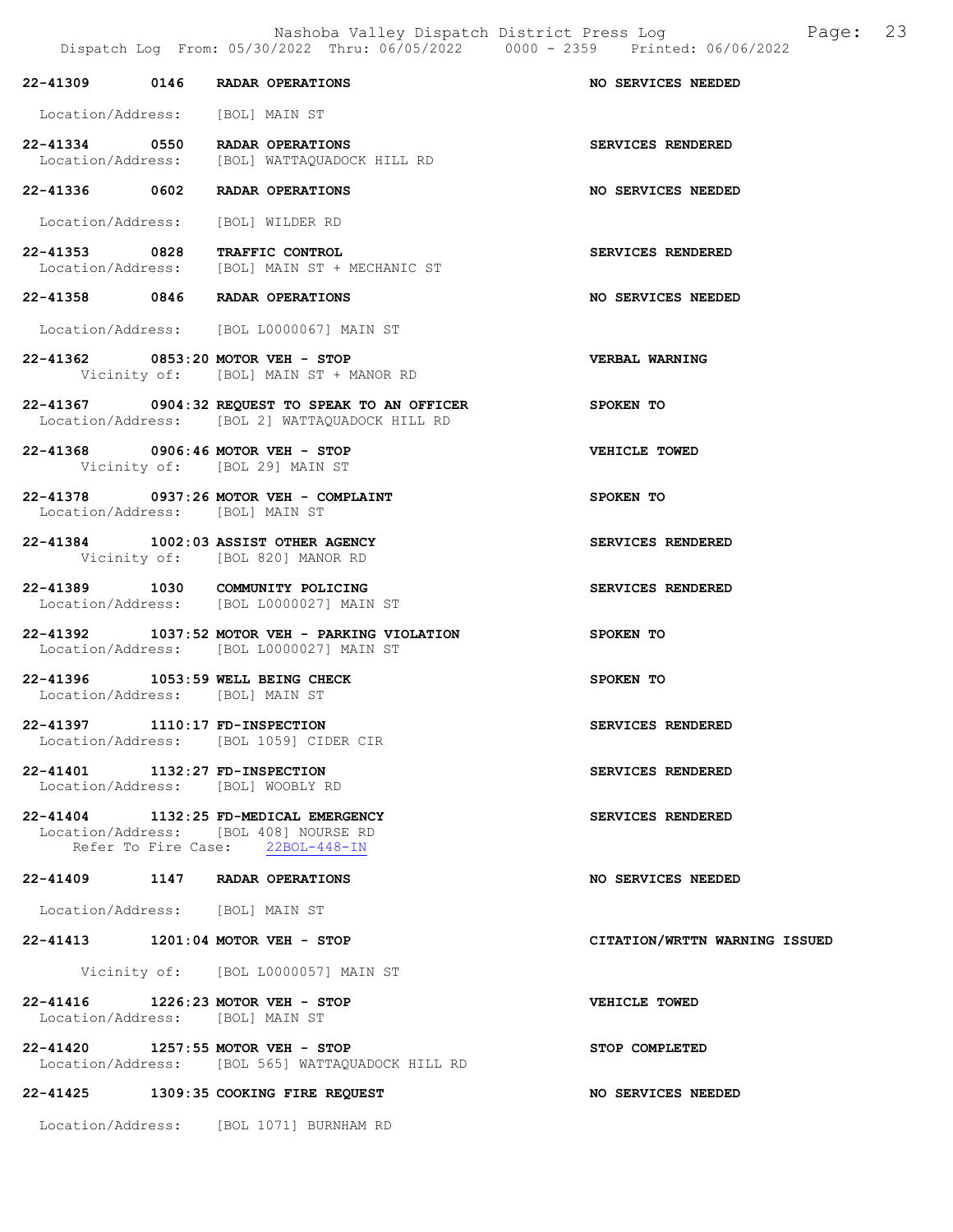Nashoba Valley Dispatch District Press Log Bage: 23<br>  $\frac{12022 \text{ Thru: } 06/05/2022}$  0000 - 2359 Printed: 06/06/2022

Dispatch Log From: 05/30/2022 Thru: 06/05/2022 22-41309 0146 RADAR OPERATIONS NO SERVICES NEEDED Location/Address: [BOL] MAIN ST 22-41334 0550 RADAR OPERATIONS SERVICES RENDERED<br>Location/Address: [BOL] WATTAQUADOCK HILL RD Location/Address: [BOL] WATTAQUADOCK HILL RD 22-41336 0602 RADAR OPERATIONS NO SERVICES NEEDED Location/Address: [BOL] WILDER RD 22-41353 0828 TRAFFIC CONTROL SERVICES RENDERED<br>Location/Address: [BOL] MAIN ST + MECHANIC ST [BOL] MAIN ST + MECHANIC ST 22-41358 0846 RADAR OPERATIONS NO SERVICES NEEDED Location/Address: [BOL L0000067] MAIN ST 22-41362 0853:20 MOTOR VEH - STOP VERBAL WARNING Vicinity of: [BOL] MAIN ST + MANOR RD 22-41367 0904:32 REQUEST TO SPEAK TO AN OFFICER SPOKEN TO Location/Address: [BOL 2] WATTAQUADOCK HILL RD 22-41368 0906:46 MOTOR VEH - STOP VEHICLE TOWED Vicinity of: [BOL 29] MAIN ST 22-41378 0937:26 MOTOR VEH - COMPLAINT SPOKEN TO Location/Address: [BOL] MAIN ST 22-41384 1002:03 ASSIST OTHER AGENCY SERVICES RENDERED Vicinity of: [BOL 820] MANOR RD 22-41389 1030 COMMUNITY POLICING SERVICES RENDERED Location/Address: [BOL L0000027] MAIN ST 22-41392 1037:52 MOTOR VEH - PARKING VIOLATION SPOKEN TO Location/Address: [BOL L0000027] MAIN ST 22-41396 1053:59 WELL BEING CHECK SPOKEN TO Location/Address: [BOL] MAIN ST 22-41397 1110:17 FD-INSPECTION SERVICES RENDERED Location/Address: [BOL 1059] CIDER CIR 22-41401 1132:27 FD-INSPECTION SERVICES RENDERED Location/Address: [BOL] WOOBLY RD 22-41404 1132:25 FD-MEDICAL EMERGENCY SERVICES RENDERED Location/Address: [BOL 408] NOURSE RD Refer To Fire Case: 22BOL-448-IN 22-41409 1147 RADAR OPERATIONS NO SERVICES NEEDED Location/Address: [BOL] MAIN ST 22-41413 1201:04 MOTOR VEH - STOP CITATION/WRTTN WARNING ISSUED Vicinity of: [BOL L0000057] MAIN ST 22-41416 1226:23 MOTOR VEH - STOP VEHICLE TOWED Location/Address: [BOL] MAIN ST 22-41420 1257:55 MOTOR VEH - STOP STOP STOP COMPLETED Location/Address: [BOL 565] WATTAQUADOCK HILL RD 22-41425 1309:35 COOKING FIRE REQUEST NO SERVICES NEEDED

Location/Address: [BOL 1071] BURNHAM RD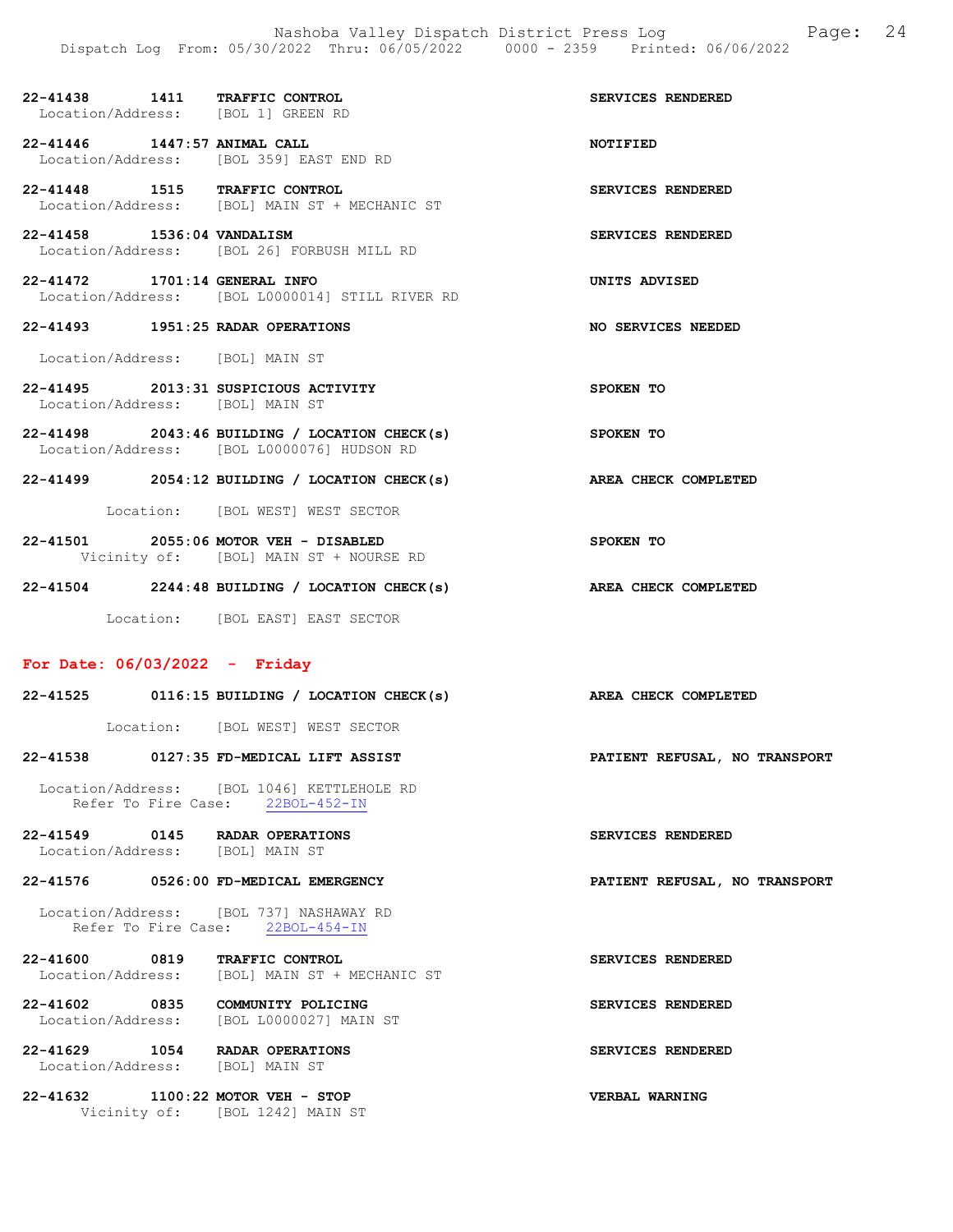| 22-41438 1411 TRAFFIC CONTROL<br>Location/Address: [BOL 1] GREEN RD     |                                                                                               | SERVICES RENDERED    |
|-------------------------------------------------------------------------|-----------------------------------------------------------------------------------------------|----------------------|
| 22-41446 1447:57 ANIMAL CALL                                            | Location/Address: [BOL 359] EAST END RD                                                       | <b>NOTIFIED</b>      |
| 22-41448 1515 TRAFFIC CONTROL                                           | Location/Address: [BOL] MAIN ST + MECHANIC ST                                                 | SERVICES RENDERED    |
| 22-41458 1536:04 VANDALISM                                              | Location/Address: [BOL 26] FORBUSH MILL RD                                                    | SERVICES RENDERED    |
| 22-41472 1701:14 GENERAL INFO                                           | Location/Address: [BOL L0000014] STILL RIVER RD                                               | UNITS ADVISED        |
| 22-41493 1951:25 RADAR OPERATIONS                                       |                                                                                               | NO SERVICES NEEDED   |
| Location/Address: [BOL] MAIN ST                                         |                                                                                               |                      |
| 22-41495 2013:31 SUSPICIOUS ACTIVITY<br>Location/Address: [BOL] MAIN ST |                                                                                               | SPOKEN TO            |
|                                                                         | $22-41498$ 2043:46 BUILDING / LOCATION CHECK(s)<br>Location/Address: [BOL L0000076] HUDSON RD | SPOKEN TO            |
| $22 - 41499$                                                            | 2054:12 BUILDING / LOCATION CHECK(s)                                                          | AREA CHECK COMPLETED |

Location: [BOL WEST] WEST SECTOR

22-41501 2055:06 MOTOR VEH - DISABLED SPOKEN TO Vicinity of: [BOL] MAIN ST + NOURSE RD

22-41504 2244:48 BUILDING / LOCATION CHECK(s) AREA CHECK COMPLETED

Location: [BOL EAST] EAST SECTOR

### For Date: 06/03/2022 - Friday

| $22 - 41525$                                   |           |                                   | 0116:15 BUILDING / LOCATION CHECK(s)       | AREA CHECK COMPLETED          |  |
|------------------------------------------------|-----------|-----------------------------------|--------------------------------------------|-------------------------------|--|
|                                                | Location: |                                   | [BOL WEST] WEST SECTOR                     |                               |  |
| 22-41538                                       |           |                                   | 0127:35 FD-MEDICAL LIFT ASSIST             | PATIENT REFUSAL, NO TRANSPORT |  |
|                                                |           | Refer To Fire Case: 22BOL-452-IN  | Location/Address: [BOL 1046] KETTLEHOLE RD |                               |  |
| 22-41549<br>Location/Address:                  | 0145      | RADAR OPERATIONS<br>[BOL] MAIN ST |                                            | SERVICES RENDERED             |  |
| $22 - 41576$                                   |           | 0526:00 FD-MEDICAL EMERGENCY      |                                            | PATIENT REFUSAL, NO TRANSPORT |  |
| The set of the set of the fine the contract of |           |                                   |                                            |                               |  |

 Location/Address: [BOL 737] NASHAWAY RD Refer To Fire Case: 22BOL-454-IN

22-41600 0819 TRAFFIC CONTROL SERVICES RENDERED Location/Address: [BOL] MAIN ST + MECHANIC ST

22-41602 0835 COMMUNITY POLICING SERVICES RENDERED Location/Address: [BOL L0000027] MAIN ST

22-41629 1054 RADAR OPERATIONS SERVICES RENDERED Location/Address: [BOL] MAIN ST

22-41632 1100:22 MOTOR VEH - STOP VERBAL WARNING Vicinity of: [BOL 1242] MAIN ST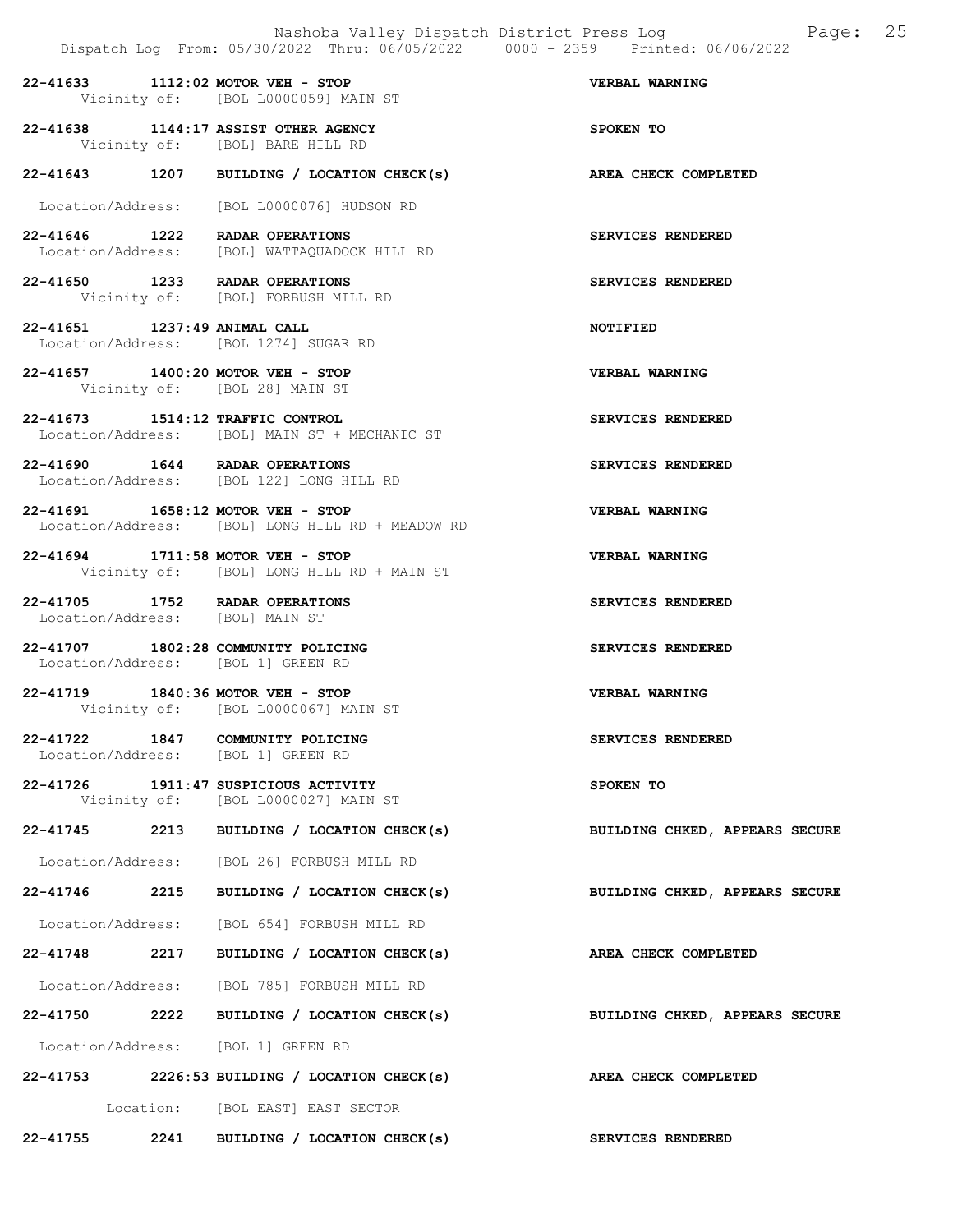|                                 |      | Nashoba Valley Dispatch District Press Log<br>Dispatch Log From: 05/30/2022 Thru: 06/05/2022 0000 - 2359 Printed: 06/06/2022 | 25<br>Page:                    |
|---------------------------------|------|------------------------------------------------------------------------------------------------------------------------------|--------------------------------|
|                                 |      | 22-41633 1112:02 MOTOR VEH - STOP<br>Vicinity of: [BOL L0000059] MAIN ST                                                     | <b>VERBAL WARNING</b>          |
|                                 |      | 22-41638 1144:17 ASSIST OTHER AGENCY<br>Vicinity of: [BOL] BARE HILL RD                                                      | SPOKEN TO                      |
|                                 |      | 22-41643 1207 BUILDING / LOCATION CHECK(s)                                                                                   | <b>AREA CHECK COMPLETED</b>    |
|                                 |      | Location/Address: [BOL L0000076] HUDSON RD                                                                                   |                                |
|                                 |      | 22-41646 1222 RADAR OPERATIONS<br>Location/Address: [BOL] WATTAQUADOCK HILL RD                                               | SERVICES RENDERED              |
|                                 |      | 22-41650 1233 RADAR OPERATIONS<br>Vicinity of: [BOL] FORBUSH MILL RD                                                         | SERVICES RENDERED              |
| 22-41651 1237:49 ANIMAL CALL    |      | Location/Address: [BOL 1274] SUGAR RD                                                                                        | <b>NOTIFIED</b>                |
|                                 |      | 22-41657 1400:20 MOTOR VEH - STOP<br>Vicinity of: [BOL 28] MAIN ST                                                           | VERBAL WARNING                 |
|                                 |      | 22-41673 1514:12 TRAFFIC CONTROL<br>Location/Address: [BOL] MAIN ST + MECHANIC ST                                            | SERVICES RENDERED              |
|                                 |      | 22-41690   1644   RADAR OPERATIONS<br>Location/Address: [BOL 122] LONG HILL RD                                               | SERVICES RENDERED              |
|                                 |      | 22-41691 1658:12 MOTOR VEH - STOP<br>Location/Address: [BOL] LONG HILL RD + MEADOW RD                                        | <b>VERBAL WARNING</b>          |
|                                 |      | 22-41694 1711:58 MOTOR VEH - STOP<br>Vicinity of: [BOL] LONG HILL RD + MAIN ST                                               | <b>VERBAL WARNING</b>          |
| Location/Address: [BOL] MAIN ST |      | 22-41705 1752 RADAR OPERATIONS                                                                                               | SERVICES RENDERED              |
|                                 |      | 22-41707 1802:28 COMMUNITY POLICING<br>Location/Address: [BOL 1] GREEN RD                                                    | SERVICES RENDERED              |
|                                 |      | 22-41719 1840:36 MOTOR VEH - STOP<br>Vicinity of: [BOL L0000067] MAIN ST                                                     | VERBAL WARNING                 |
| 22-41722 1847                   |      | COMMUNITY POLICING<br>Location/Address: [BOL 1] GREEN RD                                                                     | SERVICES RENDERED              |
|                                 |      | 22-41726 1911:47 SUSPICIOUS ACTIVITY<br>Vicinity of: [BOL L0000027] MAIN ST                                                  | SPOKEN TO                      |
|                                 |      | 22-41745 2213 BUILDING / LOCATION CHECK(s)                                                                                   | BUILDING CHKED, APPEARS SECURE |
|                                 |      | Location/Address: [BOL 26] FORBUSH MILL RD                                                                                   |                                |
| 22-41746                        | 2215 | BUILDING / LOCATION CHECK(s)                                                                                                 | BUILDING CHKED, APPEARS SECURE |
|                                 |      | Location/Address: [BOL 654] FORBUSH MILL RD                                                                                  |                                |
| 22-41748 2217                   |      | BUILDING / LOCATION CHECK(s)                                                                                                 | AREA CHECK COMPLETED           |
|                                 |      | Location/Address: [BOL 785] FORBUSH MILL RD                                                                                  |                                |
|                                 |      | 22-41750 2222 BUILDING / LOCATION CHECK(s)                                                                                   | BUILDING CHKED, APPEARS SECURE |
|                                 |      | Location/Address: [BOL 1] GREEN RD                                                                                           |                                |
|                                 |      | $22-41753$ 2226:53 BUILDING / LOCATION CHECK(s)                                                                              | AREA CHECK COMPLETED           |
|                                 |      | Location: [BOL EAST] EAST SECTOR                                                                                             |                                |

22-41755 2241 BUILDING / LOCATION CHECK(s) SERVICES RENDERED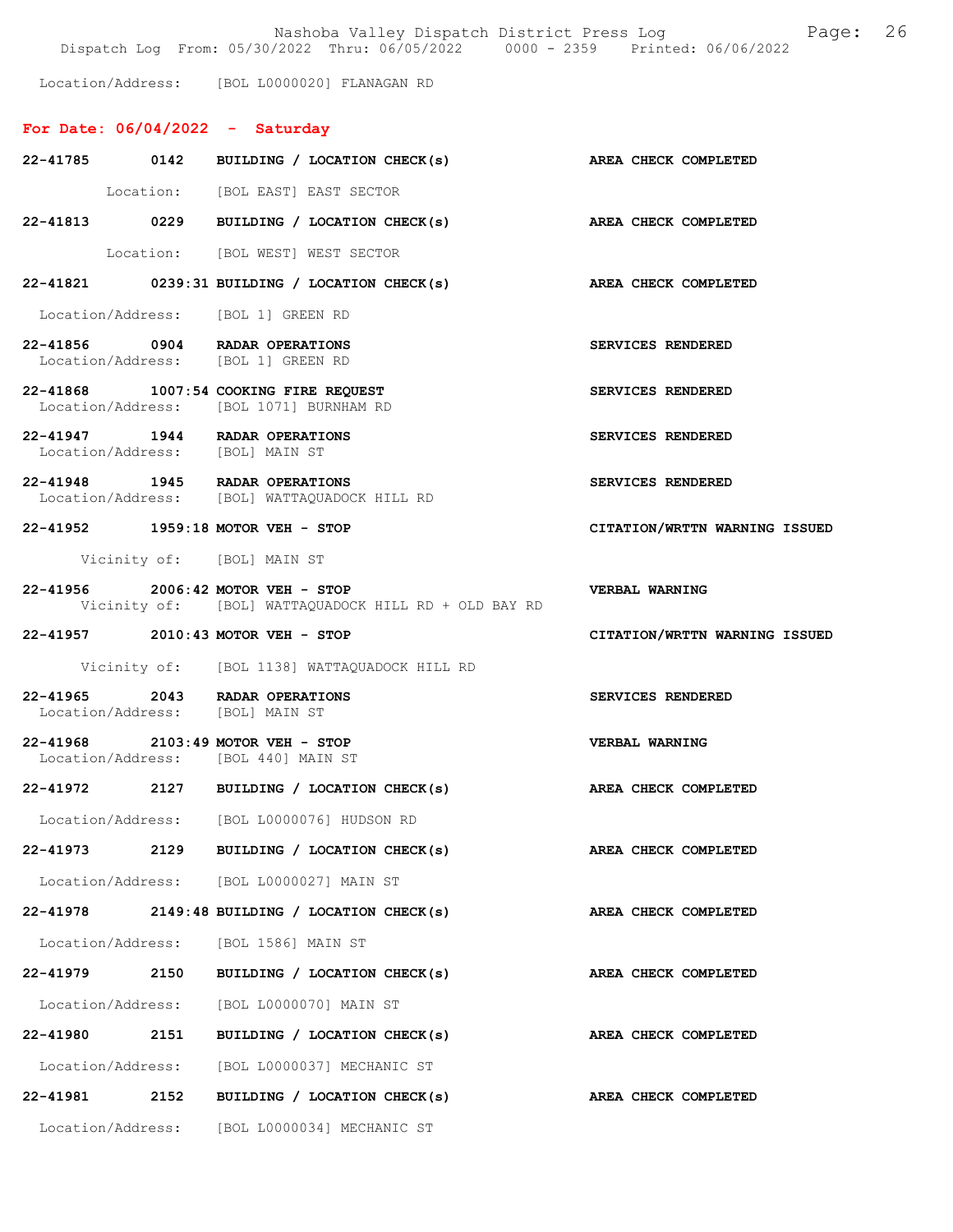Nashoba Valley Dispatch District Press Log Fage: 26

Dispatch Log From: 05/30/2022 Thru: 06/05/2022 0000 - 2359 Printed: 06/06/2022

Location/Address: [BOL L0000020] FLANAGAN RD

## For Date: 06/04/2022 - Saturday

|                                 |      | 22-41785 0142 BUILDING / LOCATION CHECK(s) AREA CHECK COMPLETED                           |                               |
|---------------------------------|------|-------------------------------------------------------------------------------------------|-------------------------------|
|                                 |      | Location: [BOL EAST] EAST SECTOR                                                          |                               |
|                                 |      | 22-41813 0229 BUILDING / LOCATION CHECK(s) AREA CHECK COMPLETED                           |                               |
|                                 |      | Location: [BOL WEST] WEST SECTOR                                                          |                               |
|                                 |      | 22-41821 0239:31 BUILDING / LOCATION CHECK(s) AREA CHECK COMPLETED                        |                               |
|                                 |      | Location/Address: [BOL 1] GREEN RD                                                        |                               |
|                                 |      | 22-41856 0904 RADAR OPERATIONS<br>Location/Address: [BOL 1] GREEN RD                      | SERVICES RENDERED             |
|                                 |      | 22-41868 1007:54 COOKING FIRE REQUEST<br>Location/Address: [BOL 1071] BURNHAM RD          | SERVICES RENDERED             |
| Location/Address: [BOL] MAIN ST |      | 22-41947 1944 RADAR OPERATIONS                                                            | SERVICES RENDERED             |
|                                 |      | 22-41948 1945 RADAR OPERATIONS<br>Location/Address: [BOL] WATTAQUADOCK HILL RD            | SERVICES RENDERED             |
|                                 |      | 22-41952 1959:18 MOTOR VEH - STOP                                                         | CITATION/WRTTN WARNING ISSUED |
|                                 |      | Vicinity of: [BOL] MAIN ST                                                                |                               |
|                                 |      | 22-41956 2006:42 MOTOR VEH - STOP<br>Vicinity of: [BOL] WATTAQUADOCK HILL RD + OLD BAY RD | <b>VERBAL WARNING</b>         |
|                                 |      | 22-41957 2010:43 MOTOR VEH - STOP                                                         | CITATION/WRTTN WARNING ISSUED |
|                                 |      | Vicinity of: [BOL 1138] WATTAQUADOCK HILL RD                                              |                               |
|                                 |      | 22-41965 2043 RADAR OPERATIONS<br>Location/Address: [BOL] MAIN ST                         | SERVICES RENDERED             |
|                                 |      | 22-41968 2103:49 MOTOR VEH - STOP<br>Location/Address: [BOL 440] MAIN ST                  | <b>VERBAL WARNING</b>         |
|                                 |      | 22-41972 2127 BUILDING / LOCATION CHECK(s) AREA CHECK COMPLETED                           |                               |
|                                 |      | Location/Address: [BOL L0000076] HUDSON RD                                                |                               |
| 22-41973                        | 2129 | BUILDING / LOCATION CHECK(s)                                                              | AREA CHECK COMPLETED          |
|                                 |      | Location/Address: [BOL L0000027] MAIN ST                                                  |                               |
|                                 |      | $22-41978$ 2149:48 BUILDING / LOCATION CHECK(s)                                           | AREA CHECK COMPLETED          |
|                                 |      | Location/Address: [BOL 1586] MAIN ST                                                      |                               |
|                                 |      | 22-41979 2150 BUILDING / LOCATION CHECK(s)                                                | AREA CHECK COMPLETED          |
|                                 |      | Location/Address: [BOL L0000070] MAIN ST                                                  |                               |
|                                 |      | 22-41980 2151 BUILDING / LOCATION CHECK(s)                                                | AREA CHECK COMPLETED          |
|                                 |      | Location/Address: [BOL L0000037] MECHANIC ST                                              |                               |
|                                 |      | 22-41981 2152 BUILDING / LOCATION CHECK(s)                                                | AREA CHECK COMPLETED          |
| Location/Address:               |      | [BOL L0000034] MECHANIC ST                                                                |                               |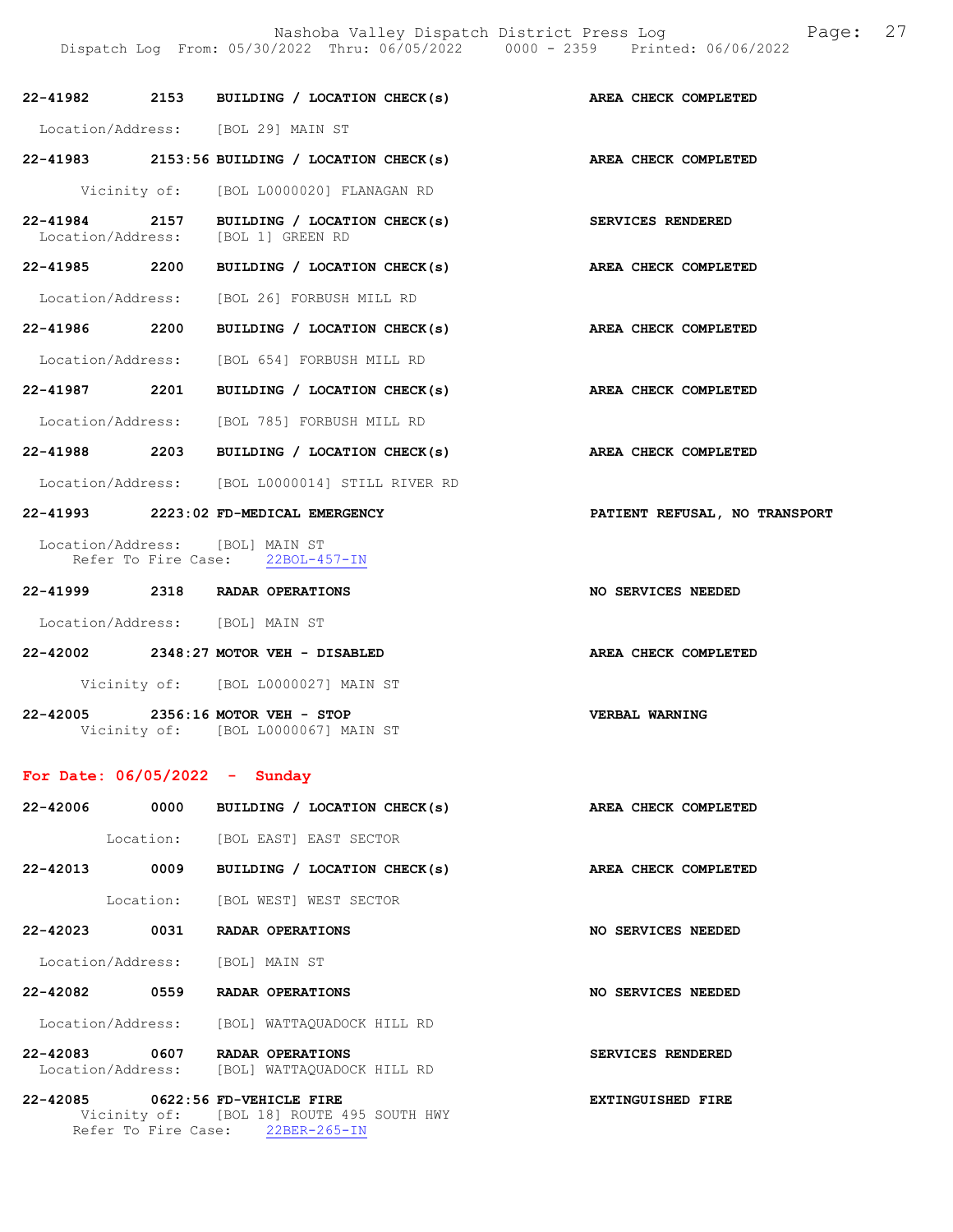|                                 |      | 22-41982 2153 BUILDING / LOCATION CHECK(s)                                       | AREA CHECK COMPLETED          |
|---------------------------------|------|----------------------------------------------------------------------------------|-------------------------------|
|                                 |      | Location/Address: [BOL 29] MAIN ST                                               |                               |
|                                 |      | $22-41983$ 2153:56 BUILDING / LOCATION CHECK(s)                                  | AREA CHECK COMPLETED          |
|                                 |      | Vicinity of: [BOL L0000020] FLANAGAN RD                                          |                               |
|                                 |      | 22-41984 2157 BUILDING / LOCATION CHECK(s)<br>Location/Address: [BOL 1] GREEN RD | SERVICES RENDERED             |
|                                 |      | 22-41985 2200 BUILDING / LOCATION CHECK(s)                                       | AREA CHECK COMPLETED          |
|                                 |      | Location/Address: [BOL 26] FORBUSH MILL RD                                       |                               |
| 22-41986 2200                   |      | BUILDING / LOCATION CHECK(s)                                                     | AREA CHECK COMPLETED          |
|                                 |      | Location/Address: [BOL 654] FORBUSH MILL RD                                      |                               |
|                                 |      | 22-41987 2201 BUILDING / LOCATION CHECK(s)                                       | AREA CHECK COMPLETED          |
|                                 |      | Location/Address: [BOL 785] FORBUSH MILL RD                                      |                               |
|                                 |      | 22-41988 2203 BUILDING / LOCATION CHECK(s)                                       | AREA CHECK COMPLETED          |
|                                 |      | Location/Address: [BOL L0000014] STILL RIVER RD                                  |                               |
|                                 |      | 22-41993 2223:02 FD-MEDICAL EMERGENCY                                            | PATIENT REFUSAL, NO TRANSPORT |
|                                 |      | Location/Address: [BOL] MAIN ST<br>Refer To Fire Case: 22BOL-457-IN              |                               |
|                                 |      | 22-41999 2318 RADAR OPERATIONS                                                   | NO SERVICES NEEDED            |
|                                 |      | Location/Address: [BOL] MAIN ST                                                  |                               |
|                                 |      | 22-42002 2348:27 MOTOR VEH - DISABLED                                            | AREA CHECK COMPLETED          |
|                                 |      | Vicinity of: [BOL L0000027] MAIN ST                                              |                               |
| 22-42005                        |      | 2356:16 MOTOR VEH - STOP<br>Vicinity of: [BOL L0000067] MAIN ST                  | VERBAL WARNING                |
| For Date: $06/05/2022 -$ Sunday |      |                                                                                  |                               |
|                                 |      | 22-42006 0000 BUILDING / LOCATION CHECK(s)                                       | AREA CHECK COMPLETED          |
|                                 |      | Location: [BOL EAST] EAST SECTOR                                                 |                               |
|                                 |      | 22-42013 0009 BUILDING / LOCATION CHECK(s)                                       | AREA CHECK COMPLETED          |
|                                 |      | Location: [BOL WEST] WEST SECTOR                                                 |                               |
|                                 |      | 22-42023 0031 RADAR OPERATIONS                                                   | NO SERVICES NEEDED            |
|                                 |      | Location/Address: [BOL] MAIN ST                                                  |                               |
| 22-42082                        | 0559 | RADAR OPERATIONS                                                                 | NO SERVICES NEEDED            |
|                                 |      |                                                                                  |                               |

 Location/Address: [BOL] WATTAQUADOCK HILL RD 22-42083 0607 RADAR OPERATIONS SERVICES RENDERED Location/Address: [BOL] WATTAQUADOCK HILL RD

22-42085 0622:56 FD-VEHICLE FIRE **EXTINGUISHED** FIRE Vicinity of: [BOL 18] ROUTE 495 SOUTH HWY Refer To Fire Case: 22BER-265-IN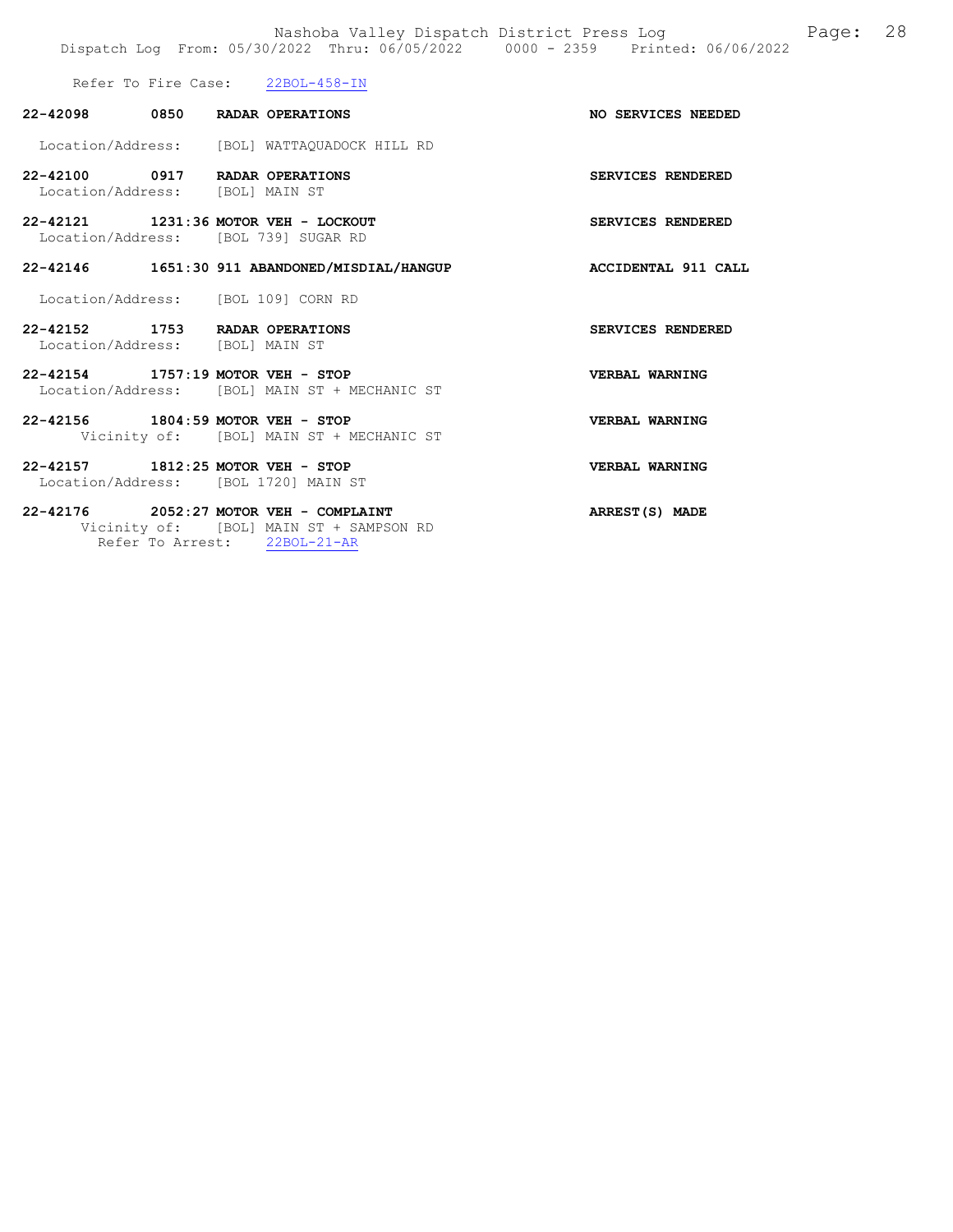Refer To Fire Case:  $22BOL-458-IN$ 

Refer To Arrest: 22BOL-21-AR

| 22-42098 0850 RADAR OPERATIONS                                    |                                                                                       | <b>NO SERVICES NEEDED</b> |
|-------------------------------------------------------------------|---------------------------------------------------------------------------------------|---------------------------|
|                                                                   | Location/Address: [BOL] WATTAQUADOCK HILL RD                                          |                           |
| 22-42100 0917 RADAR OPERATIONS<br>Location/Address: [BOL] MAIN ST |                                                                                       | <b>SERVICES RENDERED</b>  |
|                                                                   | 22-42121 1231:36 MOTOR VEH - LOCKOUT<br>Location/Address: [BOL 739] SUGAR RD          | <b>SERVICES RENDERED</b>  |
|                                                                   | 22-42146 1651:30 911 ABANDONED/MISDIAL/HANGUP                                         | ACCIDENTAL 911 CALL       |
|                                                                   | Location/Address: [BOL 109] CORN RD                                                   |                           |
| 22-42152 1753 RADAR OPERATIONS<br>Location/Address: [BOL] MAIN ST |                                                                                       | <b>SERVICES RENDERED</b>  |
| 22-42154 1757:19 MOTOR VEH - STOP                                 | Location/Address: [BOL] MAIN ST + MECHANIC ST                                         | VERBAL WARNING            |
| 22-42156 1804:59 MOTOR VEH - STOP                                 | Vicinity of: [BOL] MAIN ST + MECHANIC ST                                              | VERBAL WARNING            |
| 22-42157 1812:25 MOTOR VEH - STOP                                 | Location/Address: [BOL 1720] MAIN ST                                                  | VERBAL WARNING            |
|                                                                   | $22 - 42176$ 2052:27 MOTOR VEH - COMPLAINT<br>Vicinity of: [BOL] MAIN ST + SAMPSON RD | ARREST(S) MADE            |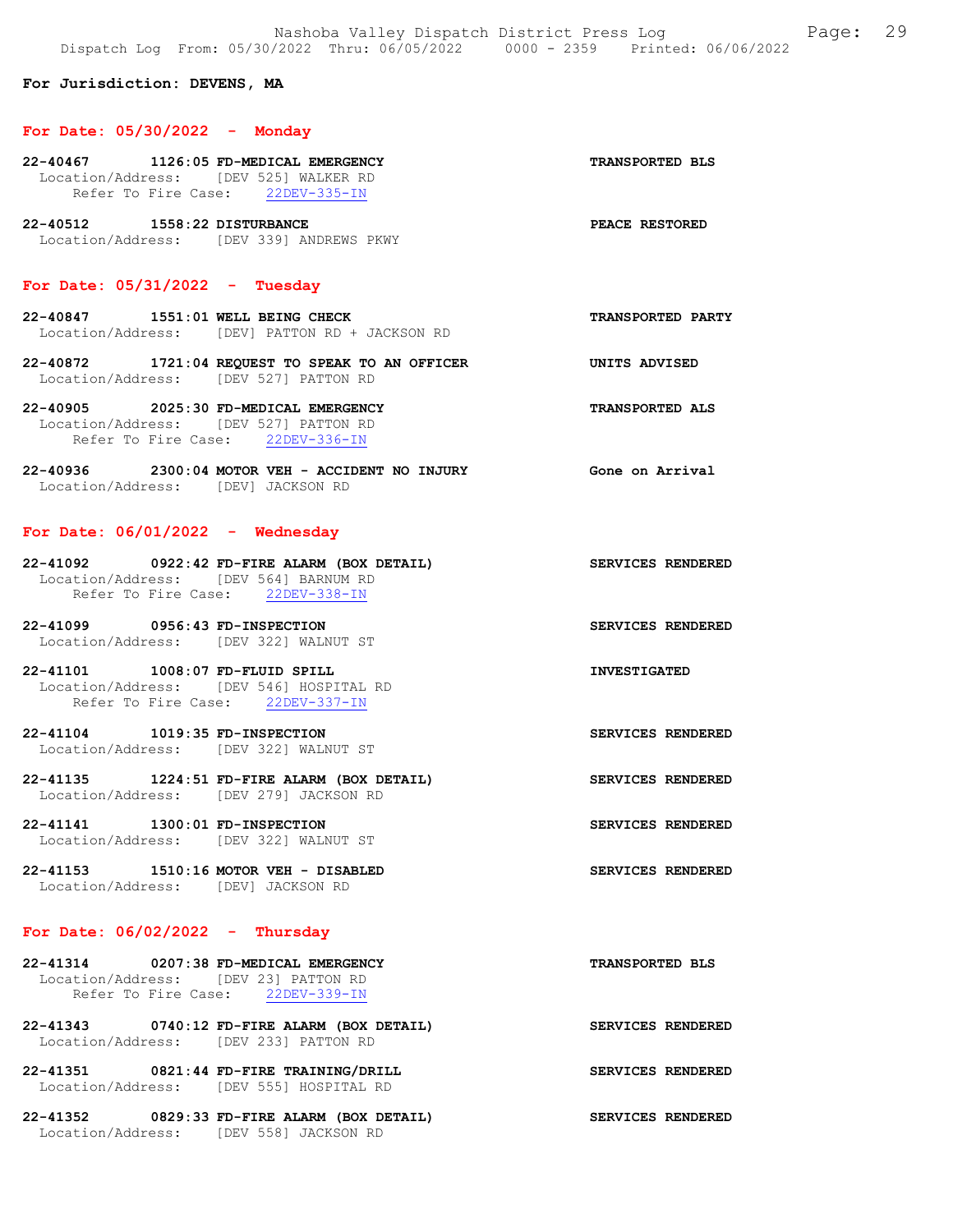### For Jurisdiction: DEVENS, MA

#### For Date: 05/30/2022 - Monday

| 22-40467 |                                       | 1126:05 FD-MEDICAL EMERGENCY |              | <b>TRANSPORTED BLS</b> |  |
|----------|---------------------------------------|------------------------------|--------------|------------------------|--|
|          | Location/Address: [DEV 525] WALKER RD |                              |              |                        |  |
|          | Refer To Fire Case:                   |                              | 22DEV-335-IN |                        |  |
|          |                                       |                              |              |                        |  |

22-40512 1558:22 DISTURBANCE PEACE RESTORED Location/Address: [DEV 339] ANDREWS PKWY

## For Date: 05/31/2022 - Tuesday

- 22-40847 1551:01 WELL BEING CHECK TRANSPORTED PARTY Location/Address: [DEV] PATTON RD + JACKSON RD
- 22-40872 1721:04 REQUEST TO SPEAK TO AN OFFICER UNITS ADVISED Location/Address: [DEV 527] PATTON RD
- 22-40905 2025:30 FD-MEDICAL EMERGENCY TRANSPORTED ALS Location/Address: [DEV 527] PATTON RD Refer To Fire Case: 22DEV-336-IN
- 22-40936 2300:04 MOTOR VEH ACCIDENT NO INJURY Gone on Arrival Location/Address: [DEV] JACKSON RD

### For Date: 06/01/2022 - Wednesday

| 22-41092          | 0922:42 FD-FIRE ALARM (BOX DETAIL) |                     | SERVICES RENDERED |  |
|-------------------|------------------------------------|---------------------|-------------------|--|
| Location/Address: |                                    | [DEV 564] BARNUM RD |                   |  |
|                   | Refer To Fire Case:                | 22DEV-338-IN        |                   |  |

- 22-41099 0956:43 FD-INSPECTION SERVICES RENDERED Location/Address: [DEV 322] WALNUT ST
- 22-41101 1008:07 FD-FLUID SPILL INVESTIGATED Location/Address: [DEV 546] HOSPITAL RD Refer To Fire Case: 22DEV-337-IN
- 22-41104 1019:35 FD-INSPECTION SERVICES RENDERED Location/Address: [DEV 322] WALNUT ST
- 22-41135 1224:51 FD-FIRE ALARM (BOX DETAIL) SERVICES RENDERED Location/Address: [DEV 279] JACKSON RD
- 22-41141 1300:01 FD-INSPECTION SERVICES RENDERED Location/Address: [DEV 322] WALNUT ST
- 22-41153 1510:16 MOTOR VEH DISABLED SERVICES RENDERED Location/Address: [DEV] JACKSON RD

### For Date:  $06/02/2022 -$  Thursday

| 22-41314                             | 0207:38 FD-MEDICAL EMERGENCY |              | <b>TRANSPORTED BLS</b> |  |
|--------------------------------------|------------------------------|--------------|------------------------|--|
| Location/Address: [DEV 23] PATTON RD |                              |              |                        |  |
| Refer To Fire Case:                  |                              | 22DEV-339-IN |                        |  |

- 22-41343 0740:12 FD-FIRE ALARM (BOX DETAIL) SERVICES RENDERED Location/Address: [DEV 233] PATTON RD
- 22-41351 0821:44 FD-FIRE TRAINING/DRILL SERVICES RENDERED Location/Address: [DEV 555] HOSPITAL RD
- 22-41352 0829:33 FD-FIRE ALARM (BOX DETAIL) SERVICES RENDERED Location/Address: [DEV 558] JACKSON RD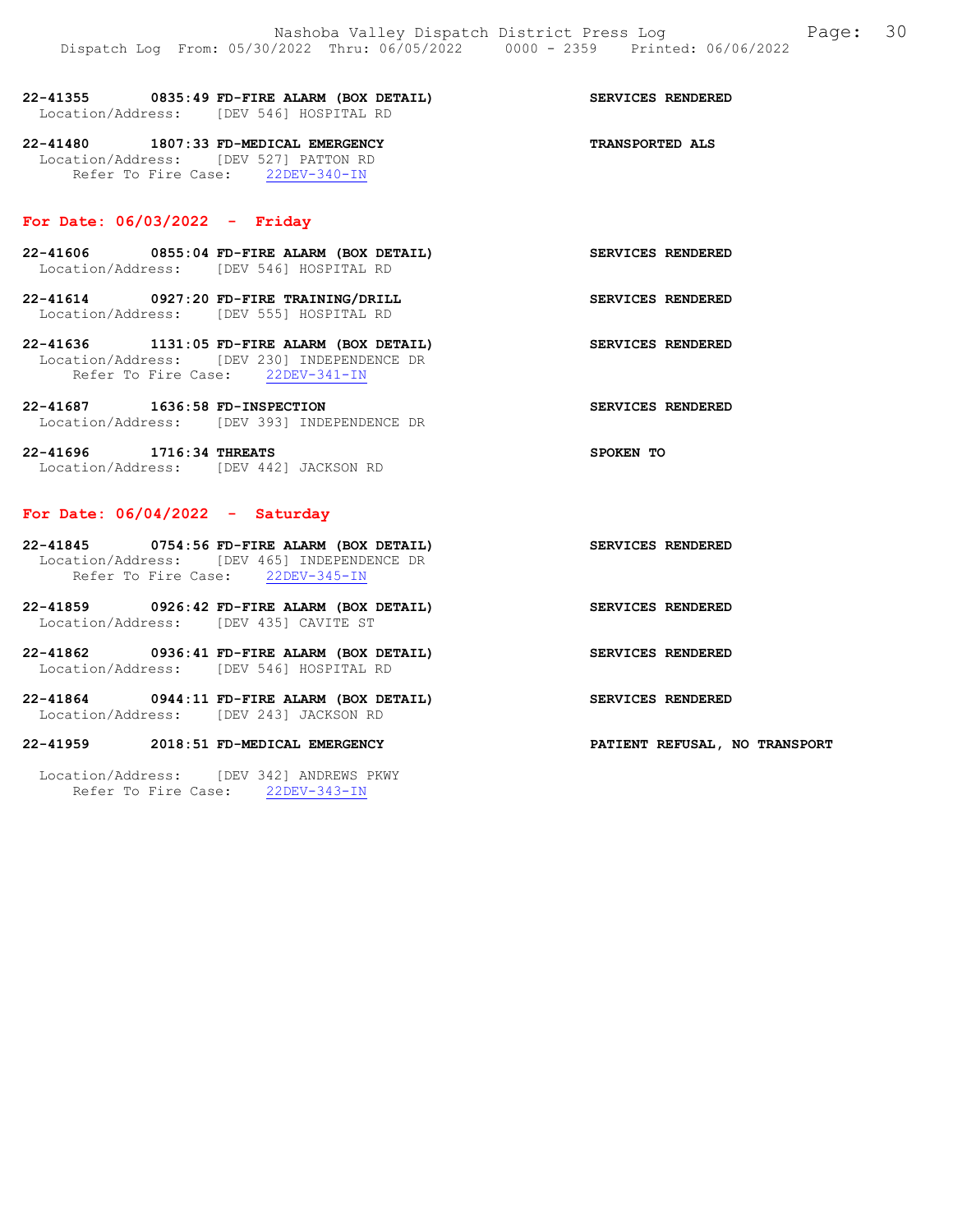| 22-41355          | 0835:49 FD-FIRE ALARM (BOX DETAIL) |  | <b>SERVICES RENDERED</b> |  |
|-------------------|------------------------------------|--|--------------------------|--|
| Location/Address: | TDEV 5461 HOSPITAL RD              |  |                          |  |
| 22-41480          | 1807:33 FD-MEDICAL EMERGENCY       |  | <b>TRANSPORTED ALS</b>   |  |

 Location/Address: [DEV 527] PATTON RD Refer To Fire Case: 22DEV-340-IN

### For Date: 06/03/2022 - Friday

- 22-41606 0855:04 FD-FIRE ALARM (BOX DETAIL) SERVICES RENDERED Location/Address: [DEV 546] HOSPITAL RD
- 22-41614 0927:20 FD-FIRE TRAINING/DRILL SERVICES RENDERED Location/Address: [DEV 555] HOSPITAL RD
- 22-41636 1131:05 FD-FIRE ALARM (BOX DETAIL) SERVICES RENDERED Location/Address: [DEV 230] INDEPENDENCE DR Refer To Fire Case: 22DEV-341-IN
- 22-41687 1636:58 FD-INSPECTION SERVICES RENDERED Location/Address: [DEV 393] INDEPENDENCE DR
- 22-41696 1716:34 THREATS SPOKEN TO Location/Address: [DEV 442] JACKSON RD

### For Date: 06/04/2022 - Saturday

- 22-41845 0754:56 FD-FIRE ALARM (BOX DETAIL) SERVICES RENDERED Location/Address: [DEV 465] INDEPENDENCE DR Refer To Fire Case: 22DEV-345-IN
- 22-41859 0926:42 FD-FIRE ALARM (BOX DETAIL) SERVICES RENDERED Location/Address: [DEV 435] CAVITE ST
- 22-41862 0936:41 FD-FIRE ALARM (BOX DETAIL) SERVICES RENDERED Location/Address: [DEV 546] HOSPITAL RD
- 22-41864 0944:11 FD-FIRE ALARM (BOX DETAIL) SERVICES RENDERED Location/Address: [DEV 243] JACKSON RD

#### 22-41959 2018:51 FD-MEDICAL EMERGENCY PATIENT REFUSAL, NO TRANSPORT

 Location/Address: [DEV 342] ANDREWS PKWY Refer To Fire Case: 22DEV-343-IN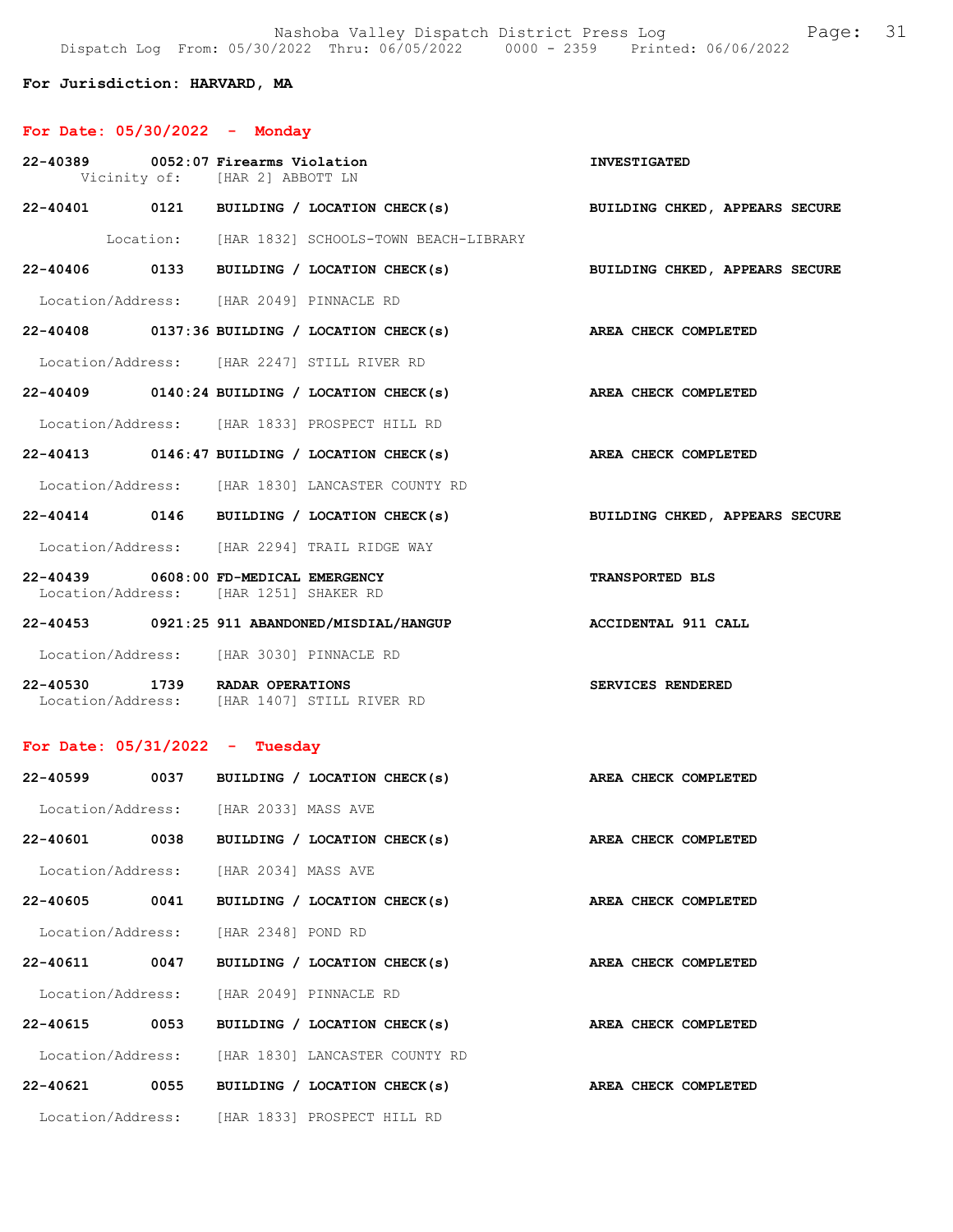Nashoba Valley Dispatch District Press Log Fage: 31 Dispatch Log From: 05/30/2022 Thru: 06/05/2022 0000 - 2359 Printed: 06/06/2022

## For Jurisdiction: HARVARD, MA

# For Date: 05/30/2022 - Monday

| 22-40389 0052:07 Firearms Violation                                             |      | Vicinity of: [HAR 2] ABBOTT LN |                                                                    | <b>INVESTIGATED</b>                                                       |
|---------------------------------------------------------------------------------|------|--------------------------------|--------------------------------------------------------------------|---------------------------------------------------------------------------|
|                                                                                 |      |                                |                                                                    | 22-40401 0121 BUILDING / LOCATION CHECK(s) BUILDING CHKED, APPEARS SECURE |
|                                                                                 |      |                                | Location: [HAR 1832] SCHOOLS-TOWN BEACH-LIBRARY                    |                                                                           |
|                                                                                 |      |                                |                                                                    | 22-40406 0133 BUILDING / LOCATION CHECK(s) BUILDING CHKED, APPEARS SECURE |
| Location/Address: [HAR 2049] PINNACLE RD                                        |      |                                |                                                                    |                                                                           |
|                                                                                 |      |                                | 22-40408 0137:36 BUILDING / LOCATION CHECK(s) AREA CHECK COMPLETED |                                                                           |
| Location/Address: [HAR 2247] STILL RIVER RD                                     |      |                                |                                                                    |                                                                           |
|                                                                                 |      |                                | 22-40409 0140:24 BUILDING / LOCATION CHECK(s) AREA CHECK COMPLETED |                                                                           |
|                                                                                 |      |                                | Location/Address: [HAR 1833] PROSPECT HILL RD                      |                                                                           |
|                                                                                 |      |                                | $22-40413$ 0146:47 BUILDING / LOCATION CHECK(s)                    | AREA CHECK COMPLETED                                                      |
|                                                                                 |      |                                | Location/Address: [HAR 1830] LANCASTER COUNTY RD                   |                                                                           |
|                                                                                 |      |                                |                                                                    | 22-40414 0146 BUILDING / LOCATION CHECK(s) BUILDING CHKED, APPEARS SECURE |
|                                                                                 |      |                                | Location/Address: [HAR 2294] TRAIL RIDGE WAY                       |                                                                           |
| 22-40439 0608:00 FD-MEDICAL EMERGENCY<br>Location/Address: [HAR 1251] SHAKER RD |      |                                |                                                                    | <b>TRANSPORTED BLS</b>                                                    |
|                                                                                 |      |                                | 22-40453 0921:25 911 ABANDONED/MISDIAL/HANGUP ACCIDENTAL 911 CALL  |                                                                           |
| Location/Address: [HAR 3030] PINNACLE RD                                        |      |                                |                                                                    |                                                                           |
| 22-40530 1739 RADAR OPERATIONS<br>Location/Address: [HAR 1407] STILL RIVER RD   |      |                                |                                                                    | SERVICES RENDERED                                                         |
| For Date: $05/31/2022 - Tuesday$                                                |      |                                |                                                                    |                                                                           |
|                                                                                 |      |                                | 22-40599 0037 BUILDING / LOCATION CHECK(s) AREA CHECK COMPLETED    |                                                                           |
| Location/Address: [HAR 2033] MASS AVE                                           |      |                                |                                                                    |                                                                           |
|                                                                                 |      |                                | 22-40601 0038 BUILDING / LOCATION CHECK(s) AREA CHECK COMPLETED    |                                                                           |
| Location/Address: [HAR 2034] MASS AVE                                           |      |                                |                                                                    |                                                                           |
| 22-40605 0041                                                                   |      |                                | BUILDING / LOCATION CHECK(s)                                       | AREA CHECK COMPLETED                                                      |
| Location/Address: [HAR 2348] POND RD                                            |      |                                |                                                                    |                                                                           |
| 22-40611                                                                        | 0047 |                                | BUILDING / LOCATION CHECK(s)                                       | AREA CHECK COMPLETED                                                      |
| Location/Address: [HAR 2049] PINNACLE RD                                        |      |                                |                                                                    |                                                                           |
| 22-40615                                                                        | 0053 |                                | BUILDING / LOCATION CHECK(s)                                       | AREA CHECK COMPLETED                                                      |
|                                                                                 |      |                                | Location/Address: [HAR 1830] LANCASTER COUNTY RD                   |                                                                           |
| 22-40621 0055                                                                   |      |                                | BUILDING / LOCATION CHECK(s)                                       | AREA CHECK COMPLETED                                                      |
|                                                                                 |      |                                | Location/Address: [HAR 1833] PROSPECT HILL RD                      |                                                                           |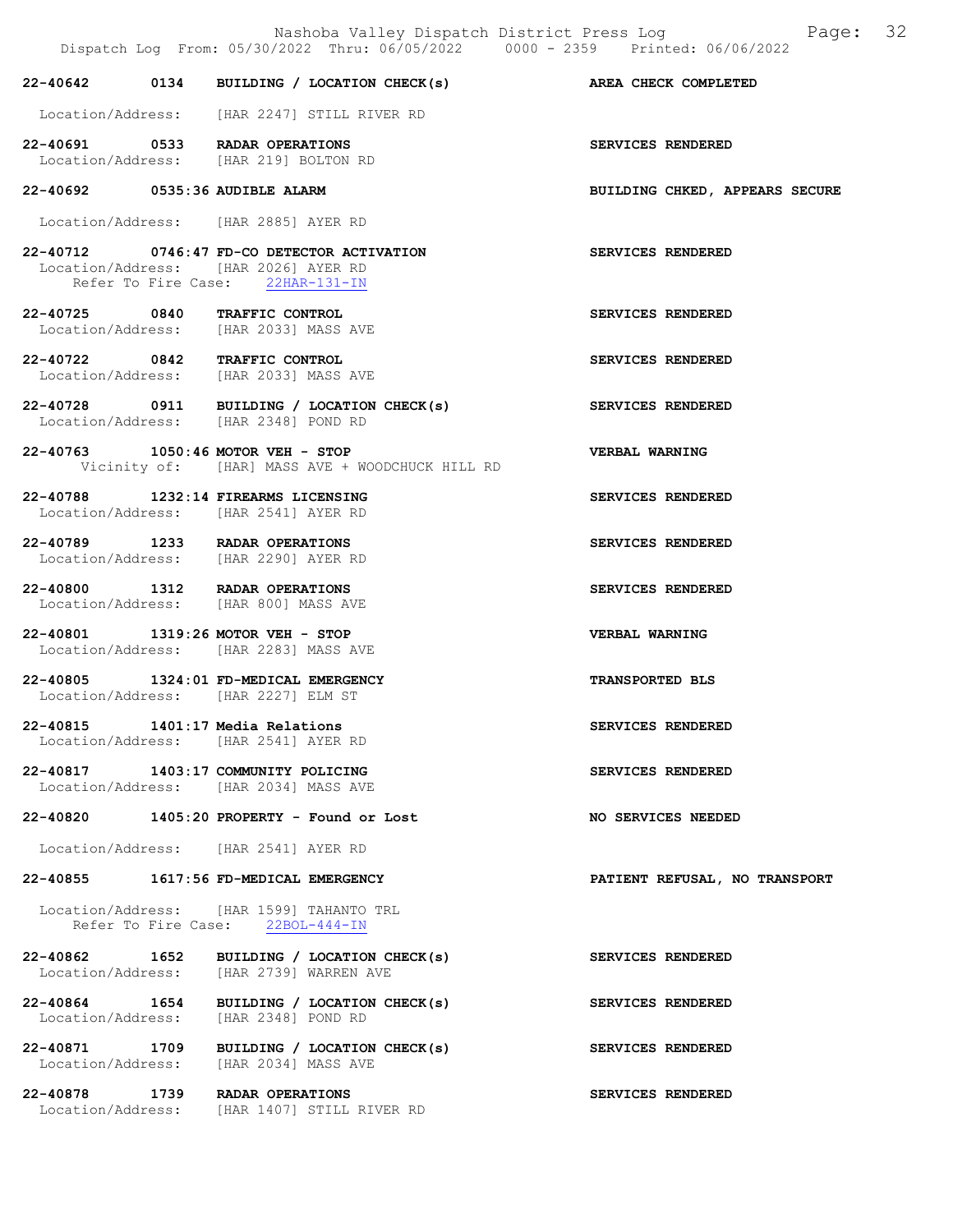|                                                                              | Dispatch Log From: 05/30/2022 Thru: 06/05/2022 0000 - 2359 Printed: 06/06/2022 | Nashoba Valley Dispatch District Press Log Fage: 32 |
|------------------------------------------------------------------------------|--------------------------------------------------------------------------------|-----------------------------------------------------|
|                                                                              | 22-40642 0134 BUILDING / LOCATION CHECK(s) AREA CHECK COMPLETED                |                                                     |
|                                                                              | Location/Address: [HAR 2247] STILL RIVER RD                                    |                                                     |
| 22-40691 0533 RADAR OPERATIONS<br>Location/Address: [HAR 219] BOLTON RD      |                                                                                | SERVICES RENDERED                                   |
| 22-40692 0535:36 AUDIBLE ALARM                                               |                                                                                | BUILDING CHKED, APPEARS SECURE                      |
| Location/Address: [HAR 2885] AYER RD                                         |                                                                                |                                                     |
| Location/Address: [HAR 2026] AYER RD                                         | 22-40712 0746:47 FD-CO DETECTOR ACTIVATION<br>Refer To Fire Case: 22HAR-131-IN | SERVICES RENDERED                                   |
| 22-40725 0840 TRAFFIC CONTROL<br>Location/Address: [HAR 2033] MASS AVE       |                                                                                | SERVICES RENDERED                                   |
| 22-40722 0842 TRAFFIC CONTROL<br>Location/Address: [HAR 2033] MASS AVE       |                                                                                | SERVICES RENDERED                                   |
| Location/Address: [HAR 2348] POND RD                                         | 22-40728 0911 BUILDING / LOCATION CHECK(s)                                     | SERVICES RENDERED                                   |
| 22-40763 1050:46 MOTOR VEH - STOP                                            | Vicinity of: [HAR] MASS AVE + WOODCHUCK HILL RD                                | <b>VERBAL WARNING</b>                               |
| 22-40788 1232:14 FIREARMS LICENSING<br>Location/Address: [HAR 2541] AYER RD  |                                                                                | SERVICES RENDERED                                   |
| 22-40789 1233 RADAR OPERATIONS<br>Location/Address: [HAR 2290] AYER RD       |                                                                                | SERVICES RENDERED                                   |
| 22-40800 1312 RADAR OPERATIONS<br>Location/Address: [HAR 800] MASS AVE       |                                                                                | SERVICES RENDERED                                   |
| 22-40801 1319:26 MOTOR VEH - STOP<br>Location/Address: [HAR 2283] MASS AVE   |                                                                                | <b>VERBAL WARNING</b>                               |
| 22-40805 1324:01 FD-MEDICAL EMERGENCY<br>Location/Address: [HAR 2227] ELM ST |                                                                                | <b>TRANSPORTED BLS</b>                              |
| 22-40815 1401:17 Media Relations<br>Location/Address: [HAR 2541] AYER RD     |                                                                                | SERVICES RENDERED                                   |
| 22-40817 1403:17 COMMUNITY POLICING<br>Location/Address: [HAR 2034] MASS AVE |                                                                                | SERVICES RENDERED                                   |
|                                                                              | $22-40820$ 1405:20 PROPERTY - Found or Lost                                    | NO SERVICES NEEDED                                  |
| Location/Address: [HAR 2541] AYER RD                                         |                                                                                |                                                     |
| 22-40855 1617:56 FD-MEDICAL EMERGENCY                                        |                                                                                | PATIENT REFUSAL, NO TRANSPORT                       |
|                                                                              | Location/Address: [HAR 1599] TAHANTO TRL<br>Refer To Fire Case: 22BOL-444-IN   |                                                     |
| 22-40862 1652                                                                | BUILDING / LOCATION CHECK(s)<br>Location/Address: [HAR 2739] WARREN AVE        | SERVICES RENDERED                                   |
| Location/Address: [HAR 2348] POND RD                                         | 22-40864 1654 BUILDING / LOCATION CHECK(s)                                     | SERVICES RENDERED                                   |
| 22-40871 1709<br>Location/Address: [HAR 2034] MASS AVE                       | BUILDING / LOCATION CHECK(s)                                                   | SERVICES RENDERED                                   |
| 22-40878 1739 RADAR OPERATIONS                                               | Location/Address: [HAR 1407] STILL RIVER RD                                    | SERVICES RENDERED                                   |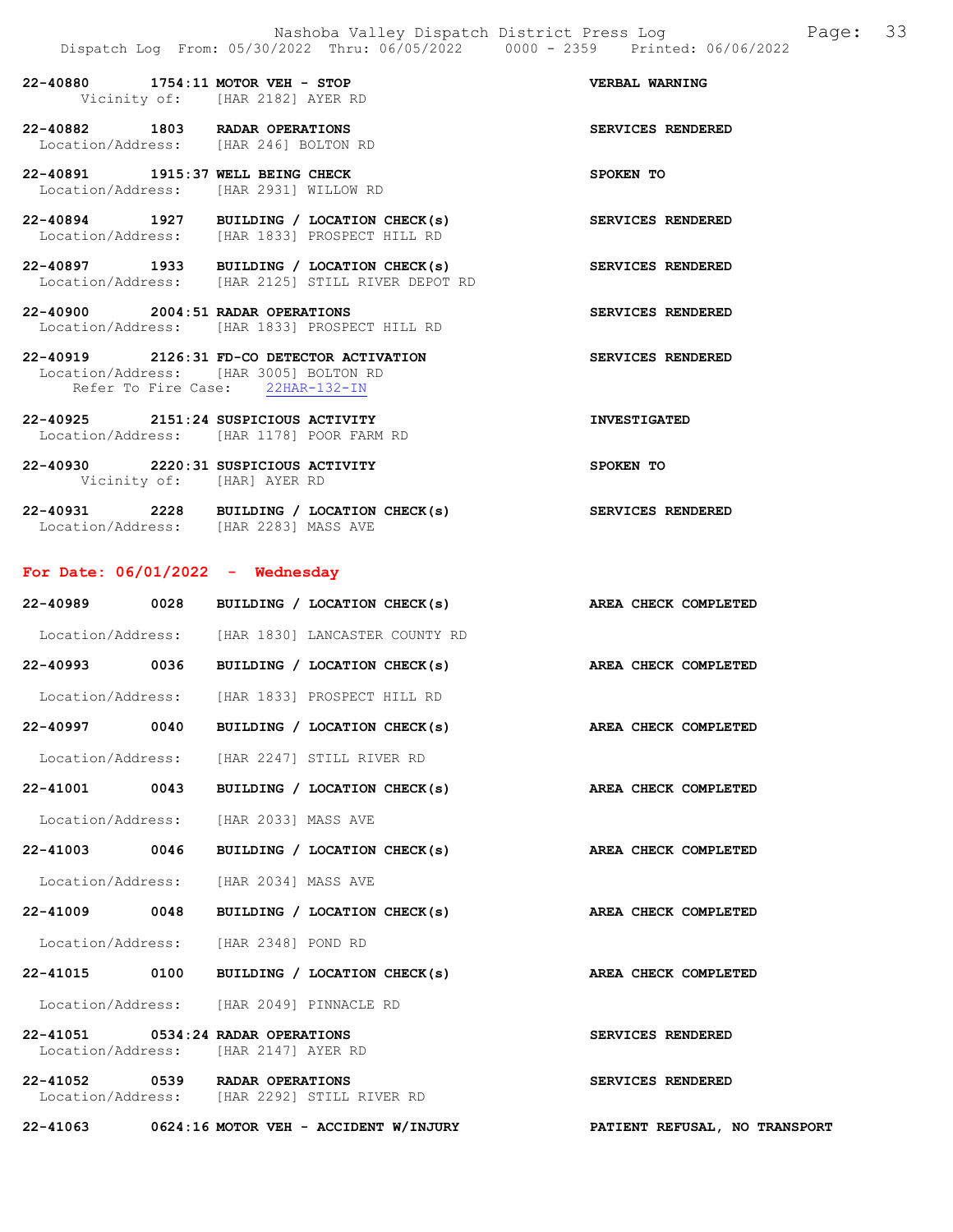22-40880 1754:11 MOTOR VEH - STOP VERBAL WARNING Vicinity of: [HAR 2182] AYER RD 22-40882 1803 RADAR OPERATIONS SERVICES RENDERED Location/Address: [HAR 246] BOLTON RD 22-40891 1915:37 WELL BEING CHECK SPOKEN TO Location/Address: [HAR 2931] WILLOW RD 22-40894 1927 BUILDING / LOCATION CHECK(s) SERVICES RENDERED Location/Address: [HAR 1833] PROSPECT HILL RD 22-40897 1933 BUILDING / LOCATION CHECK(s) SERVICES RENDERED Location/Address: [HAR 2125] STILL RIVER DEPOT RD 22-40900 2004:51 RADAR OPERATIONS SERVICES RENDERED Location/Address: [HAR 1833] PROSPECT HILL RD 22-40919 2126:31 FD-CO DETECTOR ACTIVATION SERVICES RENDERED Location/Address: [HAR 3005] BOLTON RD Refer To Fire Case: 22HAR-132-IN

- 22-40925 2151:24 SUSPICIOUS ACTIVITY INVESTIGATED Location/Address: [HAR 1178] POOR FARM RD 22-40930 2220:31 SUSPICIOUS ACTIVITY SPOKEN TO
- 22-40931 2228 BUILDING / LOCATION CHECK(s) SERVICES RENDERED Location/Address: [HAR 2283] MASS AVE

### For Date: 06/01/2022 - Wednesday

Vicinity of: [HAR] AYER RD

|                                                                               |                              |  | 22-40989 0028 BUILDING / LOCATION CHECK(s) AREA CHECK COMPLETED |  |
|-------------------------------------------------------------------------------|------------------------------|--|-----------------------------------------------------------------|--|
| Location/Address: [HAR 1830] LANCASTER COUNTY RD                              |                              |  |                                                                 |  |
|                                                                               |                              |  | 22-40993 0036 BUILDING / LOCATION CHECK(s) AREA CHECK COMPLETED |  |
| Location/Address: [HAR 1833] PROSPECT HILL RD                                 |                              |  |                                                                 |  |
| 22-40997 0040                                                                 | BUILDING / LOCATION CHECK(s) |  | AREA CHECK COMPLETED                                            |  |
| Location/Address: [HAR 2247] STILL RIVER RD                                   |                              |  |                                                                 |  |
|                                                                               |                              |  | 22-41001 0043 BUILDING / LOCATION CHECK(s) AREA CHECK COMPLETED |  |
| Location/Address: [HAR 2033] MASS AVE                                         |                              |  |                                                                 |  |
|                                                                               |                              |  | 22-41003 0046 BUILDING / LOCATION CHECK(s) AREA CHECK COMPLETED |  |
| Location/Address: [HAR 2034] MASS AVE                                         |                              |  |                                                                 |  |
|                                                                               |                              |  | 22-41009 0048 BUILDING / LOCATION CHECK(s) AREA CHECK COMPLETED |  |
| Location/Address: [HAR 2348] POND RD                                          |                              |  |                                                                 |  |
|                                                                               |                              |  | 22-41015 0100 BUILDING / LOCATION CHECK(s) AREA CHECK COMPLETED |  |
| Location/Address: [HAR 2049] PINNACLE RD                                      |                              |  |                                                                 |  |
| 22-41051 0534:24 RADAR OPERATIONS<br>Location/Address: [HAR 2147] AYER RD     |                              |  | SERVICES RENDERED                                               |  |
| 22-41052 0539 RADAR OPERATIONS<br>Location/Address: [HAR 2292] STILL RIVER RD |                              |  | SERVICES RENDERED                                               |  |
| 22-41063 0624:16 MOTOR VEH - ACCIDENT W/INJURY                                |                              |  | PATIENT REFUSAL, NO TRANSPORT                                   |  |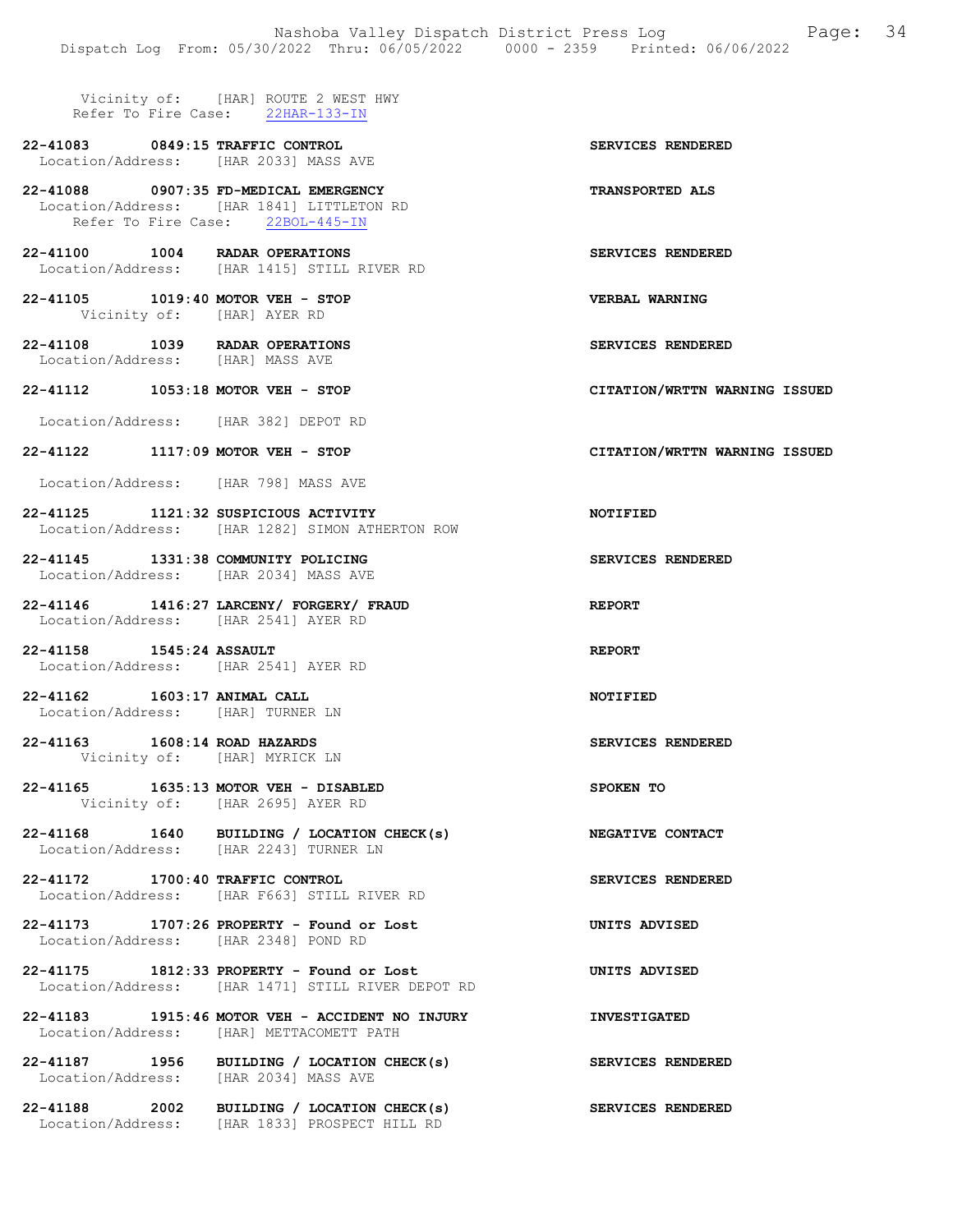Vicinity of: [HAR] ROUTE 2 WEST HWY Refer To Fire Case: 22HAR-133-IN

22-41083 0849:15 TRAFFIC CONTROL SERVICES RENDERED Location/Address: [HAR 2033] MASS AVE

22-41088 0907:35 FD-MEDICAL EMERGENCY TRANSPORTED ALS Location/Address: [HAR 1841] LITTLETON RD Refer To Fire Case: 22BOL-445-IN

- 22-41100 1004 RADAR OPERATIONS SERVICES RENDERED Location/Address: [HAR 1415] STILL RIVER RD
- 22-41105 1019:40 MOTOR VEH STOP VERBAL WARNING Vicinity of: [HAR] AYER RD
- 22-41108 1039 RADAR OPERATIONS SERVICES RENDERED Location/Address: [HAR] MASS AVE
- 22-41112 1053:18 MOTOR VEH STOP CITATION/WRTTN WARNING ISSUED

Location/Address: [HAR 382] DEPOT RD

- 22-41122 1117:09 MOTOR VEH STOP CITATION/WRTTN WARNING ISSUED
- Location/Address: [HAR 798] MASS AVE
- 22-41125 1121:32 SUSPICIOUS ACTIVITY NOTIFIED Location/Address: [HAR 1282] SIMON ATHERTON ROW
- 22-41145 1331:38 COMMUNITY POLICING SERVICES RENDERED Location/Address: [HAR 2034] MASS AVE
- 22-41146 1416:27 LARCENY/ FORGERY/ FRAUD REPORT Location/Address: [HAR 2541] AYER RD
- 22-41158 1545:24 ASSAULT REPORT Location/Address: [HAR 2541] AYER RD
- 22-41162 1603:17 ANIMAL CALL NOTIFIED Location/Address: [HAR] TURNER LN
- 22-41163 1608:14 ROAD HAZARDS SERVICES RENDERED Vicinity of: [HAR] MYRICK LN
- 22-41165 1635:13 MOTOR VEH DISABLED SPOKEN TO Vicinity of: [HAR 2695] AYER RD
- 22-41168 1640 BUILDING / LOCATION CHECK(s) NEGATIVE CONTACT Location/Address: [HAR 2243] TURNER LN
- 22-41172 1700:40 TRAFFIC CONTROL SERVICES RENDERED Location/Address: [HAR F663] STILL RIVER RD
- 22-41173 1707:26 PROPERTY Found or Lost UNITS ADVISED Location/Address: [HAR 2348] POND RD
- 22-41175 1812:33 PROPERTY Found or Lost UNITS ADVISED Location/Address: [HAR 1471] STILL RIVER DEPOT RD
- 22-41183 1915:46 MOTOR VEH ACCIDENT NO INJURY INVESTIGATED Location/Address: [HAR] METTACOMETT PATH
- 22-41187 1956 BUILDING / LOCATION CHECK(s) SERVICES RENDERED Location/Address: [HAR 2034] MASS AVE
- 22-41188 2002 BUILDING / LOCATION CHECK(s) SERVICES RENDERED Location/Address: [HAR 1833] PROSPECT HILL RD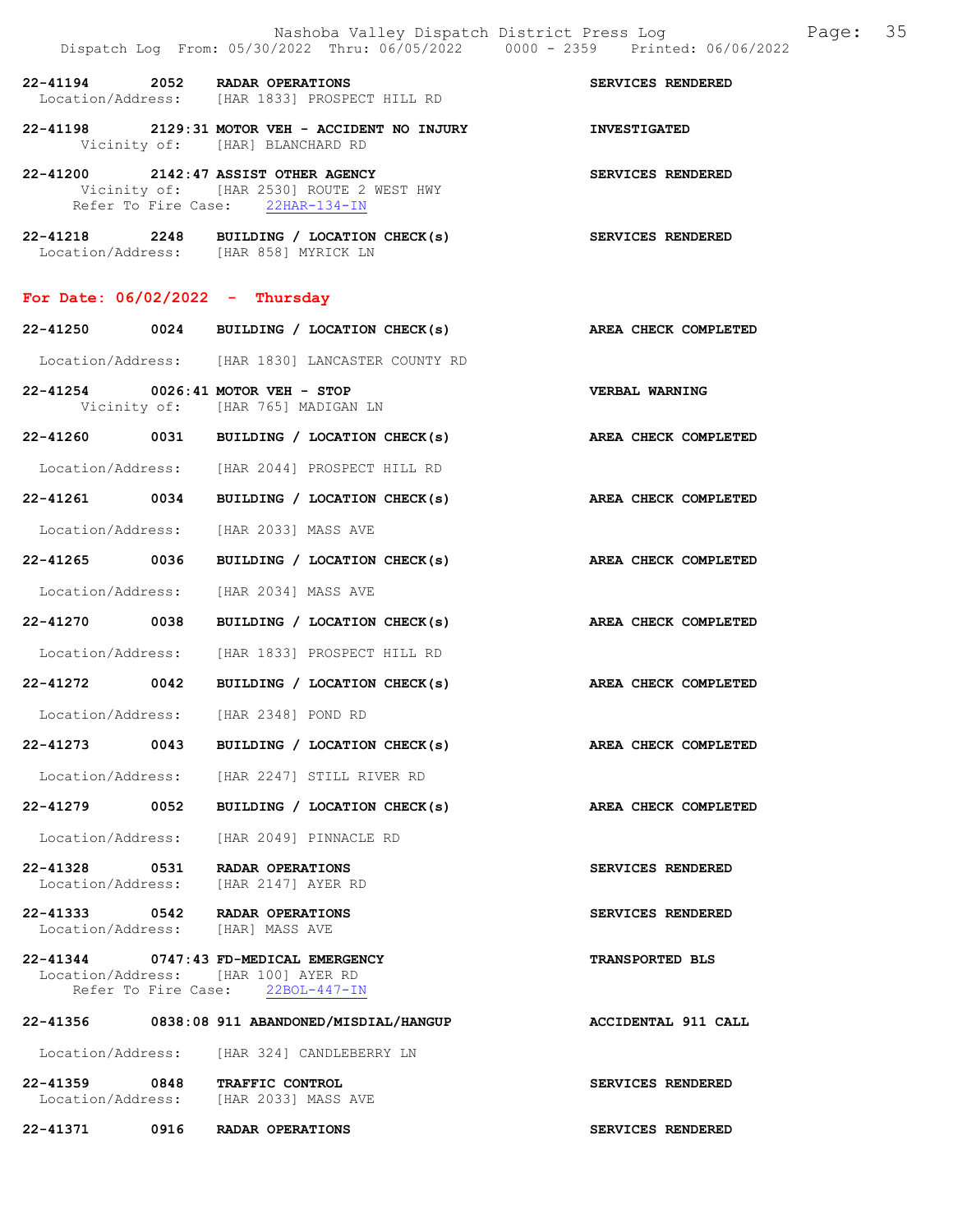|                                            |      | Nashoba Valley Dispatch District Press Log<br>Dispatch Log From: 05/30/2022 Thru: 06/05/2022 0000 - 2359 Printed: 06/06/2022 | 35<br>Page:            |  |
|--------------------------------------------|------|------------------------------------------------------------------------------------------------------------------------------|------------------------|--|
| $22 - 41194$                               |      | 2052 RADAR OPERATIONS<br>Location/Address: [HAR 1833] PROSPECT HILL RD                                                       | SERVICES RENDERED      |  |
|                                            |      | 22-41198 2129:31 MOTOR VEH - ACCIDENT NO INJURY<br>Vicinity of: [HAR] BLANCHARD RD                                           | <b>INVESTIGATED</b>    |  |
|                                            |      | 22-41200 2142:47 ASSIST OTHER AGENCY<br>Vicinity of: [HAR 2530] ROUTE 2 WEST HWY<br>Refer To Fire Case: 22HAR-134-IN         | SERVICES RENDERED      |  |
|                                            |      | 22-41218 2248 BUILDING / LOCATION CHECK(s) SERVICES RENDERED<br>Location/Address: [HAR 858] MYRICK LN                        |                        |  |
| For Date: $06/02/2022 - Thursday$          |      |                                                                                                                              |                        |  |
|                                            |      | 22-41250 0024 BUILDING / LOCATION CHECK(s) AREA CHECK COMPLETED                                                              |                        |  |
|                                            |      | Location/Address: [HAR 1830] LANCASTER COUNTY RD                                                                             |                        |  |
|                                            |      | 22-41254 0026:41 MOTOR VEH - STOP<br>Vicinity of: [HAR 765] MADIGAN LN                                                       | <b>VERBAL WARNING</b>  |  |
|                                            |      | 22-41260 0031 BUILDING / LOCATION CHECK(s)                                                                                   | AREA CHECK COMPLETED   |  |
|                                            |      | Location/Address: [HAR 2044] PROSPECT HILL RD                                                                                |                        |  |
|                                            |      | 22-41261 0034 BUILDING / LOCATION CHECK(s)                                                                                   | AREA CHECK COMPLETED   |  |
|                                            |      | Location/Address: [HAR 2033] MASS AVE                                                                                        |                        |  |
|                                            |      | 22-41265 0036 BUILDING / LOCATION CHECK(s) AREA CHECK COMPLETED                                                              |                        |  |
| Location/Address:                          |      | [HAR 2034] MASS AVE                                                                                                          |                        |  |
| 22-41270 0038                              |      | BUILDING / LOCATION CHECK(s)                                                                                                 | AREA CHECK COMPLETED   |  |
|                                            |      | Location/Address: [HAR 1833] PROSPECT HILL RD                                                                                |                        |  |
|                                            |      | 22-41272 0042 BUILDING / LOCATION CHECK(s)                                                                                   | AREA CHECK COMPLETED   |  |
| Location/Address:                          |      | [HAR 2348] POND RD                                                                                                           |                        |  |
| 22-41273                                   | 0043 | BUILDING / LOCATION CHECK(s)                                                                                                 | AREA CHECK COMPLETED   |  |
|                                            |      | Location/Address: [HAR 2247] STILL RIVER RD                                                                                  |                        |  |
| 22-41279 0052                              |      | BUILDING / LOCATION CHECK(s)                                                                                                 | AREA CHECK COMPLETED   |  |
| Location/Address:                          |      | [HAR 2049] PINNACLE RD                                                                                                       |                        |  |
| 22-41328 0531<br>Location/Address:         |      | <b>RADAR OPERATIONS</b><br>[HAR 2147] AYER RD                                                                                | SERVICES RENDERED      |  |
|                                            |      | 22-41333 0542 RADAR OPERATIONS<br>Location/Address: [HAR] MASS AVE                                                           | SERVICES RENDERED      |  |
|                                            |      | 22-41344 0747:43 FD-MEDICAL EMERGENCY<br>Location/Address: [HAR 100] AYER RD<br>Refer To Fire Case: 22BOL-447-IN             | <b>TRANSPORTED BLS</b> |  |
| 22-41356                                   |      | 0838:08 911 ABANDONED/MISDIAL/HANGUP                                                                                         | ACCIDENTAL 911 CALL    |  |
| Location/Address: [HAR 324] CANDLEBERRY LN |      |                                                                                                                              |                        |  |
| 22-41359 0848                              |      | TRAFFIC CONTROL<br>Location/Address: [HAR 2033] MASS AVE                                                                     | SERVICES RENDERED      |  |
| 22-41371                                   | 0916 | RADAR OPERATIONS                                                                                                             | SERVICES RENDERED      |  |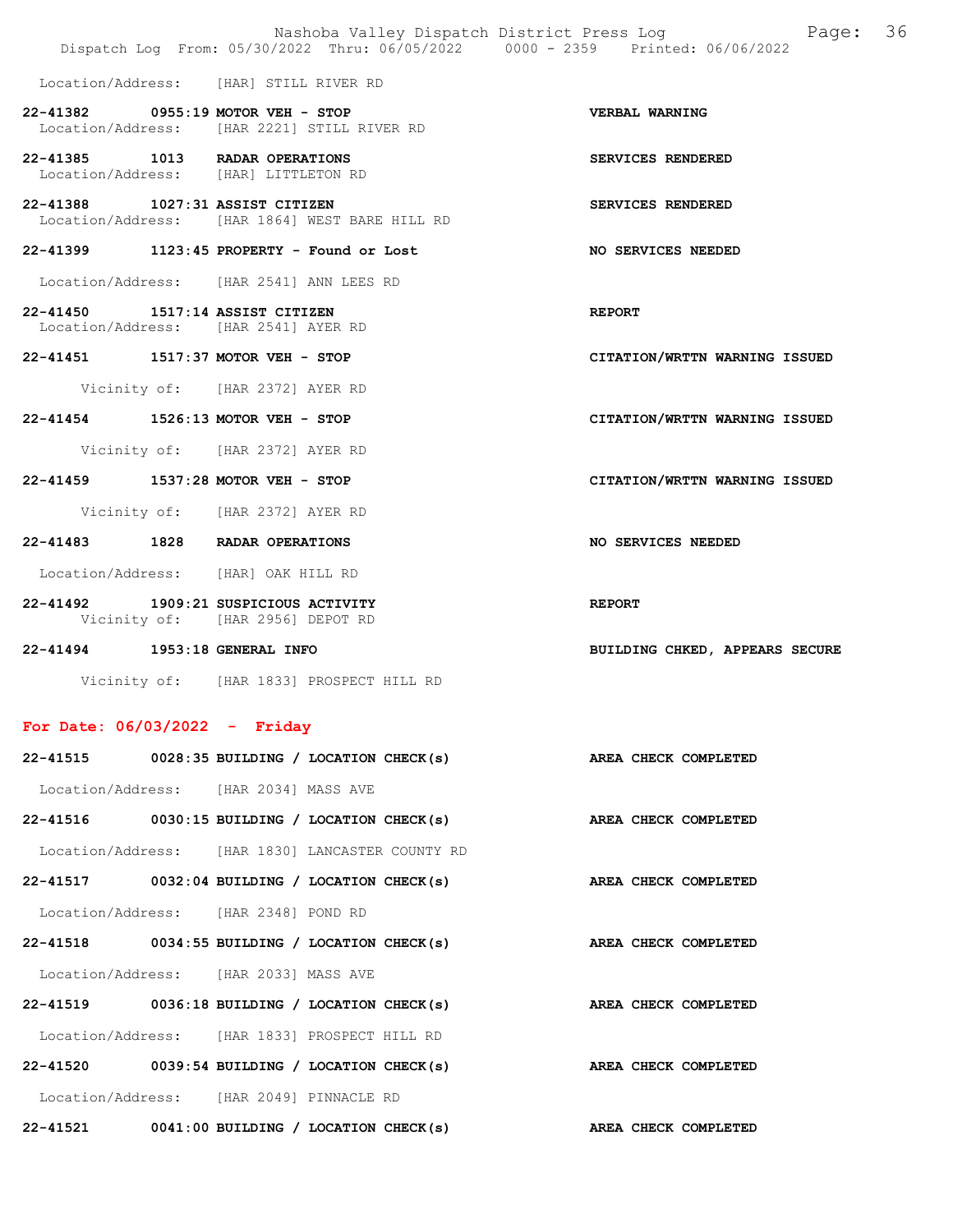|                                                                                   | Page: 36<br>Nashoba Valley Dispatch District Press Log<br>Dispatch Log From: 05/30/2022 Thru: 06/05/2022 0000 - 2359 Printed: 06/06/2022 |
|-----------------------------------------------------------------------------------|------------------------------------------------------------------------------------------------------------------------------------------|
| Location/Address: [HAR] STILL RIVER RD                                            |                                                                                                                                          |
| 22-41382 0955:19 MOTOR VEH - STOP<br>Location/Address: [HAR 2221] STILL RIVER RD  | <b>VERBAL WARNING</b>                                                                                                                    |
| 22-41385 1013 RADAR OPERATIONS<br>Location/Address: [HAR] LITTLETON RD            | SERVICES RENDERED                                                                                                                        |
| 22-41388 1027:31 ASSIST CITIZEN<br>Location/Address: [HAR 1864] WEST BARE HILL RD | SERVICES RENDERED                                                                                                                        |
| 22-41399 1123:45 PROPERTY - Found or Lost                                         | <b>NO SERVICES NEEDED</b>                                                                                                                |
| Location/Address: [HAR 2541] ANN LEES RD                                          |                                                                                                                                          |
| 22-41450 1517:14 ASSIST CITIZEN<br>Location/Address: [HAR 2541] AYER RD           | <b>REPORT</b>                                                                                                                            |
| 22-41451 1517:37 MOTOR VEH - STOP                                                 | CITATION/WRTTN WARNING ISSUED                                                                                                            |
| Vicinity of: [HAR 2372] AYER RD                                                   |                                                                                                                                          |
| 22-41454 1526:13 MOTOR VEH - STOP                                                 | CITATION/WRTTN WARNING ISSUED                                                                                                            |
| Vicinity of: [HAR 2372] AYER RD                                                   |                                                                                                                                          |
| 22-41459 1537:28 MOTOR VEH - STOP                                                 | CITATION/WRTTN WARNING ISSUED                                                                                                            |
| Vicinity of: [HAR 2372] AYER RD                                                   |                                                                                                                                          |
| 22-41483 1828 RADAR OPERATIONS                                                    | NO SERVICES NEEDED                                                                                                                       |
| Location/Address: [HAR] OAK HILL RD                                               |                                                                                                                                          |
| 22-41492 1909:21 SUSPICIOUS ACTIVITY<br>Vicinity of: [HAR 2956] DEPOT RD          | <b>REPORT</b>                                                                                                                            |
| 22-41494 1953:18 GENERAL INFO                                                     | BUILDING CHKED, APPEARS SECURE                                                                                                           |
| Vicinity of: [HAR 1833] PROSPECT HILL RD                                          |                                                                                                                                          |
| For Date: $06/03/2022 -$ Friday                                                   |                                                                                                                                          |
| $22-41515$ 0028:35 BUILDING / LOCATION CHECK(s)                                   | AREA CHECK COMPLETED                                                                                                                     |
| Location/Address: [HAR 2034] MASS AVE                                             |                                                                                                                                          |
| $22-41516$ 0030:15 BUILDING / LOCATION CHECK(s)                                   | AREA CHECK COMPLETED                                                                                                                     |
| Location/Address: [HAR 1830] LANCASTER COUNTY RD                                  |                                                                                                                                          |

22-41517 0032:04 BUILDING / LOCATION CHECK(s) AREA CHECK COMPLETED

Location/Address: [HAR 2348] POND RD

22-41518 0034:55 BUILDING / LOCATION CHECK(s) AREA CHECK COMPLETED

Location/Address: [HAR 2033] MASS AVE

- 22-41519 0036:18 BUILDING / LOCATION CHECK(s) AREA CHECK COMPLETED Location/Address: [HAR 1833] PROSPECT HILL RD
- 22-41520 0039:54 BUILDING / LOCATION CHECK(s) AREA CHECK COMPLETED Location/Address: [HAR 2049] PINNACLE RD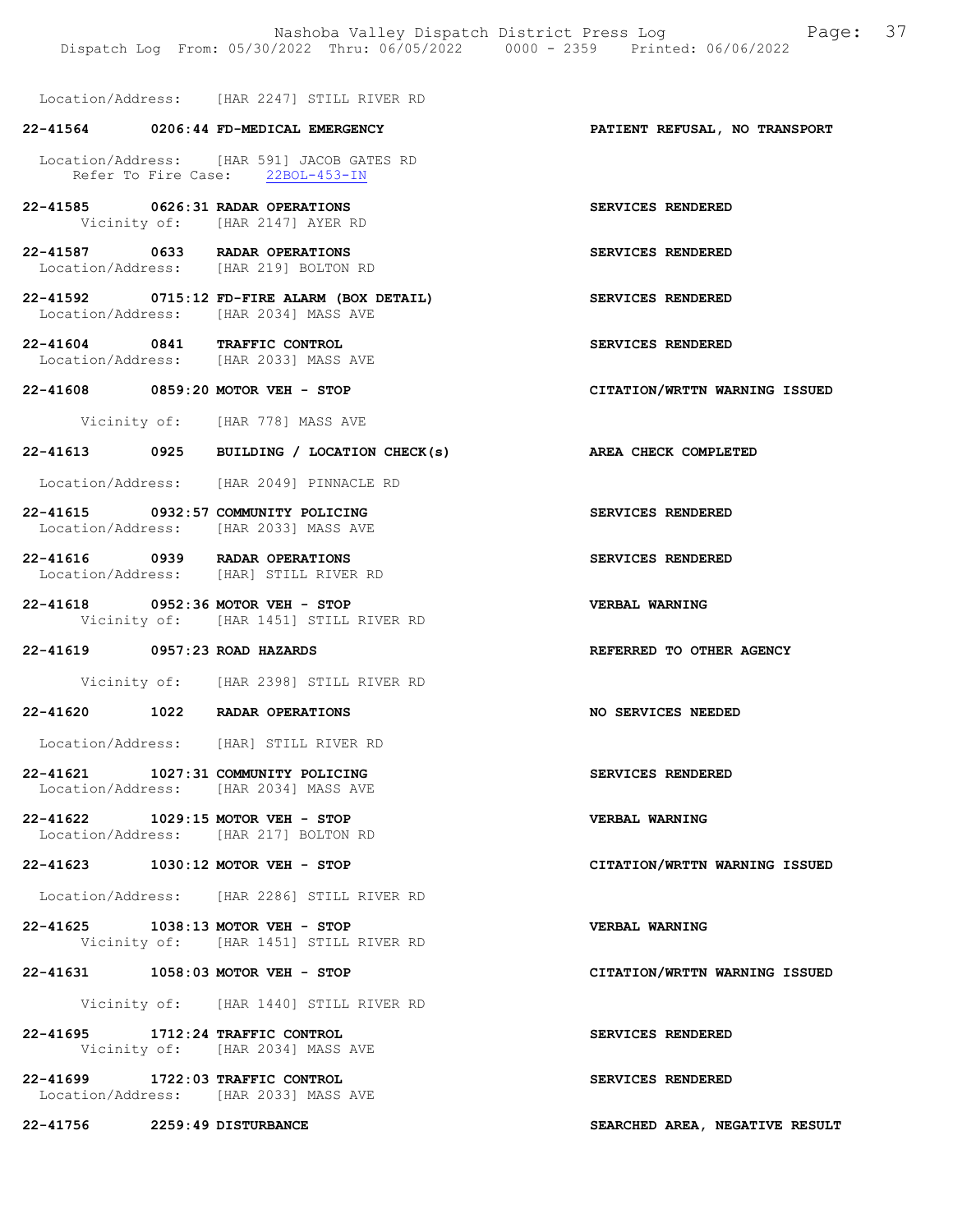Location/Address: [HAR 2247] STILL RIVER RD

# 22-41564 0206:44 FD-MEDICAL EMERGENCY PATIENT REFUSAL, NO TRANSPORT Location/Address: [HAR 591] JACOB GATES RD Refer To Fire Case: 22BOL-453-IN 22-41585 0626:31 RADAR OPERATIONS SERVICES RENDERED Vicinity of: [HAR 2147] AYER RD 22-41587 0633 RADAR OPERATIONS SERVICES RENDERED Location/Address: [HAR 219] BOLTON RD 22-41592 0715:12 FD-FIRE ALARM (BOX DETAIL) SERVICES RENDERED Location/Address: [HAR 2034] MASS AVE 22-41604 0841 TRAFFIC CONTROL SERVICES RENDERED Location/Address: [HAR 2033] MASS AVE 22-41608 0859:20 MOTOR VEH - STOP CITATION/WRTTN WARNING ISSUED Vicinity of: [HAR 778] MASS AVE 22-41613 0925 BUILDING / LOCATION CHECK(s) AREA CHECK COMPLETED Location/Address: [HAR 2049] PINNACLE RD 22-41615 0932:57 COMMUNITY POLICING<br>
Location/Address: [HAR 2033] MASS AVE [HAR 2033] MASS AVE 22-41616 0939 RADAR OPERATIONS SERVICES RENDERED Location/Address: [HAR] STILL RIVER RD 22-41618 0952:36 MOTOR VEH - STOP<br>Vicinity of: [HAR 1451] STILL RIVER RD<br>Vicinity of: [HAR 1451] STILL RIVER RD [HAR 1451] STILL RIVER RD 22-41619 0957:23 ROAD HAZARDS REFERRED TO OTHER AGENCY Vicinity of: [HAR 2398] STILL RIVER RD 22-41620 1022 RADAR OPERATIONS NO SERVICES NEEDED Location/Address: [HAR] STILL RIVER RD 22-41621 1027:31 COMMUNITY POLICING SERVICES RENDERED Location/Address: [HAR 2034] MASS AVE 22-41622 1029:15 MOTOR VEH - STOP VERBAL WARNING Location/Address: [HAR 217] BOLTON RD 22-41623 1030:12 MOTOR VEH - STOP CITATION/WRTTN WARNING ISSUED Location/Address: [HAR 2286] STILL RIVER RD 22-41625 1038:13 MOTOR VEH - STOP VERBAL WARNING<br>Vicinity of: [HAR 1451] STILL RIVER RD [HAR 1451] STILL RIVER RD 22-41631 1058:03 MOTOR VEH - STOP CITATION/WRTTN WARNING ISSUED Vicinity of: [HAR 1440] STILL RIVER RD 22-41695 1712:24 TRAFFIC CONTROL SERVICES RENDERED Vicinity of: [HAR 2034] MASS AVE 22-41699 1722:03 TRAFFIC CONTROL SERVICES RENDERED Location/Address: [HAR 2033] MASS AVE 22-41756 2259:49 DISTURBANCE SEARCHED AREA, NEGATIVE RESULT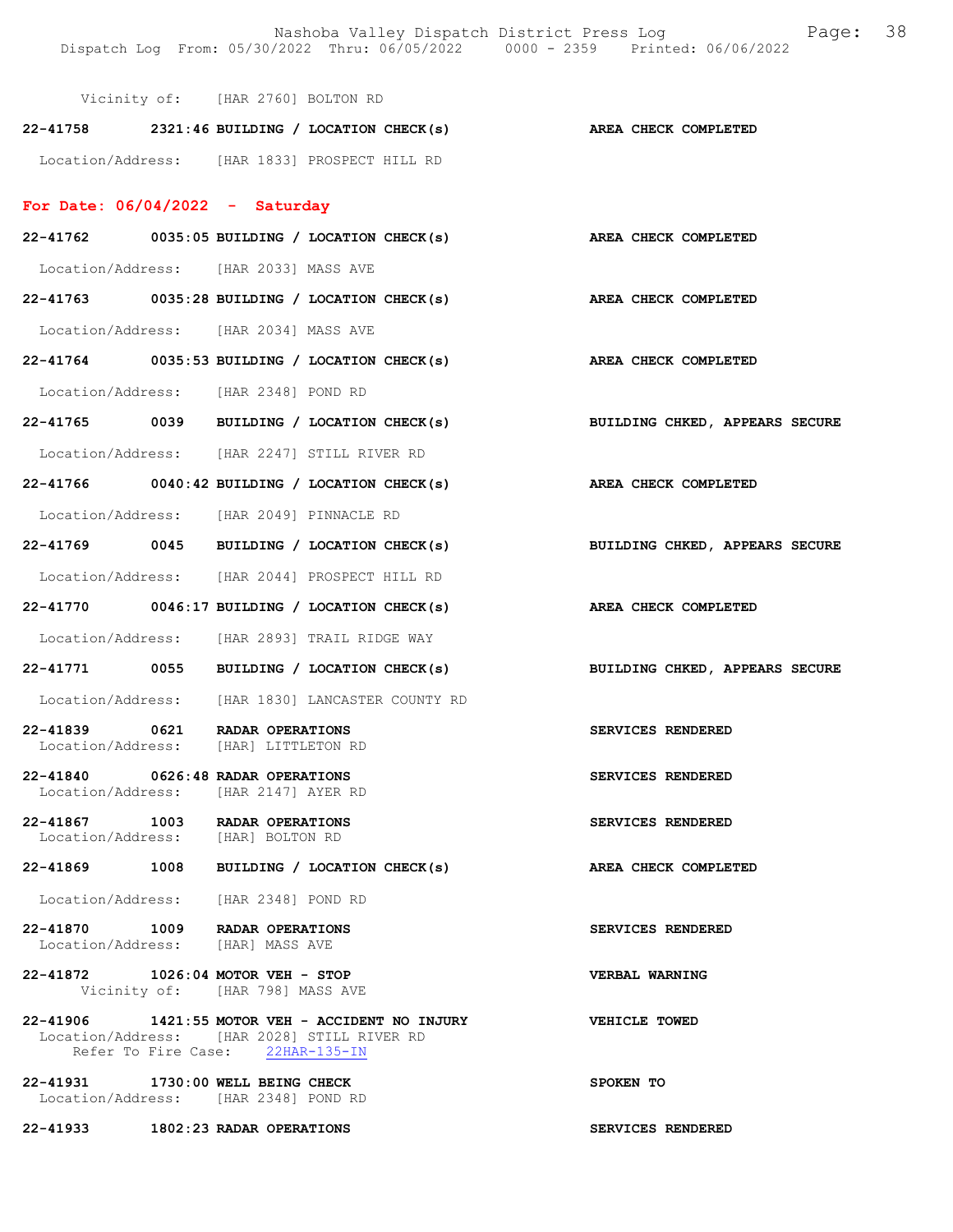|                                                                           | Vicinity of: [HAR 2760] BOLTON RD |                                                                    |                                                                           |
|---------------------------------------------------------------------------|-----------------------------------|--------------------------------------------------------------------|---------------------------------------------------------------------------|
|                                                                           |                                   | 22-41758 2321:46 BUILDING / LOCATION CHECK(s) AREA CHECK COMPLETED |                                                                           |
| Location/Address: [HAR 1833] PROSPECT HILL RD                             |                                   |                                                                    |                                                                           |
| For Date: $06/04/2022 -$ Saturday                                         |                                   |                                                                    |                                                                           |
|                                                                           |                                   | 22-41762 0035:05 BUILDING / LOCATION CHECK(s) AREA CHECK COMPLETED |                                                                           |
| Location/Address: [HAR 2033] MASS AVE                                     |                                   |                                                                    |                                                                           |
| $22-41763$ 0035:28 BUILDING / LOCATION CHECK(s)                           |                                   |                                                                    | AREA CHECK COMPLETED                                                      |
| Location/Address: [HAR 2034] MASS AVE                                     |                                   |                                                                    |                                                                           |
|                                                                           |                                   | 22-41764 0035:53 BUILDING / LOCATION CHECK(s)                      | AREA CHECK COMPLETED                                                      |
| Location/Address: [HAR 2348] POND RD                                      |                                   |                                                                    |                                                                           |
|                                                                           |                                   | 22-41765 0039 BUILDING / LOCATION CHECK(s)                         | BUILDING CHKED, APPEARS SECURE                                            |
| Location/Address: [HAR 2247] STILL RIVER RD                               |                                   |                                                                    |                                                                           |
| $22-41766$ 0040:42 BUILDING / LOCATION CHECK(s)                           |                                   |                                                                    | AREA CHECK COMPLETED                                                      |
| Location/Address: [HAR 2049] PINNACLE RD                                  |                                   |                                                                    |                                                                           |
|                                                                           |                                   |                                                                    | 22-41769 0045 BUILDING / LOCATION CHECK(s) BUILDING CHKED, APPEARS SECURE |
| Location/Address: [HAR 2044] PROSPECT HILL RD                             |                                   |                                                                    |                                                                           |
| 22-41770 0046:17 BUILDING / LOCATION CHECK(s)                             |                                   |                                                                    | AREA CHECK COMPLETED                                                      |
| Location/Address: [HAR 2893] TRAIL RIDGE WAY                              |                                   |                                                                    |                                                                           |
|                                                                           |                                   |                                                                    | 22-41771 0055 BUILDING / LOCATION CHECK(s) BUILDING CHKED, APPEARS SECURE |
| Location/Address: [HAR 1830] LANCASTER COUNTY RD                          |                                   |                                                                    |                                                                           |
| 22-41839 0621 RADAR OPERATIONS<br>Location/Address: [HAR] LITTLETON RD    |                                   |                                                                    | SERVICES RENDERED                                                         |
| 22-41840 0626:48 RADAR OPERATIONS<br>Location/Address: [HAR 2147] AYER RD |                                   |                                                                    | SERVICES RENDERED                                                         |
| 22-41867 1003 RADAR OPERATIONS<br>Location/Address: [HAR] BOLTON RD       |                                   |                                                                    | SERVICES RENDERED                                                         |
| 22-41869 1008 BUILDING / LOCATION CHECK(s)                                |                                   |                                                                    | AREA CHECK COMPLETED                                                      |
| Location/Address: [HAR 2348] POND RD                                      |                                   |                                                                    |                                                                           |
| 22-41870 1009 RADAR OPERATIONS<br>Location/Address: [HAR] MASS AVE        |                                   |                                                                    | SERVICES RENDERED                                                         |
| 22-41872 1026:04 MOTOR VEH - STOP<br>Vicinity of: [HAR 798] MASS AVE      |                                   |                                                                    | VERBAL WARNING                                                            |
| Location/Address: [HAR 2028] STILL RIVER RD                               | Refer To Fire Case: 22HAR-135-IN  | 22-41906 1421:55 MOTOR VEH - ACCIDENT NO INJURY VEHICLE TOWED      |                                                                           |
| 22-41931 1730:00 WELL BEING CHECK<br>Location/Address: [HAR 2348] POND RD |                                   |                                                                    | SPOKEN TO                                                                 |
| 22-41933 1802:23 RADAR OPERATIONS                                         |                                   |                                                                    | SERVICES RENDERED                                                         |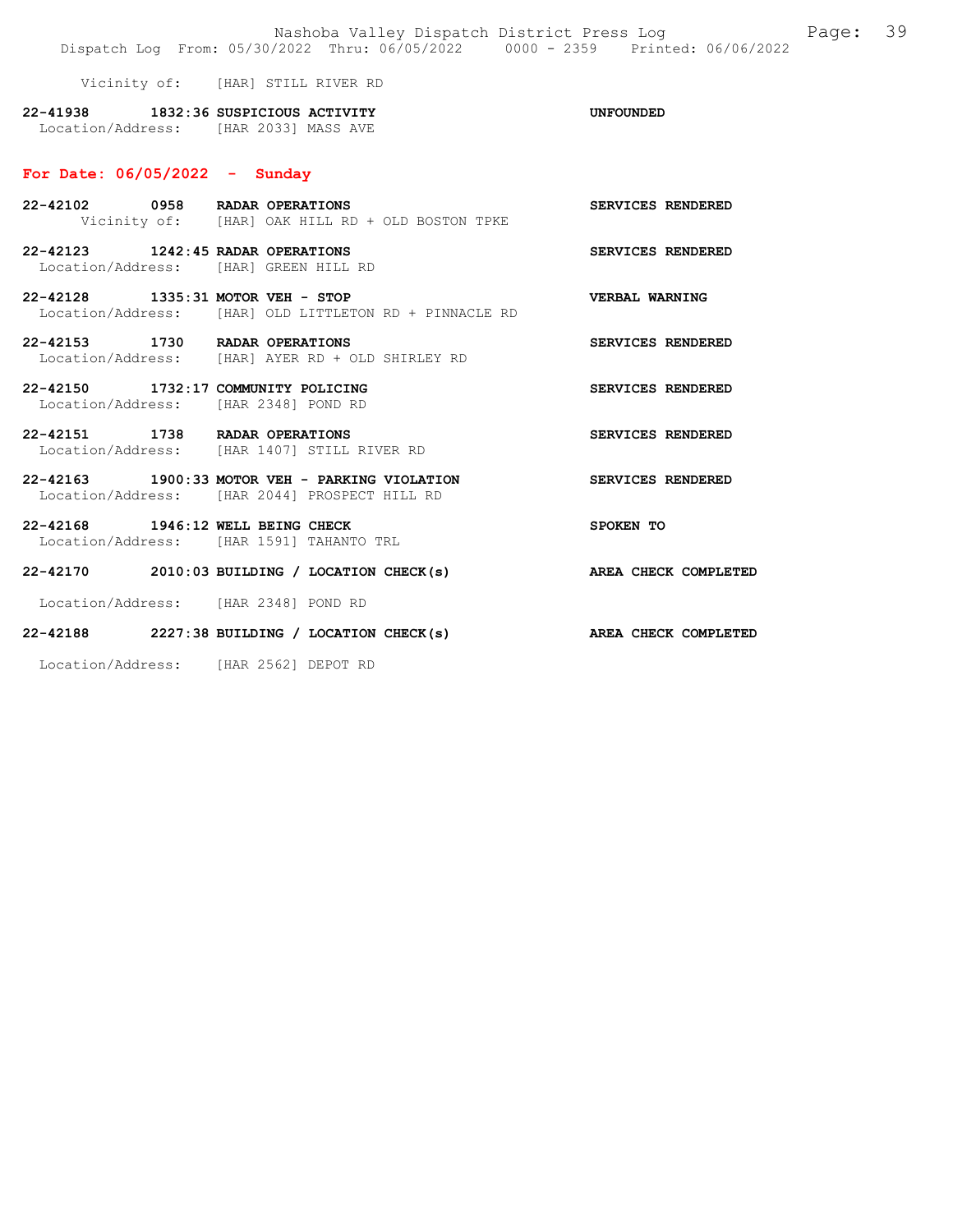Nashoba Valley Dispatch District Press Log Page: 39 Dispatch Log From: 05/30/2022 Thru: 06/05/2022 0000 - 2359 Printed: 06/06/2022 Vicinity of: [HAR] STILL RIVER RD 22-41938 1832:36 SUSPICIOUS ACTIVITY UNFOUNDED Location/Address: [HAR 2033] MASS AVE For Date: 06/05/2022 - Sunday 22-42102 0958 RADAR OPERATIONS SERVICES RENDERED Vicinity of: [HAR] OAK HILL RD + OLD BOSTON TPKE 22-42123 1242:45 RADAR OPERATIONS SERVICES RENDERED Location/Address: [HAR] GREEN HILL RD 22-42128 1335:31 MOTOR VEH - STOP VERBAL WARNING Location/Address: [HAR] OLD LITTLETON RD + PINNACLE RD 22-42153 1730 RADAR OPERATIONS SERVICES RENDERED Location/Address: [HAR] AYER RD + OLD SHIRLEY RD 22-42150 1732:17 COMMUNITY POLICING SERVICES RENDERED Location/Address: [HAR 2348] POND RD 22-42151 1738 RADAR OPERATIONS SERVICES RENDERED Location/Address: [HAR 1407] STILL RIVER RD 22-42163 1900:33 MOTOR VEH - PARKING VIOLATION SERVICES RENDERED Location/Address: [HAR 2044] PROSPECT HILL RD 22-42168 1946:12 WELL BEING CHECK SPOKEN TO Location/Address: [HAR 1591] TAHANTO TRL 22-42170 2010:03 BUILDING / LOCATION CHECK(s) AREA CHECK COMPLETED Location/Address: [HAR 2348] POND RD 22-42188 2227:38 BUILDING / LOCATION CHECK(s) AREA CHECK COMPLETED

Location/Address: [HAR 2562] DEPOT RD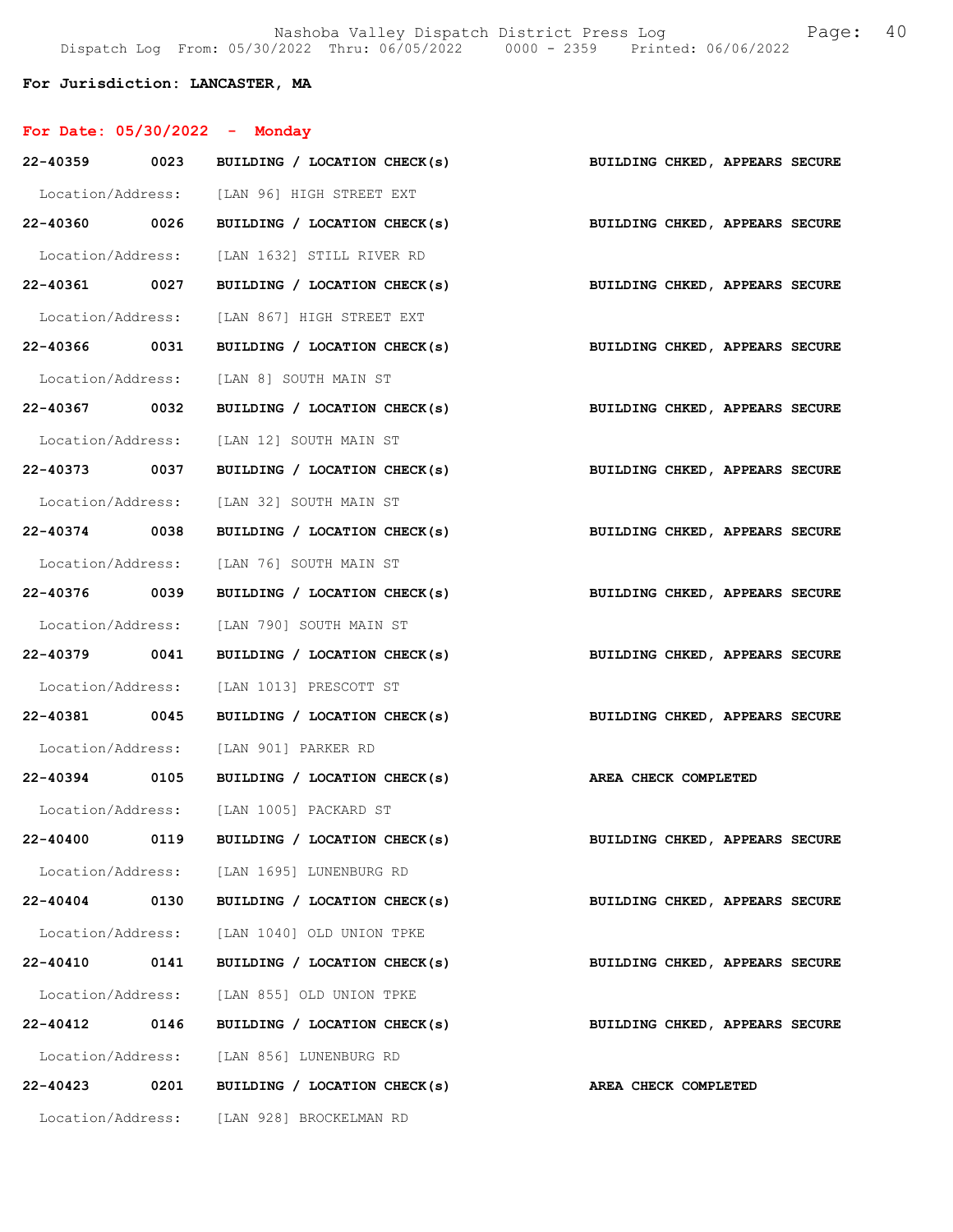### For Jurisdiction: LANCASTER, MA

| For Date: $05/30/2022 -$ Monday |      |                                                                           |                                |
|---------------------------------|------|---------------------------------------------------------------------------|--------------------------------|
|                                 |      | 22-40359 0023 BUILDING / LOCATION CHECK(s)                                | BUILDING CHKED, APPEARS SECURE |
|                                 |      | Location/Address: [LAN 96] HIGH STREET EXT                                |                                |
|                                 |      | 22-40360 0026 BUILDING / LOCATION CHECK(s) BUILDING CHKED, APPEARS SECURE |                                |
|                                 |      | Location/Address: [LAN 1632] STILL RIVER RD                               |                                |
| 22-40361 0027                   |      | BUILDING / LOCATION CHECK(s)                                              | BUILDING CHKED, APPEARS SECURE |
|                                 |      | Location/Address: [LAN 867] HIGH STREET EXT                               |                                |
| 22-40366 0031                   |      | BUILDING / LOCATION CHECK(s)                                              | BUILDING CHKED, APPEARS SECURE |
|                                 |      | Location/Address: [LAN 8] SOUTH MAIN ST                                   |                                |
| 22-40367 0032                   |      | BUILDING / LOCATION CHECK(s)                                              | BUILDING CHKED, APPEARS SECURE |
|                                 |      | Location/Address: [LAN 12] SOUTH MAIN ST                                  |                                |
| 22-40373 0037                   |      | BUILDING / LOCATION CHECK(s)                                              | BUILDING CHKED, APPEARS SECURE |
|                                 |      | Location/Address: [LAN 32] SOUTH MAIN ST                                  |                                |
| 22-40374 0038                   |      | BUILDING / LOCATION CHECK(s)                                              | BUILDING CHKED, APPEARS SECURE |
|                                 |      | Location/Address: [LAN 76] SOUTH MAIN ST                                  |                                |
| 22-40376 0039                   |      | BUILDING / LOCATION CHECK(s)                                              | BUILDING CHKED, APPEARS SECURE |
|                                 |      | Location/Address: [LAN 790] SOUTH MAIN ST                                 |                                |
|                                 |      | 22-40379 0041 BUILDING / LOCATION CHECK(s)                                | BUILDING CHKED, APPEARS SECURE |
|                                 |      | Location/Address: [LAN 1013] PRESCOTT ST                                  |                                |
| 22-40381 0045                   |      | BUILDING / LOCATION CHECK(s)                                              | BUILDING CHKED, APPEARS SECURE |
|                                 |      | Location/Address: [LAN 901] PARKER RD                                     |                                |
|                                 |      | 22-40394 0105 BUILDING / LOCATION CHECK(s) AREA CHECK COMPLETED           |                                |
|                                 |      | Location/Address: [LAN 1005] PACKARD ST                                   |                                |
| 22-40400                        |      | 0119 BUILDING / LOCATION CHECK(s)                                         | BUILDING CHKED, APPEARS SECURE |
|                                 |      | Location/Address: [LAN 1695] LUNENBURG RD                                 |                                |
| 22-40404 0130                   |      | BUILDING / LOCATION CHECK(s)                                              | BUILDING CHKED, APPEARS SECURE |
|                                 |      | Location/Address: [LAN 1040] OLD UNION TPKE                               |                                |
| 22-40410 0141                   |      | BUILDING / LOCATION CHECK(s)                                              | BUILDING CHKED, APPEARS SECURE |
|                                 |      | Location/Address: [LAN 855] OLD UNION TPKE                                |                                |
| 22-40412 0146                   |      | BUILDING / LOCATION CHECK(s)                                              | BUILDING CHKED, APPEARS SECURE |
|                                 |      | Location/Address: [LAN 856] LUNENBURG RD                                  |                                |
| 22-40423                        | 0201 | BUILDING / LOCATION CHECK(s)                                              | AREA CHECK COMPLETED           |
|                                 |      | Location/Address: [LAN 928] BROCKELMAN RD                                 |                                |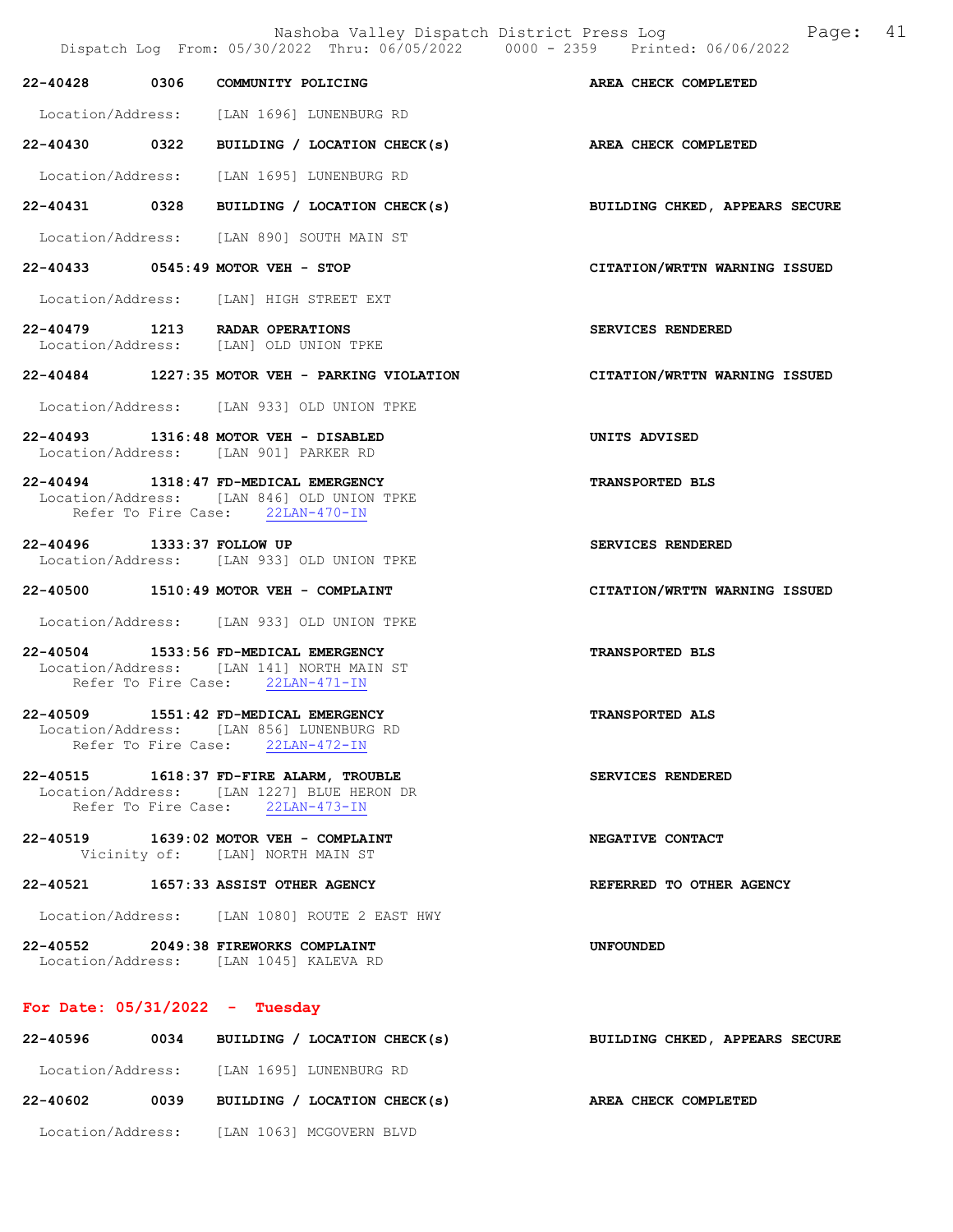|                                  |      | Dispatch Log From: 05/30/2022 Thru: 06/05/2022 0000 - 2359 Printed: 06/06/2022                                            |                                |
|----------------------------------|------|---------------------------------------------------------------------------------------------------------------------------|--------------------------------|
| 22-40428                         | 0306 | COMMUNITY POLICING                                                                                                        | AREA CHECK COMPLETED           |
|                                  |      | Location/Address: [LAN 1696] LUNENBURG RD                                                                                 |                                |
| 22-40430 0322                    |      | BUILDING / LOCATION CHECK(s) AREA CHECK COMPLETED                                                                         |                                |
|                                  |      | Location/Address: [LAN 1695] LUNENBURG RD                                                                                 |                                |
| 22-40431 0328                    |      | BUILDING / LOCATION CHECK(s)                                                                                              | BUILDING CHKED, APPEARS SECURE |
|                                  |      | Location/Address: [LAN 890] SOUTH MAIN ST                                                                                 |                                |
|                                  |      | 22-40433 0545:49 MOTOR VEH - STOP                                                                                         | CITATION/WRTTN WARNING ISSUED  |
|                                  |      | Location/Address: [LAN] HIGH STREET EXT                                                                                   |                                |
|                                  |      | 22-40479 1213 RADAR OPERATIONS<br>Location/Address: [LAN] OLD UNION TPKE                                                  | SERVICES RENDERED              |
|                                  |      | 22-40484 1227:35 MOTOR VEH - PARKING VIOLATION                                                                            | CITATION/WRTTN WARNING ISSUED  |
|                                  |      | Location/Address: [LAN 933] OLD UNION TPKE                                                                                |                                |
|                                  |      | 22-40493 1316:48 MOTOR VEH - DISABLED<br>Location/Address: [LAN 901] PARKER RD                                            | UNITS ADVISED                  |
|                                  |      | 22-40494 1318:47 FD-MEDICAL EMERGENCY<br>Location/Address: [LAN 846] OLD UNION TPKE<br>Refer To Fire Case: 22LAN-470-IN   | <b>TRANSPORTED BLS</b>         |
| 22-40496 1333:37 FOLLOW UP       |      | Location/Address: [LAN 933] OLD UNION TPKE                                                                                | <b>SERVICES RENDERED</b>       |
|                                  |      | $22-40500$ 1510:49 MOTOR VEH - COMPLAINT                                                                                  | CITATION/WRTTN WARNING ISSUED  |
|                                  |      | Location/Address: [LAN 933] OLD UNION TPKE                                                                                |                                |
|                                  |      | 22-40504 1533:56 FD-MEDICAL EMERGENCY<br>Location/Address: [LAN 141] NORTH MAIN ST<br>Refer To Fire Case: 22LAN-471-IN    | TRANSPORTED BLS                |
|                                  |      | 22-40509 1551:42 FD-MEDICAL EMERGENCY<br>Location/Address: [LAN 856] LUNENBURG RD<br>Refer To Fire Case: 22LAN-472-IN     | <b>TRANSPORTED ALS</b>         |
|                                  |      | 22-40515 1618:37 FD-FIRE ALARM, TROUBLE<br>Location/Address: [LAN 1227] BLUE HERON DR<br>Refer To Fire Case: 22LAN-473-IN | SERVICES RENDERED              |
|                                  |      | 22-40519 1639:02 MOTOR VEH - COMPLAINT<br>Vicinity of: [LAN] NORTH MAIN ST                                                | NEGATIVE CONTACT               |
|                                  |      | 22-40521 1657:33 ASSIST OTHER AGENCY                                                                                      | REFERRED TO OTHER AGENCY       |
|                                  |      | Location/Address: [LAN 1080] ROUTE 2 EAST HWY                                                                             |                                |
|                                  |      | 22-40552 2049:38 FIREWORKS COMPLAINT<br>Location/Address: [LAN 1045] KALEVA RD                                            | <b>UNFOUNDED</b>               |
| For Date: $05/31/2022 - Tuesday$ |      |                                                                                                                           |                                |
|                                  |      | 22-40596 0034 BUILDING / LOCATION CHECK(s)                                                                                | BUILDING CHKED, APPEARS SECURE |

Location/Address: [LAN 1695] LUNENBURG RD

Location/Address: [LAN 1063] MCGOVERN BLVD

22-40602 0039 BUILDING / LOCATION CHECK(s) AREA CHECK COMPLETED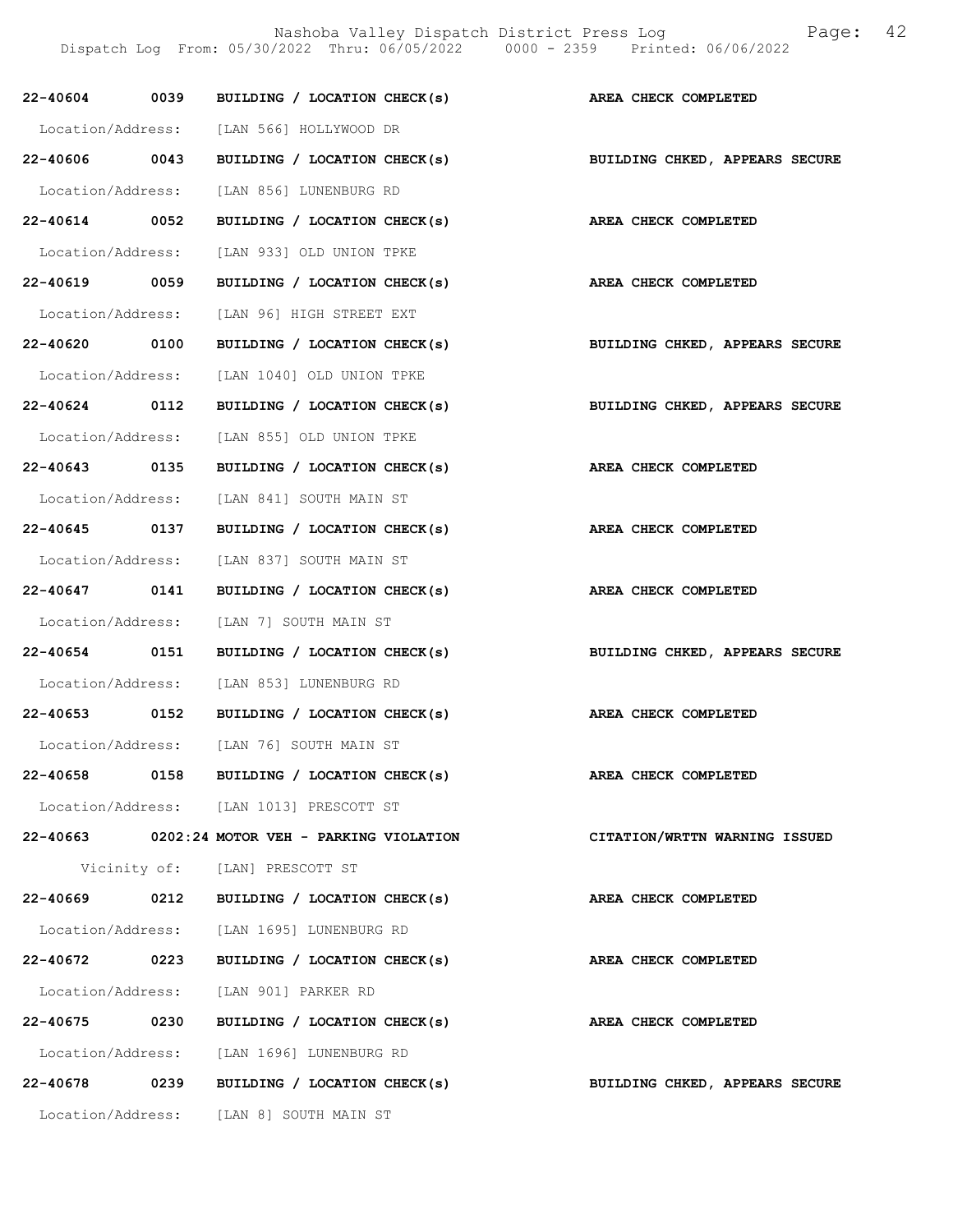Nashoba Valley Dispatch District Press Log Fage: 42

Dispatch Log From: 05/30/2022 Thru: 06/05/2022 0000 - 2359 Printed: 06/06/2022

|               |      | 22-40604 0039 BUILDING / LOCATION CHECK(s)                                |                                |
|---------------|------|---------------------------------------------------------------------------|--------------------------------|
|               |      |                                                                           | AREA CHECK COMPLETED           |
|               |      | Location/Address: [LAN 566] HOLLYWOOD DR                                  |                                |
|               |      | $22-40606$ 0043 BUILDING / LOCATION CHECK(s)                              | BUILDING CHKED, APPEARS SECURE |
|               |      | Location/Address: [LAN 856] LUNENBURG RD                                  |                                |
|               |      | 22-40614 0052 BUILDING / LOCATION CHECK(s) AREA CHECK COMPLETED           |                                |
|               |      | Location/Address: [LAN 933] OLD UNION TPKE                                |                                |
| 22-40619 0059 |      | BUILDING / LOCATION CHECK(s) AREA CHECK COMPLETED                         |                                |
|               |      | Location/Address: [LAN 96] HIGH STREET EXT                                |                                |
| 22-40620 0100 |      | BUILDING / LOCATION CHECK(s)                                              | BUILDING CHKED, APPEARS SECURE |
|               |      | Location/Address: [LAN 1040] OLD UNION TPKE                               |                                |
|               |      | 22-40624 0112 BUILDING / LOCATION CHECK(s) BUILDING CHKED, APPEARS SECURE |                                |
|               |      | Location/Address: [LAN 855] OLD UNION TPKE                                |                                |
| 22-40643 0135 |      | BUILDING / LOCATION CHECK(s)                                              | AREA CHECK COMPLETED           |
|               |      | Location/Address: [LAN 841] SOUTH MAIN ST                                 |                                |
|               |      | 22-40645 0137 BUILDING / LOCATION CHECK(s) AREA CHECK COMPLETED           |                                |
|               |      | Location/Address: [LAN 837] SOUTH MAIN ST                                 |                                |
| 22-40647 0141 |      | BUILDING / LOCATION CHECK(s) AREA CHECK COMPLETED                         |                                |
|               |      | Location/Address: [LAN 7] SOUTH MAIN ST                                   |                                |
| 22-40654 0151 |      | BUILDING / LOCATION CHECK(s)                                              | BUILDING CHKED, APPEARS SECURE |
|               |      | Location/Address: [LAN 853] LUNENBURG RD                                  |                                |
|               |      | 22-40653 0152 BUILDING / LOCATION CHECK(s) AREA CHECK COMPLETED           |                                |
|               |      | Location/Address: [LAN 76] SOUTH MAIN ST                                  |                                |
| 22-40658      | 0158 | BUILDING / LOCATION CHECK(s)                                              | AREA CHECK COMPLETED           |
|               |      | Location/Address: [LAN 1013] PRESCOTT ST                                  |                                |
|               |      | 22-40663 0202:24 MOTOR VEH - PARKING VIOLATION                            | CITATION/WRTTN WARNING ISSUED  |
|               |      | Vicinity of: [LAN] PRESCOTT ST                                            |                                |
| 22-40669      | 0212 | BUILDING / LOCATION CHECK(s)                                              | AREA CHECK COMPLETED           |
|               |      | Location/Address: [LAN 1695] LUNENBURG RD                                 |                                |
| 22-40672 0223 |      | BUILDING / LOCATION CHECK(s)                                              | AREA CHECK COMPLETED           |
|               |      | Location/Address: [LAN 901] PARKER RD                                     |                                |
| 22-40675 0230 |      | BUILDING / LOCATION CHECK(s)                                              | AREA CHECK COMPLETED           |
|               |      | Location/Address: [LAN 1696] LUNENBURG RD                                 |                                |
| 22-40678      | 0239 | BUILDING / LOCATION CHECK(s)                                              | BUILDING CHKED, APPEARS SECURE |
|               |      | Location/Address: [LAN 8] SOUTH MAIN ST                                   |                                |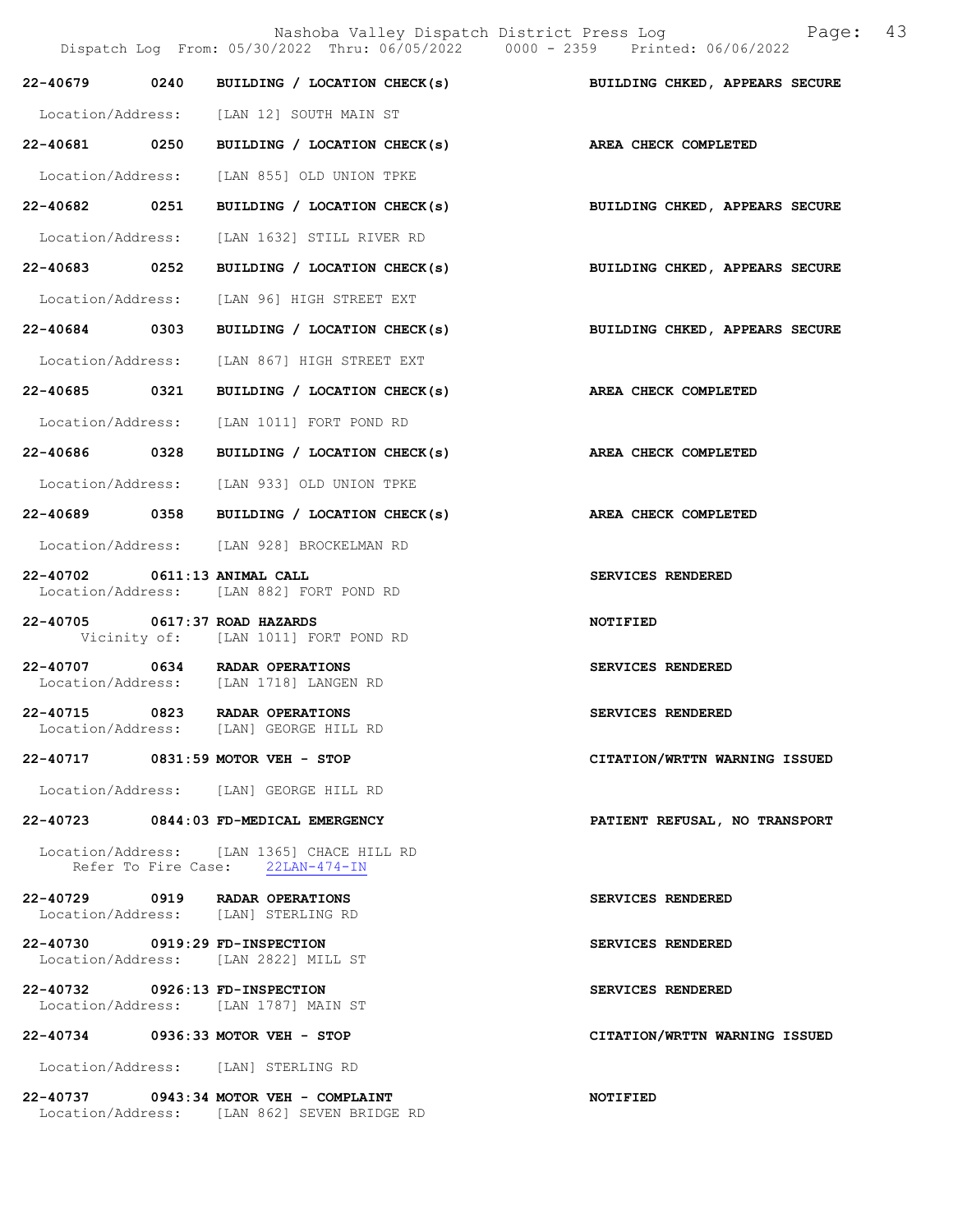Nashoba Valley Dispatch District Press Log Fage: 43 Dispatch Log From: 05/30/2022 Thru: 06/05/2022 0000 - 2359 Printed: 06/06/2022 22-40679 0240 BUILDING / LOCATION CHECK(s) BUILDING CHKED, APPEARS SECURE Location/Address: [LAN 12] SOUTH MAIN ST 22-40681 0250 BUILDING / LOCATION CHECK(s) AREA CHECK COMPLETED Location/Address: [LAN 855] OLD UNION TPKE 22-40682 0251 BUILDING / LOCATION CHECK(s) BUILDING CHKED, APPEARS SECURE Location/Address: [LAN 1632] STILL RIVER RD 22-40683 0252 BUILDING / LOCATION CHECK(s) BUILDING CHKED, APPEARS SECURE Location/Address: [LAN 96] HIGH STREET EXT 22-40684 0303 BUILDING / LOCATION CHECK(s) BUILDING CHKED, APPEARS SECURE Location/Address: [LAN 867] HIGH STREET EXT 22-40685 0321 BUILDING / LOCATION CHECK(s) AREA CHECK COMPLETED Location/Address: [LAN 1011] FORT POND RD 22-40686 0328 BUILDING / LOCATION CHECK(s) AREA CHECK COMPLETED Location/Address: [LAN 933] OLD UNION TPKE 22-40689 0358 BUILDING / LOCATION CHECK(s) AREA CHECK COMPLETED Location/Address: [LAN 928] BROCKELMAN RD 22-40702 0611:13 ANIMAL CALL SERVICES RENDERED Location/Address: [LAN 882] FORT POND RD 22-40705 0617:37 ROAD HAZARDS NOTIFIED Vicinity of: [LAN 1011] FORT POND RD 22-40707 0634 RADAR OPERATIONS SERVICES RENDERED Location/Address: [LAN 1718] LANGEN RD 22-40715 0823 RADAR OPERATIONS SERVICES RENDERED<br>Location/Address: [LAN] GEORGE HILL RD [LAN] GEORGE HILL RD 22-40717 0831:59 MOTOR VEH - STOP CITATION/WRTTN WARNING ISSUED Location/Address: [LAN] GEORGE HILL RD 22-40723 0844:03 FD-MEDICAL EMERGENCY PATIENT REFUSAL, NO TRANSPORT Location/Address: [LAN 1365] CHACE HILL RD<br>Refer To Fire Case: 22LAN-474-IN Refer To Fire Case: 22-40729 0919 RADAR OPERATIONS SERVICES RENDERED<br>Location/Address: [LAN] STERLING RD Location/Address: 22-40730 0919:29 FD-INSPECTION SERVICES RENDERED Location/Address: [LAN 2822] MILL ST 22-40732 0926:13 FD-INSPECTION SERVICES RENDERED Location/Address: [LAN 1787] MAIN ST 22-40734 0936:33 MOTOR VEH - STOP CITATION/WRTTN WARNING ISSUED Location/Address: [LAN] STERLING RD 22-40737 0943:34 MOTOR VEH - COMPLAINT NOTIFIED

Location/Address: [LAN 862] SEVEN BRIDGE RD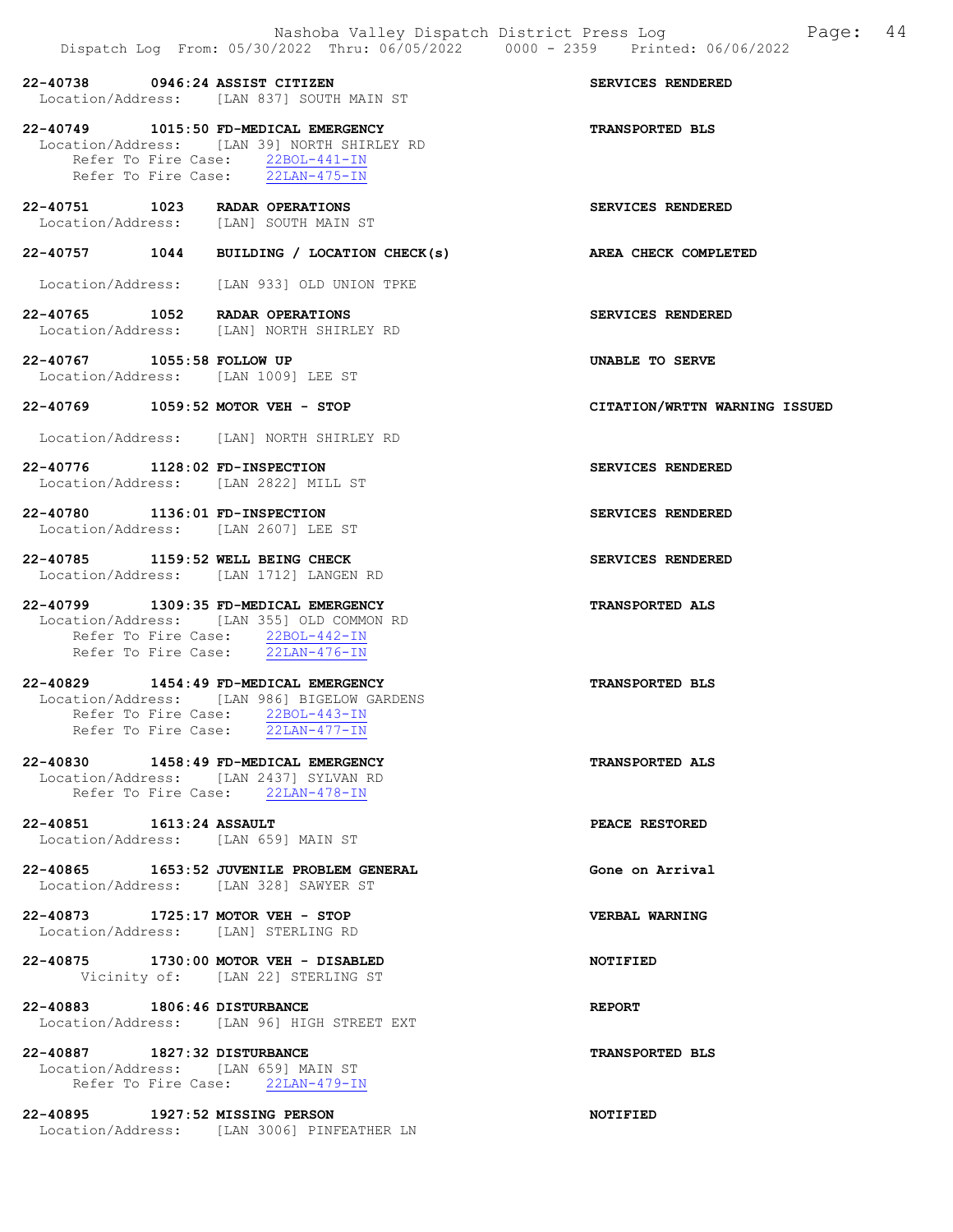Refer To Fire Case:  $\frac{22BOL-441-IN}{22LAN-475-IN}$ Refer To Fire Case: 22-40751 1023 RADAR OPERATIONS SERVICES RENDERED Location/Address: [LAN] SOUTH MAIN ST 22-40757 1044 BUILDING / LOCATION CHECK(s) AREA CHECK COMPLETED Location/Address: [LAN 933] OLD UNION TPKE 22-40765 1052 RADAR OPERATIONS SERVICES RENDERED Location/Address: [LAN] NORTH SHIRLEY RD 22-40767 1055:58 FOLLOW UP UNABLE TO SERVE Location/Address: [LAN 1009] LEE ST 22-40769 1059:52 MOTOR VEH - STOP CITATION/WRTTN WARNING ISSUED Location/Address: [LAN] NORTH SHIRLEY RD 22-40776 1128:02 FD-INSPECTION SERVICES RENDERED Location/Address: [LAN 2822] MILL ST 22-40780 1136:01 FD-INSPECTION SERVICES RENDERED Location/Address: [LAN 2607] LEE ST 22-40785 1159:52 WELL BEING CHECK SERVICES RENDERED Location/Address: [LAN 1712] LANGEN RD 22-40799 1309:35 FD-MEDICAL EMERGENCY TRANSPORTED ALS Location/Address: [LAN 355] OLD COMMON RD Refer To Fire Case:  $\frac{22BOL-442-IN}{22LAN-476-IN}$ Refer To Fire Case: 22-40829 1454:49 FD-MEDICAL EMERGENCY TRANSPORTED BLS Location/Address: [LAN 986] BIGELOW GARDENS Refer To Fire Case: 22BOL-443-IN Refer To Fire Case: 22LAN-477-IN

22-40738 0946:24 ASSIST CITIZEN SERVICES RENDERED

22-40749 1015:50 FD-MEDICAL EMERGENCY TRANSPORTED BLS

22-40830 1458:49 FD-MEDICAL EMERGENCY TRANSPORTED ALS Location/Address: [LAN 2437] SYLVAN RD Refer To Fire Case: 22LAN-478-IN

Location/Address: [LAN 837] SOUTH MAIN ST

Location/Address: [LAN 39] NORTH SHIRLEY RD

22-40851 1613:24 ASSAULT PEACE RESTORED Location/Address: [LAN 659] MAIN ST

22-40865 1653:52 JUVENILE PROBLEM GENERAL SERIES CONE ON Arrival Location/Address: [LAN 328] SAWYER ST

22-40873 1725:17 MOTOR VEH - STOP VERBAL WARNING Location/Address: [LAN] STERLING RD

22-40875 1730:00 MOTOR VEH - DISABLED NOTIFIED Vicinity of: [LAN 22] STERLING ST

22-40883 1806:46 DISTURBANCE REPORT Location/Address: [LAN 96] HIGH STREET EXT

22-40887 1827:32 DISTURBANCE TRANSPORTED BLS Location/Address: [LAN 659] MAIN ST Refer To Fire Case: 22LAN-479-IN

22-40895 1927:52 MISSING PERSON NOTIFIED Location/Address: [LAN 3006] PINFEATHER LN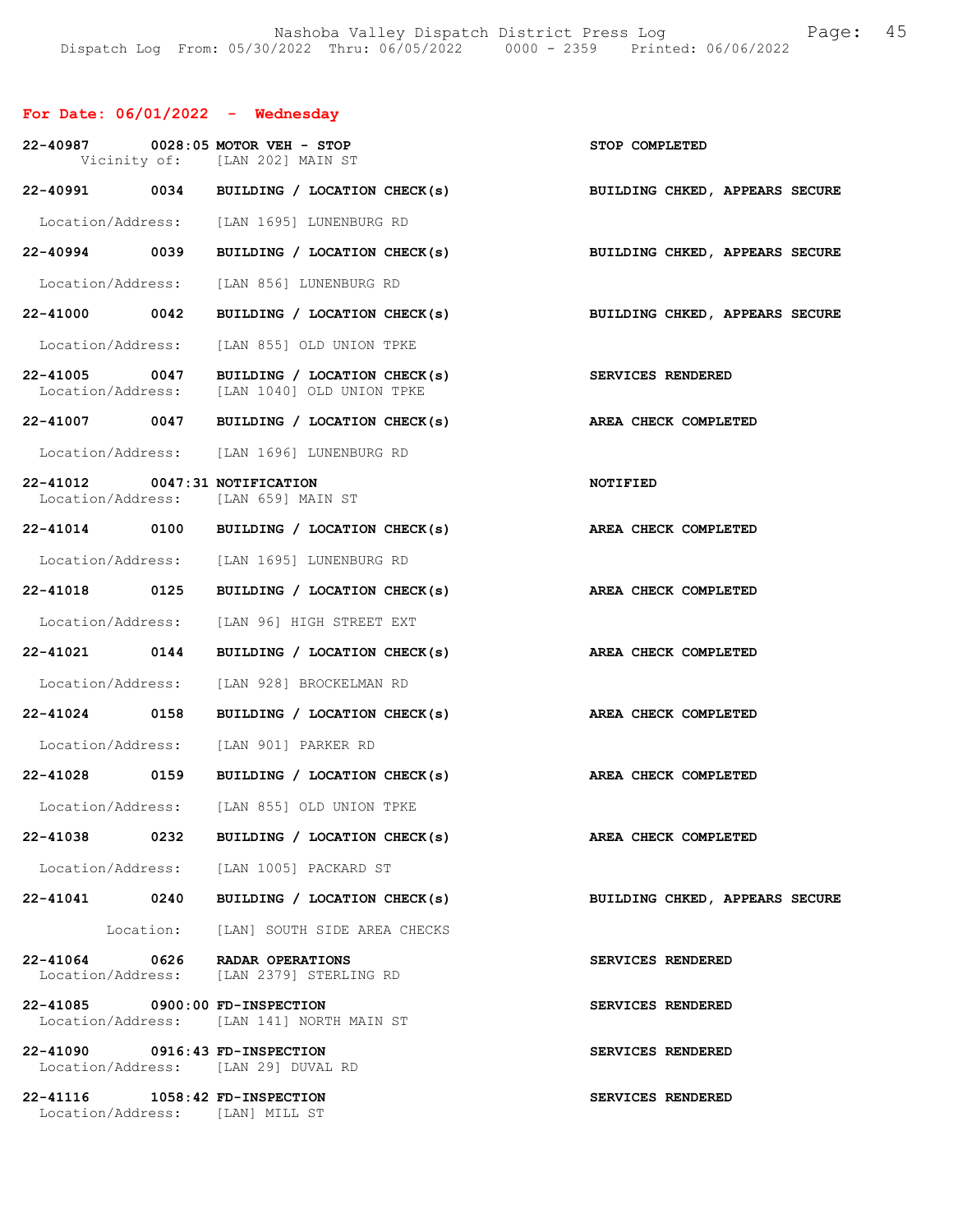### For Date: 06/01/2022 - Wednesday

|                                |      | 22-40987 0028:05 MOTOR VEH - STOP<br>Vicinity of: [LAN 202] MAIN ST         | STOP COMPLETED                 |
|--------------------------------|------|-----------------------------------------------------------------------------|--------------------------------|
|                                |      | 22-40991 0034 BUILDING / LOCATION CHECK(s) BUILDING CHKED, APPEARS SECURE   |                                |
|                                |      | Location/Address: [LAN 1695] LUNENBURG RD                                   |                                |
| 22-40994 0039                  |      | BUILDING / LOCATION CHECK(s)                                                | BUILDING CHKED, APPEARS SECURE |
|                                |      | Location/Address: [LAN 856] LUNENBURG RD                                    |                                |
| 22-41000 0042                  |      | BUILDING / LOCATION CHECK(s)                                                | BUILDING CHKED, APPEARS SECURE |
| Location/Address:              |      | [LAN 855] OLD UNION TPKE                                                    |                                |
| 22-41005 0047                  |      | BUILDING / LOCATION CHECK(s)<br>Location/Address: [LAN 1040] OLD UNION TPKE | SERVICES RENDERED              |
|                                |      | 22-41007 0047 BUILDING / LOCATION CHECK(s)                                  | AREA CHECK COMPLETED           |
|                                |      | Location/Address: [LAN 1696] LUNENBURG RD                                   |                                |
| 22-41012 0047:31 NOTIFICATION  |      | Location/Address: [LAN 659] MAIN ST                                         | <b>NOTIFIED</b>                |
|                                |      | 22-41014 0100 BUILDING / LOCATION CHECK(s)                                  | AREA CHECK COMPLETED           |
|                                |      | Location/Address: [LAN 1695] LUNENBURG RD                                   |                                |
| 22-41018 0125                  |      | BUILDING / LOCATION CHECK(s)                                                | AREA CHECK COMPLETED           |
|                                |      | Location/Address: [LAN 96] HIGH STREET EXT                                  |                                |
| 22-41021 0144                  |      | BUILDING / LOCATION CHECK(s)                                                | AREA CHECK COMPLETED           |
|                                |      | Location/Address: [LAN 928] BROCKELMAN RD                                   |                                |
| 22-41024 0158                  |      | BUILDING / LOCATION CHECK(s)                                                | AREA CHECK COMPLETED           |
|                                |      | Location/Address: [LAN 901] PARKER RD                                       |                                |
|                                |      | 22-41028 0159 BUILDING / LOCATION CHECK(s) AREA CHECK COMPLETED             |                                |
|                                |      | Location/Address: [LAN 855] OLD UNION TPKE                                  |                                |
| 22-41038                       | 0232 | BUILDING / LOCATION CHECK(s)                                                | AREA CHECK COMPLETED           |
|                                |      | Location/Address: [LAN 1005] PACKARD ST                                     |                                |
|                                |      | 22-41041 0240 BUILDING / LOCATION CHECK(s)                                  | BUILDING CHKED, APPEARS SECURE |
|                                |      | Location: [LAN] SOUTH SIDE AREA CHECKS                                      |                                |
|                                |      | 22-41064 0626 RADAR OPERATIONS<br>Location/Address: [LAN 2379] STERLING RD  | SERVICES RENDERED              |
| 22-41085 0900:00 FD-INSPECTION |      | Location/Address: [LAN 141] NORTH MAIN ST                                   | SERVICES RENDERED              |
| 22-41090 0916:43 FD-INSPECTION |      | Location/Address: [LAN 29] DUVAL RD                                         | SERVICES RENDERED              |
| 22-41116 1058:42 FD-INSPECTION |      | Location/Address: [LAN] MILL ST                                             | SERVICES RENDERED              |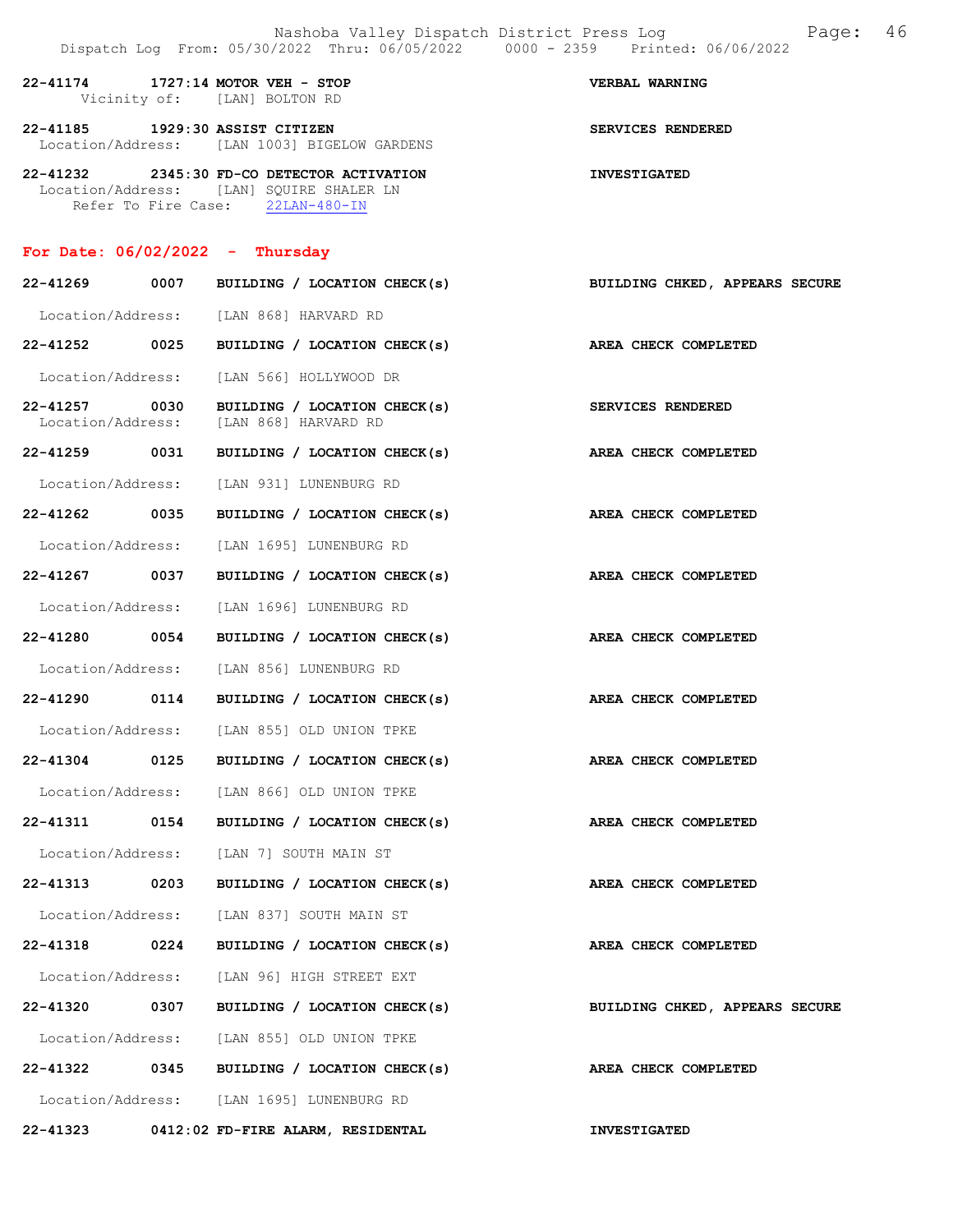22-41174 1727:14 MOTOR VEH - STOP VERBAL WARNING Vicinity of: [LAN] BOLTON RD 22-41185 1929:30 ASSIST CITIZEN SERVICES RENDERED Location/Address: [LAN 1003] BIGELOW GARDENS 22-41232 2345:30 FD-CO DETECTOR ACTIVATION INVESTIGATED Location/Address: [LAN] SQUIRE SHALER LN Refer To Fire Case: 22LAN-480-IN For Date: 06/02/2022 - Thursday 22-41269 0007 BUILDING / LOCATION CHECK(s) BUILDING CHKED, APPEARS SECURE Location/Address: [LAN 868] HARVARD RD 22-41252 0025 BUILDING / LOCATION CHECK(s) AREA CHECK COMPLETED Location/Address: [LAN 566] HOLLYWOOD DR 22-41257 0030 BUILDING / LOCATION CHECK(s) SERVICES RENDERED Location/Address: [LAN 868] HARVARD RD 22-41259 0031 BUILDING / LOCATION CHECK(s) AREA CHECK COMPLETED Location/Address: [LAN 931] LUNENBURG RD 22-41262 0035 BUILDING / LOCATION CHECK(s) AREA CHECK COMPLETED Location/Address: [LAN 1695] LUNENBURG RD 22-41267 0037 BUILDING / LOCATION CHECK(s) AREA CHECK COMPLETED Location/Address: [LAN 1696] LUNENBURG RD 22-41280 0054 BUILDING / LOCATION CHECK(s) AREA CHECK COMPLETED Location/Address: [LAN 856] LUNENBURG RD 22-41290 0114 BUILDING / LOCATION CHECK(s) AREA CHECK COMPLETED Location/Address: [LAN 855] OLD UNION TPKE 22-41304 0125 BUILDING / LOCATION CHECK(s) AREA CHECK COMPLETED Location/Address: [LAN 866] OLD UNION TPKE 22-41311 0154 BUILDING / LOCATION CHECK(s) AREA CHECK COMPLETED Location/Address: [LAN 7] SOUTH MAIN ST 22-41313 0203 BUILDING / LOCATION CHECK(s) AREA CHECK COMPLETED Location/Address: [LAN 837] SOUTH MAIN ST 22-41318 0224 BUILDING / LOCATION CHECK(s) AREA CHECK COMPLETED Location/Address: [LAN 96] HIGH STREET EXT 22-41320 0307 BUILDING / LOCATION CHECK(s) BUILDING CHKED, APPEARS SECURE Location/Address: [LAN 855] OLD UNION TPKE 22-41322 0345 BUILDING / LOCATION CHECK(s) AREA CHECK COMPLETED Location/Address: [LAN 1695] LUNENBURG RD

22-41323 0412:02 FD-FIRE ALARM, RESIDENTAL INVESTIGATED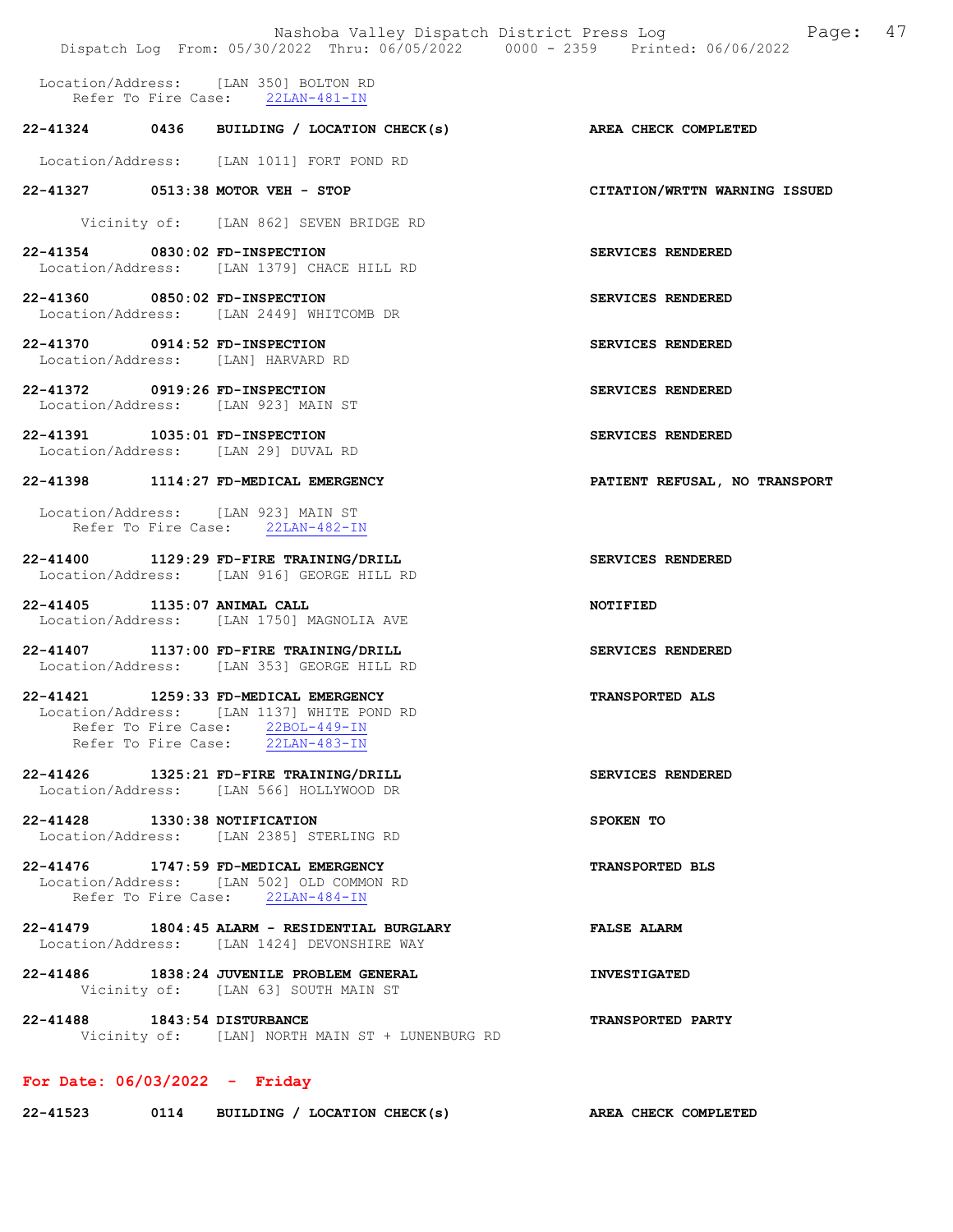| Nashoba Valley Dispatch District Press Log<br>Dispatch Log From: 05/30/2022 Thru: 06/05/2022 0000 - 2359 Printed: 06/06/2022                                   | Page: 47                      |
|----------------------------------------------------------------------------------------------------------------------------------------------------------------|-------------------------------|
| Location/Address: [LAN 350] BOLTON RD<br>Refer To Fire Case: 22LAN-481-IN                                                                                      |                               |
| 22-41324 0436 BUILDING / LOCATION CHECK(s)                                                                                                                     | AREA CHECK COMPLETED          |
| Location/Address: [LAN 1011] FORT POND RD                                                                                                                      |                               |
| 22-41327 0513:38 MOTOR VEH - STOP                                                                                                                              | CITATION/WRTTN WARNING ISSUED |
| Vicinity of: [LAN 862] SEVEN BRIDGE RD                                                                                                                         |                               |
| 22-41354 0830:02 FD-INSPECTION<br>Location/Address: [LAN 1379] CHACE HILL RD                                                                                   | SERVICES RENDERED             |
| 22-41360 0850:02 FD-INSPECTION<br>Location/Address: [LAN 2449] WHITCOMB DR                                                                                     | SERVICES RENDERED             |
| 22-41370 0914:52 FD-INSPECTION<br>Location/Address: [LAN] HARVARD RD                                                                                           | SERVICES RENDERED             |
| 22-41372 0919:26 FD-INSPECTION<br>Location/Address: [LAN 923] MAIN ST                                                                                          | SERVICES RENDERED             |
| 22-41391 1035:01 FD-INSPECTION<br>Location/Address: [LAN 29] DUVAL RD                                                                                          | SERVICES RENDERED             |
| 22-41398 1114:27 FD-MEDICAL EMERGENCY                                                                                                                          | PATIENT REFUSAL, NO TRANSPORT |
| Location/Address: [LAN 923] MAIN ST<br>Refer To Fire Case: 22LAN-482-IN                                                                                        |                               |
| 22-41400 1129:29 FD-FIRE TRAINING/DRILL<br>Location/Address: [LAN 916] GEORGE HILL RD                                                                          | SERVICES RENDERED             |
| 22-41405 1135:07 ANIMAL CALL<br>Location/Address: [LAN 1750] MAGNOLIA AVE                                                                                      | NOTIFIED                      |
| 22-41407 1137:00 FD-FIRE TRAINING/DRILL<br>Location/Address: [LAN 353] GEORGE HILL RD                                                                          | SERVICES RENDERED             |
| 22-41421<br>1259:33 FD-MEDICAL EMERGENCY<br>Location/Address: [LAN 1137] WHITE POND RD<br>Refer To Fire Case: 22BOL-449-IN<br>Refer To Fire Case: 22LAN-483-IN | <b>TRANSPORTED ALS</b>        |
| 22-41426 1325:21 FD-FIRE TRAINING/DRILL<br>Location/Address: [LAN 566] HOLLYWOOD DR                                                                            | SERVICES RENDERED             |
| 22-41428 1330:38 NOTIFICATION<br>Location/Address: [LAN 2385] STERLING RD                                                                                      | SPOKEN TO                     |
| 22-41476 1747:59 FD-MEDICAL EMERGENCY<br>Location/Address: [LAN 5021 OLD COMMON RD<br>Refer To Fire Case: 22LAN-484-IN                                         | <b>TRANSPORTED BLS</b>        |
| 22-41479 1804:45 ALARM - RESIDENTIAL BURGLARY<br>Location/Address: [LAN 1424] DEVONSHIRE WAY                                                                   | <b>FALSE ALARM</b>            |
| 22-41486 1838:24 JUVENILE PROBLEM GENERAL<br>Vicinity of: [LAN 63] SOUTH MAIN ST                                                                               | <b>INVESTIGATED</b>           |
| 22-41488<br>1843:54 DISTURBANCE<br>Vicinity of: [LAN] NORTH MAIN ST + LUNENBURG RD                                                                             | <b>TRANSPORTED PARTY</b>      |
| For Date: $06/03/2022 -$ Friday                                                                                                                                |                               |
| 0114 BUILDING / LOCATION CHECK(s)<br>22-41523                                                                                                                  | AREA CHECK COMPLETED          |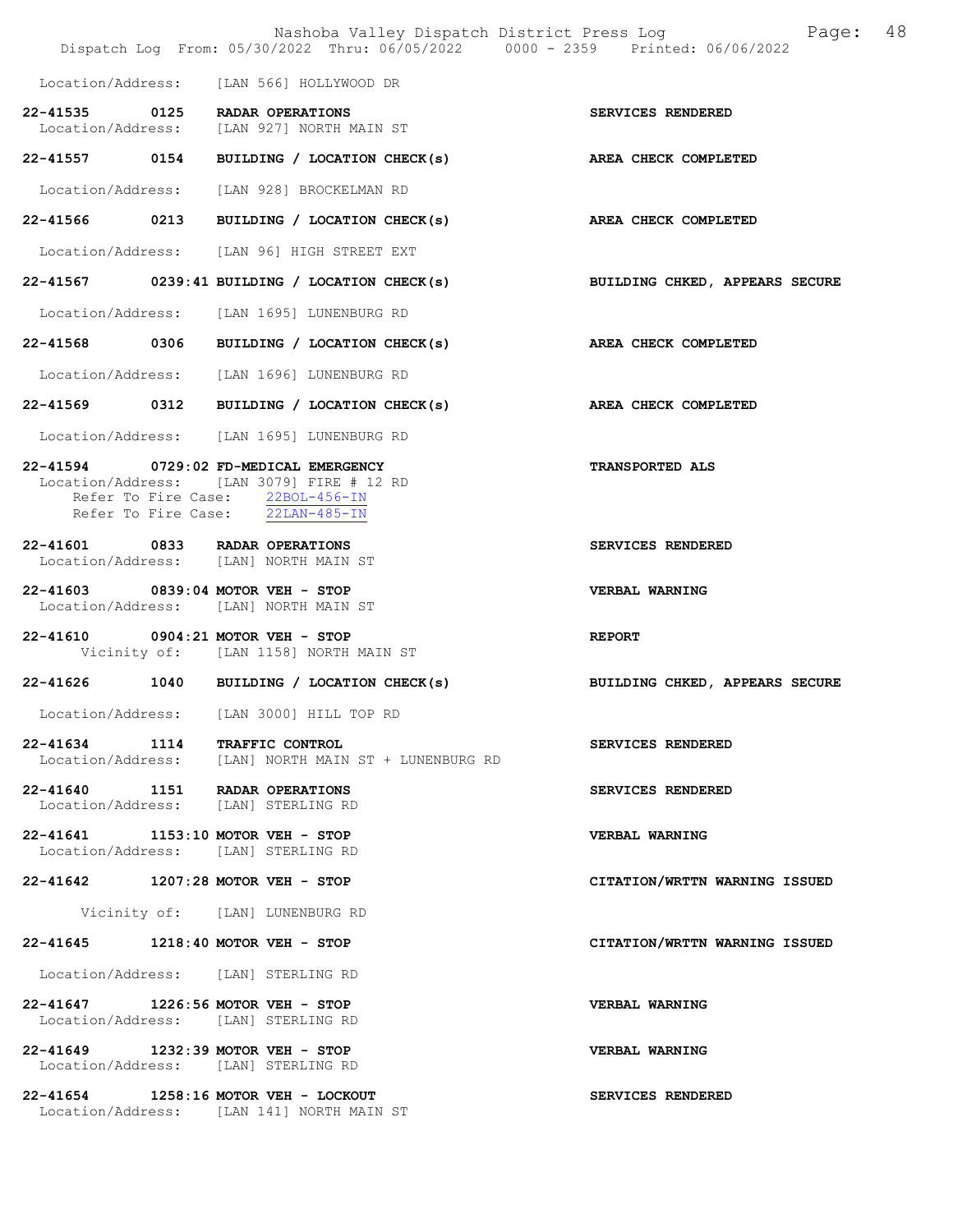|                                                                            | Nashoba Valley Dispatch District Press Log<br>Dispatch Log From: 05/30/2022 Thru: 06/05/2022 0000 - 2359 Printed: 06/06/2022 | 48<br>Page:                    |
|----------------------------------------------------------------------------|------------------------------------------------------------------------------------------------------------------------------|--------------------------------|
|                                                                            | Location/Address: [LAN 566] HOLLYWOOD DR                                                                                     |                                |
| 22-41535 0125 RADAR OPERATIONS                                             | Location/Address: [LAN 927] NORTH MAIN ST                                                                                    | SERVICES RENDERED              |
|                                                                            | 22-41557 0154 BUILDING / LOCATION CHECK(s) AREA CHECK COMPLETED                                                              |                                |
|                                                                            | Location/Address: [LAN 928] BROCKELMAN RD                                                                                    |                                |
|                                                                            | 22-41566 0213 BUILDING / LOCATION CHECK(s) AREA CHECK COMPLETED                                                              |                                |
|                                                                            | Location/Address: [LAN 96] HIGH STREET EXT                                                                                   |                                |
|                                                                            | 22-41567 0239:41 BUILDING / LOCATION CHECK(s) BUILDING CHKED, APPEARS SECURE                                                 |                                |
|                                                                            | Location/Address: [LAN 1695] LUNENBURG RD                                                                                    |                                |
|                                                                            | 22-41568 0306 BUILDING / LOCATION CHECK(s)                                                                                   | AREA CHECK COMPLETED           |
|                                                                            | Location/Address: [LAN 1696] LUNENBURG RD                                                                                    |                                |
|                                                                            | 22-41569 0312 BUILDING / LOCATION CHECK(s)                                                                                   | AREA CHECK COMPLETED           |
|                                                                            | Location/Address: [LAN 1695] LUNENBURG RD                                                                                    |                                |
| 22-41594 0729:02 FD-MEDICAL EMERGENCY                                      | Location/Address: [LAN 3079] FIRE # 12 RD<br>Refer To Fire Case: 22BOL-456-IN<br>Refer To Fire Case: 22LAN-485-IN            | <b>TRANSPORTED ALS</b>         |
| 22-41601 0833 RADAR OPERATIONS<br>Location/Address: [LAN] NORTH MAIN ST    |                                                                                                                              | SERVICES RENDERED              |
| 22-41603 0839:04 MOTOR VEH - STOP<br>Location/Address: [LAN] NORTH MAIN ST |                                                                                                                              | VERBAL WARNING                 |
| 22-41610 0904:21 MOTOR VEH - STOP                                          | Vicinity of: [LAN 1158] NORTH MAIN ST                                                                                        | <b>REPORT</b>                  |
|                                                                            | 22-41626 1040 BUILDING / LOCATION CHECK(s)                                                                                   | BUILDING CHKED, APPEARS SECURE |
| Location/Address:                                                          | [LAN 3000] HILL TOP RD                                                                                                       |                                |
| 22-41634 1114 TRAFFIC CONTROL                                              | Location/Address: [LAN] NORTH MAIN ST + LUNENBURG RD                                                                         | SERVICES RENDERED              |
| 22-41640 1151 RADAR OPERATIONS<br>Location/Address: [LAN] STERLING RD      |                                                                                                                              | SERVICES RENDERED              |
| 22-41641 1153:10 MOTOR VEH - STOP<br>Location/Address: [LAN] STERLING RD   |                                                                                                                              | VERBAL WARNING                 |
| 22-41642 1207:28 MOTOR VEH - STOP                                          |                                                                                                                              | CITATION/WRTTN WARNING ISSUED  |
|                                                                            | Vicinity of: [LAN] LUNENBURG RD                                                                                              |                                |
| 22-41645 1218:40 MOTOR VEH - STOP                                          |                                                                                                                              | CITATION/WRTTN WARNING ISSUED  |
| Location/Address: [LAN] STERLING RD                                        |                                                                                                                              |                                |
| 22-41647 1226:56 MOTOR VEH - STOP<br>Location/Address: [LAN] STERLING RD   |                                                                                                                              | VERBAL WARNING                 |
| 22-41649 1232:39 MOTOR VEH - STOP<br>Location/Address: [LAN] STERLING RD   |                                                                                                                              | VERBAL WARNING                 |
| 22-41654 1258:16 MOTOR VEH - LOCKOUT                                       | Location/Address: [LAN 141] NORTH MAIN ST                                                                                    | SERVICES RENDERED              |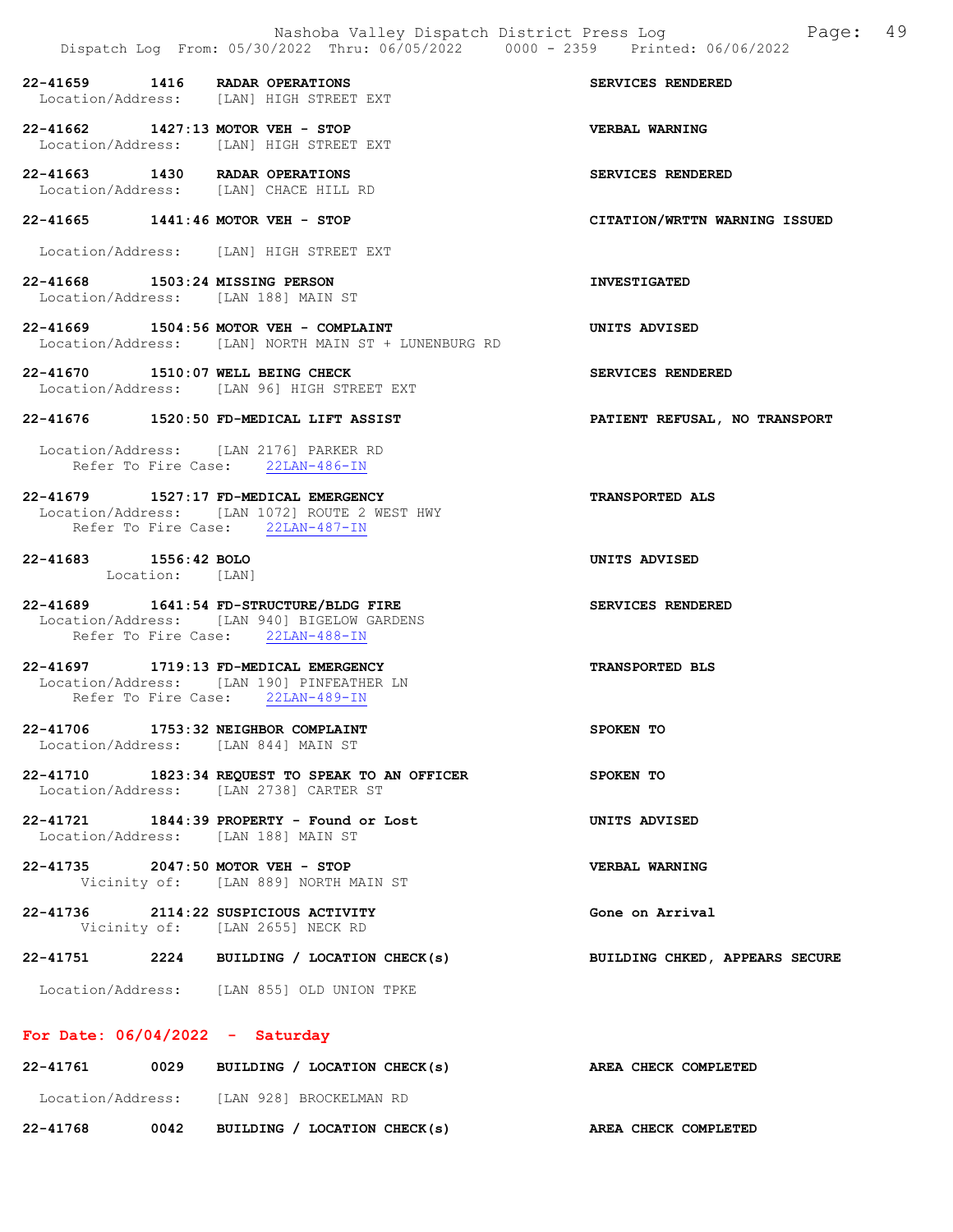22-41659 1416 RADAR OPERATIONS SERVICES RENDERED<br>Location/Address: [LAN] HIGH STREET EXT Location/Address: [LAN] HIGH STREET EXT

22-41662 1427:13 MOTOR VEH - STOP VERBAL WARNING Location/Address: [LAN] HIGH STREET EXT

22-41663 1430 RADAR OPERATIONS SERVICES RENDERED Location/Address: [LAN] CHACE HILL RD

22-41665 1441:46 MOTOR VEH - STOP CITATION/WRTTN WARNING ISSUED

Location/Address: [LAN] HIGH STREET EXT

22-41668 1503:24 MISSING PERSON INVESTIGATED Location/Address: [LAN 188] MAIN ST

22-41669 1504:56 MOTOR VEH - COMPLAINT UNITS ADVISED Location/Address: [LAN] NORTH MAIN ST + LUNENBURG RD

22-41670 1510:07 WELL BEING CHECK SERVICES RENDERED Location/Address: [LAN 96] HIGH STREET EXT

#### 22-41676 1520:50 FD-MEDICAL LIFT ASSIST PATIENT REFUSAL, NO TRANSPORT

 Location/Address: [LAN 2176] PARKER RD Refer To Fire Case: 22LAN-486-IN

22-41679 1527:17 FD-MEDICAL EMERGENCY TRANSPORTED ALS Location/Address: [LAN 1072] ROUTE 2 WEST HWY Refer To Fire Case: 22LAN-487-IN

22-41683 1556:42 BOLO UNITS ADVISED Location: [LAN]

22-41689 1641:54 FD-STRUCTURE/BLDG FIRE SERVICES RENDERED Location/Address: [LAN 940] BIGELOW GARDENS Refer To Fire Case: 22LAN-488-IN

22-41697 1719:13 FD-MEDICAL EMERGENCY TRANSPORTED BLS Location/Address: [LAN 190] PINFEATHER LN Refer To Fire Case: 22LAN-489-IN

22-41706 1753:32 NEIGHBOR COMPLAINT SPOKEN TO Location/Address: [LAN 844] MAIN ST

22-41710 1823:34 REQUEST TO SPEAK TO AN OFFICER SPOKEN TO Location/Address: [LAN 2738] CARTER ST

22-41721 1844:39 PROPERTY - Found or Lost UNITS ADVISED Location/Address: [LAN 188] MAIN ST

22-41735 2047:50 MOTOR VEH - STOP VERBAL WARNING Vicinity of: [LAN 889] NORTH MAIN ST

22-41736 2114:22 SUSPICIOUS ACTIVITY Gone on Arrival Vicinity of: [LAN 2655] NECK RD

22-41751 2224 BUILDING / LOCATION CHECK(s) BUILDING CHKED, APPEARS SECURE

Location/Address: [LAN 855] OLD UNION TPKE

#### For Date: 06/04/2022 - Saturday

| 22-41761          | 0029 | BUILDING / LOCATION CHECK(s) | AREA CHECK COMPLETED |
|-------------------|------|------------------------------|----------------------|
| Location/Address: |      | TLAN 9281 BROCKELMAN RD      |                      |
| 22-41768          | 0042 | BUILDING / LOCATION CHECK(s) | AREA CHECK COMPLETED |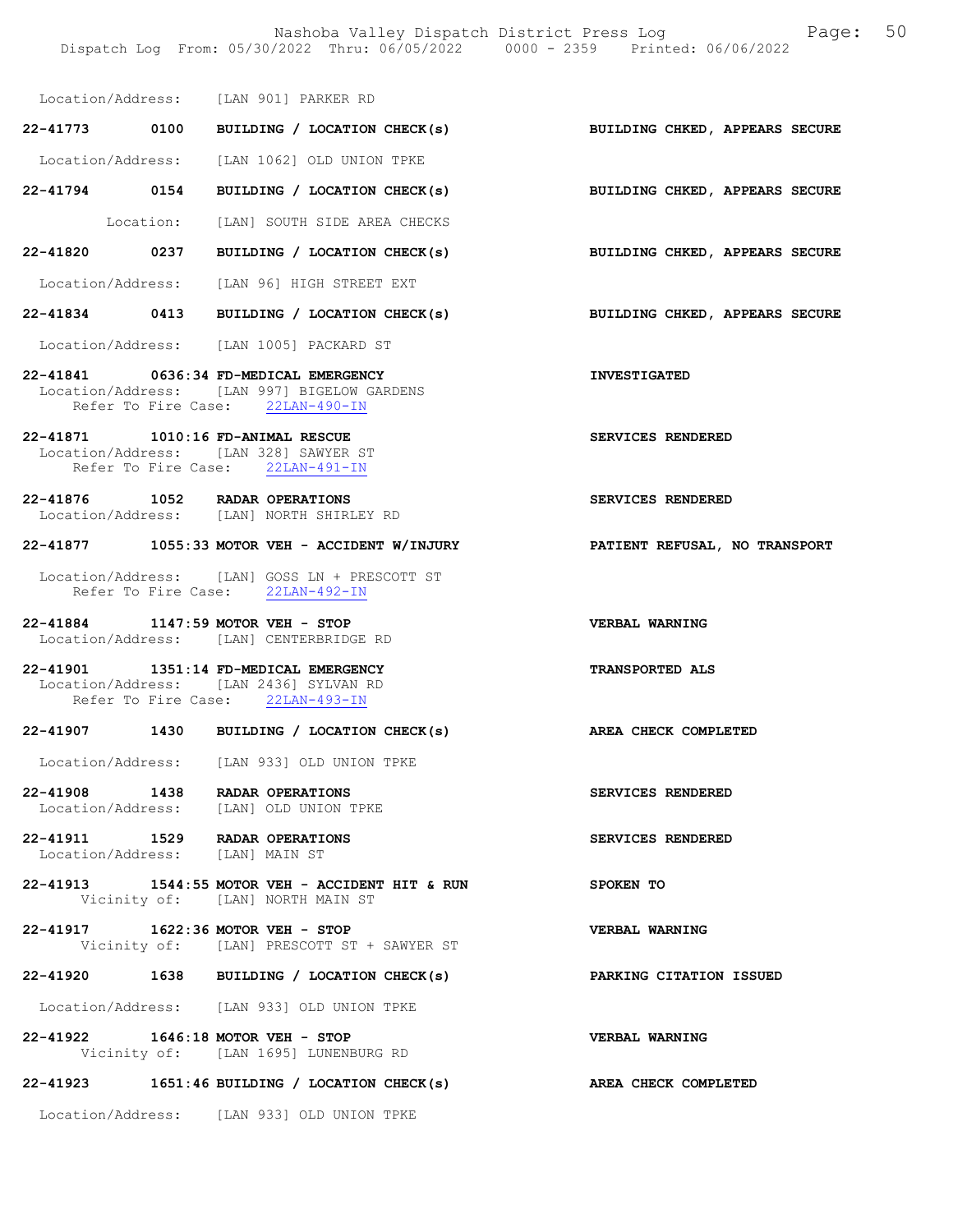Location/Address: [LAN 901] PARKER RD

22-41773 0100 BUILDING / LOCATION CHECK(s) BUILDING CHKED, APPEARS SECURE Location/Address: [LAN 1062] OLD UNION TPKE 22-41794 0154 BUILDING / LOCATION CHECK(s) BUILDING CHKED, APPEARS SECURE

Location: [LAN] SOUTH SIDE AREA CHECKS

22-41820 0237 BUILDING / LOCATION CHECK(s) BUILDING CHKED, APPEARS SECURE

Location/Address: [LAN 96] HIGH STREET EXT

22-41834 0413 BUILDING / LOCATION CHECK(s) BUILDING CHKED, APPEARS SECURE

Location/Address: [LAN 1005] PACKARD ST

22-41841 0636:34 FD-MEDICAL EMERGENCY INVESTIGATED Location/Address: [LAN 997] BIGELOW GARDENS Refer To Fire Case: 22LAN-490-IN

22-41871 1010:16 FD-ANIMAL RESCUE SERVICES RENDERED Location/Address: [LAN 328] SAWYER ST Refer To Fire Case: 22LAN-491-IN

22-41876 1052 RADAR OPERATIONS SERVICES RENDERED Location/Address: [LAN] NORTH SHIRLEY RD

22-41877 1055:33 MOTOR VEH - ACCIDENT W/INJURY PATIENT REFUSAL, NO TRANSPORT

 Location/Address: [LAN] GOSS LN + PRESCOTT ST Refer To Fire Case: 22LAN-492-IN

22-41884 1147:59 MOTOR VEH - STOP VERBAL WARNING Location/Address: [LAN] CENTERBRIDGE RD

22-41901 1351:14 FD-MEDICAL EMERGENCY TRANSPORTED ALS Location/Address: [LAN 2436] SYLVAN RD Refer To Fire Case: 22LAN-493-IN

#### 22-41907 1430 BUILDING / LOCATION CHECK(s) AREA CHECK COMPLETED

Location/Address: [LAN 933] OLD UNION TPKE

22-41908 1438 RADAR OPERATIONS SERVICES RENDERED Location/Address: [LAN] OLD UNION TPKE

22-41911 1529 RADAR OPERATIONS SERVICES RENDERED<br>Location/Address: [LAN] MAIN ST Location/Address:

22-41913 1544:55 MOTOR VEH - ACCIDENT HIT & RUN SPOKEN TO Vicinity of: [LAN] NORTH MAIN ST

22-41917 1622:36 MOTOR VEH - STOP VERBAL WARNING Vicinity of: [LAN] PRESCOTT ST + SAWYER ST

22-41920 1638 BUILDING / LOCATION CHECK(s) PARKING CITATION ISSUED

Location/Address: [LAN 933] OLD UNION TPKE

22-41922 1646:18 MOTOR VEH - STOP VERBAL WARNING Vicinity of: [LAN 1695] LUNENBURG RD

#### 22-41923 1651:46 BUILDING / LOCATION CHECK(s) AREA CHECK COMPLETED

Location/Address: [LAN 933] OLD UNION TPKE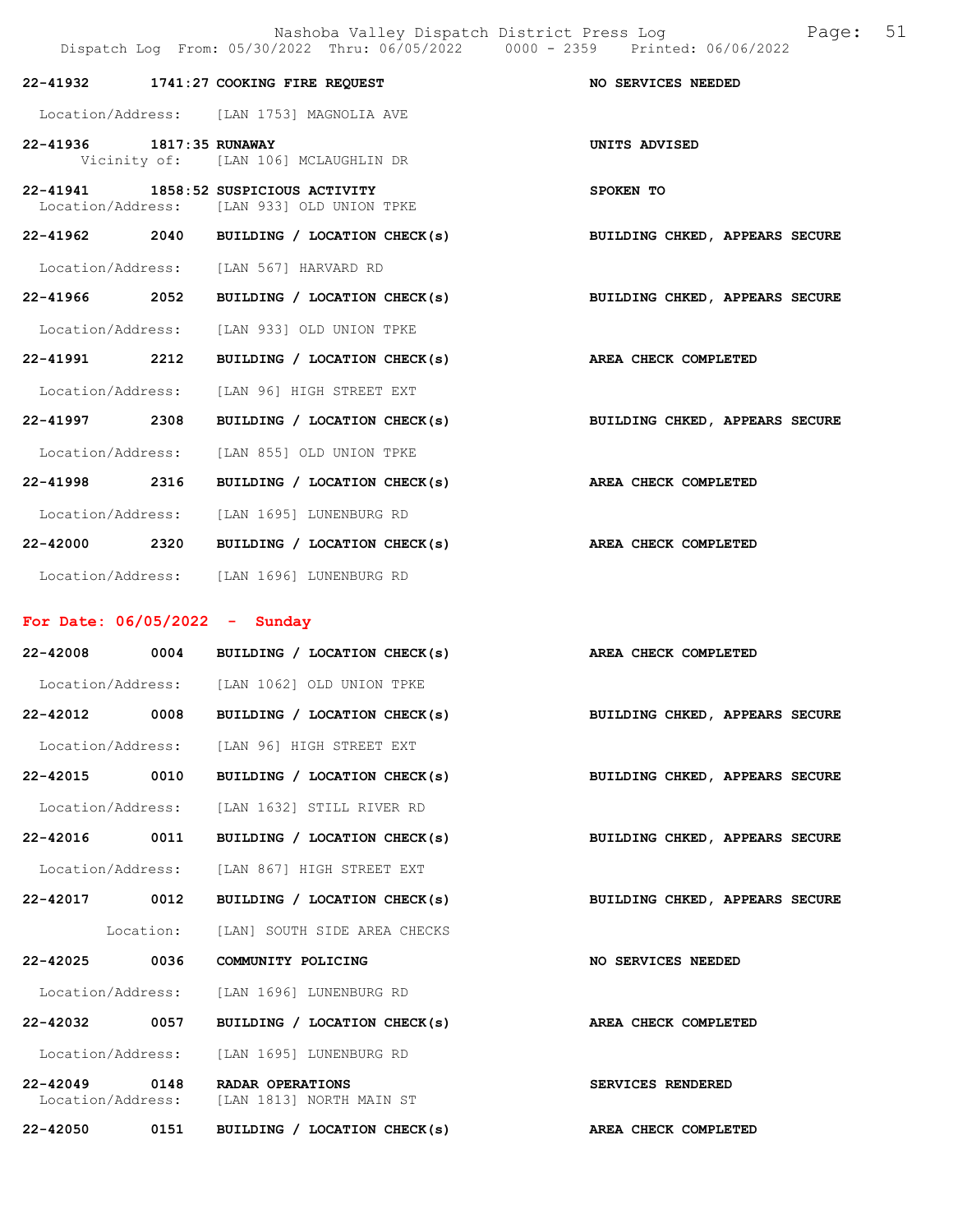|                          |           | Nashoba Valley Dispatch District Press Log<br>Dispatch Log From: 05/30/2022 Thru: 06/05/2022 0000 - 2359 Printed: 06/06/2022 | Page: 51                       |
|--------------------------|-----------|------------------------------------------------------------------------------------------------------------------------------|--------------------------------|
|                          |           | 22-41932 1741:27 COOKING FIRE REQUEST                                                                                        | NO SERVICES NEEDED             |
|                          |           | Location/Address: [LAN 1753] MAGNOLIA AVE                                                                                    |                                |
| 22-41936 1817:35 RUNAWAY |           | Vicinity of: [LAN 106] MCLAUGHLIN DR                                                                                         | UNITS ADVISED                  |
|                          |           | 22-41941 1858:52 SUSPICIOUS ACTIVITY<br>Location/Address: [LAN 933] OLD UNION TPKE                                           | SPOKEN TO                      |
|                          |           | 22-41962 2040 BUILDING / LOCATION CHECK(s)                                                                                   | BUILDING CHKED, APPEARS SECURE |
|                          |           | Location/Address: [LAN 567] HARVARD RD                                                                                       |                                |
|                          |           | 22-41966 2052 BUILDING / LOCATION CHECK(s)                                                                                   | BUILDING CHKED, APPEARS SECURE |
|                          |           | Location/Address: [LAN 933] OLD UNION TPKE                                                                                   |                                |
| 22-41991 2212            |           | BUILDING / LOCATION CHECK(s)                                                                                                 | AREA CHECK COMPLETED           |
|                          |           | Location/Address: [LAN 96] HIGH STREET EXT                                                                                   |                                |
| 22-41997 2308            |           | BUILDING / LOCATION CHECK(s)                                                                                                 | BUILDING CHKED, APPEARS SECURE |
| Location/Address:        |           | [LAN 855] OLD UNION TPKE                                                                                                     |                                |
|                          |           | 22-41998 2316 BUILDING / LOCATION CHECK(s)                                                                                   | AREA CHECK COMPLETED           |
|                          |           | Location/Address: [LAN 1695] LUNENBURG RD                                                                                    |                                |
|                          |           | $22-42000$ 2320 BUILDING / LOCATION CHECK(s)                                                                                 | AREA CHECK COMPLETED           |
|                          |           | Location/Address: [LAN 1696] LUNENBURG RD                                                                                    |                                |
|                          |           | For Date: $06/05/2022 -$ Sunday                                                                                              |                                |
|                          |           | 22-42008 0004 BUILDING / LOCATION CHECK(s) AREA CHECK COMPLETED                                                              |                                |
|                          |           | Location/Address: [LAN 1062] OLD UNION TPKE                                                                                  |                                |
| 22-42012 0008            |           | BUILDING / LOCATION CHECK(s)                                                                                                 | BUILDING CHKED, APPEARS SECURE |
|                          |           | Location/Address: [LAN 96] HIGH STREET EXT                                                                                   |                                |
| 22-42015 0010            |           | BUILDING / LOCATION CHECK(s)                                                                                                 | BUILDING CHKED, APPEARS SECURE |
|                          |           | Location/Address: [LAN 1632] STILL RIVER RD                                                                                  |                                |
| 22-42016 0011            |           | BUILDING / LOCATION CHECK(s)                                                                                                 | BUILDING CHKED, APPEARS SECURE |
| Location/Address:        |           | [LAN 867] HIGH STREET EXT                                                                                                    |                                |
| 22-42017 0012            |           | BUILDING / LOCATION CHECK(s)                                                                                                 | BUILDING CHKED, APPEARS SECURE |
|                          | Location: | [LAN] SOUTH SIDE AREA CHECKS                                                                                                 |                                |
|                          |           | 22-42025 0036 COMMUNITY POLICING                                                                                             | NO SERVICES NEEDED             |
|                          |           | Location/Address: [LAN 1696] LUNENBURG RD                                                                                    |                                |
| 22-42032 0057            |           | BUILDING / LOCATION CHECK(s)                                                                                                 | AREA CHECK COMPLETED           |
|                          |           | Location/Address: [LAN 1695] LUNENBURG RD                                                                                    |                                |
|                          |           | 22-42049 0148 RADAR OPERATIONS                                                                                               | <b>SERVICES RENDERED</b>       |

Location/Address: [LAN 1813] NORTH MAIN ST

22-42050 0151 BUILDING / LOCATION CHECK(s) AREA CHECK COMPLETED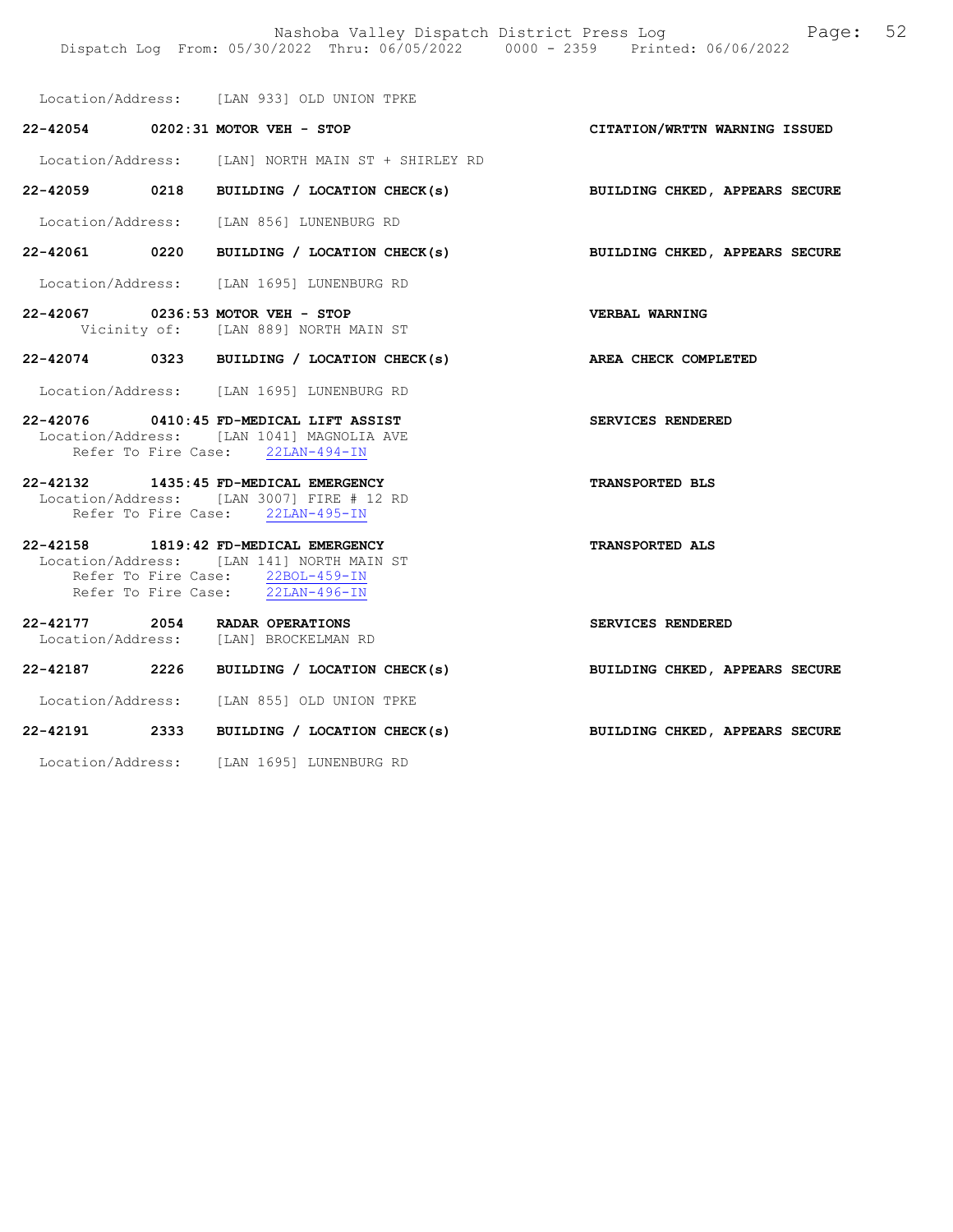Location/Address: [LAN 933] OLD UNION TPKE

|  | 22-42054 0202:31 MOTOR VEH - STOP                                                                                                                          | CITATION/WRTTN WARNING ISSUED  |
|--|------------------------------------------------------------------------------------------------------------------------------------------------------------|--------------------------------|
|  | Location/Address: [LAN] NORTH MAIN ST + SHIRLEY RD                                                                                                         |                                |
|  | 22-42059 0218 BUILDING / LOCATION CHECK(s)                                                                                                                 | BUILDING CHKED, APPEARS SECURE |
|  | Location/Address: [LAN 856] LUNENBURG RD                                                                                                                   |                                |
|  | 22-42061 0220 BUILDING / LOCATION CHECK(s) BUILDING CHKED, APPEARS SECURE                                                                                  |                                |
|  | Location/Address: [LAN 1695] LUNENBURG RD                                                                                                                  |                                |
|  | 22-42067 0236:53 MOTOR VEH - STOP<br>Vicinity of: [LAN 889] NORTH MAIN ST                                                                                  | <b>VERBAL WARNING</b>          |
|  | 22-42074 0323 BUILDING / LOCATION CHECK(s) AREA CHECK COMPLETED                                                                                            |                                |
|  | Location/Address: [LAN 1695] LUNENBURG RD                                                                                                                  |                                |
|  | 22-42076 0410:45 FD-MEDICAL LIFT ASSIST<br>Location/Address: [LAN 1041] MAGNOLIA AVE<br>Refer To Fire Case: 22LAN-494-IN                                   | SERVICES RENDERED              |
|  | 22-42132 1435:45 FD-MEDICAL EMERGENCY<br>Location/Address: [LAN 3007] FIRE # 12 RD<br>Refer To Fire Case: 22LAN-495-IN                                     | TRANSPORTED BLS                |
|  | 22-42158 1819:42 FD-MEDICAL EMERGENCY<br>Location/Address: [LAN 141] NORTH MAIN ST<br>Refer To Fire Case: 22BOL-459-IN<br>Refer To Fire Case: 22LAN-496-IN | <b>TRANSPORTED ALS</b>         |
|  | 22-42177 2054 RADAR OPERATIONS<br>Location/Address: [LAN] BROCKELMAN RD                                                                                    | SERVICES RENDERED              |
|  | 22-42187 2226 BUILDING / LOCATION CHECK(s) BUILDING CHKED, APPEARS SECURE                                                                                  |                                |
|  | Location/Address: [LAN 855] OLD UNION TPKE                                                                                                                 |                                |
|  | 22-42191 2333 BUILDING / LOCATION CHECK(s)                                                                                                                 | BUILDING CHKED, APPEARS SECURE |
|  | Location/Address: [LAN 1695] LUNENBURG RD                                                                                                                  |                                |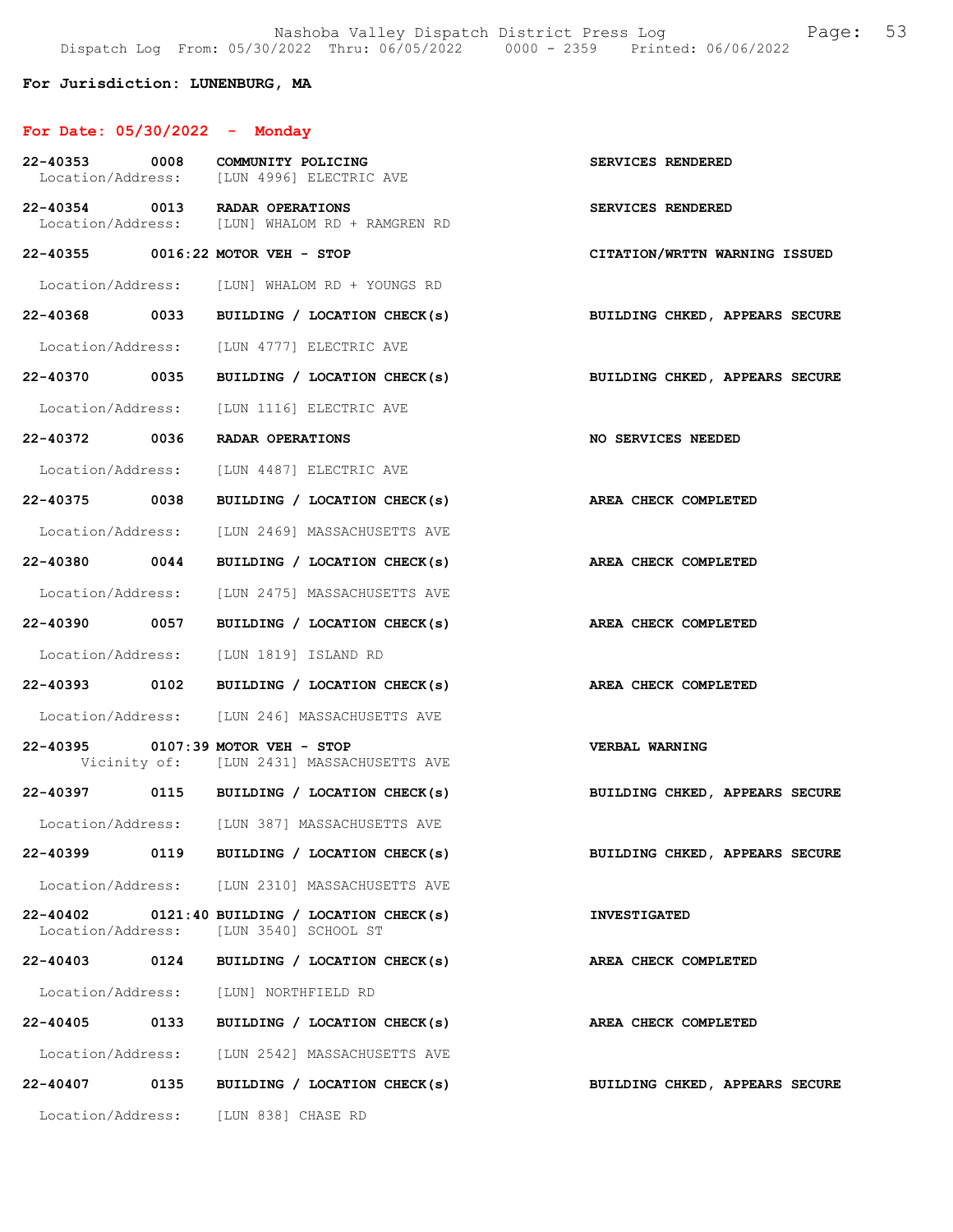For Jurisdiction: LUNENBURG, MA

## For Date: 05/30/2022 - Monday

| 22-40353 0008     | COMMUNITY POLICING<br>Location/Address: [LUN 4996] ELECTRIC AVE                         | SERVICES RENDERED                     |
|-------------------|-----------------------------------------------------------------------------------------|---------------------------------------|
|                   | 22-40354 0013 RADAR OPERATIONS<br>Location/Address: [LUN] WHALOM RD + RAMGREN RD        | SERVICES RENDERED                     |
|                   | 22-40355 0016:22 MOTOR VEH - STOP                                                       | CITATION/WRTTN WARNING ISSUED         |
|                   | Location/Address: [LUN] WHALOM RD + YOUNGS RD                                           |                                       |
| 22-40368 0033     | BUILDING / LOCATION CHECK(s)                                                            | BUILDING CHKED, APPEARS SECURE        |
|                   | Location/Address: [LUN 4777] ELECTRIC AVE                                               |                                       |
| 22-40370 0035     | BUILDING / LOCATION CHECK(s)                                                            | BUILDING CHKED, APPEARS SECURE        |
|                   | Location/Address: [LUN 1116] ELECTRIC AVE                                               |                                       |
|                   | 22-40372 0036 RADAR OPERATIONS                                                          | NO SERVICES NEEDED                    |
|                   | Location/Address: [LUN 4487] ELECTRIC AVE                                               |                                       |
| 22-40375 0038     | BUILDING / LOCATION CHECK(s)                                                            | AREA CHECK COMPLETED                  |
|                   | Location/Address: [LUN 2469] MASSACHUSETTS AVE                                          |                                       |
| 22-40380 0044     | BUILDING / LOCATION CHECK(s)                                                            | AREA CHECK COMPLETED                  |
|                   | Location/Address: [LUN 2475] MASSACHUSETTS AVE                                          |                                       |
| 22-40390 0057     | BUILDING / LOCATION CHECK(s)                                                            | AREA CHECK COMPLETED                  |
|                   | Location/Address: [LUN 1819] ISLAND RD                                                  |                                       |
|                   | 22-40393 0102 BUILDING / LOCATION CHECK(s)                                              | AREA CHECK COMPLETED                  |
|                   | Location/Address: [LUN 246] MASSACHUSETTS AVE                                           |                                       |
|                   | 22-40395 0107:39 MOTOR VEH - STOP<br>Vicinity of: [LUN 2431] MASSACHUSETTS AVE          | <b>VERBAL WARNING</b>                 |
|                   | 22-40397 0115 BUILDING / LOCATION CHECK(s)                                              | <b>BUILDING CHKED, APPEARS SECURE</b> |
|                   | Location/Address: [LUN 387] MASSACHUSETTS AVE                                           |                                       |
|                   | 22-40399 0119 BUILDING / LOCATION CHECK(s)                                              | BUILDING CHKED, APPEARS SECURE        |
|                   | Location/Address: [LUN 2310] MASSACHUSETTS AVE                                          |                                       |
|                   | 22-40402 0121:40 BUILDING / LOCATION CHECK(s)<br>Location/Address: [LUN 3540] SCHOOL ST | <b>INVESTIGATED</b>                   |
|                   | 22-40403 0124 BUILDING / LOCATION CHECK(s)                                              | AREA CHECK COMPLETED                  |
|                   | Location/Address: [LUN] NORTHFIELD RD                                                   |                                       |
| 22-40405 0133     | BUILDING / LOCATION CHECK(s)                                                            | AREA CHECK COMPLETED                  |
|                   | Location/Address: [LUN 2542] MASSACHUSETTS AVE                                          |                                       |
| 22-40407 0135     | BUILDING / LOCATION CHECK(s)                                                            | BUILDING CHKED, APPEARS SECURE        |
| Location/Address: | [LUN 838] CHASE RD                                                                      |                                       |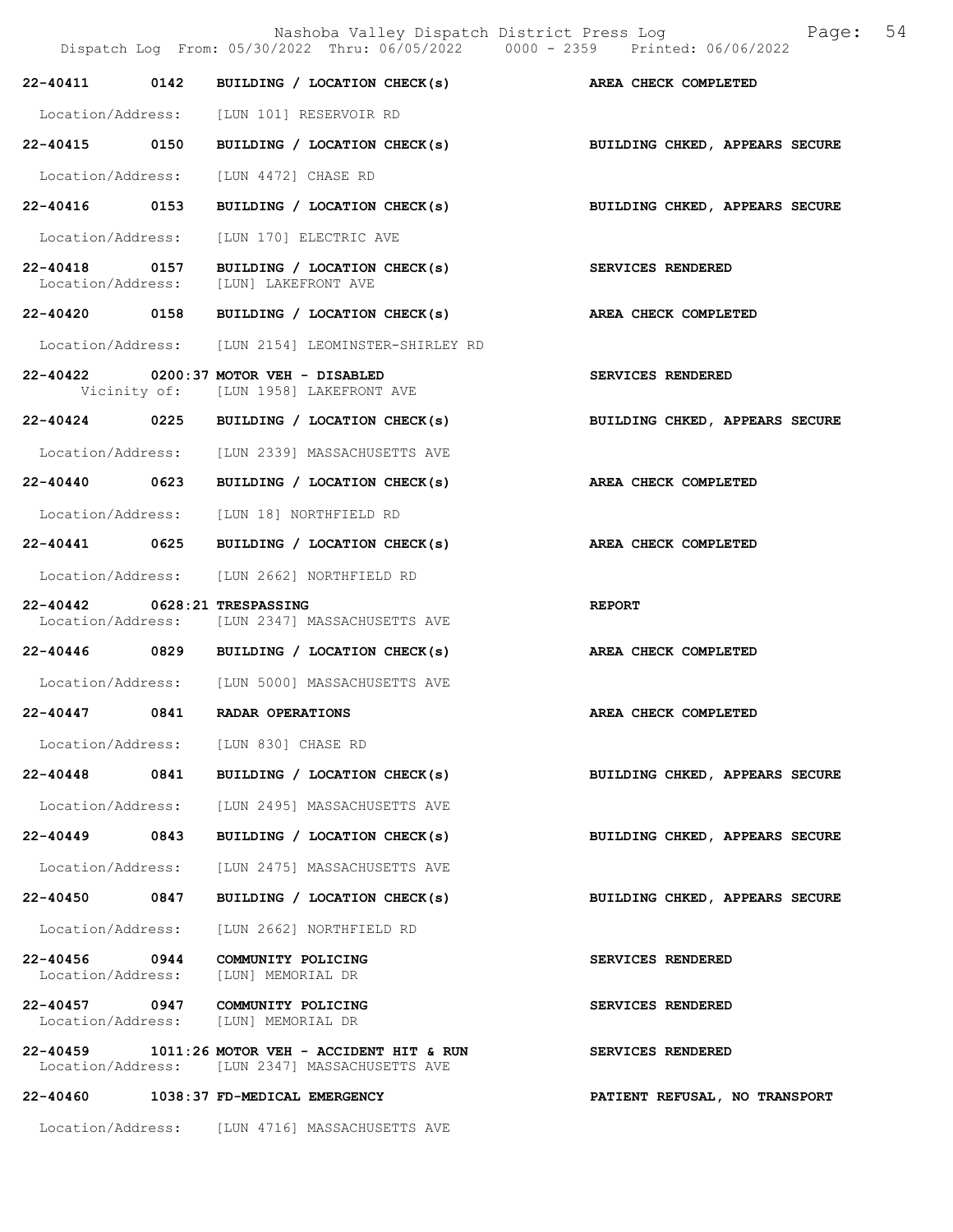|                                    |      | Nashoba Valley Dispatch District Press Log<br>Dispatch Log From: 05/30/2022 Thru: 06/05/2022 0000 - 2359 Printed: 06/06/2022 | Page: 54                       |
|------------------------------------|------|------------------------------------------------------------------------------------------------------------------------------|--------------------------------|
|                                    |      | 22-40411 0142 BUILDING / LOCATION CHECK(s) AREA CHECK COMPLETED                                                              |                                |
|                                    |      | Location/Address: [LUN 101] RESERVOIR RD                                                                                     |                                |
|                                    |      | 22-40415 0150 BUILDING / LOCATION CHECK(s)                                                                                   | BUILDING CHKED, APPEARS SECURE |
|                                    |      | Location/Address: [LUN 4472] CHASE RD                                                                                        |                                |
|                                    |      | 22-40416 0153 BUILDING / LOCATION CHECK(s)                                                                                   | BUILDING CHKED, APPEARS SECURE |
|                                    |      | Location/Address: [LUN 170] ELECTRIC AVE                                                                                     |                                |
| 22-40418 0157<br>Location/Address: |      | BUILDING / LOCATION CHECK(s)<br>[LUN] LAKEFRONT AVE                                                                          | SERVICES RENDERED              |
|                                    |      | 22-40420 0158 BUILDING / LOCATION CHECK(s)                                                                                   | AREA CHECK COMPLETED           |
|                                    |      | Location/Address: [LUN 2154] LEOMINSTER-SHIRLEY RD                                                                           |                                |
|                                    |      | 22-40422 0200:37 MOTOR VEH - DISABLED<br>Vicinity of: [LUN 1958] LAKEFRONT AVE                                               | SERVICES RENDERED              |
|                                    |      | 22-40424 0225 BUILDING / LOCATION CHECK(s)                                                                                   | BUILDING CHKED, APPEARS SECURE |
|                                    |      | Location/Address: [LUN 2339] MASSACHUSETTS AVE                                                                               |                                |
|                                    |      | $22-40440$ 0623 BUILDING / LOCATION CHECK(s)                                                                                 | AREA CHECK COMPLETED           |
|                                    |      | Location/Address: [LUN 18] NORTHFIELD RD                                                                                     |                                |
|                                    |      | 22-40441 0625 BUILDING / LOCATION CHECK(s)                                                                                   | AREA CHECK COMPLETED           |
|                                    |      | Location/Address: [LUN 2662] NORTHFIELD RD                                                                                   |                                |
| 22-40442 0628:21 TRESPASSING       |      | Location/Address: [LUN 2347] MASSACHUSETTS AVE                                                                               | <b>REPORT</b>                  |
|                                    |      | 22-40446 0829 BUILDING / LOCATION CHECK(s)                                                                                   | AREA CHECK COMPLETED           |
|                                    |      | Location/Address: [LUN 5000] MASSACHUSETTS AVE                                                                               |                                |
| 22-40447 0841                      |      | <b>RADAR OPERATIONS</b>                                                                                                      | AREA CHECK COMPLETED           |
|                                    |      | Location/Address: [LUN 830] CHASE RD                                                                                         |                                |
|                                    |      | 22-40448 0841 BUILDING / LOCATION CHECK(s)                                                                                   | BUILDING CHKED, APPEARS SECURE |
|                                    |      | Location/Address: [LUN 2495] MASSACHUSETTS AVE                                                                               |                                |
| $22 - 40449$                       | 0843 | BUILDING / LOCATION CHECK(s)                                                                                                 | BUILDING CHKED, APPEARS SECURE |
|                                    |      | Location/Address: [LUN 2475] MASSACHUSETTS AVE                                                                               |                                |
| 22-40450 0847                      |      | BUILDING / LOCATION CHECK(s)                                                                                                 | BUILDING CHKED, APPEARS SECURE |
| Location/Address:                  |      | [LUN 2662] NORTHFIELD RD                                                                                                     |                                |
| 22-40456 0944<br>Location/Address: |      | COMMUNITY POLICING<br>[LUN] MEMORIAL DR                                                                                      | SERVICES RENDERED              |
|                                    |      | 22-40457 0947 COMMUNITY POLICING<br>Location/Address: [LUN] MEMORIAL DR                                                      | SERVICES RENDERED              |
|                                    |      | $22-40459$ 1011:26 MOTOR VEH - ACCIDENT HIT & RUN<br>Location/Address: [LUN 2347] MASSACHUSETTS AVE                          | SERVICES RENDERED              |
|                                    |      | 22-40460 1038:37 FD-MEDICAL EMERGENCY                                                                                        | PATIENT REFUSAL, NO TRANSPORT  |

Location/Address: [LUN 4716] MASSACHUSETTS AVE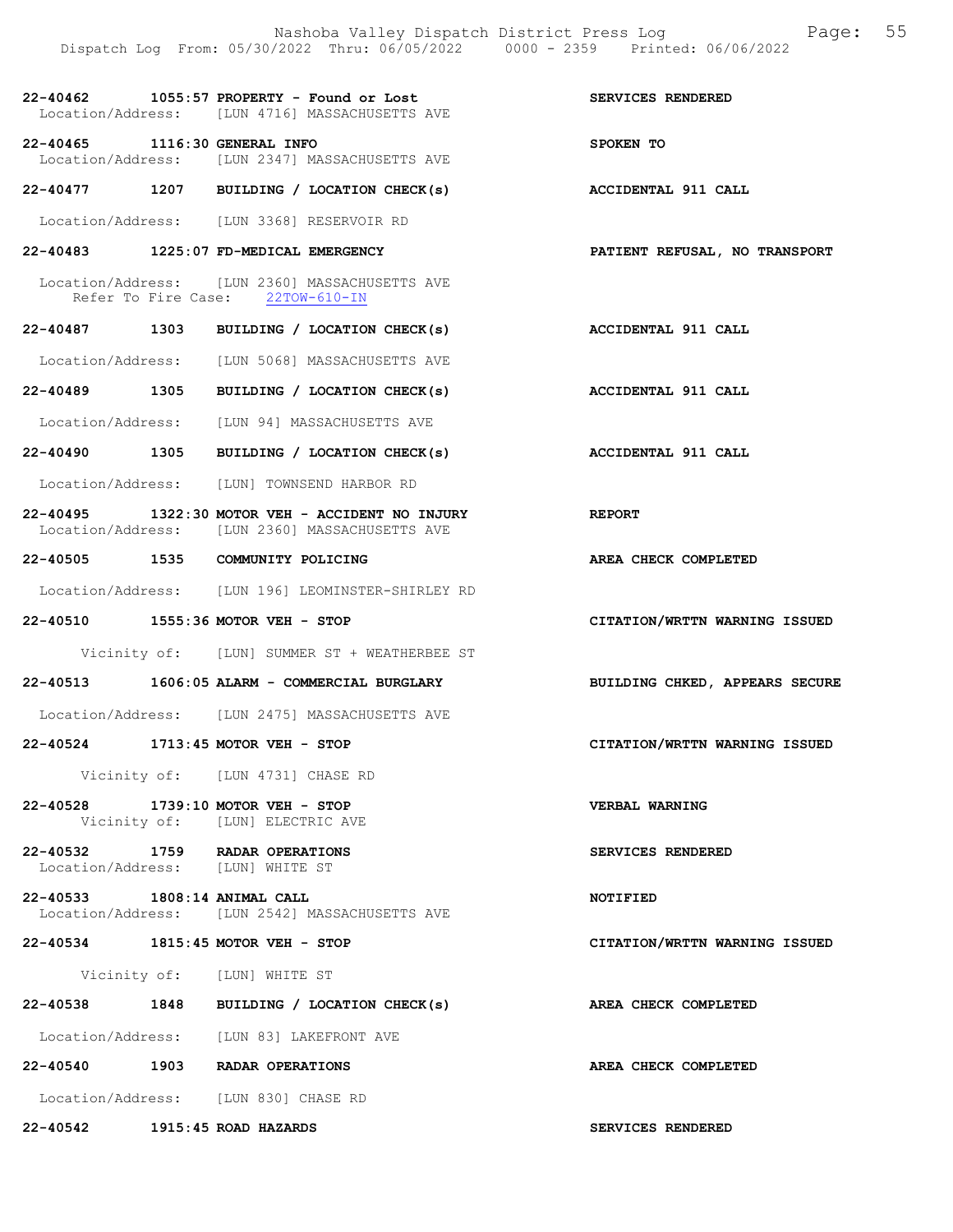|                               | Dispatch Log From: 05/30/2022 Thru: 06/05/2022 0000 - 2359 Printed: 06/06/2022                    | Nashoba Valley Dispatch District Press Log Fage: 55 |
|-------------------------------|---------------------------------------------------------------------------------------------------|-----------------------------------------------------|
|                               | 22-40462 1055:57 PROPERTY - Found or Lost<br>Location/Address: [LUN 4716] MASSACHUSETTS AVE       | SERVICES RENDERED                                   |
| 22-40465 1116:30 GENERAL INFO | Location/Address: [LUN 2347] MASSACHUSETTS AVE                                                    | SPOKEN TO                                           |
|                               | 22-40477 1207 BUILDING / LOCATION CHECK(s) ACCIDENTAL 911 CALL                                    |                                                     |
|                               | Location/Address: [LUN 3368] RESERVOIR RD                                                         |                                                     |
|                               | 22-40483 1225:07 FD-MEDICAL EMERGENCY                                                             | PATIENT REFUSAL, NO TRANSPORT                       |
|                               | Location/Address: [LUN 2360] MASSACHUSETTS AVE<br>Refer To Fire Case: 22TOW-610-IN                |                                                     |
|                               | 22-40487 1303 BUILDING / LOCATION CHECK(s)                                                        | <b>ACCIDENTAL 911 CALL</b>                          |
|                               | Location/Address: [LUN 5068] MASSACHUSETTS AVE                                                    |                                                     |
|                               | 22-40489 1305 BUILDING / LOCATION CHECK(s)                                                        | <b>ACCIDENTAL 911 CALL</b>                          |
|                               | Location/Address: [LUN 94] MASSACHUSETTS AVE                                                      |                                                     |
|                               | 22-40490 1305 BUILDING / LOCATION CHECK(s)                                                        | <b>ACCIDENTAL 911 CALL</b>                          |
|                               | Location/Address: [LUN] TOWNSEND HARBOR RD                                                        |                                                     |
|                               | 22-40495 1322:30 MOTOR VEH - ACCIDENT NO INJURY<br>Location/Address: [LUN 2360] MASSACHUSETTS AVE | <b>REPORT</b>                                       |
|                               | 22-40505 1535 COMMUNITY POLICING                                                                  | AREA CHECK COMPLETED                                |
|                               | Location/Address: [LUN 196] LEOMINSTER-SHIRLEY RD                                                 |                                                     |
|                               | 22-40510 1555:36 MOTOR VEH - STOP                                                                 | CITATION/WRTTN WARNING ISSUED                       |
|                               | Vicinity of: [LUN] SUMMER ST + WEATHERBEE ST                                                      |                                                     |
|                               | 22-40513 1606:05 ALARM - COMMERCIAL BURGLARY                                                      | BUILDING CHKED, APPEARS SECURE                      |
|                               | Location/Address: [LUN 2475] MASSACHUSETTS AVE                                                    |                                                     |
|                               | 22-40524 1713:45 MOTOR VEH - STOP                                                                 | CITATION/WRTTN WARNING ISSUED                       |
|                               | Vicinity of: [LUN 4731] CHASE RD                                                                  |                                                     |
|                               | 22-40528 1739:10 MOTOR VEH - STOP<br>Vicinity of: [LUN] ELECTRIC AVE                              | <b>VERBAL WARNING</b>                               |
|                               | 22-40532 1759 RADAR OPERATIONS<br>Location/Address: [LUN] WHITE ST                                | SERVICES RENDERED                                   |
| 22-40533 1808:14 ANIMAL CALL  | Location/Address: [LUN 2542] MASSACHUSETTS AVE                                                    | NOTIFIED                                            |
|                               | 22-40534 1815:45 MOTOR VEH - STOP                                                                 | CITATION/WRTTN WARNING ISSUED                       |
|                               | Vicinity of: [LUN] WHITE ST                                                                       |                                                     |
|                               | 22-40538 1848 BUILDING / LOCATION CHECK(s)                                                        | AREA CHECK COMPLETED                                |
|                               | Location/Address: [LUN 83] LAKEFRONT AVE                                                          |                                                     |
|                               | 22-40540 1903 RADAR OPERATIONS                                                                    | AREA CHECK COMPLETED                                |
|                               | Location/Address: [LUN 830] CHASE RD                                                              |                                                     |
| 22-40542 1915:45 ROAD HAZARDS |                                                                                                   | SERVICES RENDERED                                   |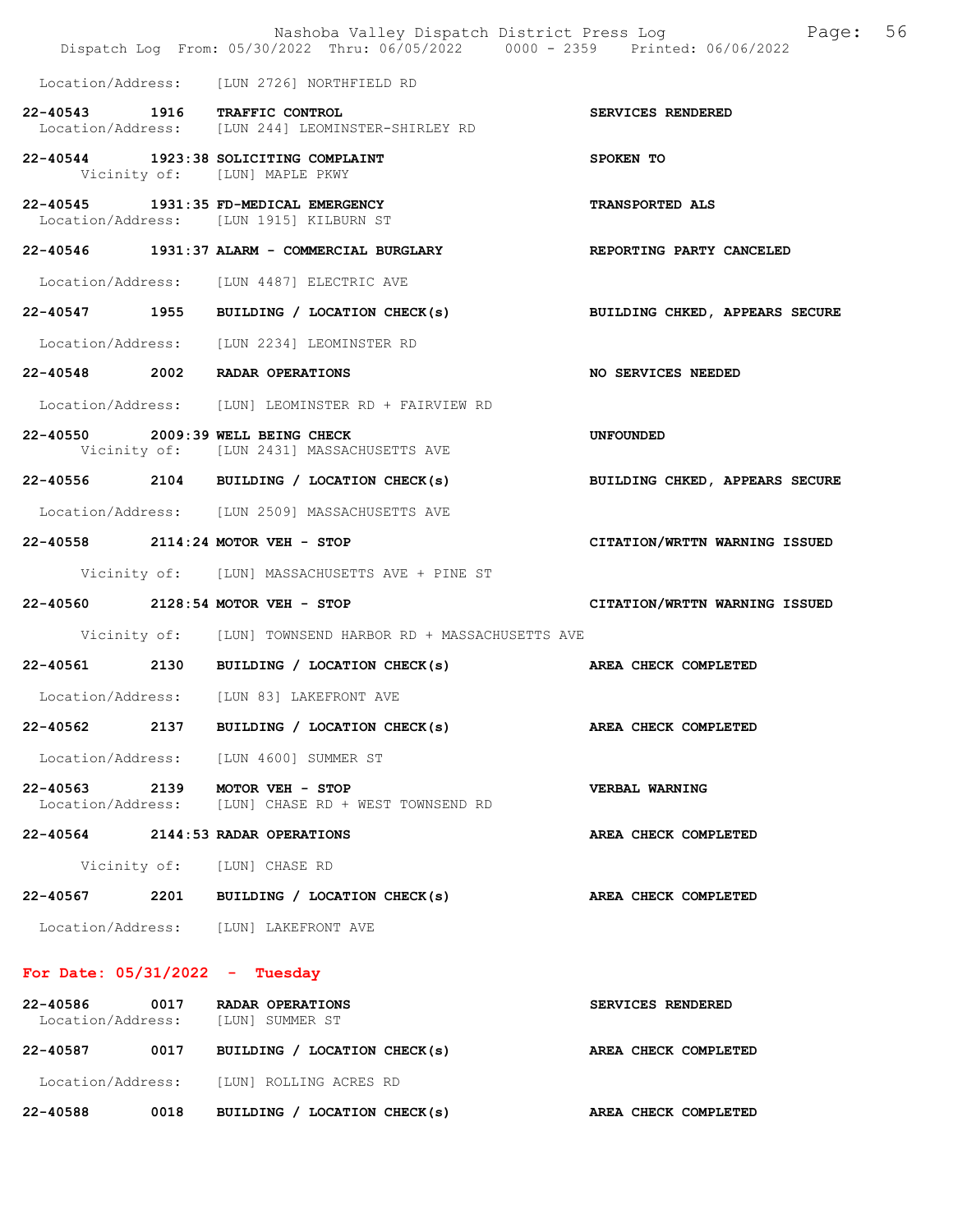|                                   |      | Nashoba Valley Dispatch District Press Log<br>Dispatch Log From: 05/30/2022 Thru: 06/05/2022 0000 - 2359 Printed: 06/06/2022 | 56<br>Page:                    |
|-----------------------------------|------|------------------------------------------------------------------------------------------------------------------------------|--------------------------------|
|                                   |      | Location/Address: [LUN 2726] NORTHFIELD RD                                                                                   |                                |
| 22-40543 1916 TRAFFIC CONTROL     |      | Location/Address: [LUN 244] LEOMINSTER-SHIRLEY RD                                                                            | SERVICES RENDERED              |
|                                   |      | 22-40544 1923:38 SOLICITING COMPLAINT<br>Vicinity of: [LUN] MAPLE PKWY                                                       | SPOKEN TO                      |
|                                   |      | 22-40545 1931:35 FD-MEDICAL EMERGENCY<br>Location/Address: [LUN 1915] KILBURN ST                                             | TRANSPORTED ALS                |
|                                   |      | 22-40546 1931:37 ALARM - COMMERCIAL BURGLARY                                                                                 | REPORTING PARTY CANCELED       |
|                                   |      | Location/Address: [LUN 4487] ELECTRIC AVE                                                                                    |                                |
|                                   |      | 22-40547 1955 BUILDING / LOCATION CHECK(s)                                                                                   | BUILDING CHKED, APPEARS SECURE |
|                                   |      | Location/Address: [LUN 2234] LEOMINSTER RD                                                                                   |                                |
| 22-40548 2002 RADAR OPERATIONS    |      |                                                                                                                              | NO SERVICES NEEDED             |
|                                   |      | Location/Address: [LUN] LEOMINSTER RD + FAIRVIEW RD                                                                          |                                |
| 22-40550 2009:39 WELL BEING CHECK |      | Vicinity of: [LUN 2431] MASSACHUSETTS AVE                                                                                    | UNFOUNDED                      |
|                                   |      | 22-40556 2104 BUILDING / LOCATION CHECK(s)                                                                                   | BUILDING CHKED, APPEARS SECURE |
|                                   |      | Location/Address: [LUN 2509] MASSACHUSETTS AVE                                                                               |                                |
| 22-40558 2114:24 MOTOR VEH - STOP |      |                                                                                                                              | CITATION/WRTTN WARNING ISSUED  |
|                                   |      | Vicinity of: [LUN] MASSACHUSETTS AVE + PINE ST                                                                               |                                |
| 22-40560 2128:54 MOTOR VEH - STOP |      |                                                                                                                              | CITATION/WRTTN WARNING ISSUED  |
|                                   |      | Vicinity of: [LUN] TOWNSEND HARBOR RD + MASSACHUSETTS AVE                                                                    |                                |
|                                   |      | 22-40561 2130 BUILDING / LOCATION CHECK(s) AREA CHECK COMPLETED                                                              |                                |
|                                   |      | Location/Address: [LUN 83] LAKEFRONT AVE                                                                                     |                                |
| 22-40562                          | 2137 | BUILDING / LOCATION CHECK(s)                                                                                                 | AREA CHECK COMPLETED           |
|                                   |      | Location/Address: [LUN 4600] SUMMER ST                                                                                       |                                |
| 22-40563 2139 MOTOR VEH - STOP    |      | Location/Address: [LUN] CHASE RD + WEST TOWNSEND RD                                                                          | VERBAL WARNING                 |
| 22-40564 2144:53 RADAR OPERATIONS |      |                                                                                                                              | AREA CHECK COMPLETED           |
|                                   |      | Vicinity of: [LUN] CHASE RD                                                                                                  |                                |
|                                   |      | 22-40567 2201 BUILDING / LOCATION CHECK(s)                                                                                   | AREA CHECK COMPLETED           |
|                                   |      | Location/Address: [LUN] LAKEFRONT AVE                                                                                        |                                |
| For Date: $05/31/2022 - Tuesday$  |      |                                                                                                                              |                                |
| 22-40586                          | 0017 | RADAR OPERATIONS<br>Location/Address: [LUN] SUMMER ST                                                                        | SERVICES RENDERED              |
|                                   |      | 22-40587 0017 BUILDING / LOCATION CHECK(s)                                                                                   | AREA CHECK COMPLETED           |
|                                   |      | Location/Address: [LUN] ROLLING ACRES RD                                                                                     |                                |

22-40588 0018 BUILDING / LOCATION CHECK(s) AREA CHECK COMPLETED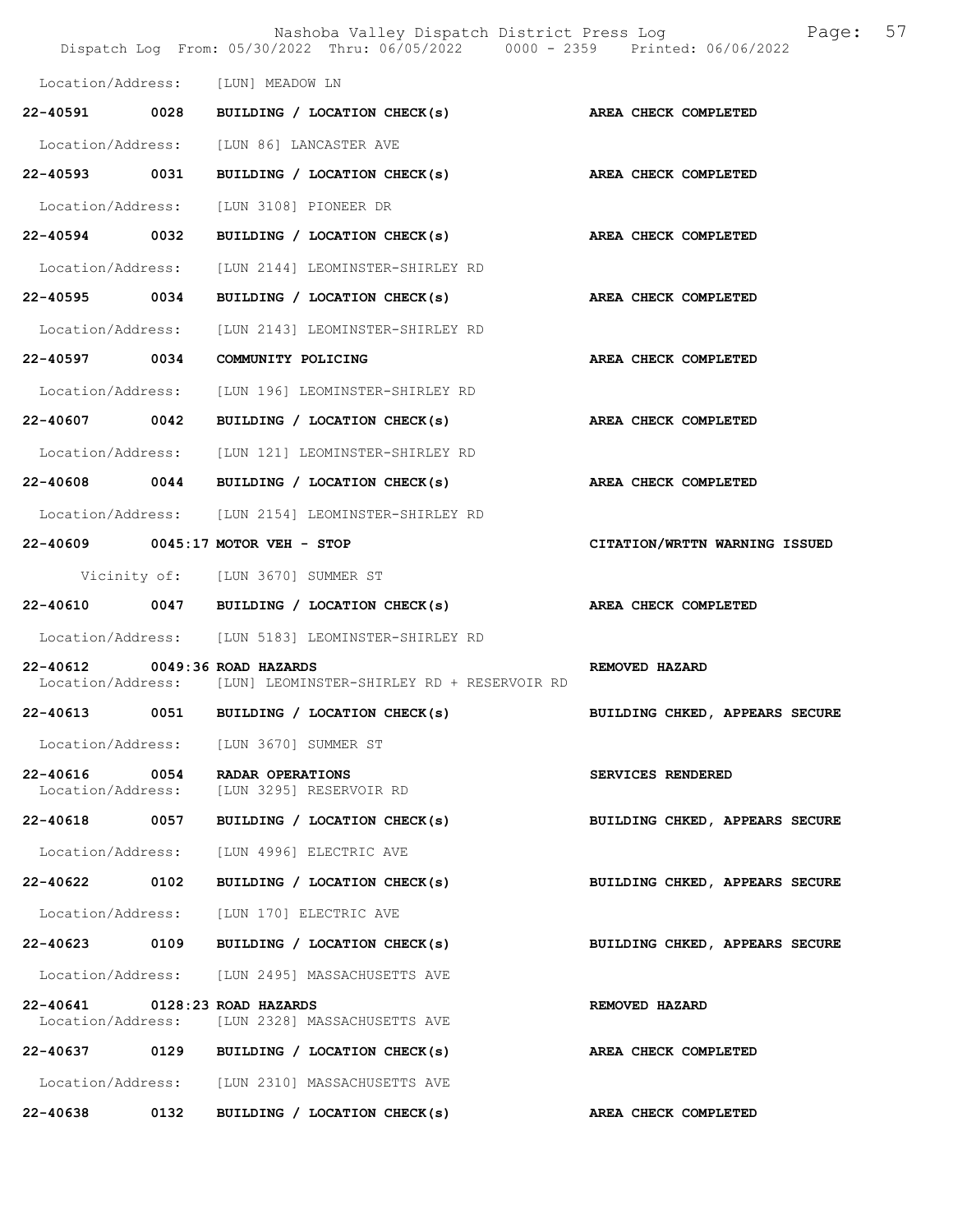|                               |      | Nashoba Valley Dispatch District Press Log Nashoba Page:<br>Dispatch Log From: 05/30/2022 Thru: 06/05/2022 0000 - 2359 Printed: 06/06/2022 |                                | 57 |
|-------------------------------|------|--------------------------------------------------------------------------------------------------------------------------------------------|--------------------------------|----|
|                               |      | Location/Address: [LUN] MEADOW LN                                                                                                          |                                |    |
| 22-40591                      | 0028 | BUILDING / LOCATION CHECK(s) AREA CHECK COMPLETED                                                                                          |                                |    |
|                               |      | Location/Address: [LUN 86] LANCASTER AVE                                                                                                   |                                |    |
| 22-40593 0031                 |      | BUILDING / LOCATION CHECK(s)                                                                                                               | AREA CHECK COMPLETED           |    |
| Location/Address:             |      | [LUN 3108] PIONEER DR                                                                                                                      |                                |    |
| 22-40594 0032                 |      | BUILDING / LOCATION CHECK(s) AREA CHECK COMPLETED                                                                                          |                                |    |
| Location/Address:             |      | [LUN 2144] LEOMINSTER-SHIRLEY RD                                                                                                           |                                |    |
| 22-40595                      | 0034 | BUILDING / LOCATION CHECK(s)                                                                                                               | AREA CHECK COMPLETED           |    |
| Location/Address:             |      | [LUN 2143] LEOMINSTER-SHIRLEY RD                                                                                                           |                                |    |
| 22-40597 0034                 |      | COMMUNITY POLICING                                                                                                                         | AREA CHECK COMPLETED           |    |
| Location/Address:             |      | [LUN 196] LEOMINSTER-SHIRLEY RD                                                                                                            |                                |    |
| 22-40607 0042                 |      | BUILDING / LOCATION CHECK(s) AREA CHECK COMPLETED                                                                                          |                                |    |
| Location/Address:             |      | [LUN 121] LEOMINSTER-SHIRLEY RD                                                                                                            |                                |    |
| 22-40608 0044                 |      | BUILDING / LOCATION CHECK(s)                                                                                                               | AREA CHECK COMPLETED           |    |
|                               |      | Location/Address: [LUN 2154] LEOMINSTER-SHIRLEY RD                                                                                         |                                |    |
|                               |      | 22-40609 0045:17 MOTOR VEH - STOP                                                                                                          | CITATION/WRTTN WARNING ISSUED  |    |
|                               |      | Vicinity of: [LUN 3670] SUMMER ST                                                                                                          |                                |    |
|                               |      | 22-40610 0047 BUILDING / LOCATION CHECK(s)                                                                                                 | AREA CHECK COMPLETED           |    |
|                               |      | Location/Address: [LUN 5183] LEOMINSTER-SHIRLEY RD                                                                                         |                                |    |
| 22-40612                      |      | $0049:36$ ROAD HAZARDS<br>Location/Address: [LUN] LEOMINSTER-SHIRLEY RD + RESERVOIR RD                                                     | REMOVED HAZARD                 |    |
|                               |      | 22-40613 0051 BUILDING / LOCATION CHECK(s)                                                                                                 | BUILDING CHKED, APPEARS SECURE |    |
|                               |      | Location/Address: [LUN 3670] SUMMER ST                                                                                                     |                                |    |
| 22-40616 0054                 |      | RADAR OPERATIONS<br>Location/Address: [LUN 3295] RESERVOIR RD                                                                              | SERVICES RENDERED              |    |
| 22-40618 0057                 |      | BUILDING / LOCATION CHECK(s)                                                                                                               | BUILDING CHKED, APPEARS SECURE |    |
| Location/Address:             |      | [LUN 4996] ELECTRIC AVE                                                                                                                    |                                |    |
| 22-40622 0102                 |      | BUILDING / LOCATION CHECK(s)                                                                                                               | BUILDING CHKED, APPEARS SECURE |    |
| Location/Address:             |      | [LUN 170] ELECTRIC AVE                                                                                                                     |                                |    |
| 22-40623                      | 0109 | BUILDING / LOCATION CHECK(s)                                                                                                               | BUILDING CHKED, APPEARS SECURE |    |
|                               |      | Location/Address: [LUN 2495] MASSACHUSETTS AVE                                                                                             |                                |    |
| 22-40641 0128:23 ROAD HAZARDS |      | Location/Address: [LUN 2328] MASSACHUSETTS AVE                                                                                             | REMOVED HAZARD                 |    |
| 22-40637                      |      | 0129 BUILDING / LOCATION CHECK(s)                                                                                                          | AREA CHECK COMPLETED           |    |
|                               |      | Location/Address: [LUN 2310] MASSACHUSETTS AVE                                                                                             |                                |    |
| 22-40638                      | 0132 | BUILDING / LOCATION CHECK(s)                                                                                                               | AREA CHECK COMPLETED           |    |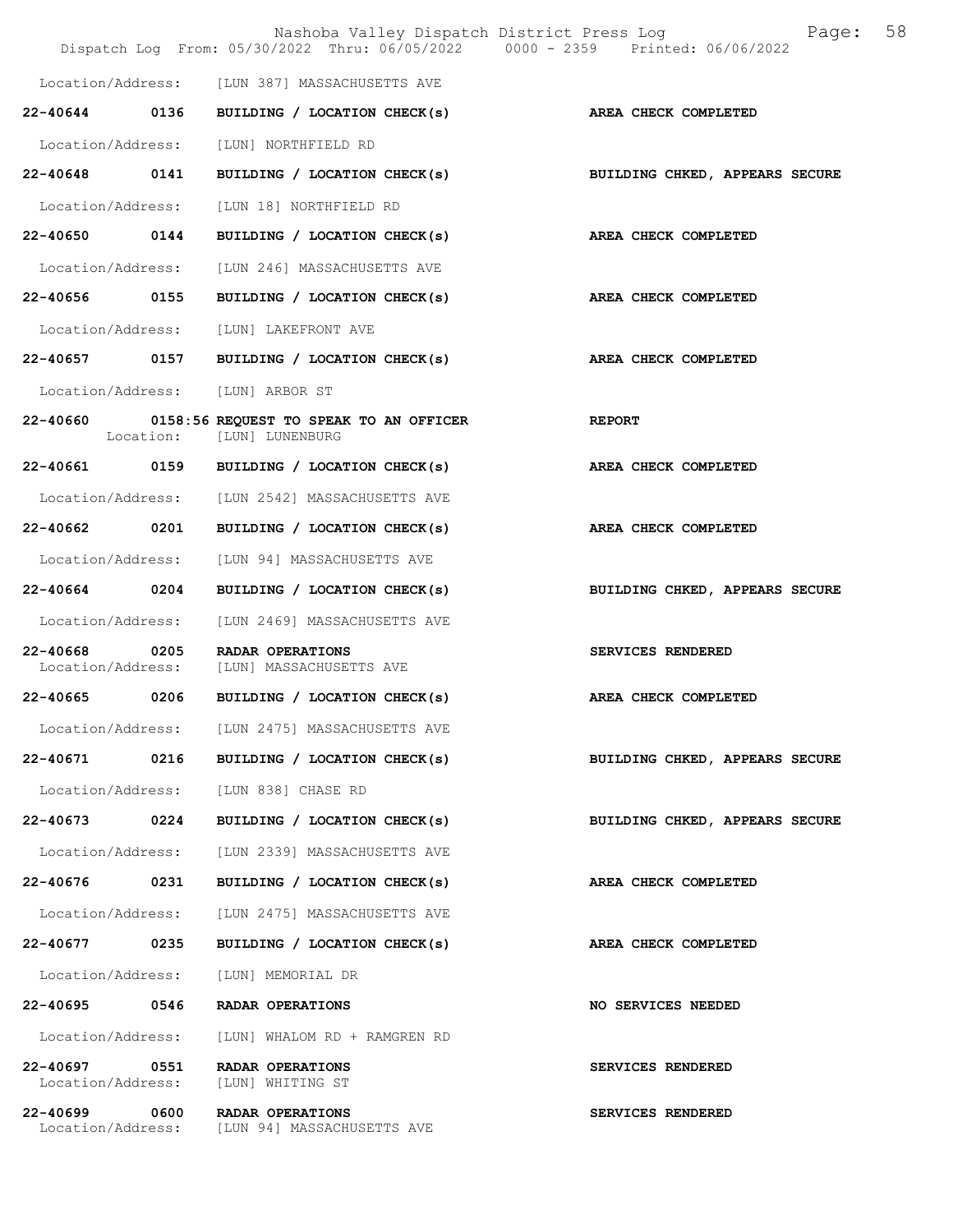|                                    |      | Dispatch Log From: 05/30/2022 Thru: 06/05/2022 0000 - 2359 Printed: 06/06/2022 | 58<br>Nashoba Valley Dispatch District Press Log<br>Page: |  |
|------------------------------------|------|--------------------------------------------------------------------------------|-----------------------------------------------------------|--|
|                                    |      | Location/Address: [LUN 387] MASSACHUSETTS AVE                                  |                                                           |  |
|                                    |      | 22-40644 0136 BUILDING / LOCATION CHECK(s)                                     | AREA CHECK COMPLETED                                      |  |
|                                    |      | Location/Address: [LUN] NORTHFIELD RD                                          |                                                           |  |
|                                    |      | 22-40648 0141 BUILDING / LOCATION CHECK(s)                                     | BUILDING CHKED, APPEARS SECURE                            |  |
|                                    |      | Location/Address: [LUN 18] NORTHFIELD RD                                       |                                                           |  |
|                                    |      | 22-40650 0144 BUILDING / LOCATION CHECK(s)                                     | AREA CHECK COMPLETED                                      |  |
|                                    |      | Location/Address: [LUN 246] MASSACHUSETTS AVE                                  |                                                           |  |
|                                    |      | 22-40656 0155 BUILDING / LOCATION CHECK(s) AREA CHECK COMPLETED                |                                                           |  |
|                                    |      | Location/Address: [LUN] LAKEFRONT AVE                                          |                                                           |  |
|                                    |      | 22-40657 0157 BUILDING / LOCATION CHECK(s)                                     | <b>AREA CHECK COMPLETED</b>                               |  |
|                                    |      | Location/Address: [LUN] ARBOR ST                                               |                                                           |  |
|                                    |      | 22-40660 0158:56 REQUEST TO SPEAK TO AN OFFICER<br>Location: [LUN] LUNENBURG   | <b>EXERCITE REPORT</b>                                    |  |
|                                    |      | 22-40661 0159 BUILDING / LOCATION CHECK(s) AREA CHECK COMPLETED                |                                                           |  |
|                                    |      | Location/Address: [LUN 2542] MASSACHUSETTS AVE                                 |                                                           |  |
|                                    |      | 22-40662 0201 BUILDING / LOCATION CHECK(s)                                     | AREA CHECK COMPLETED                                      |  |
|                                    |      | Location/Address: [LUN 94] MASSACHUSETTS AVE                                   |                                                           |  |
|                                    |      | 22-40664 0204 BUILDING / LOCATION CHECK(s)                                     | BUILDING CHKED, APPEARS SECURE                            |  |
|                                    |      | Location/Address: [LUN 2469] MASSACHUSETTS AVE                                 |                                                           |  |
|                                    |      | 22-40668 0205 RADAR OPERATIONS<br>Location/Address: [LUN] MASSACHUSETTS AVE    | SERVICES RENDERED                                         |  |
|                                    |      | 22-40665 0206 BUILDING / LOCATION CHECK(s)                                     | AREA CHECK COMPLETED                                      |  |
|                                    |      | Location/Address: [LUN 2475] MASSACHUSETTS AVE                                 |                                                           |  |
| 22-40671                           | 0216 | BUILDING / LOCATION CHECK(s)                                                   | BUILDING CHKED, APPEARS SECURE                            |  |
|                                    |      | Location/Address: [LUN 838] CHASE RD                                           |                                                           |  |
| $22 - 40673$                       | 0224 | BUILDING / LOCATION CHECK(s)                                                   | BUILDING CHKED, APPEARS SECURE                            |  |
| Location/Address:                  |      | [LUN 2339] MASSACHUSETTS AVE                                                   |                                                           |  |
| 22-40676 0231                      |      | BUILDING / LOCATION CHECK(s)                                                   | AREA CHECK COMPLETED                                      |  |
| Location/Address:                  |      | [LUN 2475] MASSACHUSETTS AVE                                                   |                                                           |  |
| 22-40677 0235                      |      | BUILDING / LOCATION CHECK(s)                                                   | AREA CHECK COMPLETED                                      |  |
| Location/Address:                  |      | [LUN] MEMORIAL DR                                                              |                                                           |  |
| 22-40695                           | 0546 | RADAR OPERATIONS                                                               | NO SERVICES NEEDED                                        |  |
| Location/Address:                  |      | [LUN] WHALOM RD + RAMGREN RD                                                   |                                                           |  |
| 22-40697 0551<br>Location/Address: |      | RADAR OPERATIONS<br>[LUN] WHITING ST                                           | SERVICES RENDERED                                         |  |
| 22-40699 0600                      |      | RADAR OPERATIONS<br>Location/Address: [LUN 94] MASSACHUSETTS AVE               | SERVICES RENDERED                                         |  |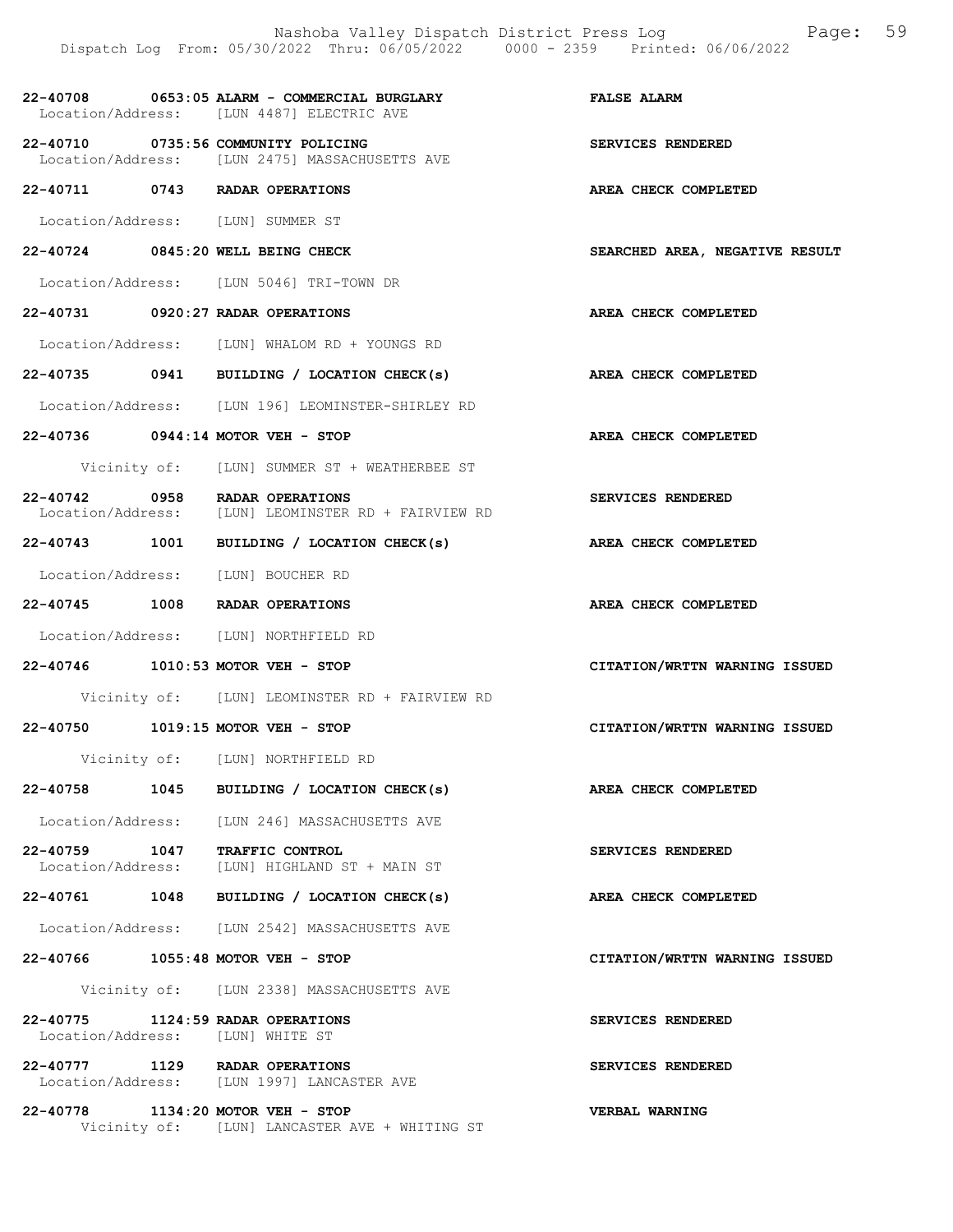|                                  | Dispatch Log From: 05/30/2022 Thru: 06/05/2022 0000 - 2359 Printed: 06/06/2022                        | Nashoba Valley Dispatch District Press Log Faqe: 59 |
|----------------------------------|-------------------------------------------------------------------------------------------------------|-----------------------------------------------------|
|                                  | 22-40708 0653:05 ALARM - COMMERCIAL BURGLARY TELSE ALARM<br>Location/Address: [LUN 4487] ELECTRIC AVE |                                                     |
|                                  | 22-40710 0735:56 COMMUNITY POLICING<br>Location/Address: [LUN 2475] MASSACHUSETTS AVE                 | SERVICES RENDERED                                   |
|                                  | 22-40711 0743 RADAR OPERATIONS                                                                        | AREA CHECK COMPLETED                                |
|                                  | Location/Address: [LUN] SUMMER ST                                                                     |                                                     |
|                                  | 22-40724 0845:20 WELL BEING CHECK                                                                     | SEARCHED AREA, NEGATIVE RESULT                      |
|                                  | Location/Address: [LUN 5046] TRI-TOWN DR                                                              |                                                     |
|                                  | 22-40731 0920:27 RADAR OPERATIONS                                                                     | AREA CHECK COMPLETED                                |
|                                  | Location/Address: [LUN] WHALOM RD + YOUNGS RD                                                         |                                                     |
|                                  | 22-40735 0941 BUILDING / LOCATION CHECK(s) AREA CHECK COMPLETED                                       |                                                     |
|                                  | Location/Address: [LUN 196] LEOMINSTER-SHIRLEY RD                                                     |                                                     |
|                                  | 22-40736 0944:14 MOTOR VEH - STOP                                                                     | AREA CHECK COMPLETED                                |
|                                  | Vicinity of: [LUN] SUMMER ST + WEATHERBEE ST                                                          |                                                     |
|                                  | 22-40742 0958 RADAR OPERATIONS<br>Location/Address: [LUN] LEOMINSTER RD + FAIRVIEW RD                 | SERVICES RENDERED                                   |
|                                  | 22-40743 1001 BUILDING / LOCATION CHECK(s) AREA CHECK COMPLETED                                       |                                                     |
|                                  | Location/Address: [LUN] BOUCHER RD                                                                    |                                                     |
|                                  | 22-40745 1008 RADAR OPERATIONS                                                                        | AREA CHECK COMPLETED                                |
|                                  | Location/Address: [LUN] NORTHFIELD RD                                                                 |                                                     |
|                                  | 22-40746 1010:53 MOTOR VEH - STOP                                                                     | CITATION/WRTTN WARNING ISSUED                       |
|                                  | Vicinity of: [LUN] LEOMINSTER RD + FAIRVIEW RD                                                        |                                                     |
|                                  | 22-40750 1019:15 MOTOR VEH - STOP                                                                     | CITATION/WRTTN WARNING ISSUED                       |
|                                  | Vicinity of: [LUN] NORTHFIELD RD                                                                      |                                                     |
|                                  | 22-40758 1045 BUILDING / LOCATION CHECK(s)                                                            | <b>AREA CHECK COMPLETED</b>                         |
|                                  | Location/Address: [LUN 246] MASSACHUSETTS AVE                                                         |                                                     |
|                                  | 22-40759 1047 TRAFFIC CONTROL<br>Location/Address: [LUN] HIGHLAND ST + MAIN ST                        | SERVICES RENDERED                                   |
|                                  | 22-40761 1048 BUILDING / LOCATION CHECK(s)                                                            | AREA CHECK COMPLETED                                |
|                                  | Location/Address: [LUN 2542] MASSACHUSETTS AVE                                                        |                                                     |
|                                  | 22-40766 1055:48 MOTOR VEH - STOP                                                                     | CITATION/WRTTN WARNING ISSUED                       |
|                                  | Vicinity of: [LUN 2338] MASSACHUSETTS AVE                                                             |                                                     |
| Location/Address: [LUN] WHITE ST | 22-40775 1124:59 RADAR OPERATIONS                                                                     | SERVICES RENDERED                                   |
|                                  | 22-40777 1129 RADAR OPERATIONS<br>Location/Address: [LUN 1997] LANCASTER AVE                          | SERVICES RENDERED                                   |
|                                  | 22-40778 1134:20 MOTOR VEH - STOP                                                                     | VERBAL WARNING                                      |

Vicinity of: [LUN] LANCASTER AVE + WHITING ST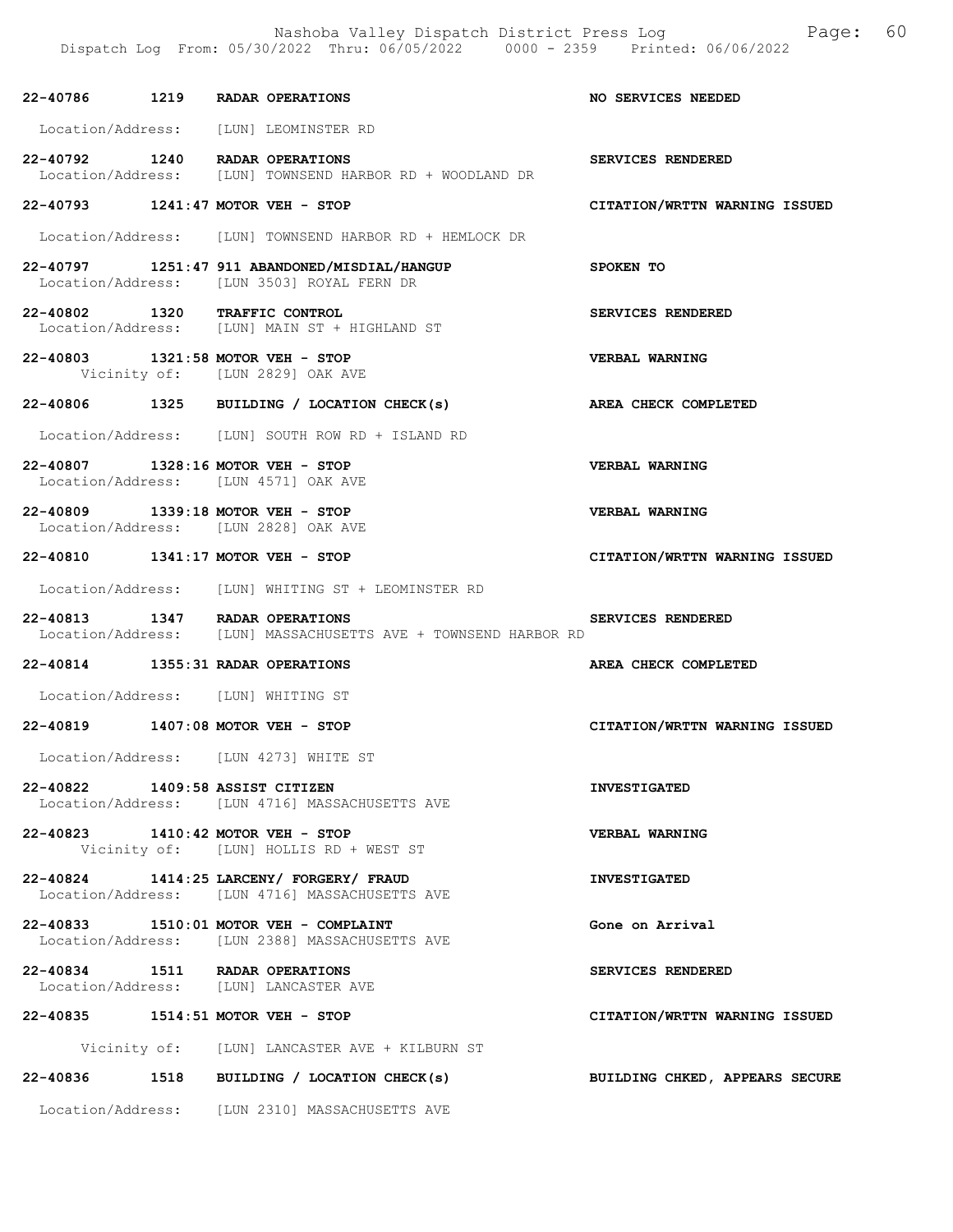|  | 22-40786 1219 RADAR OPERATIONS                                                                         | NO SERVICES NEEDED             |
|--|--------------------------------------------------------------------------------------------------------|--------------------------------|
|  | Location/Address: [LUN] LEOMINSTER RD                                                                  |                                |
|  | 22-40792 1240 RADAR OPERATIONS<br>-- -----<br>Location/Address: [LUN] TOWNSEND HARBOR RD + WOODLAND DR | SERVICES RENDERED              |
|  | 22-40793 1241:47 MOTOR VEH - STOP                                                                      | CITATION/WRTTN WARNING ISSUED  |
|  | Location/Address: [LUN] TOWNSEND HARBOR RD + HEMLOCK DR                                                |                                |
|  | 22-40797 1251:47 911 ABANDONED/MISDIAL/HANGUP<br>Location/Address: [LUN 3503] ROYAL FERN DR            | SPOKEN TO                      |
|  | 22-40802 1320 TRAFFIC CONTROL<br>Location/Address: [LUN] MAIN ST + HIGHLAND ST                         | SERVICES RENDERED              |
|  | 22-40803 1321:58 MOTOR VEH - STOP<br>Vicinity of: [LUN 2829] OAK AVE                                   | VERBAL WARNING                 |
|  | 22-40806 1325 BUILDING / LOCATION CHECK(s)                                                             | AREA CHECK COMPLETED           |
|  | Location/Address: [LUN] SOUTH ROW RD + ISLAND RD                                                       |                                |
|  | 22-40807 1328:16 MOTOR VEH - STOP<br>Location/Address: [LUN 4571] OAK AVE                              | VERBAL WARNING                 |
|  | 22-40809 1339:18 MOTOR VEH - STOP<br>Location/Address: [LUN 2828] OAK AVE                              | <b>VERBAL WARNING</b>          |
|  | 22-40810 1341:17 MOTOR VEH - STOP                                                                      | CITATION/WRTTN WARNING ISSUED  |
|  | Location/Address: [LUN] WHITING ST + LEOMINSTER RD                                                     |                                |
|  | 22-40813 1347 RADAR OPERATIONS<br>Location/Address: [LUN] MASSACHUSETTS AVE + TOWNSEND HARBOR RD       | SERVICES RENDERED              |
|  | 22-40814 1355:31 RADAR OPERATIONS                                                                      | AREA CHECK COMPLETED           |
|  | Location/Address: [LUN] WHITING ST                                                                     |                                |
|  | 22-40819 1407:08 MOTOR VEH - STOP                                                                      | CITATION/WRTTN WARNING ISSUED  |
|  | Location/Address: [LUN 4273] WHITE ST                                                                  |                                |
|  | 22-40822 1409:58 ASSIST CITIZEN<br>Location/Address: [LUN 4716] MASSACHUSETTS AVE                      | <b>INVESTIGATED</b>            |
|  | 22-40823 1410:42 MOTOR VEH - STOP<br>Vicinity of: [LUN] HOLLIS RD + WEST ST                            | VERBAL WARNING                 |
|  | 22-40824 1414:25 LARCENY/ FORGERY/ FRAUD<br>Location/Address: [LUN 4716] MASSACHUSETTS AVE             | <b>INVESTIGATED</b>            |
|  | 22-40833 1510:01 MOTOR VEH - COMPLAINT<br>Location/Address: [LUN 2388] MASSACHUSETTS AVE               | Gone on Arrival                |
|  | 22-40834 1511 RADAR OPERATIONS<br>Location/Address: [LUN] LANCASTER AVE                                | <b>SERVICES RENDERED</b>       |
|  | 22-40835 1514:51 MOTOR VEH - STOP                                                                      | CITATION/WRTTN WARNING ISSUED  |
|  | Vicinity of: [LUN] LANCASTER AVE + KILBURN ST                                                          |                                |
|  | 22-40836 1518 BUILDING / LOCATION CHECK(s)                                                             | BUILDING CHKED, APPEARS SECURE |
|  | Location/Address: [LUN 2310] MASSACHUSETTS AVE                                                         |                                |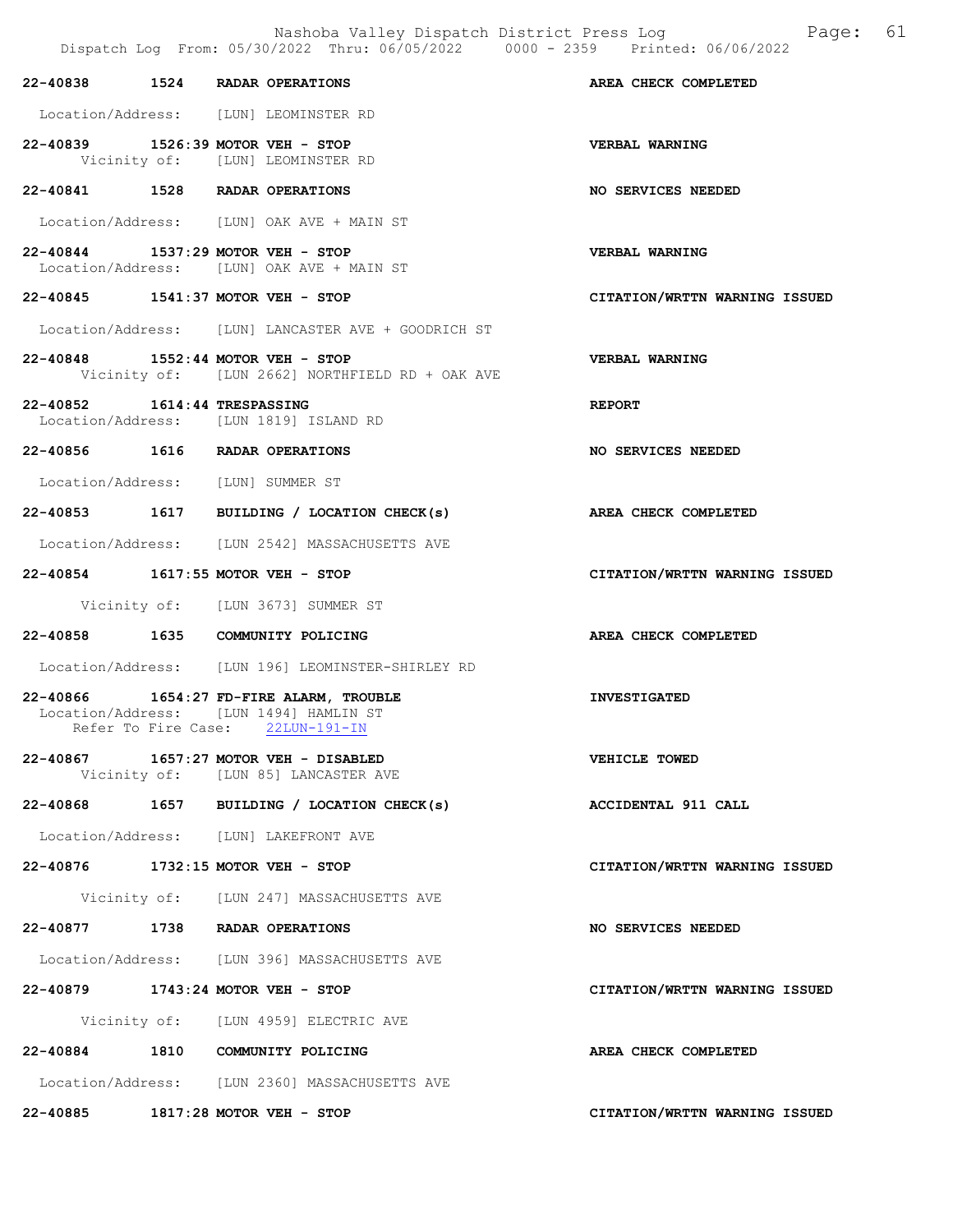Nashoba Valley Dispatch District Press Log Page: 61 Dispatch Log From: 05/30/2022 Thru: 06/05/2022 0000 - 2359 Printed: 06/06/2022 22-40838 1524 RADAR OPERATIONS AREA CHECK COMPLETED Location/Address: [LUN] LEOMINSTER RD 22-40839 1526:39 MOTOR VEH - STOP VERBAL WARNING<br>Vicinity of: [LUN] LEOMINSTER RD [LUN] LEOMINSTER RD 22-40841 1528 RADAR OPERATIONS NO SERVICES NEEDED Location/Address: [LUN] OAK AVE + MAIN ST 22-40844 1537:29 MOTOR VEH - STOP VERBAL WARNING Location/Address: [LUN] OAK AVE + MAIN ST 22-40845 1541:37 MOTOR VEH - STOP CITATION/WRTTN WARNING ISSUED Location/Address: [LUN] LANCASTER AVE + GOODRICH ST 22-40848 1552:44 MOTOR VEH - STOP VERBAL WARNING Vicinity of: [LUN 2662] NORTHFIELD RD + OAK AVE 22-40852 1614:44 TRESPASSING REPORT Location/Address: [LUN 1819] ISLAND RD 22-40856 1616 RADAR OPERATIONS NO SERVICES NEEDED Location/Address: [LUN] SUMMER ST 22-40853 1617 BUILDING / LOCATION CHECK(s) AREA CHECK COMPLETED Location/Address: [LUN 2542] MASSACHUSETTS AVE 22-40854 1617:55 MOTOR VEH - STOP CITATION/WRTTN WARNING ISSUED Vicinity of: [LUN 3673] SUMMER ST 22-40858 1635 COMMUNITY POLICING AREA CHECK COMPLETED Location/Address: [LUN 196] LEOMINSTER-SHIRLEY RD 22-40866 1654:27 FD-FIRE ALARM, TROUBLE INVESTIGATED Location/Address: [LUN 1494] HAMLIN ST Refer To Fire Case: 22LUN-191-IN 22-40867 1657:27 MOTOR VEH - DISABLED VEHICLE TOWED Vicinity of: [LUN 85] LANCASTER AVE 22-40868 1657 BUILDING / LOCATION CHECK(s) ACCIDENTAL 911 CALL Location/Address: [LUN] LAKEFRONT AVE 22-40876 1732:15 MOTOR VEH - STOP CITATION/WRTTN WARNING ISSUED Vicinity of: [LUN 247] MASSACHUSETTS AVE 22-40877 1738 RADAR OPERATIONS NO SERVICES NEEDED Location/Address: [LUN 396] MASSACHUSETTS AVE 22-40879 1743:24 MOTOR VEH - STOP CITATION/WRTTN WARNING ISSUED Vicinity of: [LUN 4959] ELECTRIC AVE 22-40884 1810 COMMUNITY POLICING AREA CHECK COMPLETED Location/Address: [LUN 2360] MASSACHUSETTS AVE 22-40885 1817:28 MOTOR VEH - STOP CITATION/WRTTN WARNING ISSUED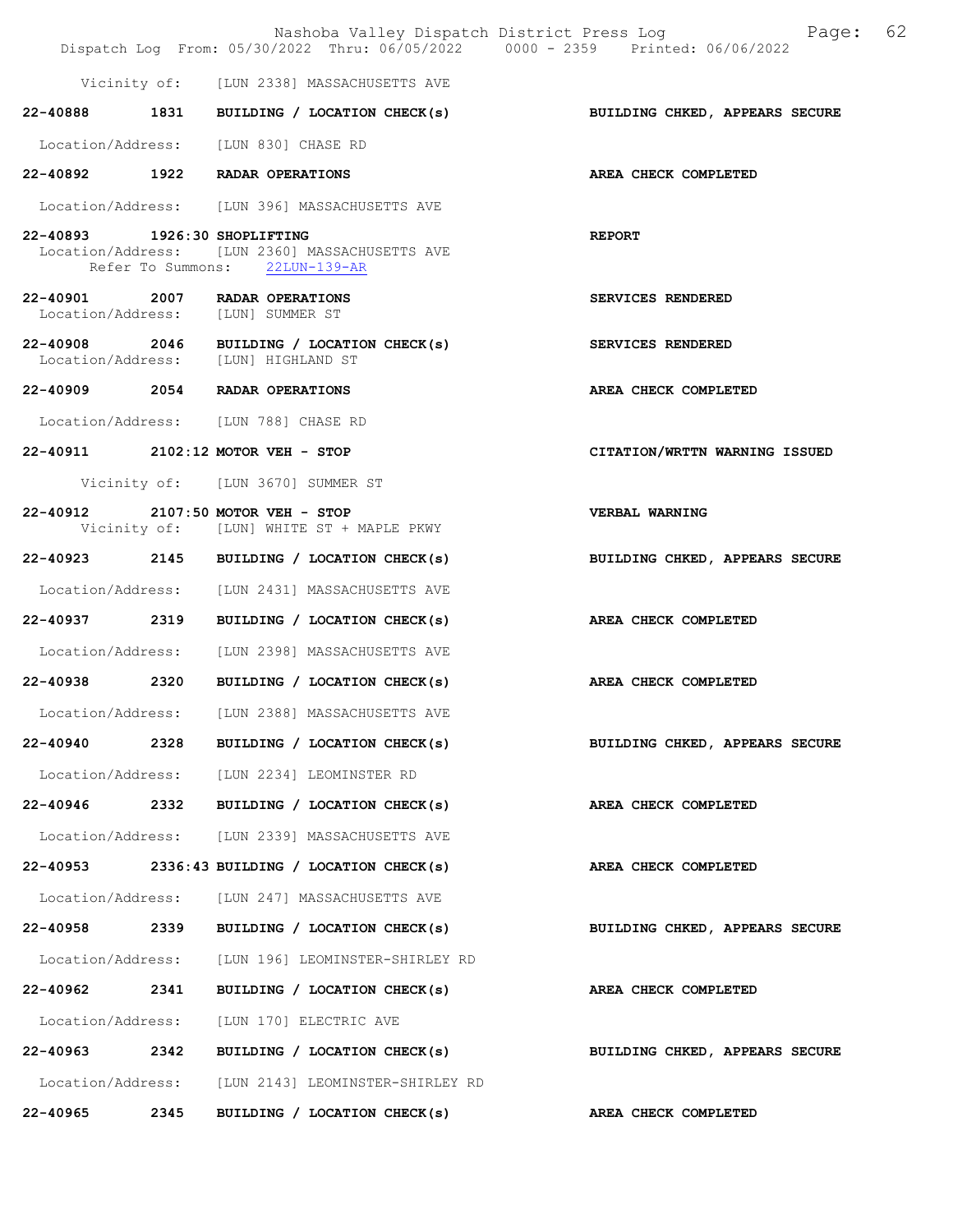|                              |      | Nashoba Valley Dispatch District Press Log<br>Dispatch Log From: 05/30/2022 Thru: 06/05/2022 0000 - 2359 Printed: 06/06/2022 | 62<br>Page:                    |
|------------------------------|------|------------------------------------------------------------------------------------------------------------------------------|--------------------------------|
|                              |      | Vicinity of: [LUN 2338] MASSACHUSETTS AVE                                                                                    |                                |
|                              |      | 22-40888 1831 BUILDING / LOCATION CHECK(s)                                                                                   | BUILDING CHKED, APPEARS SECURE |
|                              |      | Location/Address: [LUN 830] CHASE RD                                                                                         |                                |
|                              |      | 22-40892 1922 RADAR OPERATIONS                                                                                               | AREA CHECK COMPLETED           |
|                              |      | Location/Address: [LUN 396] MASSACHUSETTS AVE                                                                                |                                |
| 22-40893 1926:30 SHOPLIFTING |      | Location/Address: [LUN 2360] MASSACHUSETTS AVE<br>Refer To Summons: 22LUN-139-AR                                             | <b>REPORT</b>                  |
| 22-40901 2007                |      | RADAR OPERATIONS<br>Location/Address: [LUN] SUMMER ST                                                                        | SERVICES RENDERED              |
|                              |      | 22-40908 2046 BUILDING / LOCATION CHECK(s)<br>Location/Address: [LUN] HIGHLAND ST                                            | SERVICES RENDERED              |
|                              |      | 22-40909 2054 RADAR OPERATIONS                                                                                               | AREA CHECK COMPLETED           |
|                              |      | Location/Address: [LUN 788] CHASE RD                                                                                         |                                |
|                              |      | 22-40911 2102:12 MOTOR VEH - STOP                                                                                            | CITATION/WRTTN WARNING ISSUED  |
|                              |      | Vicinity of: [LUN 3670] SUMMER ST                                                                                            |                                |
|                              |      | 22-40912 2107:50 MOTOR VEH - STOP<br>Vicinity of: [LUN] WHITE ST + MAPLE PKWY                                                | <b>VERBAL WARNING</b>          |
|                              |      | 22-40923 2145 BUILDING / LOCATION CHECK(s)                                                                                   | BUILDING CHKED, APPEARS SECURE |
|                              |      | Location/Address: [LUN 2431] MASSACHUSETTS AVE                                                                               |                                |
| 22-40937 2319                |      | BUILDING / LOCATION CHECK(s)                                                                                                 | AREA CHECK COMPLETED           |
| Location/Address:            |      | [LUN 2398] MASSACHUSETTS AVE                                                                                                 |                                |
| 22-40938 2320                |      | BUILDING / LOCATION CHECK(s)                                                                                                 | AREA CHECK COMPLETED           |
|                              |      | Location/Address: [LUN 2388] MASSACHUSETTS AVE                                                                               |                                |
| 22-40940                     |      | 2328 BUILDING / LOCATION CHECK(s)                                                                                            | BUILDING CHKED, APPEARS SECURE |
|                              |      | Location/Address: [LUN 2234] LEOMINSTER RD                                                                                   |                                |
|                              |      | 22-40946 2332 BUILDING / LOCATION CHECK(s)                                                                                   | AREA CHECK COMPLETED           |
|                              |      | Location/Address: [LUN 2339] MASSACHUSETTS AVE                                                                               |                                |
|                              |      | $22-40953$ 2336:43 BUILDING / LOCATION CHECK(s)                                                                              | AREA CHECK COMPLETED           |
|                              |      | Location/Address: [LUN 247] MASSACHUSETTS AVE                                                                                |                                |
| 22-40958                     |      | 2339 BUILDING / LOCATION CHECK(s)                                                                                            | BUILDING CHKED, APPEARS SECURE |
|                              |      | Location/Address: [LUN 196] LEOMINSTER-SHIRLEY RD                                                                            |                                |
| 22-40962                     | 2341 | BUILDING / LOCATION CHECK(s)                                                                                                 | AREA CHECK COMPLETED           |
|                              |      | Location/Address: [LUN 170] ELECTRIC AVE                                                                                     |                                |
| 22–40963 2342                |      | BUILDING / LOCATION CHECK(s)                                                                                                 | BUILDING CHKED, APPEARS SECURE |
|                              |      | Location/Address: [LUN 2143] LEOMINSTER-SHIRLEY RD                                                                           |                                |
| 22-40965                     | 2345 | BUILDING / LOCATION CHECK(s)                                                                                                 | AREA CHECK COMPLETED           |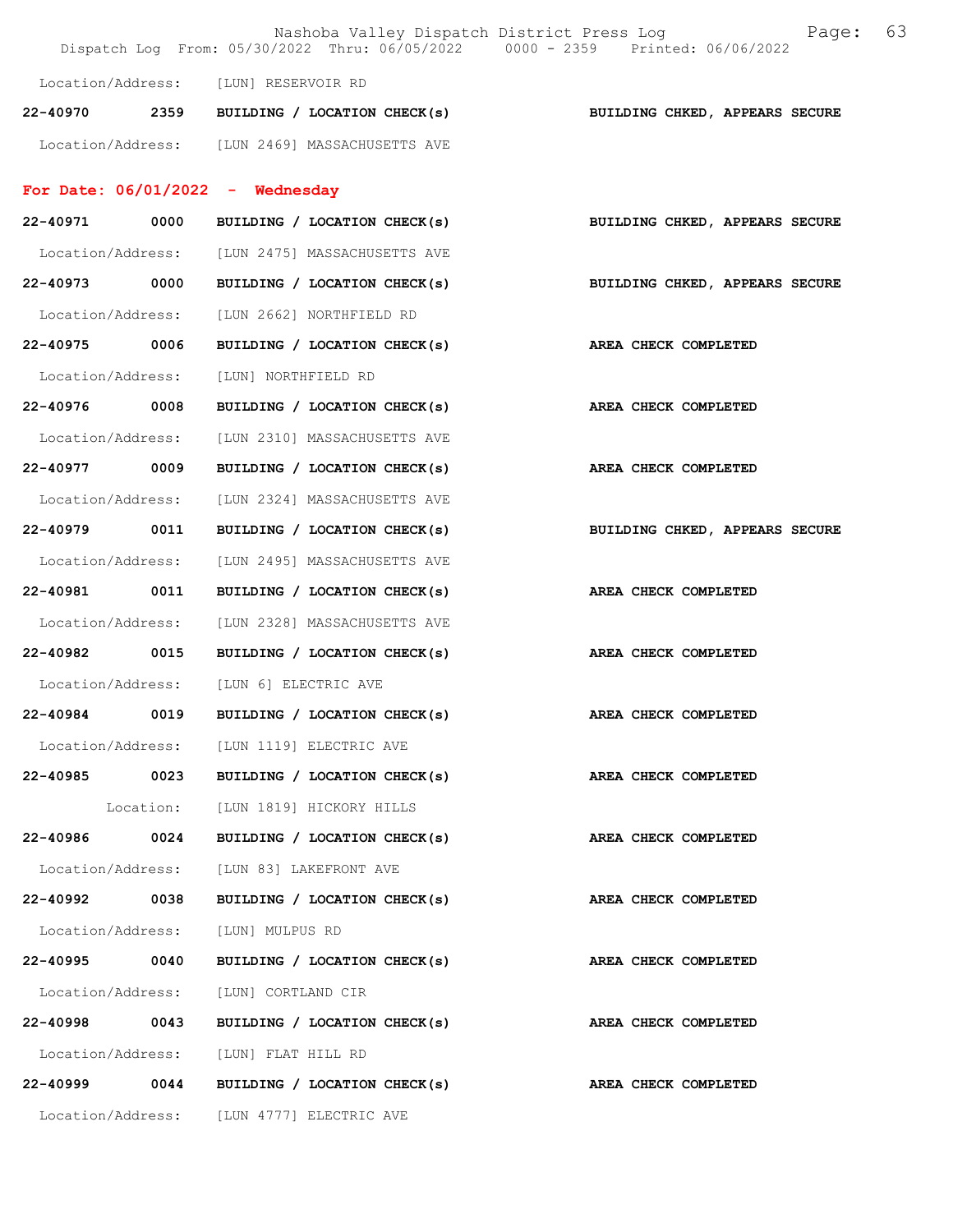|                   |      |                                                | 63<br>Page:<br>Nashoba Valley Dispatch District Press Log<br>Dispatch Log From: 05/30/2022 Thru: 06/05/2022 0000 - 2359 Printed: 06/06/2022 |
|-------------------|------|------------------------------------------------|---------------------------------------------------------------------------------------------------------------------------------------------|
|                   |      | Location/Address: [LUN] RESERVOIR RD           |                                                                                                                                             |
| 22-40970          |      | 2359 BUILDING / LOCATION CHECK(s)              | BUILDING CHKED, APPEARS SECURE                                                                                                              |
|                   |      | Location/Address: [LUN 2469] MASSACHUSETTS AVE |                                                                                                                                             |
|                   |      | For Date: $06/01/2022 -$ Wednesday             |                                                                                                                                             |
| 22-40971          | 0000 | BUILDING / LOCATION CHECK(s)                   | BUILDING CHKED, APPEARS SECURE                                                                                                              |
|                   |      | Location/Address: [LUN 2475] MASSACHUSETTS AVE |                                                                                                                                             |
| 22-40973          | 0000 | BUILDING / LOCATION CHECK(s)                   | BUILDING CHKED, APPEARS SECURE                                                                                                              |
| Location/Address: |      | [LUN 2662] NORTHFIELD RD                       |                                                                                                                                             |
| 22-40975 0006     |      | BUILDING / LOCATION CHECK(s)                   | AREA CHECK COMPLETED                                                                                                                        |
| Location/Address: |      | [LUN] NORTHFIELD RD                            |                                                                                                                                             |
| 22-40976 0008     |      | BUILDING / LOCATION CHECK(s)                   | AREA CHECK COMPLETED                                                                                                                        |
| Location/Address: |      | [LUN 2310] MASSACHUSETTS AVE                   |                                                                                                                                             |
| 22-40977          | 0009 | BUILDING / LOCATION CHECK(s)                   | AREA CHECK COMPLETED                                                                                                                        |
| Location/Address: |      | [LUN 2324] MASSACHUSETTS AVE                   |                                                                                                                                             |
| 22-40979          | 0011 | BUILDING / LOCATION CHECK(s)                   | BUILDING CHKED, APPEARS SECURE                                                                                                              |
| Location/Address: |      | [LUN 2495] MASSACHUSETTS AVE                   |                                                                                                                                             |
| 22-40981 0011     |      | BUILDING / LOCATION CHECK(s)                   | AREA CHECK COMPLETED                                                                                                                        |
| Location/Address: |      | [LUN 2328] MASSACHUSETTS AVE                   |                                                                                                                                             |
| 22-40982          | 0015 | BUILDING / LOCATION CHECK(s)                   | AREA CHECK COMPLETED                                                                                                                        |
| Location/Address: |      | [LUN 6] ELECTRIC AVE                           |                                                                                                                                             |
| 22-40984          | 0019 | BUILDING / LOCATION CHECK(s)                   | AREA CHECK COMPLETED                                                                                                                        |
|                   |      | Location/Address: [LUN 1119] ELECTRIC AVE      |                                                                                                                                             |
|                   |      | $22-40985$ 0023 BUILDING / LOCATION CHECK(s)   | AREA CHECK COMPLETED                                                                                                                        |
|                   |      | Location: [LUN 1819] HICKORY HILLS             |                                                                                                                                             |
| 22-40986 0024     |      | BUILDING / LOCATION CHECK(s)                   | AREA CHECK COMPLETED                                                                                                                        |
|                   |      | Location/Address: [LUN 83] LAKEFRONT AVE       |                                                                                                                                             |
| 22-40992 0038     |      | BUILDING / LOCATION CHECK(s)                   | AREA CHECK COMPLETED                                                                                                                        |
|                   |      | Location/Address: [LUN] MULPUS RD              |                                                                                                                                             |
| 22-40995 0040     |      | BUILDING / LOCATION CHECK(s)                   | AREA CHECK COMPLETED                                                                                                                        |
|                   |      | Location/Address: [LUN] CORTLAND CIR           |                                                                                                                                             |
| 22-40998 0043     |      | BUILDING / LOCATION CHECK(s)                   | AREA CHECK COMPLETED                                                                                                                        |
|                   |      | Location/Address: [LUN] FLAT HILL RD           |                                                                                                                                             |
|                   |      | 22-40999 0044 BUILDING / LOCATION CHECK(s)     | AREA CHECK COMPLETED                                                                                                                        |
|                   |      | Location/Address: [LUN 4777] ELECTRIC AVE      |                                                                                                                                             |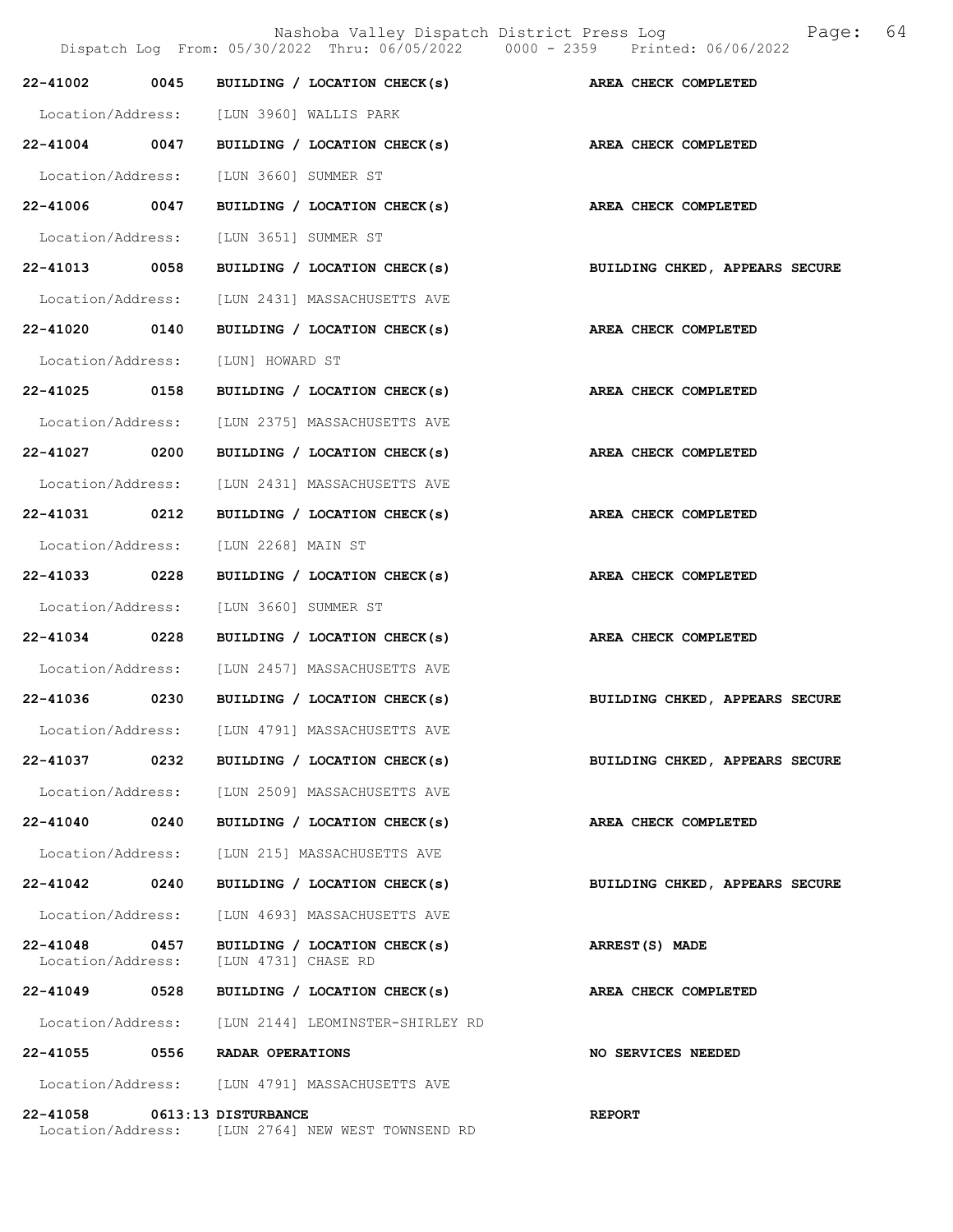|                               |      |                                                     | Nashoba Valley Dispatch District Press Log<br>Dispatch Log From: 05/30/2022 Thru: 06/05/2022 0000 - 2359 Printed: 06/06/2022 | 64<br>Page:                    |
|-------------------------------|------|-----------------------------------------------------|------------------------------------------------------------------------------------------------------------------------------|--------------------------------|
| 22-41002                      | 0045 |                                                     | BUILDING / LOCATION CHECK(s) AREA CHECK COMPLETED                                                                            |                                |
| Location/Address:             |      | [LUN 3960] WALLIS PARK                              |                                                                                                                              |                                |
| 22-41004 0047                 |      |                                                     | BUILDING / LOCATION CHECK(s)                                                                                                 | AREA CHECK COMPLETED           |
| Location/Address:             |      | [LUN 3660] SUMMER ST                                |                                                                                                                              |                                |
| 22-41006                      | 0047 | BUILDING / LOCATION CHECK(s)                        |                                                                                                                              | AREA CHECK COMPLETED           |
| Location/Address:             |      | [LUN 3651] SUMMER ST                                |                                                                                                                              |                                |
| 22-41013 0058                 |      | BUILDING / LOCATION CHECK(s)                        |                                                                                                                              | BUILDING CHKED, APPEARS SECURE |
| Location/Address:             |      | [LUN 2431] MASSACHUSETTS AVE                        |                                                                                                                              |                                |
| 22-41020 0140                 |      | BUILDING / LOCATION CHECK(s)                        |                                                                                                                              | AREA CHECK COMPLETED           |
| Location/Address:             |      | [LUN] HOWARD ST                                     |                                                                                                                              |                                |
| 22-41025 0158                 |      | BUILDING / LOCATION CHECK(s)                        |                                                                                                                              | AREA CHECK COMPLETED           |
| Location/Address:             |      | [LUN 2375] MASSACHUSETTS AVE                        |                                                                                                                              |                                |
| 22-41027                      | 0200 | BUILDING / LOCATION CHECK(s)                        |                                                                                                                              | AREA CHECK COMPLETED           |
| Location/Address:             |      | [LUN 2431] MASSACHUSETTS AVE                        |                                                                                                                              |                                |
| 22-41031 0212                 |      | BUILDING / LOCATION CHECK(s)                        |                                                                                                                              | AREA CHECK COMPLETED           |
| Location/Address:             |      | [LUN 2268] MAIN ST                                  |                                                                                                                              |                                |
| 22-41033 0228                 |      | BUILDING / LOCATION CHECK(s)                        |                                                                                                                              | AREA CHECK COMPLETED           |
| Location/Address:             |      | [LUN 3660] SUMMER ST                                |                                                                                                                              |                                |
| 22-41034                      | 0228 | BUILDING / LOCATION CHECK(s)                        |                                                                                                                              | AREA CHECK COMPLETED           |
| Location/Address:             |      | [LUN 2457] MASSACHUSETTS AVE                        |                                                                                                                              |                                |
|                               |      | 22-41036 0230 BUILDING / LOCATION CHECK(s)          |                                                                                                                              | BUILDING CHKED, APPEARS SECURE |
| Location/Address:             |      | [LUN 4791] MASSACHUSETTS AVE                        |                                                                                                                              |                                |
| 22-41037                      | 0232 | BUILDING / LOCATION CHECK(s)                        |                                                                                                                              | BUILDING CHKED, APPEARS SECURE |
| Location/Address:             |      | [LUN 2509] MASSACHUSETTS AVE                        |                                                                                                                              |                                |
| $22 - 41040$                  | 0240 | BUILDING / LOCATION CHECK(s)                        |                                                                                                                              | AREA CHECK COMPLETED           |
| Location/Address:             |      | [LUN 215] MASSACHUSETTS AVE                         |                                                                                                                              |                                |
| 22-41042                      | 0240 | BUILDING / LOCATION CHECK(s)                        |                                                                                                                              | BUILDING CHKED, APPEARS SECURE |
| Location/Address:             |      | [LUN 4693] MASSACHUSETTS AVE                        |                                                                                                                              |                                |
| 22-41048<br>Location/Address: | 0457 | BUILDING / LOCATION CHECK(s)<br>[LUN 4731] CHASE RD |                                                                                                                              | ARREST(S) MADE                 |
| 22-41049 0528                 |      | BUILDING / LOCATION CHECK(s)                        |                                                                                                                              | AREA CHECK COMPLETED           |
| Location/Address:             |      | [LUN 2144] LEOMINSTER-SHIRLEY RD                    |                                                                                                                              |                                |
| 22-41055                      | 0556 | RADAR OPERATIONS                                    |                                                                                                                              | NO SERVICES NEEDED             |
|                               |      | Location/Address: [LUN 4791] MASSACHUSETTS AVE      |                                                                                                                              |                                |
| 22-41058 0613:13 DISTURBANCE  |      | Location/Address: [LUN 2764] NEW WEST TOWNSEND RD   |                                                                                                                              | <b>REPORT</b>                  |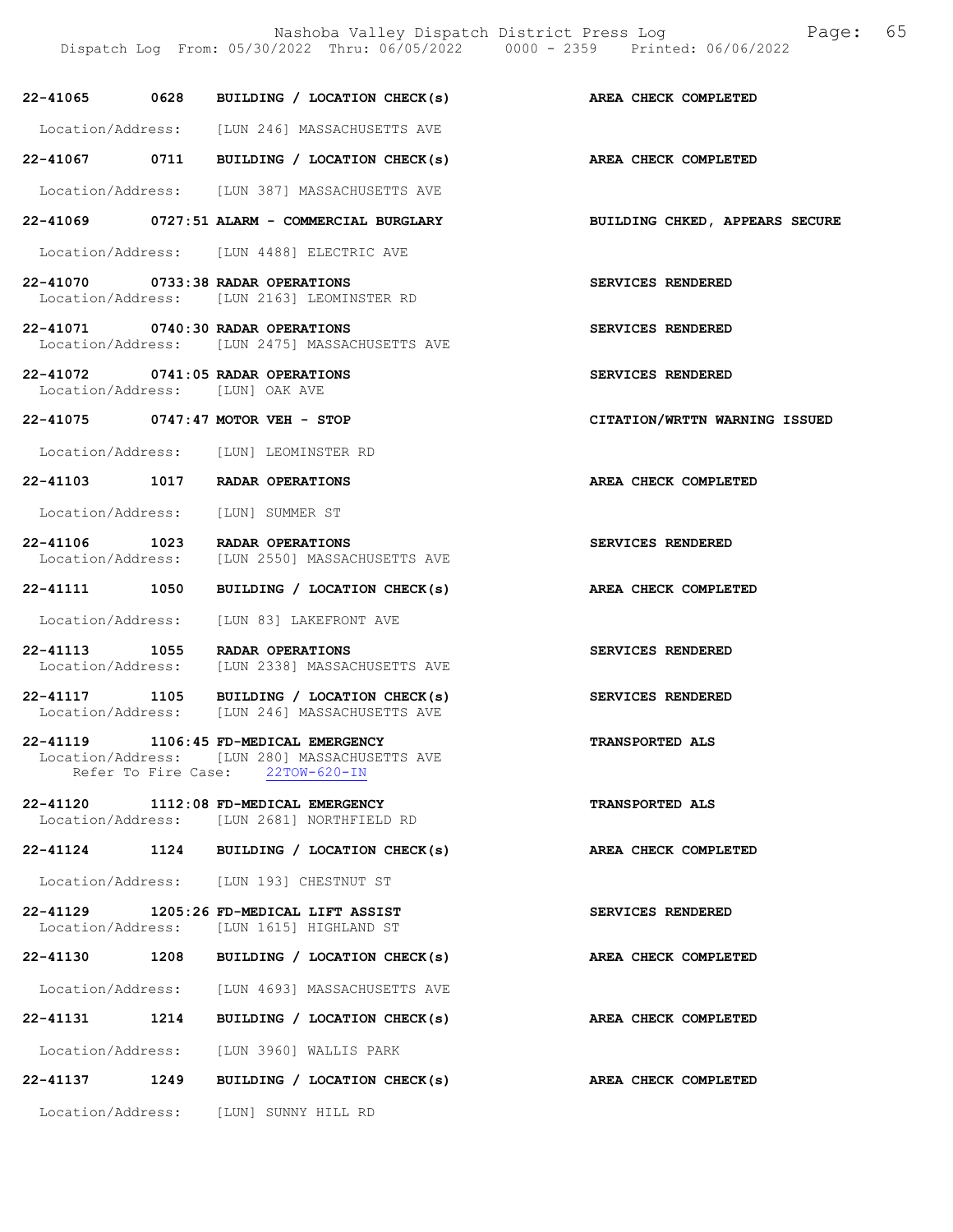|                                 |      | Dispatch Log From: 05/30/2022 Thru: 06/05/2022 0000 - 2359 Printed: 06/06/2022                                             |                                       |
|---------------------------------|------|----------------------------------------------------------------------------------------------------------------------------|---------------------------------------|
|                                 |      | 22-41065 0628 BUILDING / LOCATION CHECK(s)                                                                                 | AREA CHECK COMPLETED                  |
|                                 |      | Location/Address: [LUN 246] MASSACHUSETTS AVE                                                                              |                                       |
|                                 |      | 22-41067 0711 BUILDING / LOCATION CHECK(s)                                                                                 | AREA CHECK COMPLETED                  |
|                                 |      | Location/Address: [LUN 387] MASSACHUSETTS AVE                                                                              |                                       |
|                                 |      | 22-41069 0727:51 ALARM - COMMERCIAL BURGLARY                                                                               | <b>BUILDING CHKED, APPEARS SECURE</b> |
|                                 |      | Location/Address: [LUN 4488] ELECTRIC AVE                                                                                  |                                       |
|                                 |      | 22-41070 0733:38 RADAR OPERATIONS<br>Location/Address: [LUN 2163] LEOMINSTER RD                                            | SERVICES RENDERED                     |
|                                 |      | 22-41071 0740:30 RADAR OPERATIONS<br>Location/Address: [LUN 2475] MASSACHUSETTS AVE                                        | SERVICES RENDERED                     |
| Location/Address: [LUN] OAK AVE |      | 22-41072 0741:05 RADAR OPERATIONS                                                                                          | SERVICES RENDERED                     |
|                                 |      | 22-41075 0747:47 MOTOR VEH - STOP                                                                                          | CITATION/WRTTN WARNING ISSUED         |
|                                 |      | Location/Address: [LUN] LEOMINSTER RD                                                                                      |                                       |
|                                 |      | 22-41103 1017 RADAR OPERATIONS                                                                                             | AREA CHECK COMPLETED                  |
|                                 |      | Location/Address: [LUN] SUMMER ST                                                                                          |                                       |
|                                 |      | 22-41106 1023 RADAR OPERATIONS<br>Location/Address: [LUN 2550] MASSACHUSETTS AVE                                           | SERVICES RENDERED                     |
| 22-41111 1050                   |      | BUILDING / LOCATION CHECK(s)                                                                                               | AREA CHECK COMPLETED                  |
|                                 |      | Location/Address: [LUN 83] LAKEFRONT AVE                                                                                   |                                       |
|                                 |      | 22-41113 1055 RADAR OPERATIONS<br>Location/Address: [LUN 2338] MASSACHUSETTS AVE                                           | SERVICES RENDERED                     |
|                                 |      | 22-41117 1105 BUILDING / LOCATION CHECK(s)<br>Location/Address: [LUN 246] MASSACHUSETTS AVE                                | SERVICES RENDERED                     |
|                                 |      | 22-41119 1106:45 FD-MEDICAL EMERGENCY<br>Location/Address: [LUN 280] MASSACHUSETTS AVE<br>Refer To Fire Case: 22TOW-620-IN | <b>TRANSPORTED ALS</b>                |
|                                 |      | 22-41120 1112:08 FD-MEDICAL EMERGENCY<br>Location/Address: [LUN 2681] NORTHFIELD RD                                        | <b>TRANSPORTED ALS</b>                |
|                                 |      | 22-41124 1124 BUILDING / LOCATION CHECK(s)                                                                                 | AREA CHECK COMPLETED                  |
|                                 |      | Location/Address: [LUN 193] CHESTNUT ST                                                                                    |                                       |
|                                 |      | 22-41129 1205:26 FD-MEDICAL LIFT ASSIST<br>Location/Address: [LUN 1615] HIGHLAND ST                                        | SERVICES RENDERED                     |
|                                 |      | 22-41130 1208 BUILDING / LOCATION CHECK(s)                                                                                 | AREA CHECK COMPLETED                  |
|                                 |      | Location/Address: [LUN 4693] MASSACHUSETTS AVE                                                                             |                                       |
|                                 |      | 22-41131 1214 BUILDING / LOCATION CHECK(s)                                                                                 | AREA CHECK COMPLETED                  |
|                                 |      | Location/Address: [LUN 3960] WALLIS PARK                                                                                   |                                       |
| 22-41137                        | 1249 | BUILDING / LOCATION CHECK(s)                                                                                               | AREA CHECK COMPLETED                  |
|                                 |      | Location/Address: [LUN] SUNNY HILL RD                                                                                      |                                       |

Nashoba Valley Dispatch District Press Log Fage: 65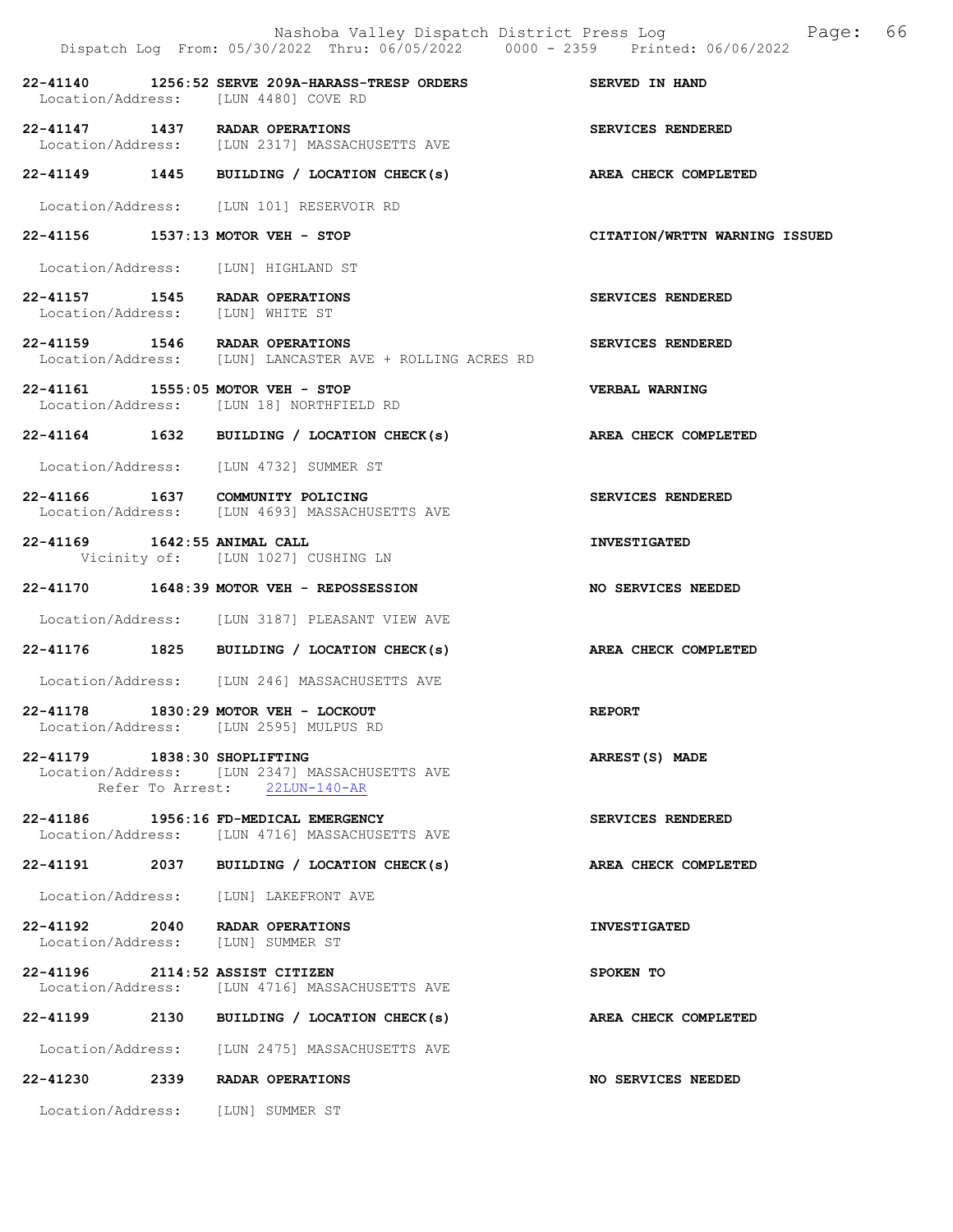|                                                                     | Nashoba Valley Dispatch District Press Log<br>Dispatch Log From: 05/30/2022 Thru: 06/05/2022 0000 - 2359 Printed: 06/06/2022 | Page: 66                      |
|---------------------------------------------------------------------|------------------------------------------------------------------------------------------------------------------------------|-------------------------------|
|                                                                     | 22-41140 1256:52 SERVE 209A-HARASS-TRESP ORDERS SERVED IN HAND<br>Location/Address: [LUN 4480] COVE RD                       |                               |
|                                                                     | 22-41147 1437 RADAR OPERATIONS<br>Location/Address: [LUN 2317] MASSACHUSETTS AVE                                             | SERVICES RENDERED             |
|                                                                     | 22-41149 1445 BUILDING / LOCATION CHECK(s)                                                                                   | AREA CHECK COMPLETED          |
|                                                                     | Location/Address: [LUN 101] RESERVOIR RD                                                                                     |                               |
|                                                                     | 22-41156 1537:13 MOTOR VEH - STOP                                                                                            | CITATION/WRTTN WARNING ISSUED |
|                                                                     | Location/Address: [LUN] HIGHLAND ST                                                                                          |                               |
| 22-41157 1545 RADAR OPERATIONS<br>Location/Address: [LUN] WHITE ST  |                                                                                                                              | SERVICES RENDERED             |
| 22-41159 1546 RADAR OPERATIONS                                      | Location/Address: [LUN] LANCASTER AVE + ROLLING ACRES RD                                                                     | SERVICES RENDERED             |
| 22-41161 1555:05 MOTOR VEH - STOP                                   | Location/Address: [LUN 18] NORTHFIELD RD                                                                                     | <b>VERBAL WARNING</b>         |
|                                                                     | 22-41164 1632 BUILDING / LOCATION CHECK(s)                                                                                   | AREA CHECK COMPLETED          |
|                                                                     | Location/Address: [LUN 4732] SUMMER ST                                                                                       |                               |
|                                                                     | 22-41166 1637 COMMUNITY POLICING<br>Location/Address: [LUN 4693] MASSACHUSETTS AVE                                           | SERVICES RENDERED             |
| 22-41169 1642:55 ANIMAL CALL                                        | Vicinity of: [LUN 1027] CUSHING LN                                                                                           | <b>INVESTIGATED</b>           |
|                                                                     | 22-41170 1648:39 MOTOR VEH - REPOSSESSION                                                                                    | NO SERVICES NEEDED            |
|                                                                     | Location/Address: [LUN 3187] PLEASANT VIEW AVE                                                                               |                               |
|                                                                     | 22-41176 1825 BUILDING / LOCATION CHECK(s)                                                                                   | AREA CHECK COMPLETED          |
|                                                                     | Location/Address: [LUN 246] MASSACHUSETTS AVE                                                                                |                               |
|                                                                     | 22-41178 1830:29 MOTOR VEH - LOCKOUT<br>Location/Address: [LUN 2595] MULPUS RD                                               | <b>REPORT</b>                 |
| 22-41179 1838:30 SHOPLIFTING                                        | Location/Address: [LUN 2347] MASSACHUSETTS AVE<br>Refer To Arrest: 22LUN-140-AR                                              | ARREST(S) MADE                |
|                                                                     | 22-41186 1956:16 FD-MEDICAL EMERGENCY<br>Location/Address: [LUN 4716] MASSACHUSETTS AVE                                      | SERVICES RENDERED             |
|                                                                     | 22-41191 2037 BUILDING / LOCATION CHECK(s)                                                                                   | AREA CHECK COMPLETED          |
|                                                                     | Location/Address: [LUN] LAKEFRONT AVE                                                                                        |                               |
| 22-41192 2040 RADAR OPERATIONS<br>Location/Address: [LUN] SUMMER ST |                                                                                                                              | <b>INVESTIGATED</b>           |
| 22-41196 2114:52 ASSIST CITIZEN                                     | Location/Address: [LUN 4716] MASSACHUSETTS AVE                                                                               | SPOKEN TO                     |
|                                                                     | 22-41199 2130 BUILDING / LOCATION CHECK(s)                                                                                   | AREA CHECK COMPLETED          |
|                                                                     | Location/Address: [LUN 2475] MASSACHUSETTS AVE                                                                               |                               |
| 22-41230 2339 RADAR OPERATIONS                                      |                                                                                                                              | NO SERVICES NEEDED            |
| Location/Address: [LUN] SUMMER ST                                   |                                                                                                                              |                               |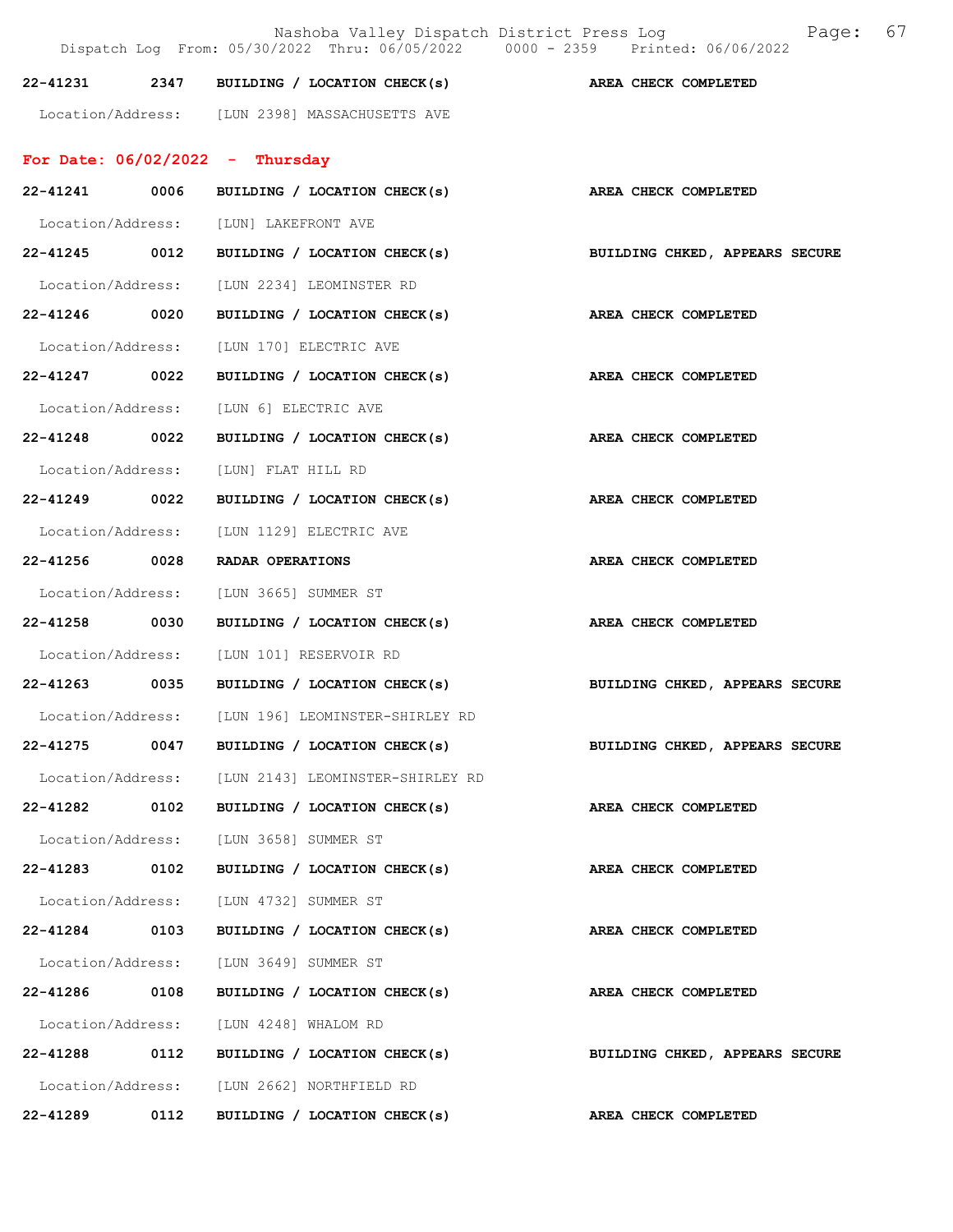|                   |      | Nashoba Valley Dispatch District Press Loq<br>Dispatch Log From: 05/30/2022 Thru: 06/05/2022 0000 - 2359 Printed: 06/06/2022 | Page: 67                       |
|-------------------|------|------------------------------------------------------------------------------------------------------------------------------|--------------------------------|
| 22-41231          |      | 2347 BUILDING / LOCATION CHECK(s)                                                                                            | AREA CHECK COMPLETED           |
|                   |      | Location/Address: [LUN 2398] MASSACHUSETTS AVE                                                                               |                                |
|                   |      | For Date: $06/02/2022 - Thursday$                                                                                            |                                |
| 22-41241          | 0006 | BUILDING / LOCATION CHECK(s)                                                                                                 | AREA CHECK COMPLETED           |
|                   |      | Location/Address: [LUN] LAKEFRONT AVE                                                                                        |                                |
|                   |      | 22-41245 0012 BUILDING / LOCATION CHECK(s)                                                                                   | BUILDING CHKED, APPEARS SECURE |
|                   |      | Location/Address: [LUN 2234] LEOMINSTER RD                                                                                   |                                |
| 22-41246 0020     |      | BUILDING / LOCATION CHECK(s)                                                                                                 | AREA CHECK COMPLETED           |
| Location/Address: |      | [LUN 170] ELECTRIC AVE                                                                                                       |                                |
| 22-41247 0022     |      | BUILDING / LOCATION CHECK(s)                                                                                                 | AREA CHECK COMPLETED           |
| Location/Address: |      | [LUN 6] ELECTRIC AVE                                                                                                         |                                |
| 22-41248          | 0022 | BUILDING / LOCATION CHECK(s)                                                                                                 | AREA CHECK COMPLETED           |
| Location/Address: |      | [LUN] FLAT HILL RD                                                                                                           |                                |
| 22-41249 0022     |      | BUILDING / LOCATION CHECK(s)                                                                                                 | AREA CHECK COMPLETED           |
| Location/Address: |      | [LUN 1129] ELECTRIC AVE                                                                                                      |                                |
| 22-41256 0028     |      | RADAR OPERATIONS                                                                                                             | AREA CHECK COMPLETED           |
| Location/Address: |      | [LUN 3665] SUMMER ST                                                                                                         |                                |
| 22-41258          | 0030 | BUILDING / LOCATION CHECK(s)                                                                                                 | AREA CHECK COMPLETED           |
|                   |      | Location/Address: [LUN 101] RESERVOIR RD                                                                                     |                                |
|                   |      | 22-41263 0035 BUILDING / LOCATION CHECK(s)                                                                                   | BUILDING CHKED, APPEARS SECURE |
| Location/Address: |      | [LUN 196] LEOMINSTER-SHIRLEY RD                                                                                              |                                |
| 22-41275          |      | 0047 BUILDING / LOCATION CHECK(s)                                                                                            | BUILDING CHKED, APPEARS SECURE |
|                   |      | Location/Address: [LUN 2143] LEOMINSTER-SHIRLEY RD                                                                           |                                |
| 22-41282 0102     |      | BUILDING / LOCATION CHECK(s)                                                                                                 | AREA CHECK COMPLETED           |
|                   |      | Location/Address: [LUN 3658] SUMMER ST                                                                                       |                                |
| 22-41283 0102     |      | BUILDING / LOCATION CHECK(s)                                                                                                 | AREA CHECK COMPLETED           |
|                   |      | Location/Address: [LUN 4732] SUMMER ST                                                                                       |                                |
| 22-41284          | 0103 | BUILDING / LOCATION CHECK(s)                                                                                                 | AREA CHECK COMPLETED           |
|                   |      | Location/Address: [LUN 3649] SUMMER ST                                                                                       |                                |
| 22-41286 0108     |      | BUILDING / LOCATION CHECK(s)                                                                                                 | AREA CHECK COMPLETED           |
|                   |      | Location/Address: [LUN 4248] WHALOM RD                                                                                       |                                |
|                   |      | 22-41288 0112 BUILDING / LOCATION CHECK(s)                                                                                   | BUILDING CHKED, APPEARS SECURE |
|                   |      | Location/Address: [LUN 2662] NORTHFIELD RD                                                                                   |                                |
| 22-41289          | 0112 | BUILDING / LOCATION CHECK(s)                                                                                                 | AREA CHECK COMPLETED           |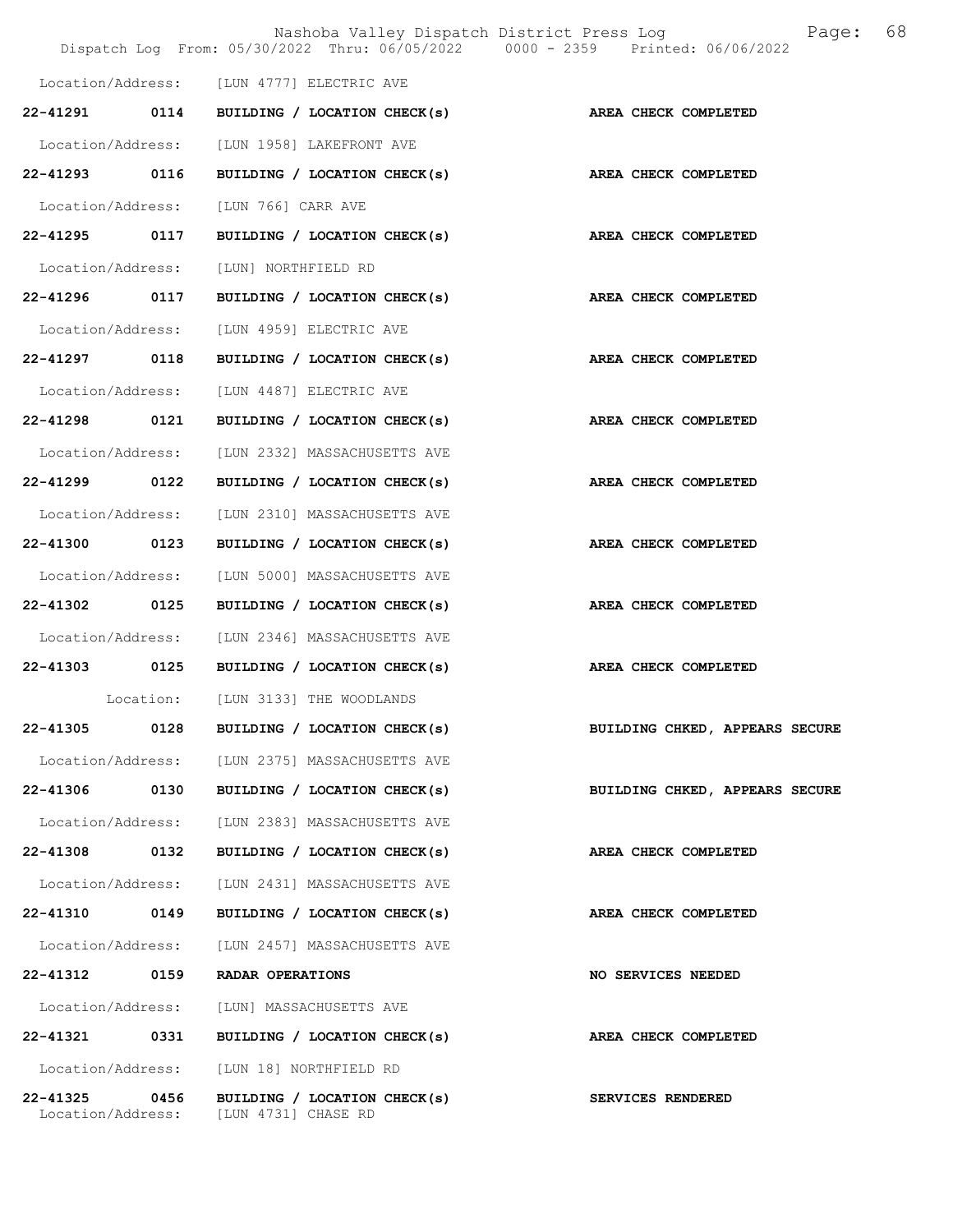|                               |      |                                                     | 68<br>Nashoba Valley Dispatch District Press Log<br>Page:<br>Dispatch Log From: 05/30/2022 Thru: 06/05/2022 0000 - 2359 Printed: 06/06/2022 |  |
|-------------------------------|------|-----------------------------------------------------|---------------------------------------------------------------------------------------------------------------------------------------------|--|
|                               |      | Location/Address: [LUN 4777] ELECTRIC AVE           |                                                                                                                                             |  |
| 22-41291                      | 0114 | BUILDING / LOCATION CHECK(s)                        | AREA CHECK COMPLETED                                                                                                                        |  |
| Location/Address:             |      | [LUN 1958] LAKEFRONT AVE                            |                                                                                                                                             |  |
| 22-41293                      | 0116 | BUILDING / LOCATION CHECK(s)                        | AREA CHECK COMPLETED                                                                                                                        |  |
| Location/Address:             |      | [LUN 766] CARR AVE                                  |                                                                                                                                             |  |
| 22-41295 0117                 |      | BUILDING / LOCATION CHECK(s)                        | AREA CHECK COMPLETED                                                                                                                        |  |
| Location/Address:             |      | [LUN] NORTHFIELD RD                                 |                                                                                                                                             |  |
| 22-41296 0117                 |      | BUILDING / LOCATION CHECK(s)                        | AREA CHECK COMPLETED                                                                                                                        |  |
| Location/Address:             |      | [LUN 4959] ELECTRIC AVE                             |                                                                                                                                             |  |
| 22-41297                      | 0118 | BUILDING / LOCATION CHECK(s)                        | AREA CHECK COMPLETED                                                                                                                        |  |
| Location/Address:             |      | [LUN 4487] ELECTRIC AVE                             |                                                                                                                                             |  |
| 22-41298 0121                 |      | BUILDING / LOCATION CHECK(s)                        | AREA CHECK COMPLETED                                                                                                                        |  |
| Location/Address:             |      | [LUN 2332] MASSACHUSETTS AVE                        |                                                                                                                                             |  |
| 22-41299                      | 0122 | BUILDING / LOCATION CHECK(s)                        | AREA CHECK COMPLETED                                                                                                                        |  |
| Location/Address:             |      | [LUN 2310] MASSACHUSETTS AVE                        |                                                                                                                                             |  |
| 22-41300                      | 0123 | BUILDING / LOCATION CHECK(s)                        | AREA CHECK COMPLETED                                                                                                                        |  |
| Location/Address:             |      | [LUN 5000] MASSACHUSETTS AVE                        |                                                                                                                                             |  |
| 22-41302 0125                 |      | BUILDING / LOCATION CHECK(s)                        | AREA CHECK COMPLETED                                                                                                                        |  |
| Location/Address:             |      | [LUN 2346] MASSACHUSETTS AVE                        |                                                                                                                                             |  |
| 22-41303 0125                 |      | BUILDING / LOCATION CHECK(s)                        | AREA CHECK COMPLETED                                                                                                                        |  |
|                               |      | Location: [LUN 3133] THE WOODLANDS                  |                                                                                                                                             |  |
| 22-41305                      | 0128 | BUILDING / LOCATION CHECK(s)                        | BUILDING CHKED, APPEARS SECURE                                                                                                              |  |
| Location/Address:             |      | [LUN 2375] MASSACHUSETTS AVE                        |                                                                                                                                             |  |
| 22-41306                      | 0130 | BUILDING / LOCATION CHECK(s)                        | BUILDING CHKED, APPEARS SECURE                                                                                                              |  |
| Location/Address:             |      | [LUN 2383] MASSACHUSETTS AVE                        |                                                                                                                                             |  |
| 22-41308                      | 0132 | BUILDING / LOCATION CHECK(s)                        | AREA CHECK COMPLETED                                                                                                                        |  |
| Location/Address:             |      | [LUN 2431] MASSACHUSETTS AVE                        |                                                                                                                                             |  |
| 22-41310 0149                 |      | BUILDING / LOCATION CHECK(s)                        | AREA CHECK COMPLETED                                                                                                                        |  |
| Location/Address:             |      | [LUN 2457] MASSACHUSETTS AVE                        |                                                                                                                                             |  |
| 22-41312 0159                 |      | RADAR OPERATIONS                                    | <b>NO SERVICES NEEDED</b>                                                                                                                   |  |
| Location/Address:             |      | [LUN] MASSACHUSETTS AVE                             |                                                                                                                                             |  |
| 22-41321                      | 0331 | BUILDING / LOCATION CHECK(s)                        | AREA CHECK COMPLETED                                                                                                                        |  |
| Location/Address:             |      | [LUN 18] NORTHFIELD RD                              |                                                                                                                                             |  |
| 22-41325<br>Location/Address: | 0456 | BUILDING / LOCATION CHECK(s)<br>[LUN 4731] CHASE RD | SERVICES RENDERED                                                                                                                           |  |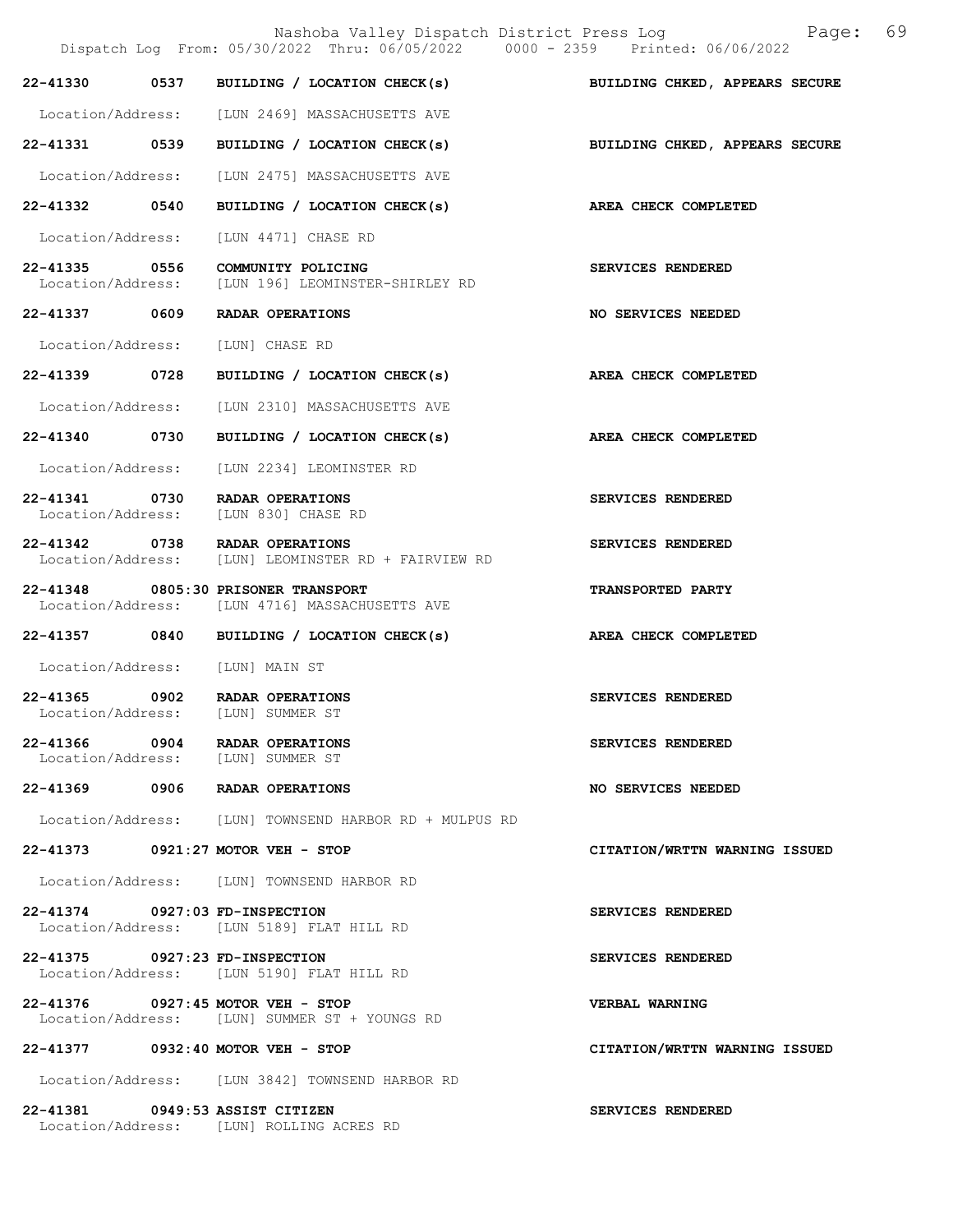|                                 | Nashoba Valley Dispatch District Press Log<br>Dispatch Log From: 05/30/2022 Thru: 06/05/2022 0000 - 2359 Printed: 06/06/2022 | 69<br>Page:                    |
|---------------------------------|------------------------------------------------------------------------------------------------------------------------------|--------------------------------|
|                                 | 22-41330 0537 BUILDING / LOCATION CHECK(s)                                                                                   | BUILDING CHKED, APPEARS SECURE |
|                                 | Location/Address: [LUN 2469] MASSACHUSETTS AVE                                                                               |                                |
|                                 | 22-41331 0539 BUILDING / LOCATION CHECK(s)                                                                                   | BUILDING CHKED, APPEARS SECURE |
| Location/Address:               | [LUN 2475] MASSACHUSETTS AVE                                                                                                 |                                |
|                                 | 22-41332 0540 BUILDING / LOCATION CHECK(s)                                                                                   | AREA CHECK COMPLETED           |
| Location/Address:               | [LUN 4471] CHASE RD                                                                                                          |                                |
| Location/Address:               | 22-41335 0556 COMMUNITY POLICING<br>[LUN 196] LEOMINSTER-SHIRLEY RD                                                          | SERVICES RENDERED              |
|                                 | 22-41337 0609 RADAR OPERATIONS                                                                                               | NO SERVICES NEEDED             |
|                                 | Location/Address: [LUN] CHASE RD                                                                                             |                                |
|                                 | 22-41339 0728 BUILDING / LOCATION CHECK(s)                                                                                   | AREA CHECK COMPLETED           |
| Location/Address:               | [LUN 2310] MASSACHUSETTS AVE                                                                                                 |                                |
| 22-41340 0730                   | BUILDING / LOCATION CHECK(s)                                                                                                 | AREA CHECK COMPLETED           |
| Location/Address:               | [LUN 2234] LEOMINSTER RD                                                                                                     |                                |
| Location/Address:               | 22-41341 0730 RADAR OPERATIONS<br>[LUN 830] CHASE RD                                                                         | SERVICES RENDERED              |
|                                 | 22-41342 0738 RADAR OPERATIONS<br>Location/Address: [LUN] LEOMINSTER RD + FAIRVIEW RD                                        | SERVICES RENDERED              |
|                                 | 22-41348 0805:30 PRISONER TRANSPORT<br>Location/Address: [LUN 4716] MASSACHUSETTS AVE                                        | TRANSPORTED PARTY              |
|                                 | 22-41357 0840 BUILDING / LOCATION CHECK(s)                                                                                   | AREA CHECK COMPLETED           |
| Location/Address: [LUN] MAIN ST |                                                                                                                              |                                |
|                                 | 22-41365 0902 RADAR OPERATIONS<br>Location/Address: [LUN] SUMMER ST                                                          | SERVICES RENDERED              |
|                                 | 22-41366 0904 RADAR OPERATIONS<br>Location/Address: [LUN] SUMMER ST                                                          | SERVICES RENDERED              |
|                                 | 22-41369 0906 RADAR OPERATIONS                                                                                               | NO SERVICES NEEDED             |
|                                 | Location/Address: [LUN] TOWNSEND HARBOR RD + MULPUS RD                                                                       |                                |
|                                 | 22-41373 0921:27 MOTOR VEH - STOP                                                                                            | CITATION/WRTTN WARNING ISSUED  |
|                                 | Location/Address: [LUN] TOWNSEND HARBOR RD                                                                                   |                                |
| 22-41374 0927:03 FD-INSPECTION  | Location/Address: [LUN 5189] FLAT HILL RD                                                                                    | SERVICES RENDERED              |
| 22-41375 0927:23 FD-INSPECTION  | Location/Address: [LUN 5190] FLAT HILL RD                                                                                    | SERVICES RENDERED              |
|                                 | 22-41376 0927:45 MOTOR VEH - STOP<br>Location/Address: [LUN] SUMMER ST + YOUNGS RD                                           | VERBAL WARNING                 |
|                                 | 22-41377 0932:40 MOTOR VEH - STOP                                                                                            | CITATION/WRTTN WARNING ISSUED  |
|                                 | Location/Address: [LUN 3842] TOWNSEND HARBOR RD                                                                              |                                |
|                                 | 22-41381 0949:53 ASSIST CITIZEN<br>Location/Address: [LUN] ROLLING ACRES RD                                                  | SERVICES RENDERED              |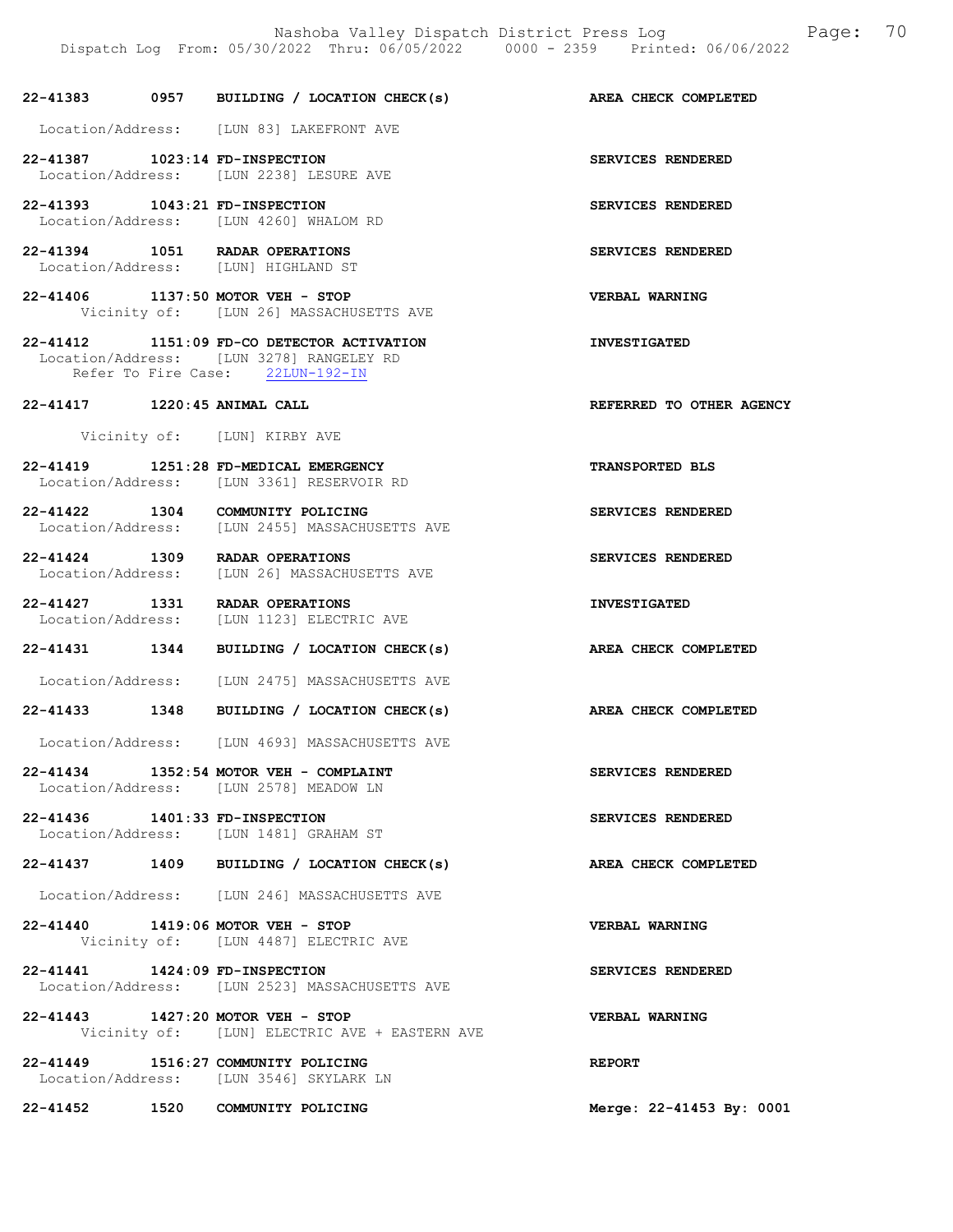## 22-41383 0957 BUILDING / LOCATION CHECK(s) AREA CHECK COMPLETED Location/Address: [LUN 83] LAKEFRONT AVE 22-41387 1023:14 FD-INSPECTION SERVICES RENDERED Location/Address: [LUN 2238] LESURE AVE 22-41393 1043:21 FD-INSPECTION SERVICES RENDERED Location/Address: [LUN 4260] WHALOM RD 22-41394 1051 RADAR OPERATIONS SERVICES RENDERED Location/Address: [LUN] HIGHLAND ST 22-41406 1137:50 MOTOR VEH - STOP VERBAL WARNING Vicinity of: [LUN 26] MASSACHUSETTS AVE 22-41412 1151:09 FD-CO DETECTOR ACTIVATION INVESTIGATED Location/Address: [LUN 3278] RANGELEY RD Refer To Fire Case: 22LUN-192-IN 22-41417 1220:45 ANIMAL CALL REFERRED TO OTHER AGENCY Vicinity of: [LUN] KIRBY AVE 22-41419 1251:28 FD-MEDICAL EMERGENCY TRANSPORTED BLS Location/Address: [LUN 3361] RESERVOIR RD 22-41422 1304 COMMUNITY POLICING SERVICES RENDERED Location/Address: [LUN 2455] MASSACHUSETTS AVE 22-41424 1309 RADAR OPERATIONS SERVICES RENDERED Location/Address: [LUN 26] MASSACHUSETTS AVE 22-41427 1331 RADAR OPERATIONS INVESTIGATED<br>Location/Address: [LUN 1123] ELECTRIC AVE [LUN 1123] ELECTRIC AVE 22-41431 1344 BUILDING / LOCATION CHECK(s) AREA CHECK COMPLETED Location/Address: [LUN 2475] MASSACHUSETTS AVE 22-41433 1348 BUILDING / LOCATION CHECK(s) AREA CHECK COMPLETED Location/Address: [LUN 4693] MASSACHUSETTS AVE 22-41434 1352:54 MOTOR VEH - COMPLAINT SERVICES RENDERED Location/Address: [LUN 2578] MEADOW LN 22-41436 1401:33 FD-INSPECTION SERVICES RENDERED<br>
Location/Address: [LUN 1481] GRAHAM ST Location/Address: [LUN 1481] GRAHAM ST 22-41437 1409 BUILDING / LOCATION CHECK(s) AREA CHECK COMPLETED Location/Address: [LUN 246] MASSACHUSETTS AVE 22-41440 1419:06 MOTOR VEH - STOP VERBAL WARNING<br>Vicinity of: [LUN 4487] ELECTRIC AVE [LUN 4487] ELECTRIC AVE 22-41441 1424:09 FD-INSPECTION SERVICES RENDERED Location/Address: [LUN 2523] MASSACHUSETTS AVE 22-41443 1427:20 MOTOR VEH - STOP VERBAL WARNING Vicinity of: [LUN] ELECTRIC AVE + EASTERN AVE

22-41449 1516:27 COMMUNITY POLICING REPORT Location/Address: [LUN 3546] SKYLARK LN

22-41452 1520 COMMUNITY POLICING Merge: 22-41453 By: 0001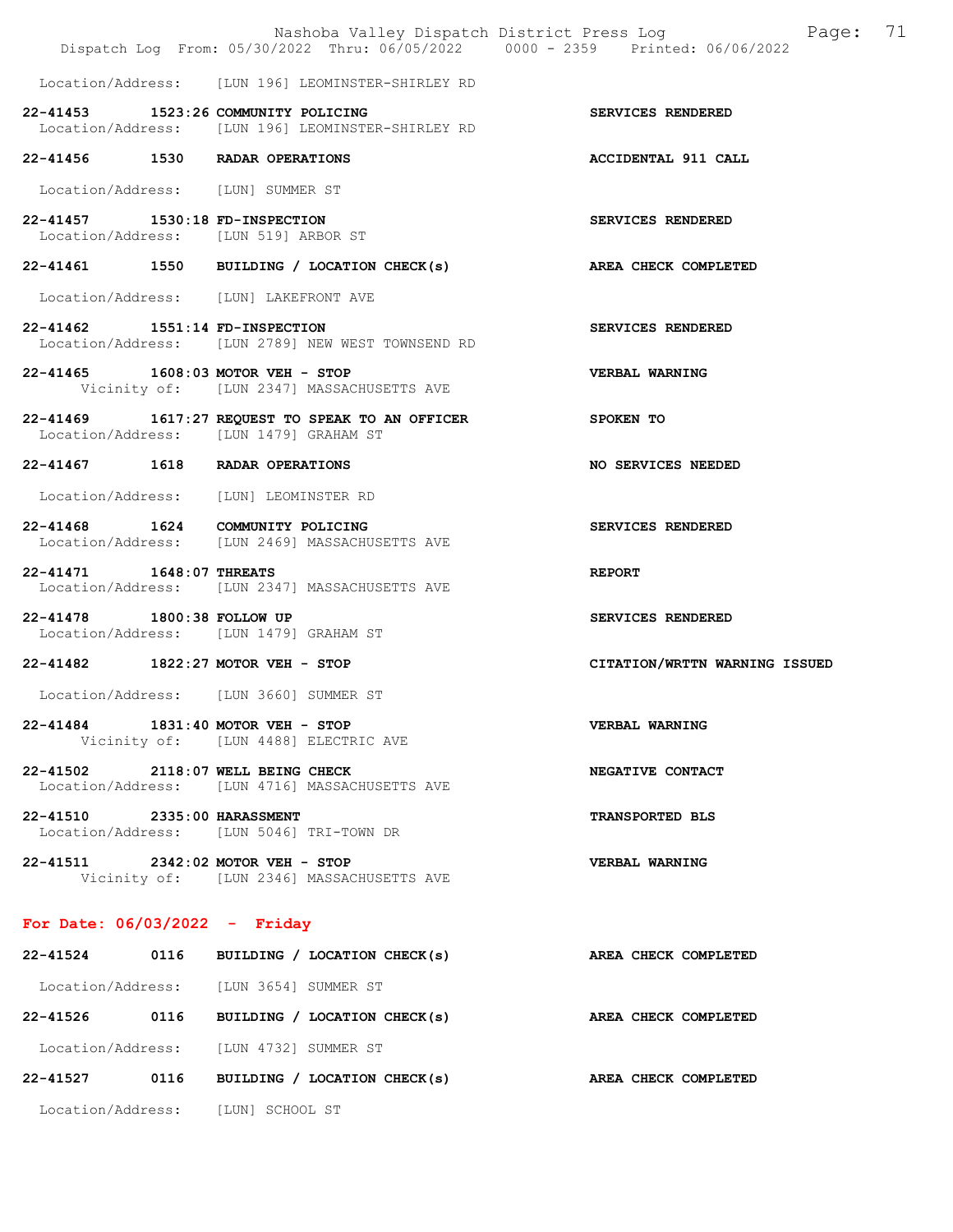|                                 | Nashoba Valley Dispatch District Press Log<br>Dispatch Log From: 05/30/2022 Thru: 06/05/2022 0000 - 2359 Printed: 06/06/2022 | 71<br>Page:                   |
|---------------------------------|------------------------------------------------------------------------------------------------------------------------------|-------------------------------|
|                                 | Location/Address: [LUN 196] LEOMINSTER-SHIRLEY RD                                                                            |                               |
|                                 | 22-41453 1523:26 COMMUNITY POLICING<br>Location/Address: [LUN 196] LEOMINSTER-SHIRLEY RD                                     | SERVICES RENDERED             |
|                                 | 22-41456 1530 RADAR OPERATIONS                                                                                               | ACCIDENTAL 911 CALL           |
|                                 | Location/Address: [LUN] SUMMER ST                                                                                            |                               |
| 22-41457 1530:18 FD-INSPECTION  | Location/Address: [LUN 519] ARBOR ST                                                                                         | SERVICES RENDERED             |
|                                 | 22-41461 1550 BUILDING / LOCATION CHECK(s) AREA CHECK COMPLETED                                                              |                               |
|                                 | Location/Address: [LUN] LAKEFRONT AVE                                                                                        |                               |
| 22-41462 1551:14 FD-INSPECTION  | Location/Address: [LUN 2789] NEW WEST TOWNSEND RD                                                                            | SERVICES RENDERED             |
|                                 | 22-41465 1608:03 MOTOR VEH - STOP<br>Vicinity of: [LUN 2347] MASSACHUSETTS AVE                                               | VERBAL WARNING                |
|                                 | 22-41469 1617:27 REQUEST TO SPEAK TO AN OFFICER<br>Location/Address: [LUN 1479] GRAHAM ST                                    | <b>SPOKEN TO</b>              |
|                                 | 22-41467 1618 RADAR OPERATIONS                                                                                               | NO SERVICES NEEDED            |
|                                 | Location/Address: [LUN] LEOMINSTER RD                                                                                        |                               |
|                                 | 22-41468 1624 COMMUNITY POLICING<br>Location/Address: [LUN 2469] MASSACHUSETTS AVE                                           | SERVICES RENDERED             |
| 22-41471 1648:07 THREATS        | Location/Address: [LUN 2347] MASSACHUSETTS AVE                                                                               | <b>REPORT</b>                 |
| 22-41478 1800:38 FOLLOW UP      | Location/Address: [LUN 1479] GRAHAM ST                                                                                       | SERVICES RENDERED             |
|                                 | 22-41482 1822:27 MOTOR VEH - STOP                                                                                            | CITATION/WRTTN WARNING ISSUED |
|                                 | Location/Address: [LUN 3660] SUMMER ST                                                                                       |                               |
|                                 | 22-41484 1831:40 MOTOR VEH - STOP<br>Vicinity of: [LUN 4488] ELECTRIC AVE                                                    | <b>VERBAL WARNING</b>         |
|                                 | 22-41502 2118:07 WELL BEING CHECK<br>Location/Address: [LUN 4716] MASSACHUSETTS AVE                                          | NEGATIVE CONTACT              |
| 22-41510 2335:00 HARASSMENT     | Location/Address: [LUN 5046] TRI-TOWN DR                                                                                     | <b>TRANSPORTED BLS</b>        |
|                                 | 22-41511 2342:02 MOTOR VEH - STOP<br>Vicinity of: [LUN 2346] MASSACHUSETTS AVE                                               | VERBAL WARNING                |
| For Date: $06/03/2022 -$ Friday |                                                                                                                              |                               |
|                                 | 22-41524 0116 BUILDING / LOCATION CHECK(s)                                                                                   | AREA CHECK COMPLETED          |
|                                 | Location/Address: [LUN 3654] SUMMER ST                                                                                       |                               |
|                                 | 22-41526 0116 BUILDING / LOCATION CHECK(s)                                                                                   | AREA CHECK COMPLETED          |
|                                 | Location/Address: [LUN 4732] SUMMER ST                                                                                       |                               |
|                                 | 22-41527 0116 BUILDING / LOCATION CHECK(s)                                                                                   | AREA CHECK COMPLETED          |
|                                 | Location/Address: [LUN] SCHOOL ST                                                                                            |                               |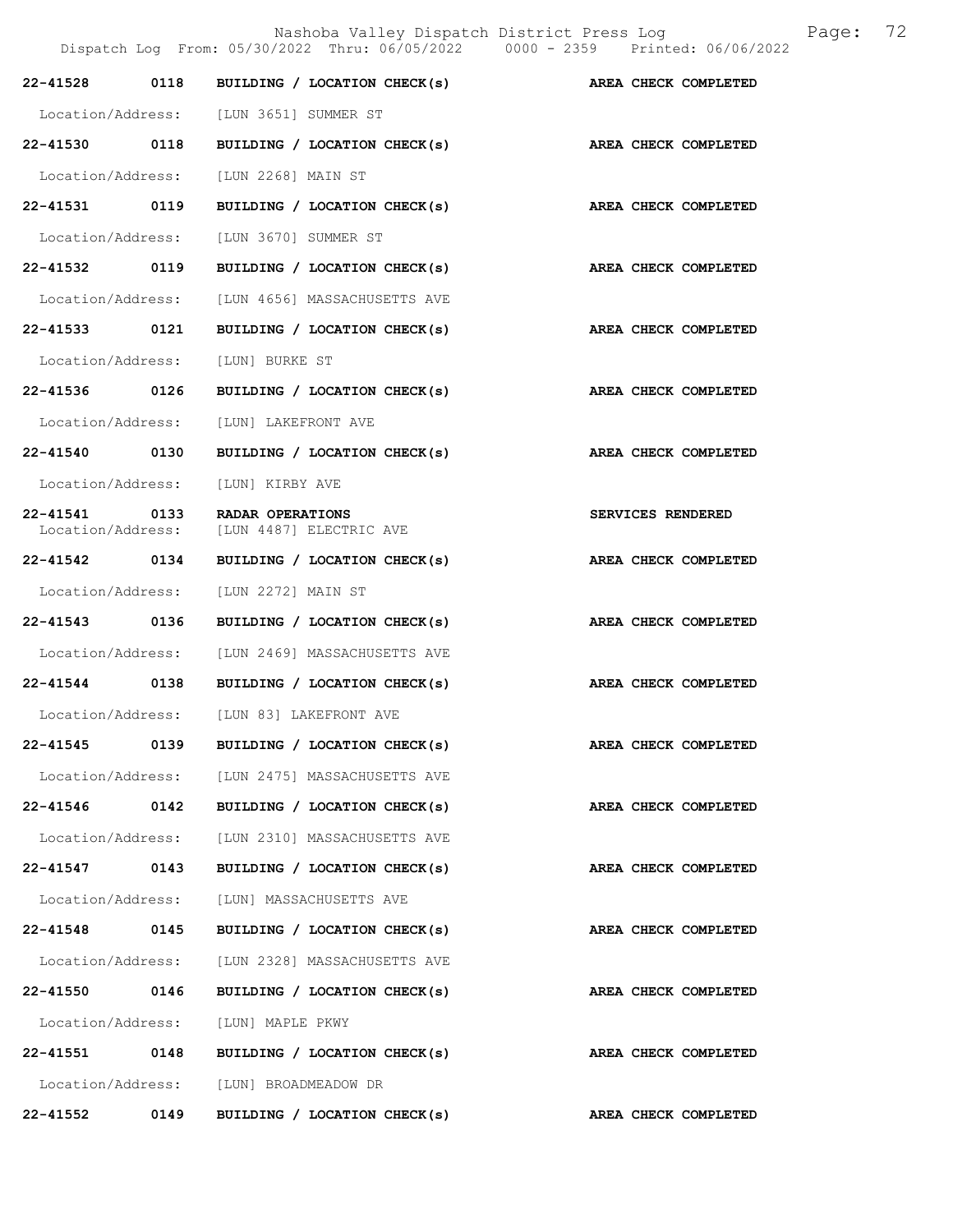|                   |      | Dispatch Log From: 05/30/2022 Thru: 06/05/2022 0000 - 2359 Printed: 06/06/2022 |                      |
|-------------------|------|--------------------------------------------------------------------------------|----------------------|
|                   |      | 22-41528 0118 BUILDING / LOCATION CHECK(s)                                     | AREA CHECK COMPLETED |
|                   |      | Location/Address: [LUN 3651] SUMMER ST                                         |                      |
| 22-41530 0118     |      | BUILDING / LOCATION CHECK(s)                                                   | AREA CHECK COMPLETED |
|                   |      | Location/Address: [LUN 2268] MAIN ST                                           |                      |
| 22-41531 0119     |      | BUILDING / LOCATION CHECK(s)                                                   | AREA CHECK COMPLETED |
|                   |      | Location/Address: [LUN 3670] SUMMER ST                                         |                      |
| 22-41532 0119     |      | BUILDING / LOCATION CHECK(s)                                                   | AREA CHECK COMPLETED |
| Location/Address: |      | [LUN 4656] MASSACHUSETTS AVE                                                   |                      |
|                   |      | 22-41533 0121 BUILDING / LOCATION CHECK(s)                                     | AREA CHECK COMPLETED |
| Location/Address: |      | [LUN] BURKE ST                                                                 |                      |
| 22-41536 0126     |      | BUILDING / LOCATION CHECK(s)                                                   | AREA CHECK COMPLETED |
|                   |      | Location/Address: [LUN] LAKEFRONT AVE                                          |                      |
| 22-41540 0130     |      | BUILDING / LOCATION CHECK(s)                                                   | AREA CHECK COMPLETED |
|                   |      | Location/Address: [LUN] KIRBY AVE                                              |                      |
|                   |      | 22-41541 0133 RADAR OPERATIONS<br>Location/Address: [LUN 4487] ELECTRIC AVE    | SERVICES RENDERED    |
|                   |      | 22-41542 0134 BUILDING / LOCATION CHECK(s)                                     | AREA CHECK COMPLETED |
| Location/Address: |      | [LUN 2272] MAIN ST                                                             |                      |
| 22-41543 0136     |      | BUILDING / LOCATION CHECK(s)                                                   | AREA CHECK COMPLETED |
| Location/Address: |      | [LUN 2469] MASSACHUSETTS AVE                                                   |                      |
|                   |      | 22-41544 0138 BUILDING / LOCATION CHECK(s)                                     | AREA CHECK COMPLETED |
|                   |      | Location/Address: [LUN 83] LAKEFRONT AVE                                       |                      |
| 22-41545          | 0139 | BUILDING / LOCATION CHECK(s)                                                   | AREA CHECK COMPLETED |
|                   |      | Location/Address: [LUN 2475] MASSACHUSETTS AVE                                 |                      |
|                   |      | 22-41546 0142 BUILDING / LOCATION CHECK(s)                                     | AREA CHECK COMPLETED |
|                   |      | Location/Address: [LUN 2310] MASSACHUSETTS AVE                                 |                      |
|                   |      | 22-41547 0143 BUILDING / LOCATION CHECK(s)                                     | AREA CHECK COMPLETED |
|                   |      | Location/Address: [LUN] MASSACHUSETTS AVE                                      |                      |
| 22-41548 0145     |      | BUILDING / LOCATION CHECK(s)                                                   | AREA CHECK COMPLETED |
|                   |      | Location/Address: [LUN 2328] MASSACHUSETTS AVE                                 |                      |
|                   |      | 22-41550 0146 BUILDING / LOCATION CHECK(s)                                     | AREA CHECK COMPLETED |
|                   |      | Location/Address: [LUN] MAPLE PKWY                                             |                      |
|                   |      | 22-41551 0148 BUILDING / LOCATION CHECK(s)                                     | AREA CHECK COMPLETED |
|                   |      | Location/Address: [LUN] BROADMEADOW DR                                         |                      |
| 22-41552 0149     |      | BUILDING / LOCATION CHECK(s)                                                   | AREA CHECK COMPLETED |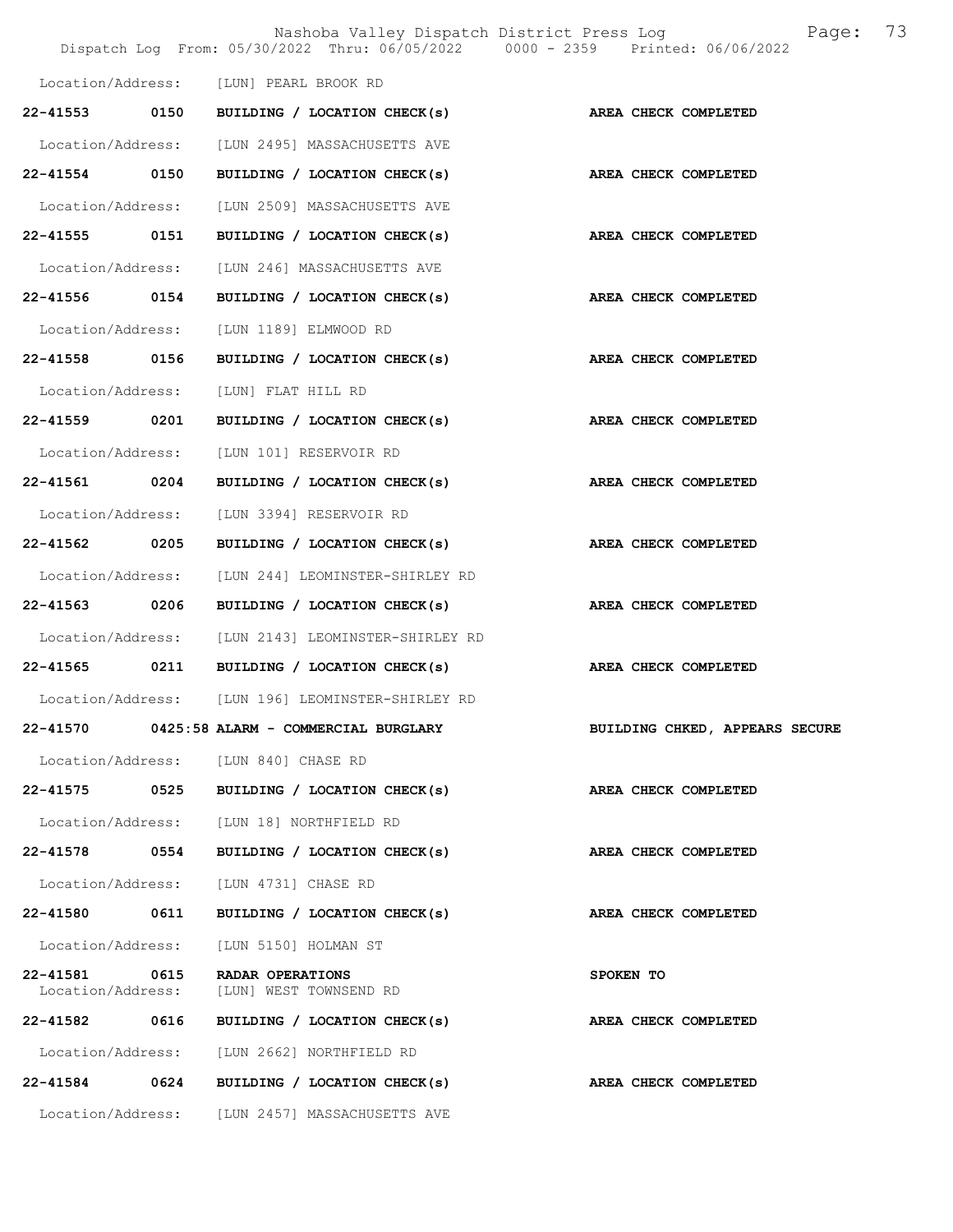|                                    |      |                                                   | Nashoba Valley Dispatch District Press Log<br>Page:<br>Dispatch Log From: 05/30/2022 Thru: 06/05/2022 0000 - 2359 Printed: 06/06/2022 | 73 |
|------------------------------------|------|---------------------------------------------------|---------------------------------------------------------------------------------------------------------------------------------------|----|
|                                    |      | Location/Address: [LUN] PEARL BROOK RD            |                                                                                                                                       |    |
| $22 - 41553$                       | 0150 | BUILDING / LOCATION CHECK(s)                      | AREA CHECK COMPLETED                                                                                                                  |    |
| Location/Address:                  |      | [LUN 2495] MASSACHUSETTS AVE                      |                                                                                                                                       |    |
| 22-41554 0150                      |      | BUILDING / LOCATION CHECK(s)                      | AREA CHECK COMPLETED                                                                                                                  |    |
| Location/Address:                  |      | [LUN 2509] MASSACHUSETTS AVE                      |                                                                                                                                       |    |
| 22-41555 0151                      |      | BUILDING / LOCATION CHECK(s)                      | AREA CHECK COMPLETED                                                                                                                  |    |
| Location/Address:                  |      | [LUN 246] MASSACHUSETTS AVE                       |                                                                                                                                       |    |
| 22-41556                           | 0154 | BUILDING / LOCATION CHECK(s)                      | AREA CHECK COMPLETED                                                                                                                  |    |
| Location/Address:                  |      | [LUN 1189] ELMWOOD RD                             |                                                                                                                                       |    |
| 22-41558 0156                      |      | BUILDING / LOCATION CHECK(s) AREA CHECK COMPLETED |                                                                                                                                       |    |
| Location/Address:                  |      | [LUN] FLAT HILL RD                                |                                                                                                                                       |    |
| 22-41559                           | 0201 | BUILDING / LOCATION CHECK(s)                      | AREA CHECK COMPLETED                                                                                                                  |    |
| Location/Address:                  |      | [LUN 101] RESERVOIR RD                            |                                                                                                                                       |    |
| 22-41561                           | 0204 | BUILDING / LOCATION CHECK(s)                      | AREA CHECK COMPLETED                                                                                                                  |    |
| Location/Address:                  |      | [LUN 3394] RESERVOIR RD                           |                                                                                                                                       |    |
| 22-41562 0205                      |      | BUILDING / LOCATION CHECK(s) AREA CHECK COMPLETED |                                                                                                                                       |    |
| Location/Address:                  |      | [LUN 244] LEOMINSTER-SHIRLEY RD                   |                                                                                                                                       |    |
| 22-41563 0206                      |      | BUILDING / LOCATION CHECK(s)                      | AREA CHECK COMPLETED                                                                                                                  |    |
| Location/Address:                  |      | [LUN 2143] LEOMINSTER-SHIRLEY RD                  |                                                                                                                                       |    |
| 22-41565                           | 0211 | BUILDING / LOCATION CHECK(s)                      | AREA CHECK COMPLETED                                                                                                                  |    |
|                                    |      | Location/Address: [LUN 196] LEOMINSTER-SHIRLEY RD |                                                                                                                                       |    |
|                                    |      | 22-41570 0425:58 ALARM - COMMERCIAL BURGLARY      | BUILDING CHKED, APPEARS SECURE                                                                                                        |    |
|                                    |      | Location/Address: [LUN 840] CHASE RD              |                                                                                                                                       |    |
| 22-41575                           | 0525 | BUILDING / LOCATION CHECK(s)                      | AREA CHECK COMPLETED                                                                                                                  |    |
|                                    |      | Location/Address: [LUN 18] NORTHFIELD RD          |                                                                                                                                       |    |
| 22-41578 0554                      |      | BUILDING / LOCATION CHECK(s)                      | AREA CHECK COMPLETED                                                                                                                  |    |
|                                    |      | Location/Address: [LUN 4731] CHASE RD             |                                                                                                                                       |    |
| 22-41580 0611                      |      | BUILDING / LOCATION CHECK(s)                      | <b>AREA CHECK COMPLETED</b>                                                                                                           |    |
| Location/Address:                  |      | [LUN 5150] HOLMAN ST                              |                                                                                                                                       |    |
| 22-41581 0615<br>Location/Address: |      | RADAR OPERATIONS<br>[LUN] WEST TOWNSEND RD        | SPOKEN TO                                                                                                                             |    |
| 22-41582 0616                      |      | BUILDING / LOCATION CHECK(s)                      | AREA CHECK COMPLETED                                                                                                                  |    |
| Location/Address:                  |      | [LUN 2662] NORTHFIELD RD                          |                                                                                                                                       |    |
| 22-41584 0624                      |      | BUILDING / LOCATION CHECK(s)                      | AREA CHECK COMPLETED                                                                                                                  |    |
|                                    |      | Location/Address: [LUN 2457] MASSACHUSETTS AVE    |                                                                                                                                       |    |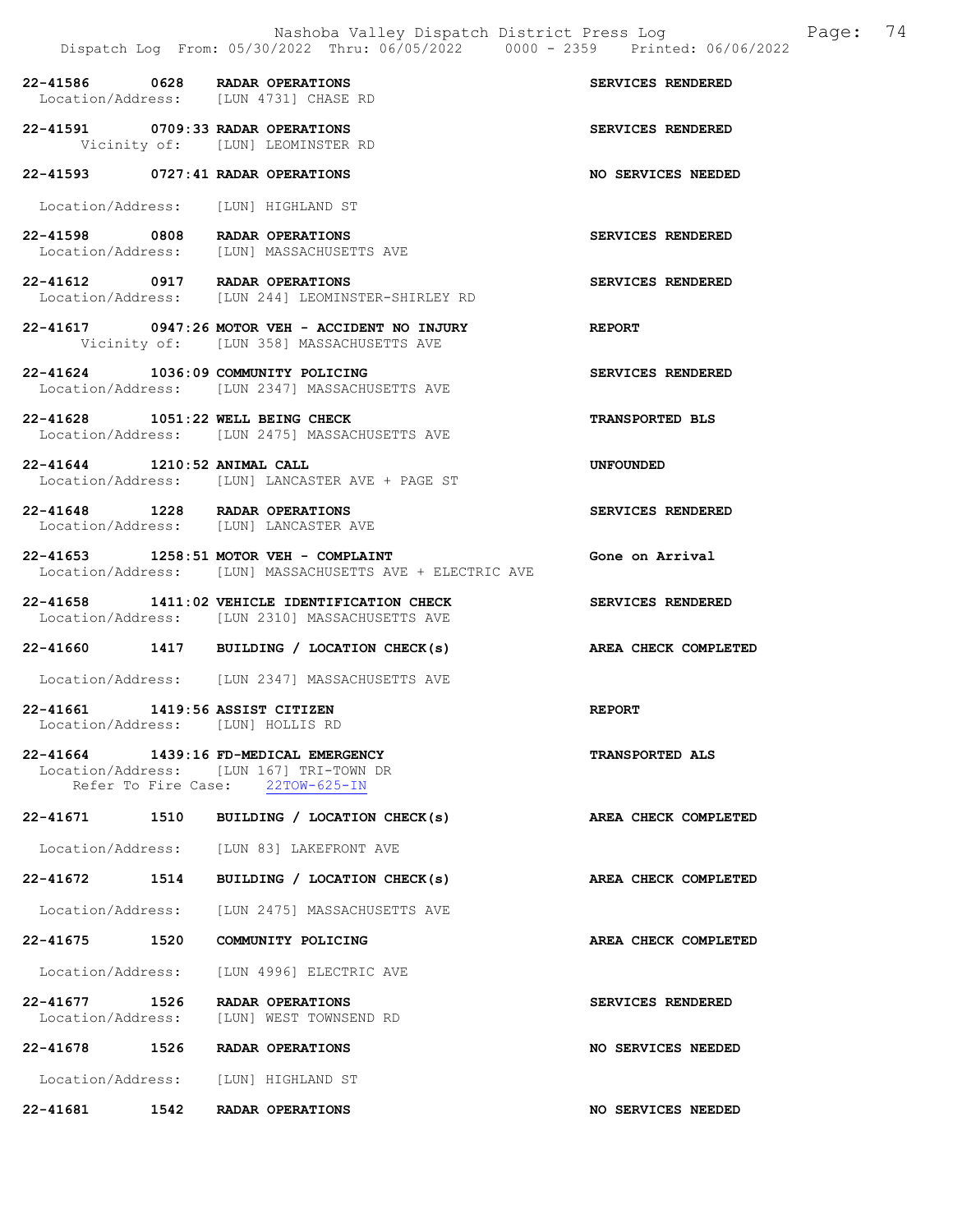22-41586 0628 RADAR OPERATIONS SERVICES RENDERED<br>
Location/Address: [LUN 4731] CHASE RD [LUN 4731] CHASE RD 22-41591 0709:33 RADAR OPERATIONS SERVICES RENDERED Vicinity of: [LUN] LEOMINSTER RD 22-41593 0727:41 RADAR OPERATIONS NO SERVICES NEEDED Location/Address: [LUN] HIGHLAND ST 22-41598 0808 RADAR OPERATIONS SERVICES RENDERED Location/Address: [LUN] MASSACHUSETTS AVE 22-41612 0917 RADAR OPERATIONS SERVICES RENDERED Location/Address: [LUN 244] LEOMINSTER-SHIRLEY RD 22-41617 0947:26 MOTOR VEH - ACCIDENT NO INJURY REPORT Vicinity of: [LUN 358] MASSACHUSETTS AVE 22-41624 1036:09 COMMUNITY POLICING SERVICES RENDERED Location/Address: [LUN 2347] MASSACHUSETTS AVE 22-41628 1051:22 WELL BEING CHECK TRANSPORTED BLS Location/Address: [LUN 2475] MASSACHUSETTS AVE 22-41644 1210:52 ANIMAL CALL UNFOUNDED Location/Address: [LUN] LANCASTER AVE + PAGE ST 22-41648 1228 RADAR OPERATIONS SERVICES RENDERED Location/Address: [LUN] LANCASTER AVE 22-41653 1258:51 MOTOR VEH - COMPLAINT Gone on Arrival Location/Address: [LUN] MASSACHUSETTS AVE + ELECTRIC AVE 22-41658 1411:02 VEHICLE IDENTIFICATION CHECK SERVICES RENDERED Location/Address: [LUN 2310] MASSACHUSETTS AVE 22-41660 1417 BUILDING / LOCATION CHECK(s) AREA CHECK COMPLETED Location/Address: [LUN 2347] MASSACHUSETTS AVE 22-41661 1419:56 ASSIST CITIZEN REPORT Location/Address: [LUN] HOLLIS RD 22-41664 1439:16 FD-MEDICAL EMERGENCY TRANSPORTED ALS Location/Address: [LUN 167] TRI-TOWN DR<br>Refer To Fire Case: 22TOW-625-IN Refer To Fire Case: 22-41671 1510 BUILDING / LOCATION CHECK(s) AREA CHECK COMPLETED Location/Address: [LUN 83] LAKEFRONT AVE 22-41672 1514 BUILDING / LOCATION CHECK(s) AREA CHECK COMPLETED Location/Address: [LUN 2475] MASSACHUSETTS AVE 22-41675 1520 COMMUNITY POLICING AREA CHECK COMPLETED Location/Address: [LUN 4996] ELECTRIC AVE 22-41677 1526 RADAR OPERATIONS SERVICES RENDERED Location/Address: [LUN] WEST TOWNSEND RD 22-41678 1526 RADAR OPERATIONS NO SERVICES NEEDED Location/Address: [LUN] HIGHLAND ST 22-41681 1542 RADAR OPERATIONS NO SERVICES NEEDED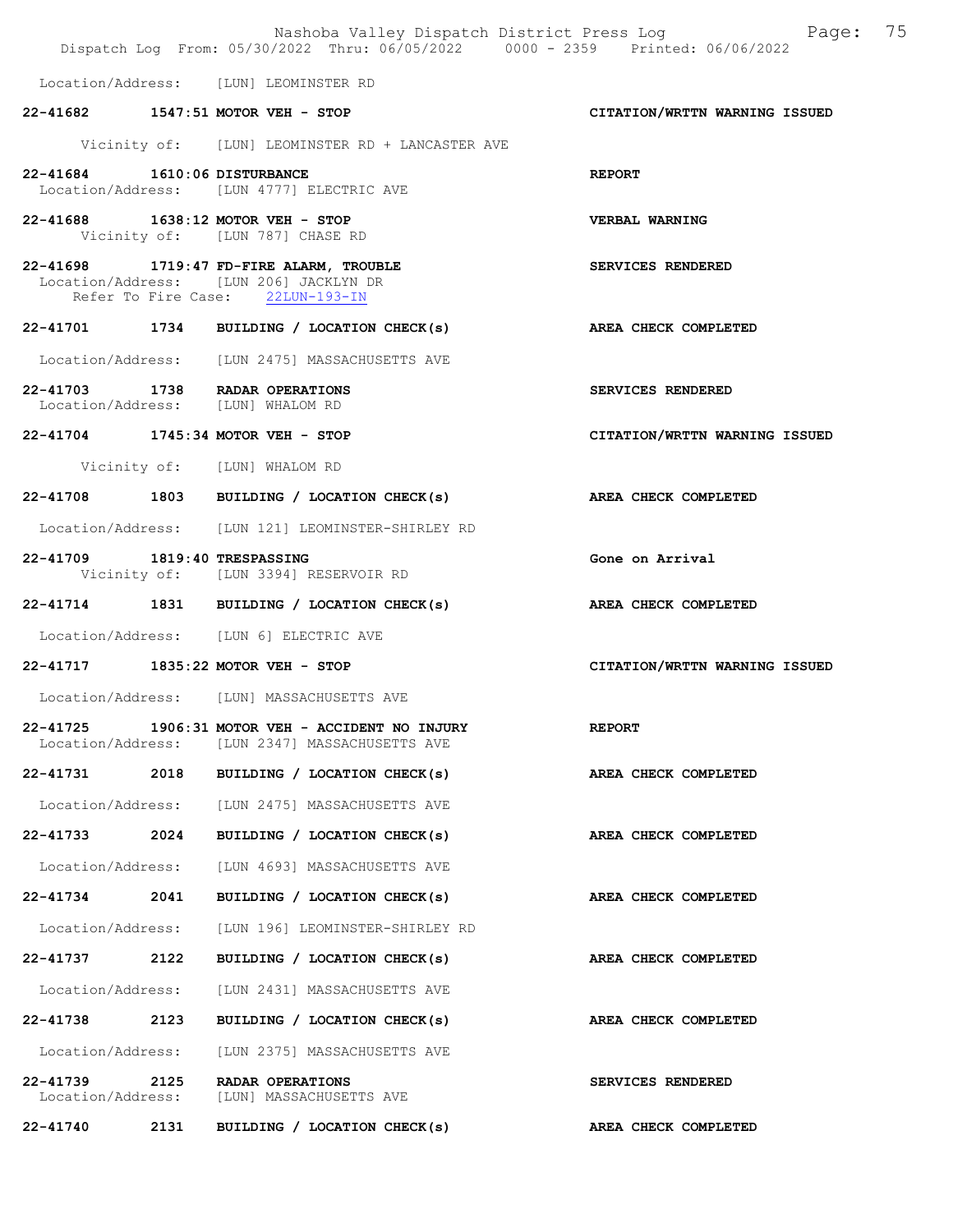|                                    |      | Nashoba Valley Dispatch District Press Log<br>Dispatch Log From: 05/30/2022 Thru: 06/05/2022 0000 - 2359 Printed: 06/06/2022 | Page: 75                      |
|------------------------------------|------|------------------------------------------------------------------------------------------------------------------------------|-------------------------------|
|                                    |      | Location/Address: [LUN] LEOMINSTER RD                                                                                        |                               |
|                                    |      | 22-41682 1547:51 MOTOR VEH - STOP                                                                                            | CITATION/WRTTN WARNING ISSUED |
|                                    |      | Vicinity of: [LUN] LEOMINSTER RD + LANCASTER AVE                                                                             |                               |
| 22-41684 1610:06 DISTURBANCE       |      | Location/Address: [LUN 4777] ELECTRIC AVE                                                                                    | <b>REPORT</b>                 |
|                                    |      | 22-41688 1638:12 MOTOR VEH - STOP<br>Vicinity of: [LUN 787] CHASE RD                                                         | <b>VERBAL WARNING</b>         |
|                                    |      | 22-41698 1719:47 FD-FIRE ALARM, TROUBLE<br>Location/Address: [LUN 206] JACKLYN DR<br>Refer To Fire Case: 22LUN-193-IN        | SERVICES RENDERED             |
|                                    |      | 22-41701 1734 BUILDING / LOCATION CHECK(s)                                                                                   | AREA CHECK COMPLETED          |
|                                    |      | Location/Address: [LUN 2475] MASSACHUSETTS AVE                                                                               |                               |
|                                    |      | 22-41703 1738 RADAR OPERATIONS<br>Location/Address: [LUN] WHALOM RD                                                          | SERVICES RENDERED             |
|                                    |      | 22-41704 1745:34 MOTOR VEH - STOP                                                                                            | CITATION/WRTTN WARNING ISSUED |
|                                    |      | Vicinity of: [LUN] WHALOM RD                                                                                                 |                               |
|                                    |      | 22-41708 1803 BUILDING / LOCATION CHECK(s) AREA CHECK COMPLETED                                                              |                               |
|                                    |      | Location/Address: [LUN 121] LEOMINSTER-SHIRLEY RD                                                                            |                               |
| 22-41709 1819:40 TRESPASSING       |      | Vicinity of: [LUN 3394] RESERVOIR RD                                                                                         | Gone on Arrival               |
|                                    |      | 22-41714 1831 BUILDING / LOCATION CHECK(s)                                                                                   | AREA CHECK COMPLETED          |
|                                    |      | Location/Address: [LUN 6] ELECTRIC AVE                                                                                       |                               |
|                                    |      | 22-41717 1835:22 MOTOR VEH - STOP                                                                                            | CITATION/WRTTN WARNING ISSUED |
|                                    |      | Location/Address: [LUN] MASSACHUSETTS AVE                                                                                    |                               |
| 22-41725                           |      | 1906:31 MOTOR VEH - ACCIDENT NO INJURY<br>Location/Address: [LUN 2347] MASSACHUSETTS AVE                                     | <b>REPORT</b>                 |
|                                    |      | 22-41731 2018 BUILDING / LOCATION CHECK(s)                                                                                   | AREA CHECK COMPLETED          |
|                                    |      | Location/Address: [LUN 2475] MASSACHUSETTS AVE                                                                               |                               |
|                                    |      | 22-41733 2024 BUILDING / LOCATION CHECK(s)                                                                                   | AREA CHECK COMPLETED          |
| Location/Address:                  |      | [LUN 4693] MASSACHUSETTS AVE                                                                                                 |                               |
| 22-41734                           | 2041 | BUILDING / LOCATION CHECK(s)                                                                                                 | AREA CHECK COMPLETED          |
| Location/Address:                  |      | [LUN 196] LEOMINSTER-SHIRLEY RD                                                                                              |                               |
| 22–41737 2122                      |      | BUILDING / LOCATION CHECK(s)                                                                                                 | AREA CHECK COMPLETED          |
| Location/Address:                  |      | [LUN 2431] MASSACHUSETTS AVE                                                                                                 |                               |
| 22-41738 2123                      |      | BUILDING / LOCATION CHECK(s)                                                                                                 | AREA CHECK COMPLETED          |
| Location/Address:                  |      | [LUN 2375] MASSACHUSETTS AVE                                                                                                 |                               |
| 22–41739 2125<br>Location/Address: |      | RADAR OPERATIONS<br>[LUN] MASSACHUSETTS AVE                                                                                  | SERVICES RENDERED             |
| 22-41740                           | 2131 | BUILDING / LOCATION CHECK(s)                                                                                                 | AREA CHECK COMPLETED          |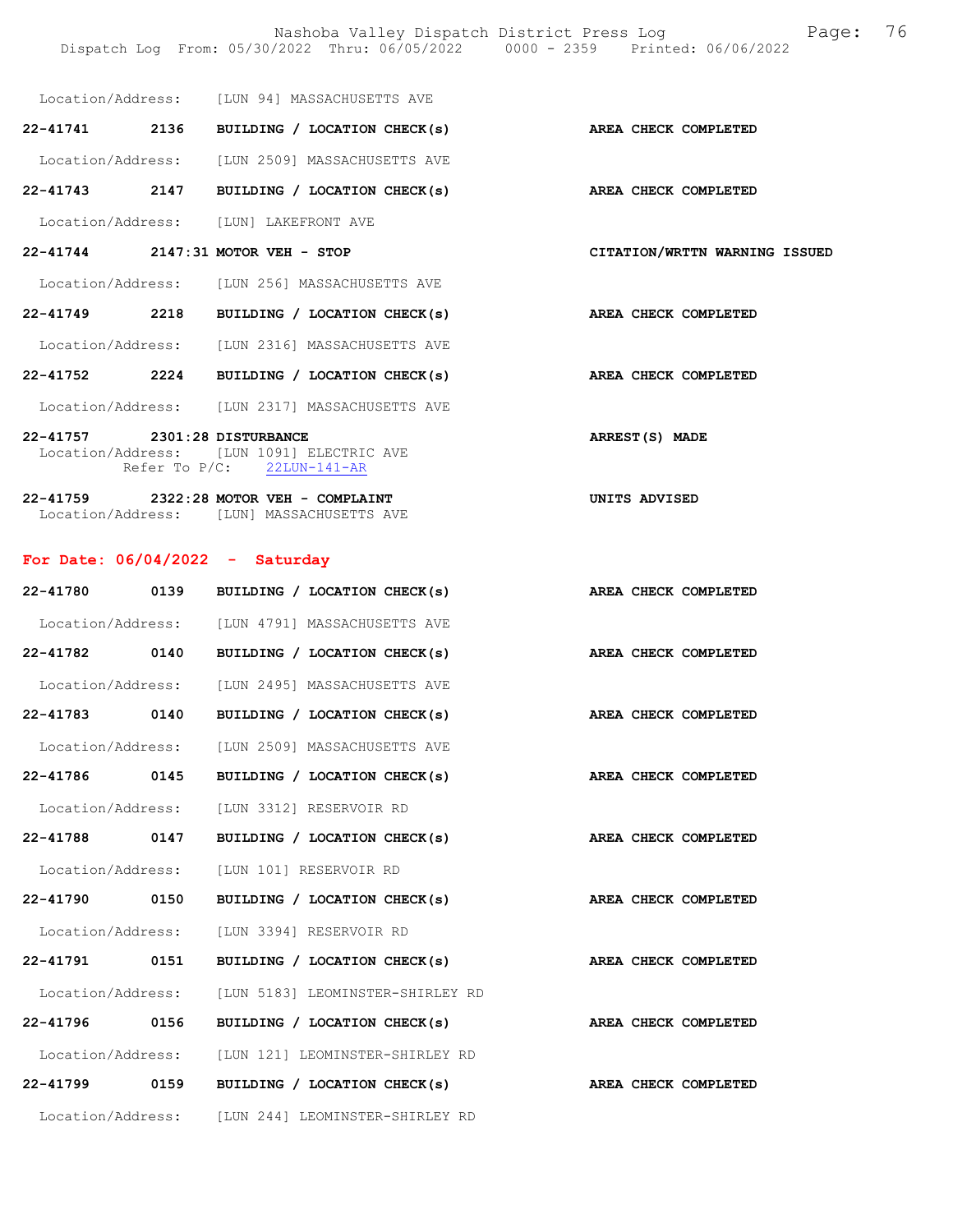Nashoba Valley Dispatch District Press Log Page: 76 Dispatch Log From: 05/30/2022 Thru: 06/05/2022 0000 - 2359 Printed: 06/06/2022

| Location/Address: |  | [LUN 94] MASSACHUSETTS AVE |  |
|-------------------|--|----------------------------|--|
|                   |  |                            |  |

| 22-41741          | 2136 | BUILDING / LOCATION CHECK(s) | AREA CHECK COMPLETED |
|-------------------|------|------------------------------|----------------------|
| Location/Address: |      | [LUN 2509] MASSACHUSETTS AVE |                      |
| 22-41743          | 2147 | BUILDING / LOCATION CHECK(s) | AREA CHECK COMPLETED |

Location/Address: [LUN] LAKEFRONT AVE

### 22-41744 2147:31 MOTOR VEH - STOP CITATION/WRTTN WARNING ISSUED

Location/Address: [LUN 256] MASSACHUSETTS AVE

22-41749 2218 BUILDING / LOCATION CHECK(s) AREA CHECK COMPLETED

Location/Address: [LUN 2316] MASSACHUSETTS AVE

22-41752 2224 BUILDING / LOCATION CHECK(s) AREA CHECK COMPLETED

Location/Address: [LUN 2317] MASSACHUSETTS AVE

22-41757 2301:28 DISTURBANCE ARREST(S) MADE Location/Address: [LUN 1091] ELECTRIC AVE Refer To P/C: 22LUN-141-AR

22-41759 2322:28 MOTOR VEH - COMPLAINT UNITS ADVISED Location/Address: [LUN] MASSACHUSETTS AVE

### For Date: 06/04/2022 - Saturday

| 22-41780          | 0139 | BUILDING / LOCATION CHECK(s)                         |  | AREA CHECK COMPLETED |
|-------------------|------|------------------------------------------------------|--|----------------------|
|                   |      | Location/Address: [LUN 4791] MASSACHUSETTS AVE       |  |                      |
| 22-41782 0140     |      | BUILDING / LOCATION CHECK(s)                         |  | AREA CHECK COMPLETED |
| Location/Address: |      | [LUN 2495] MASSACHUSETTS AVE                         |  |                      |
| 22-41783 0140     |      | BUILDING / LOCATION CHECK(s)                         |  | AREA CHECK COMPLETED |
|                   |      | Location/Address: [LUN 2509] MASSACHUSETTS AVE       |  |                      |
| 22-41786 0145     |      | BUILDING / LOCATION CHECK(s)                         |  | AREA CHECK COMPLETED |
| Location/Address: |      | [LUN 3312] RESERVOIR RD                              |  |                      |
| 22-41788 0147     |      | AREA CHECK COMPLETED<br>BUILDING / LOCATION CHECK(s) |  |                      |
| Location/Address: |      | [LUN 101] RESERVOIR RD                               |  |                      |
| 22-41790 0150     |      | BUILDING / LOCATION CHECK(s)                         |  | AREA CHECK COMPLETED |
|                   |      | Location/Address: [LUN 3394] RESERVOIR RD            |  |                      |
| 22-41791 0151     |      | BUILDING / LOCATION CHECK(s)                         |  | AREA CHECK COMPLETED |
| Location/Address: |      | [LUN 5183] LEOMINSTER-SHIRLEY RD                     |  |                      |
| 22-41796 0156     |      | BUILDING / LOCATION CHECK(s)                         |  | AREA CHECK COMPLETED |
|                   |      | Location/Address: [LUN 121] LEOMINSTER-SHIRLEY RD    |  |                      |
| 22-41799 0159     |      | BUILDING / LOCATION CHECK(s)                         |  | AREA CHECK COMPLETED |
|                   |      | Location/Address: [LUN 244] LEOMINSTER-SHIRLEY RD    |  |                      |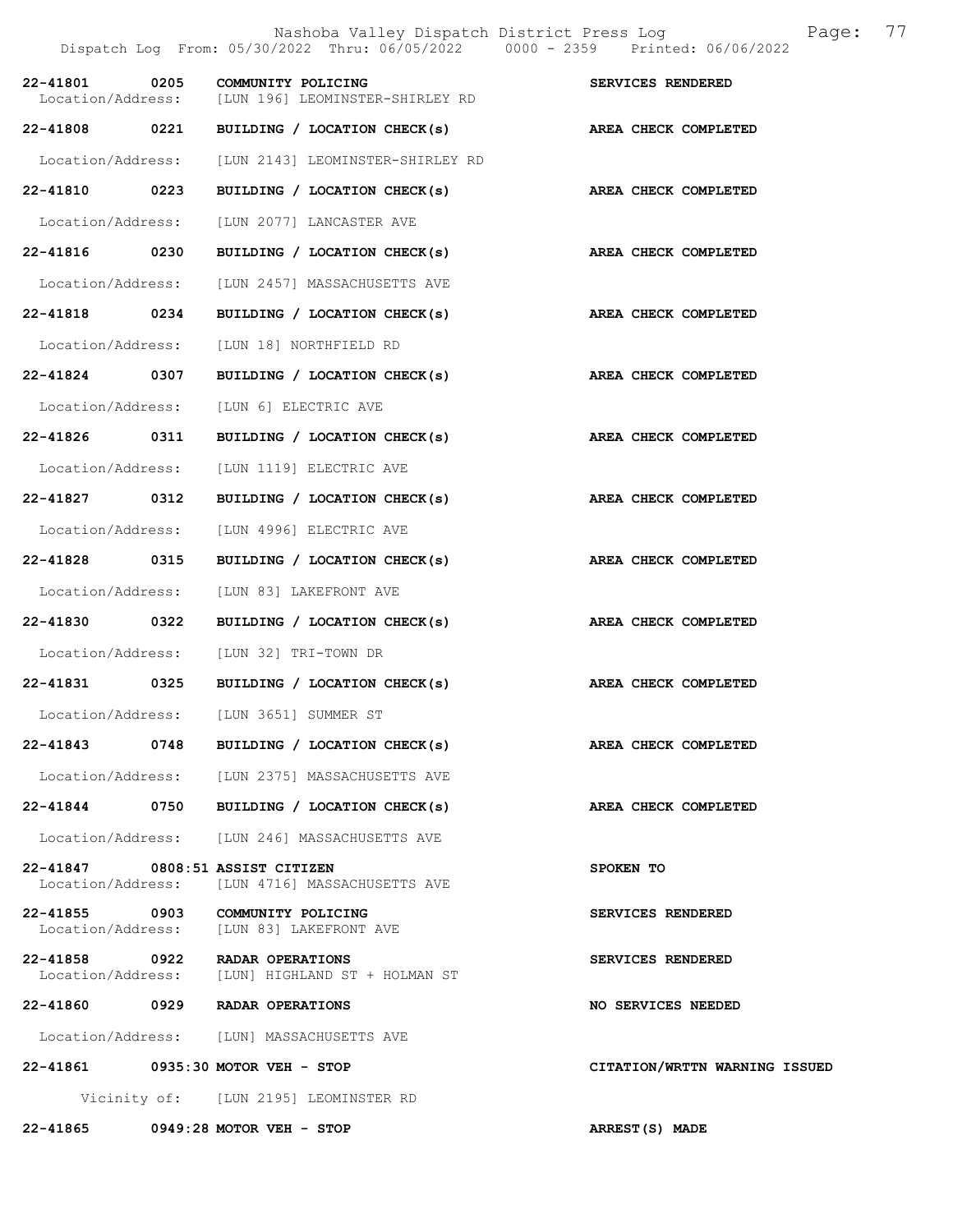|                   |      | Nashoba Valley Dispatch District Press Log Mashoba Valley Dispatch District Press Log<br>Dispatch Log From: 05/30/2022 Thru: 06/05/2022 0000 - 2359 Printed: 06/06/2022 | 77                            |
|-------------------|------|-------------------------------------------------------------------------------------------------------------------------------------------------------------------------|-------------------------------|
| 22-41801          | 0205 | COMMUNITY POLICING<br>Location/Address: [LUN 196] LEOMINSTER-SHIRLEY RD                                                                                                 | SERVICES RENDERED             |
| 22-41808          | 0221 | BUILDING / LOCATION CHECK(s)                                                                                                                                            | AREA CHECK COMPLETED          |
| Location/Address: |      | [LUN 2143] LEOMINSTER-SHIRLEY RD                                                                                                                                        |                               |
| 22-41810 0223     |      | BUILDING / LOCATION CHECK(s)                                                                                                                                            | AREA CHECK COMPLETED          |
| Location/Address: |      | [LUN 2077] LANCASTER AVE                                                                                                                                                |                               |
| 22-41816 0230     |      | BUILDING / LOCATION CHECK(s)                                                                                                                                            | AREA CHECK COMPLETED          |
| Location/Address: |      | [LUN 2457] MASSACHUSETTS AVE                                                                                                                                            |                               |
| 22-41818 0234     |      | BUILDING / LOCATION CHECK(s)                                                                                                                                            | AREA CHECK COMPLETED          |
| Location/Address: |      | [LUN 18] NORTHFIELD RD                                                                                                                                                  |                               |
| 22-41824 0307     |      | BUILDING / LOCATION CHECK(s) AREA CHECK COMPLETED                                                                                                                       |                               |
| Location/Address: |      | [LUN 6] ELECTRIC AVE                                                                                                                                                    |                               |
| 22-41826 0311     |      | BUILDING / LOCATION CHECK(s)                                                                                                                                            | AREA CHECK COMPLETED          |
| Location/Address: |      | [LUN 1119] ELECTRIC AVE                                                                                                                                                 |                               |
| 22-41827 0312     |      | BUILDING / LOCATION CHECK(s)                                                                                                                                            | AREA CHECK COMPLETED          |
| Location/Address: |      | [LUN 4996] ELECTRIC AVE                                                                                                                                                 |                               |
| 22-41828          | 0315 | BUILDING / LOCATION CHECK(s)                                                                                                                                            | AREA CHECK COMPLETED          |
| Location/Address: |      | [LUN 83] LAKEFRONT AVE                                                                                                                                                  |                               |
| 22-41830 0322     |      | BUILDING / LOCATION CHECK(s)                                                                                                                                            | AREA CHECK COMPLETED          |
| Location/Address: |      | [LUN 32] TRI-TOWN DR                                                                                                                                                    |                               |
| 22-41831 0325     |      | BUILDING / LOCATION CHECK(s)                                                                                                                                            | AREA CHECK COMPLETED          |
|                   |      | Location/Address: [LUN 3651] SUMMER ST                                                                                                                                  |                               |
| 22-41843 0748     |      | BUILDING / LOCATION CHECK(s)                                                                                                                                            | AREA CHECK COMPLETED          |
|                   |      | Location/Address: [LUN 2375] MASSACHUSETTS AVE                                                                                                                          |                               |
|                   |      | 22-41844 0750 BUILDING / LOCATION CHECK(s)                                                                                                                              | AREA CHECK COMPLETED          |
|                   |      | Location/Address: [LUN 246] MASSACHUSETTS AVE                                                                                                                           |                               |
|                   |      | 22-41847 0808:51 ASSIST CITIZEN<br>Location/Address: [LUN 4716] MASSACHUSETTS AVE                                                                                       | SPOKEN TO                     |
|                   |      | 22-41855 0903 COMMUNITY POLICING<br>Location/Address: [LUN 83] LAKEFRONT AVE                                                                                            | SERVICES RENDERED             |
|                   |      | 22-41858 0922 RADAR OPERATIONS<br>Location/Address: [LUN] HIGHLAND ST + HOLMAN ST                                                                                       | SERVICES RENDERED             |
|                   |      | 22-41860 0929 RADAR OPERATIONS                                                                                                                                          | NO SERVICES NEEDED            |
|                   |      | Location/Address: [LUN] MASSACHUSETTS AVE                                                                                                                               |                               |
|                   |      | 22-41861 0935:30 MOTOR VEH - STOP                                                                                                                                       | CITATION/WRTTN WARNING ISSUED |
|                   |      | Vicinity of: [LUN 2195] LEOMINSTER RD                                                                                                                                   |                               |
|                   |      | 22-41865 0949:28 MOTOR VEH - STOP                                                                                                                                       | ARREST(S) MADE                |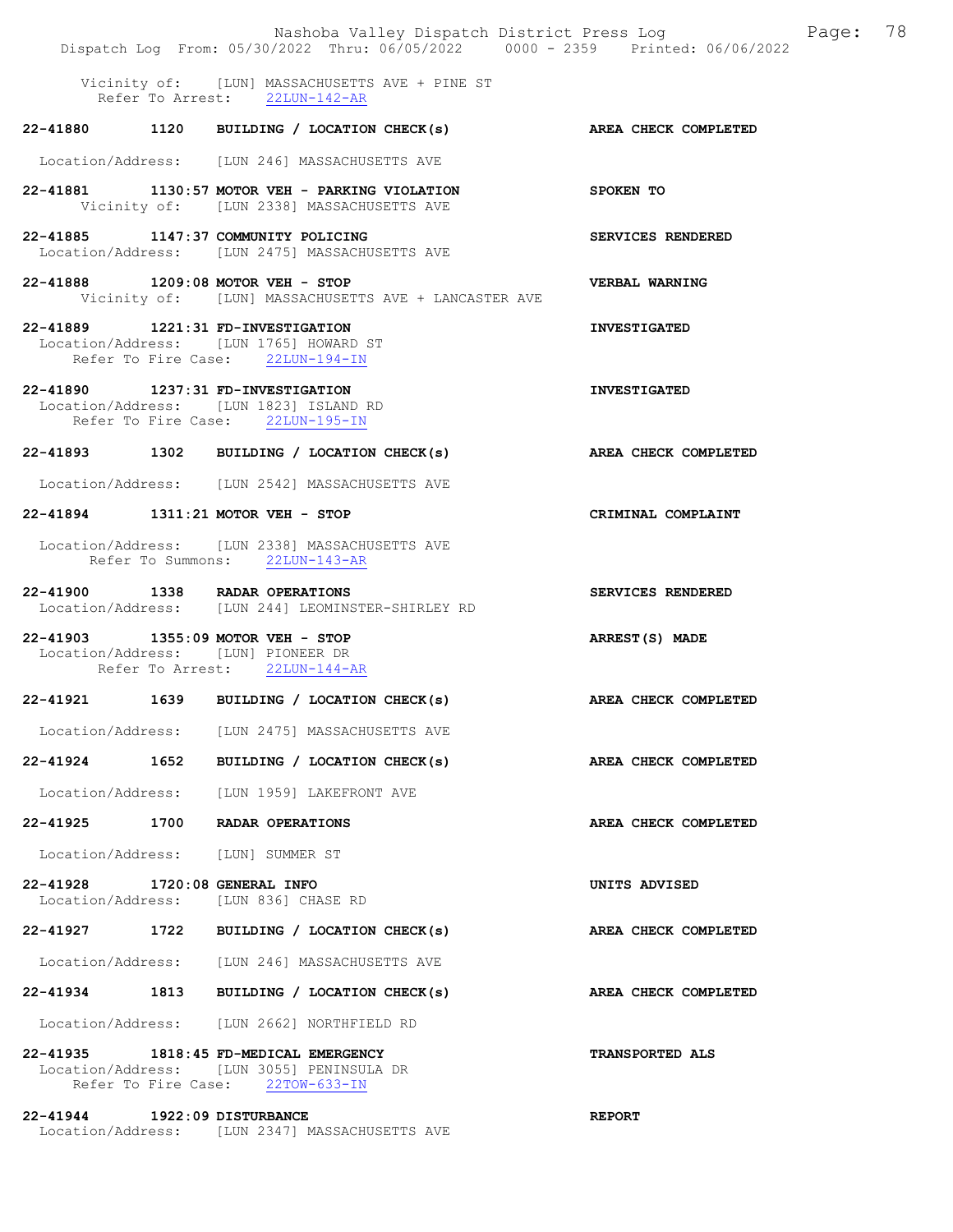|                               |      | Nashoba Valley Dispatch District Press Log Fage: 78<br>Dispatch Log From: 05/30/2022 Thru: 06/05/2022 0000 - 2359 Printed: 06/06/2022 |                             |  |
|-------------------------------|------|---------------------------------------------------------------------------------------------------------------------------------------|-----------------------------|--|
|                               |      | Vicinity of: [LUN] MASSACHUSETTS AVE + PINE ST<br>Refer To Arrest: 22LUN-142-AR                                                       |                             |  |
|                               |      | 22-41880 1120 BUILDING / LOCATION CHECK(s)                                                                                            | AREA CHECK COMPLETED        |  |
|                               |      | Location/Address: [LUN 246] MASSACHUSETTS AVE                                                                                         |                             |  |
|                               |      | 22-41881 1130:57 MOTOR VEH - PARKING VIOLATION<br>Vicinity of: [LUN 2338] MASSACHUSETTS AVE                                           | SPOKEN TO                   |  |
|                               |      | 22-41885 1147:37 COMMUNITY POLICING<br>Location/Address: [LUN 2475] MASSACHUSETTS AVE                                                 | SERVICES RENDERED           |  |
|                               |      | 22-41888 1209:08 MOTOR VEH - STOP<br>Vicinity of: [LUN] MASSACHUSETTS AVE + LANCASTER AVE                                             | VERBAL WARNING              |  |
|                               |      | 22-41889 1221:31 FD-INVESTIGATION<br>Location/Address: [LUN 1765] HOWARD ST<br>Refer To Fire Case: 22LUN-194-IN                       | <b>INVESTIGATED</b>         |  |
|                               |      | 22-41890 1237:31 FD-INVESTIGATION<br>Location/Address: [LUN 1823] ISLAND RD<br>Refer To Fire Case: 22LUN-195-IN                       | <b>INVESTIGATED</b>         |  |
|                               |      | 22-41893 1302 BUILDING / LOCATION CHECK(s)                                                                                            | <b>AREA CHECK COMPLETED</b> |  |
|                               |      | Location/Address: [LUN 2542] MASSACHUSETTS AVE                                                                                        |                             |  |
|                               |      | 22-41894 1311:21 MOTOR VEH - STOP                                                                                                     | CRIMINAL COMPLAINT          |  |
|                               |      | Location/Address: [LUN 2338] MASSACHUSETTS AVE<br>Refer To Summons: 22LUN-143-AR                                                      |                             |  |
|                               |      | 22-41900 1338 RADAR OPERATIONS<br>Location/Address: [LUN 244] LEOMINSTER-SHIRLEY RD                                                   | SERVICES RENDERED           |  |
|                               |      | 22-41903 1355:09 MOTOR VEH - STOP<br>Location/Address: [LUN] PIONEER DR<br>Refer To Arrest: 22LUN-144-AR                              | ARREST(S) MADE              |  |
|                               |      | 22-41921 1639 BUILDING / LOCATION CHECK(s) AREA CHECK COMPLETED                                                                       |                             |  |
|                               |      | Location/Address: [LUN 2475] MASSACHUSETTS AVE                                                                                        |                             |  |
| 22-41924 1652                 |      | BUILDING / LOCATION CHECK(s)                                                                                                          | AREA CHECK COMPLETED        |  |
|                               |      | Location/Address: [LUN 1959] LAKEFRONT AVE                                                                                            |                             |  |
| 22-41925                      | 1700 | RADAR OPERATIONS                                                                                                                      | AREA CHECK COMPLETED        |  |
|                               |      | Location/Address: [LUN] SUMMER ST                                                                                                     |                             |  |
| 22-41928 1720:08 GENERAL INFO |      | Location/Address: [LUN 836] CHASE RD                                                                                                  | UNITS ADVISED               |  |
|                               |      | 22-41927 1722 BUILDING / LOCATION CHECK(s)                                                                                            | AREA CHECK COMPLETED        |  |
|                               |      | Location/Address: [LUN 246] MASSACHUSETTS AVE                                                                                         |                             |  |
| 22-41934                      |      | 1813 BUILDING / LOCATION CHECK(s)                                                                                                     | AREA CHECK COMPLETED        |  |
|                               |      | Location/Address: [LUN 2662] NORTHFIELD RD                                                                                            |                             |  |
|                               |      | 22-41935 1818:45 FD-MEDICAL EMERGENCY<br>Location/Address: [LUN 3055] PENINSULA DR<br>Refer To Fire Case: 22TOW-633-IN                | <b>TRANSPORTED ALS</b>      |  |
| 22-41944 1922:09 DISTURBANCE  |      | Location/Address: [LUN 2347] MASSACHUSETTS AVE                                                                                        | <b>REPORT</b>               |  |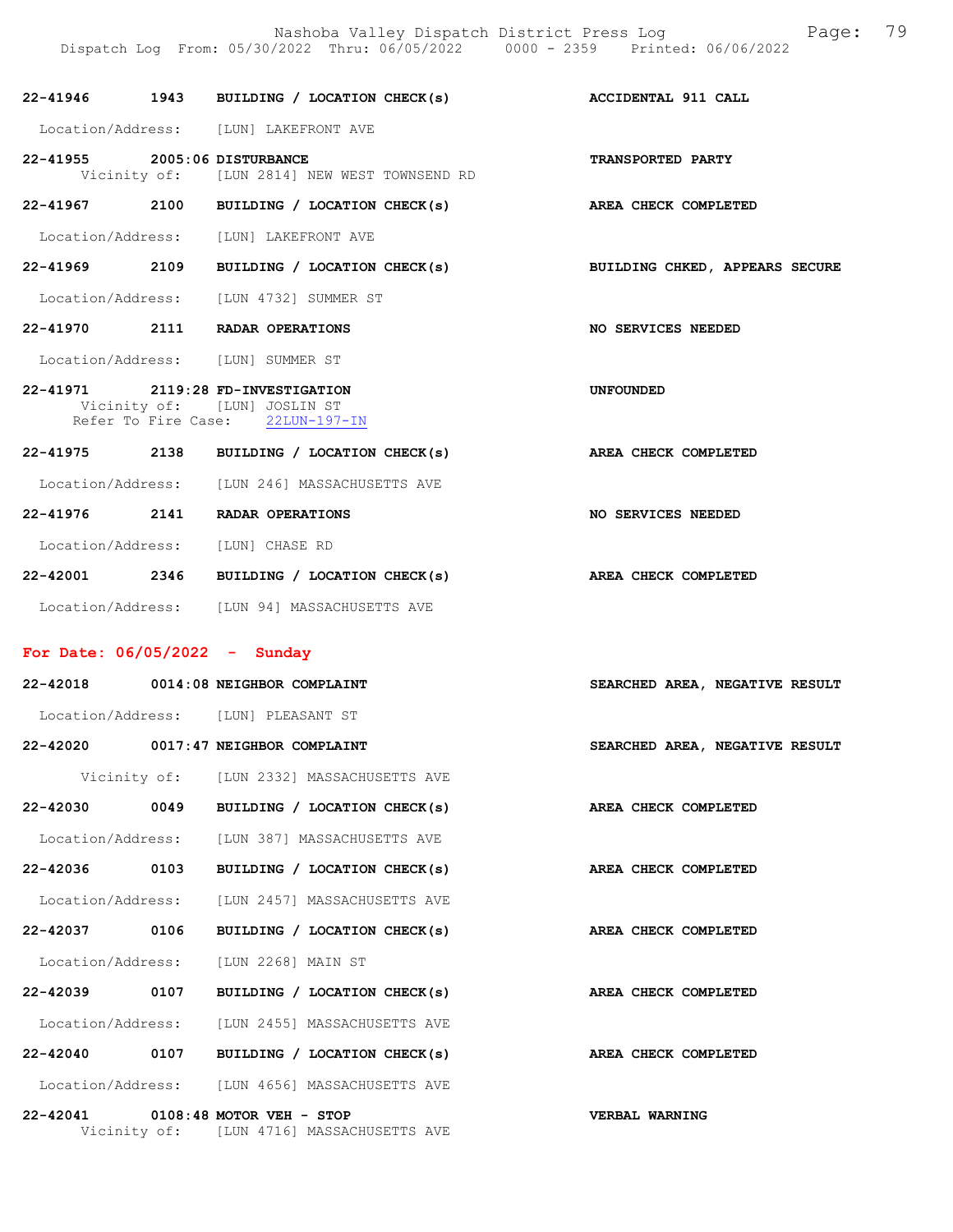|                              | Dispatch Log From: 05/30/2022 Thru: 06/05/2022 0000 - 2359 Printed: 06/06/2022                        | Nashoba Valley Dispatch District Press Log Fage: 79                       |
|------------------------------|-------------------------------------------------------------------------------------------------------|---------------------------------------------------------------------------|
|                              | 22-41946 1943 BUILDING / LOCATION CHECK(s) ACCIDENTAL 911 CALL                                        |                                                                           |
|                              | Location/Address: [LUN] LAKEFRONT AVE                                                                 |                                                                           |
| 22-41955 2005:06 DISTURBANCE | Vicinity of: [LUN 2814] NEW WEST TOWNSEND RD                                                          | TRANSPORTED PARTY                                                         |
|                              | 22-41967 2100 BUILDING / LOCATION CHECK(s) AREA CHECK COMPLETED                                       |                                                                           |
|                              | Location/Address: [LUN] LAKEFRONT AVE                                                                 |                                                                           |
|                              |                                                                                                       | 22-41969 2109 BUILDING / LOCATION CHECK(s) BUILDING CHKED, APPEARS SECURE |
|                              | Location/Address: [LUN 4732] SUMMER ST                                                                |                                                                           |
|                              | 22-41970 2111 RADAR OPERATIONS                                                                        | NO SERVICES NEEDED                                                        |
|                              | Location/Address: [LUN] SUMMER ST                                                                     |                                                                           |
|                              | 22-41971 2119:28 FD-INVESTIGATION<br>Vicinity of: [LUN] JOSLIN ST<br>Refer To Fire Case: 22LUN-197-IN | UNFOUNDED                                                                 |
|                              | 22-41975 2138 BUILDING / LOCATION CHECK(s) AREA CHECK COMPLETED                                       |                                                                           |
|                              | Location/Address: [LUN 246] MASSACHUSETTS AVE                                                         |                                                                           |
|                              | 22-41976 2141 RADAR OPERATIONS                                                                        | NO SERVICES NEEDED                                                        |
|                              | Location/Address: [LUN] CHASE RD                                                                      |                                                                           |
|                              | 22-42001 2346 BUILDING / LOCATION CHECK(s) AREA CHECK COMPLETED                                       |                                                                           |

## Location/Address: [LUN 94] MASSACHUSETTS AVE

# For Date: 06/05/2022 - Sunday

|  | 22-42018 0014:08 NEIGHBOR COMPLAINT                                            | SEARCHED AREA, NEGATIVE RESULT |
|--|--------------------------------------------------------------------------------|--------------------------------|
|  | Location/Address: [LUN] PLEASANT ST                                            |                                |
|  | 22-42020 0017:47 NEIGHBOR COMPLAINT                                            | SEARCHED AREA, NEGATIVE RESULT |
|  | Vicinity of: [LUN 2332] MASSACHUSETTS AVE                                      |                                |
|  | 22-42030 0049 BUILDING / LOCATION CHECK(s)                                     | AREA CHECK COMPLETED           |
|  | Location/Address: [LUN 387] MASSACHUSETTS AVE                                  |                                |
|  | 22-42036 0103 BUILDING / LOCATION CHECK(s)                                     | AREA CHECK COMPLETED           |
|  | Location/Address: [LUN 2457] MASSACHUSETTS AVE                                 |                                |
|  | 22-42037 0106 BUILDING / LOCATION CHECK(s) AREA CHECK COMPLETED                |                                |
|  | Location/Address: [LUN 2268] MAIN ST                                           |                                |
|  | 22-42039 0107 BUILDING / LOCATION CHECK(s)                                     | AREA CHECK COMPLETED           |
|  | Location/Address: [LUN 2455] MASSACHUSETTS AVE                                 |                                |
|  | 22-42040 0107 BUILDING / LOCATION CHECK(s)                                     | AREA CHECK COMPLETED           |
|  | Location/Address: [LUN 4656] MASSACHUSETTS AVE                                 |                                |
|  | 22-42041 0108:48 MOTOR VEH - STOP<br>Vicinity of: [LUN 4716] MASSACHUSETTS AVE | VERBAL WARNING                 |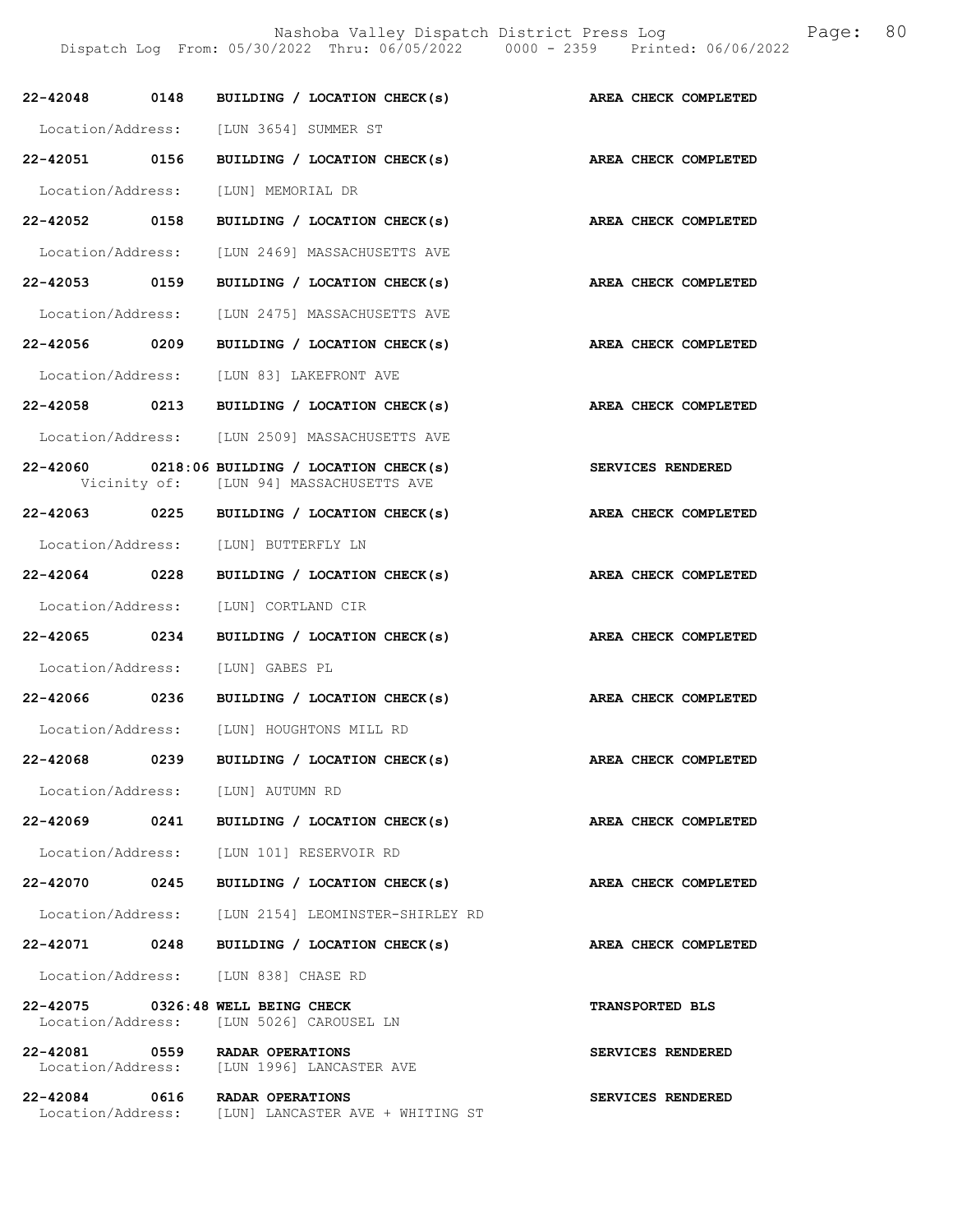Nashoba Valley Dispatch District Press Log Fage: 80

Dispatch Log From: 05/30/2022 Thru: 06/05/2022 0000 - 2359 Printed: 06/06/2022

| 22-42048 0148                       | BUILDING / LOCATION CHECK(s)                                                                 | AREA CHECK COMPLETED        |
|-------------------------------------|----------------------------------------------------------------------------------------------|-----------------------------|
|                                     | Location/Address: [LUN 3654] SUMMER ST                                                       |                             |
| 22-42051 0156                       | BUILDING / LOCATION CHECK(s)                                                                 | <b>AREA CHECK COMPLETED</b> |
| Location/Address: [LUN] MEMORIAL DR |                                                                                              |                             |
| 22-42052 0158                       | BUILDING / LOCATION CHECK(s)                                                                 | AREA CHECK COMPLETED        |
| Location/Address:                   | [LUN 2469] MASSACHUSETTS AVE                                                                 |                             |
| 22-42053 0159                       | BUILDING / LOCATION CHECK(s)                                                                 | AREA CHECK COMPLETED        |
|                                     | Location/Address: [LUN 2475] MASSACHUSETTS AVE                                               |                             |
| 22-42056 0209                       | BUILDING / LOCATION CHECK(s)                                                                 | AREA CHECK COMPLETED        |
|                                     | Location/Address: [LUN 83] LAKEFRONT AVE                                                     |                             |
| 22-42058 0213                       | BUILDING / LOCATION CHECK(s)                                                                 | AREA CHECK COMPLETED        |
|                                     | Location/Address: [LUN 2509] MASSACHUSETTS AVE                                               |                             |
|                                     | $22 - 42060$ 0218:06 BUILDING / LOCATION CHECK(s)<br>Vicinity of: [LUN 94] MASSACHUSETTS AVE | SERVICES RENDERED           |
| 22-42063 0225                       | BUILDING / LOCATION CHECK(s)                                                                 | AREA CHECK COMPLETED        |
|                                     | Location/Address: [LUN] BUTTERFLY LN                                                         |                             |
| 22-42064 0228                       | BUILDING / LOCATION CHECK(s)                                                                 | AREA CHECK COMPLETED        |
| Location/Address:                   | [LUN] CORTLAND CIR                                                                           |                             |
| 22-42065 0234                       | BUILDING / LOCATION CHECK(s)                                                                 | AREA CHECK COMPLETED        |
| Location/Address: [LUN] GABES PL    |                                                                                              |                             |
| 22-42066 0236                       | BUILDING / LOCATION CHECK(s)                                                                 | AREA CHECK COMPLETED        |
|                                     | Location/Address: [LUN] HOUGHTONS MILL RD                                                    |                             |
| 22-42068<br>0239                    | BUILDING / LOCATION CHECK(s)                                                                 | AREA CHECK COMPLETED        |
| Location/Address: [LUN] AUTUMN RD   |                                                                                              |                             |
|                                     | $22-42069$ 0241 BUILDING / LOCATION CHECK(s)                                                 | AREA CHECK COMPLETED        |
|                                     | Location/Address: [LUN 101] RESERVOIR RD                                                     |                             |
|                                     | 22-42070 0245 BUILDING / LOCATION CHECK(s)                                                   | AREA CHECK COMPLETED        |
|                                     | Location/Address: [LUN 2154] LEOMINSTER-SHIRLEY RD                                           |                             |
| 22-42071 0248                       | BUILDING / LOCATION CHECK(s)                                                                 | AREA CHECK COMPLETED        |
|                                     | Location/Address: [LUN 838] CHASE RD                                                         |                             |
| 22-42075 0326:48 WELL BEING CHECK   | Location/Address: [LUN 5026] CAROUSEL LN                                                     | <b>TRANSPORTED BLS</b>      |
| 22-42081 0559 RADAR OPERATIONS      | Location/Address: [LUN 1996] LANCASTER AVE                                                   | SERVICES RENDERED           |
| 22-42084 0616 RADAR OPERATIONS      | Location/Address: [LUN] LANCASTER AVE + WHITING ST                                           | SERVICES RENDERED           |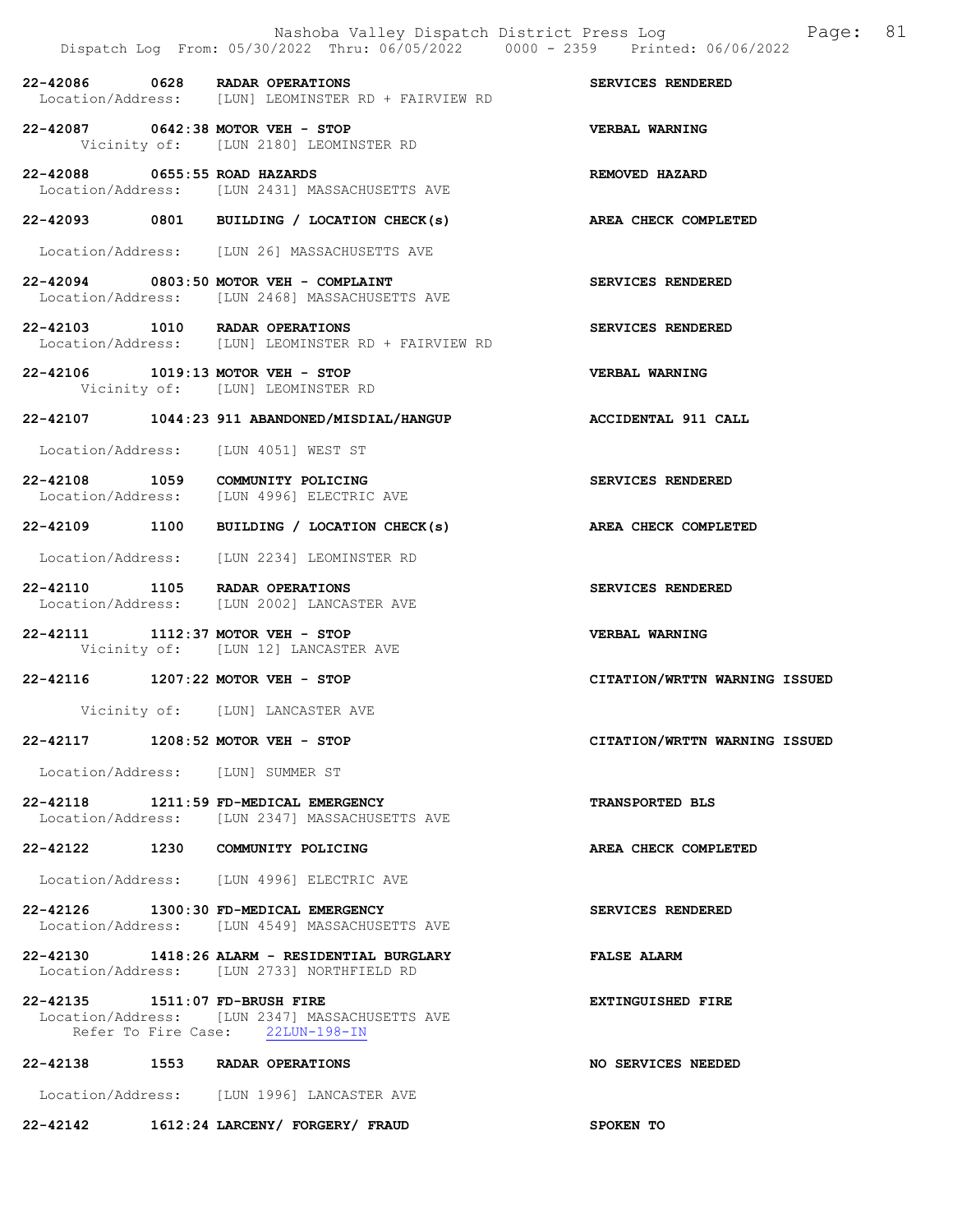|                                | Nashoba Valley Dispatch District Press Log<br>Dispatch Log From: 05/30/2022 Thru: 06/05/2022 0000 - 2359 Printed: 06/06/2022 | 81<br>Page:                   |
|--------------------------------|------------------------------------------------------------------------------------------------------------------------------|-------------------------------|
|                                | 22-42086 0628 RADAR OPERATIONS<br>Location/Address: [LUN] LEOMINSTER RD + FAIRVIEW RD                                        | SERVICES RENDERED             |
|                                | 22-42087 0642:38 MOTOR VEH - STOP<br>Vicinity of: [LUN 2180] LEOMINSTER RD                                                   | VERBAL WARNING                |
| 22-42088 0655:55 ROAD HAZARDS  | Location/Address: [LUN 2431] MASSACHUSETTS AVE                                                                               | REMOVED HAZARD                |
|                                | 22-42093 0801 BUILDING / LOCATION CHECK(s)                                                                                   | AREA CHECK COMPLETED          |
|                                | Location/Address: [LUN 26] MASSACHUSETTS AVE                                                                                 |                               |
|                                | 22-42094 0803:50 MOTOR VEH - COMPLAINT<br>Location/Address: [LUN 2468] MASSACHUSETTS AVE                                     | SERVICES RENDERED             |
|                                | 22-42103 1010 RADAR OPERATIONS<br>Location/Address: [LUN] LEOMINSTER RD + FAIRVIEW RD                                        | SERVICES RENDERED             |
|                                | 22-42106 1019:13 MOTOR VEH - STOP<br>Vicinity of: [LUN] LEOMINSTER RD                                                        | VERBAL WARNING                |
|                                | 22-42107 1044:23 911 ABANDONED/MISDIAL/HANGUP ACCIDENTAL 911 CALL                                                            |                               |
|                                | Location/Address: [LUN 4051] WEST ST                                                                                         |                               |
| 22-42108 1059                  | COMMUNITY POLICING<br>Location/Address: [LUN 4996] ELECTRIC AVE                                                              | SERVICES RENDERED             |
|                                | 22-42109 1100 BUILDING / LOCATION CHECK(s)                                                                                   | AREA CHECK COMPLETED          |
|                                | Location/Address: [LUN 2234] LEOMINSTER RD                                                                                   |                               |
|                                | 22-42110 1105 RADAR OPERATIONS<br>Location/Address: [LUN 2002] LANCASTER AVE                                                 | SERVICES RENDERED             |
|                                | 22-42111 1112:37 MOTOR VEH - STOP<br>Vicinity of: [LUN 12] LANCASTER AVE                                                     | VERBAL WARNING                |
|                                | 22-42116 1207:22 MOTOR VEH - STOP                                                                                            | CITATION/WRTTN WARNING ISSUED |
|                                | Vicinity of: [LUN] LANCASTER AVE                                                                                             |                               |
|                                | 22-42117 1208:52 MOTOR VEH - STOP                                                                                            | CITATION/WRTTN WARNING ISSUED |
|                                | Location/Address: [LUN] SUMMER ST                                                                                            |                               |
|                                | 22-42118 1211:59 FD-MEDICAL EMERGENCY<br>Location/Address: [LUN 2347] MASSACHUSETTS AVE                                      | TRANSPORTED BLS               |
|                                | 22-42122 1230 COMMUNITY POLICING                                                                                             | AREA CHECK COMPLETED          |
|                                | Location/Address: [LUN 4996] ELECTRIC AVE                                                                                    |                               |
|                                | 22-42126 1300:30 FD-MEDICAL EMERGENCY<br>Location/Address: [LUN 4549] MASSACHUSETTS AVE                                      | SERVICES RENDERED             |
|                                | 22-42130 1418:26 ALARM - RESIDENTIAL BURGLARY<br>Location/Address: [LUN 2733] NORTHFIELD RD                                  | <b>FALSE ALARM</b>            |
| 22-42135 1511:07 FD-BRUSH FIRE | Location/Address: [LUN 2347] MASSACHUSETTS AVE<br>Refer To Fire Case: 22LUN-198-IN                                           | <b>EXTINGUISHED FIRE</b>      |
|                                | 22-42138 1553 RADAR OPERATIONS                                                                                               | NO SERVICES NEEDED            |
|                                | Location/Address: [LUN 1996] LANCASTER AVE                                                                                   |                               |
|                                | 22-42142 1612:24 LARCENY/ FORGERY/ FRAUD                                                                                     | SPOKEN TO                     |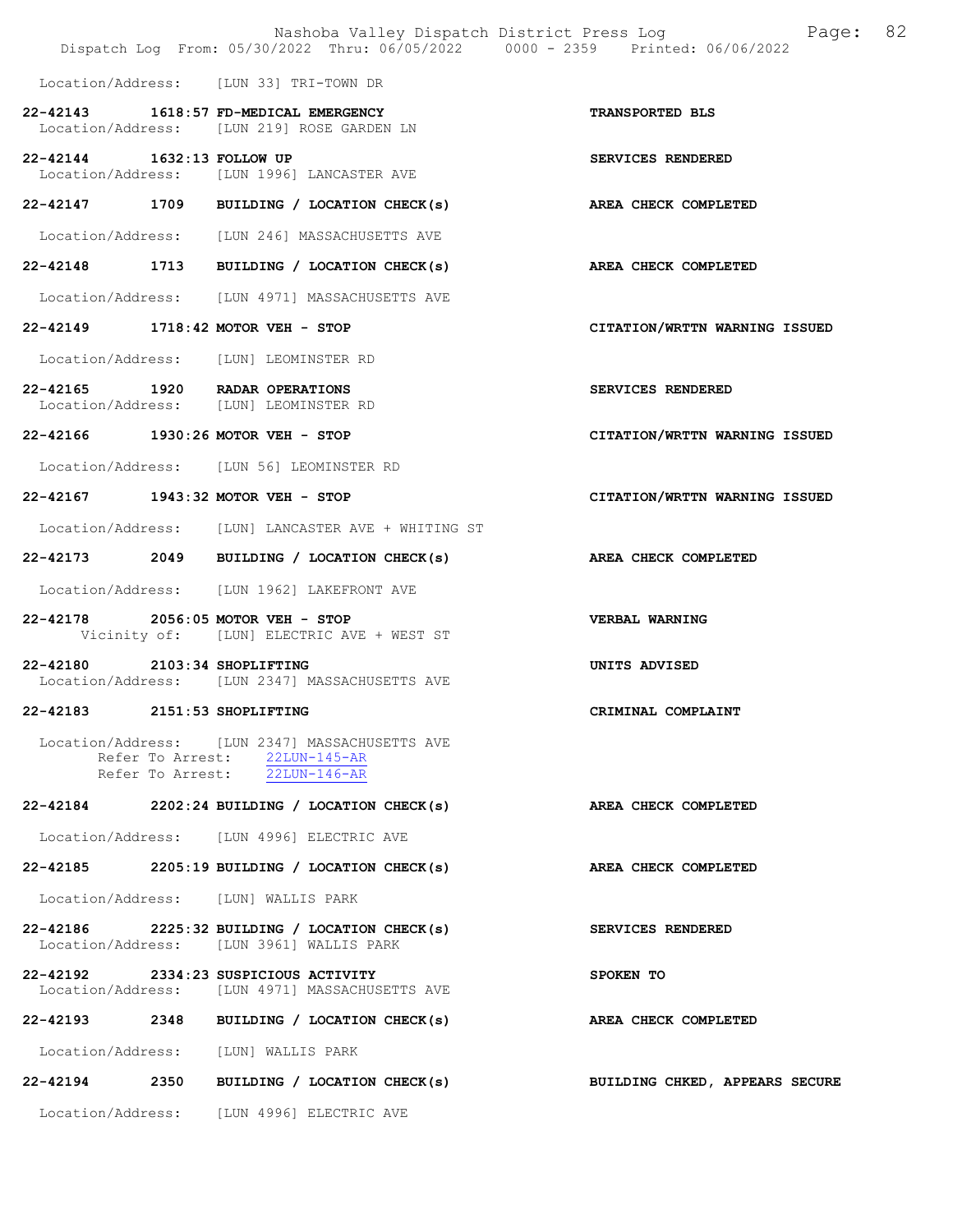|                                                                         |                                                                                                                  | Nashoba Valley Dispatch District Press Log Fage: 82<br>Dispatch Log From: 05/30/2022 Thru: 06/05/2022 0000 - 2359 Printed: 06/06/2022 |  |
|-------------------------------------------------------------------------|------------------------------------------------------------------------------------------------------------------|---------------------------------------------------------------------------------------------------------------------------------------|--|
| Location/Address: [LUN 33] TRI-TOWN DR                                  |                                                                                                                  |                                                                                                                                       |  |
| 22-42143 1618:57 FD-MEDICAL EMERGENCY                                   | Location/Address: [LUN 219] ROSE GARDEN LN                                                                       | TRANSPORTED BLS                                                                                                                       |  |
| 22-42144 1632:13 FOLLOW UP                                              | Location/Address: [LUN 1996] LANCASTER AVE                                                                       | SERVICES RENDERED                                                                                                                     |  |
|                                                                         | 22-42147 1709 BUILDING / LOCATION CHECK(s)                                                                       | AREA CHECK COMPLETED                                                                                                                  |  |
|                                                                         | Location/Address: [LUN 246] MASSACHUSETTS AVE                                                                    |                                                                                                                                       |  |
|                                                                         | 22-42148 1713 BUILDING / LOCATION CHECK(s)                                                                       | AREA CHECK COMPLETED                                                                                                                  |  |
|                                                                         | Location/Address: [LUN 4971] MASSACHUSETTS AVE                                                                   |                                                                                                                                       |  |
| 22-42149 1718:42 MOTOR VEH - STOP                                       |                                                                                                                  | CITATION/WRTTN WARNING ISSUED                                                                                                         |  |
| Location/Address: [LUN] LEOMINSTER RD                                   |                                                                                                                  |                                                                                                                                       |  |
| 22-42165 1920 RADAR OPERATIONS<br>Location/Address: [LUN] LEOMINSTER RD |                                                                                                                  | SERVICES RENDERED                                                                                                                     |  |
| 22-42166 1930:26 MOTOR VEH - STOP                                       |                                                                                                                  | CITATION/WRTTN WARNING ISSUED                                                                                                         |  |
|                                                                         | Location/Address: [LUN 56] LEOMINSTER RD                                                                         |                                                                                                                                       |  |
| 22-42167 1943:32 MOTOR VEH - STOP                                       |                                                                                                                  | CITATION/WRTTN WARNING ISSUED                                                                                                         |  |
|                                                                         | Location/Address: [LUN] LANCASTER AVE + WHITING ST                                                               |                                                                                                                                       |  |
|                                                                         | 22-42173 2049 BUILDING / LOCATION CHECK(s)                                                                       | <b>AREA CHECK COMPLETED</b>                                                                                                           |  |
|                                                                         | Location/Address: [LUN 1962] LAKEFRONT AVE                                                                       |                                                                                                                                       |  |
| 22-42178 2056:05 MOTOR VEH - STOP                                       | Vicinity of: [LUN] ELECTRIC AVE + WEST ST                                                                        | VERBAL WARNING                                                                                                                        |  |
| 2103:34 SHOPLIFTING<br>22-42180                                         | Location/Address: [LUN 2347] MASSACHUSETTS AVE                                                                   | UNITS ADVISED                                                                                                                         |  |
| 22-42183 2151:53 SHOPLIFTING                                            |                                                                                                                  | CRIMINAL COMPLAINT                                                                                                                    |  |
|                                                                         | Location/Address: [LUN 2347] MASSACHUSETTS AVE<br>Refer To Arrest: 22LUN-145-AR<br>Refer To Arrest: 22LUN-146-AR |                                                                                                                                       |  |
|                                                                         | 22-42184 2202:24 BUILDING / LOCATION CHECK(s)                                                                    | AREA CHECK COMPLETED                                                                                                                  |  |
|                                                                         | Location/Address: [LUN 4996] ELECTRIC AVE                                                                        |                                                                                                                                       |  |
|                                                                         | $22-42185$ 2205:19 BUILDING / LOCATION CHECK(s)                                                                  | AREA CHECK COMPLETED                                                                                                                  |  |
| Location/Address: [LUN] WALLIS PARK                                     |                                                                                                                  |                                                                                                                                       |  |
|                                                                         | 22-42186 2225:32 BUILDING / LOCATION CHECK(s)<br>Location/Address: [LUN 3961] WALLIS PARK                        | <b>SERVICES RENDERED</b>                                                                                                              |  |
| 22-42192 2334:23 SUSPICIOUS ACTIVITY                                    | Location/Address: [LUN 4971] MASSACHUSETTS AVE                                                                   | SPOKEN TO                                                                                                                             |  |
|                                                                         | 22-42193 2348 BUILDING / LOCATION CHECK(s)                                                                       | <b>AREA CHECK COMPLETED</b>                                                                                                           |  |
| Location/Address: [LUN] WALLIS PARK                                     |                                                                                                                  |                                                                                                                                       |  |
|                                                                         | 22-42194 2350 BUILDING / LOCATION CHECK(s)                                                                       | BUILDING CHKED, APPEARS SECURE                                                                                                        |  |
|                                                                         | Location/Address: [LUN 4996] ELECTRIC AVE                                                                        |                                                                                                                                       |  |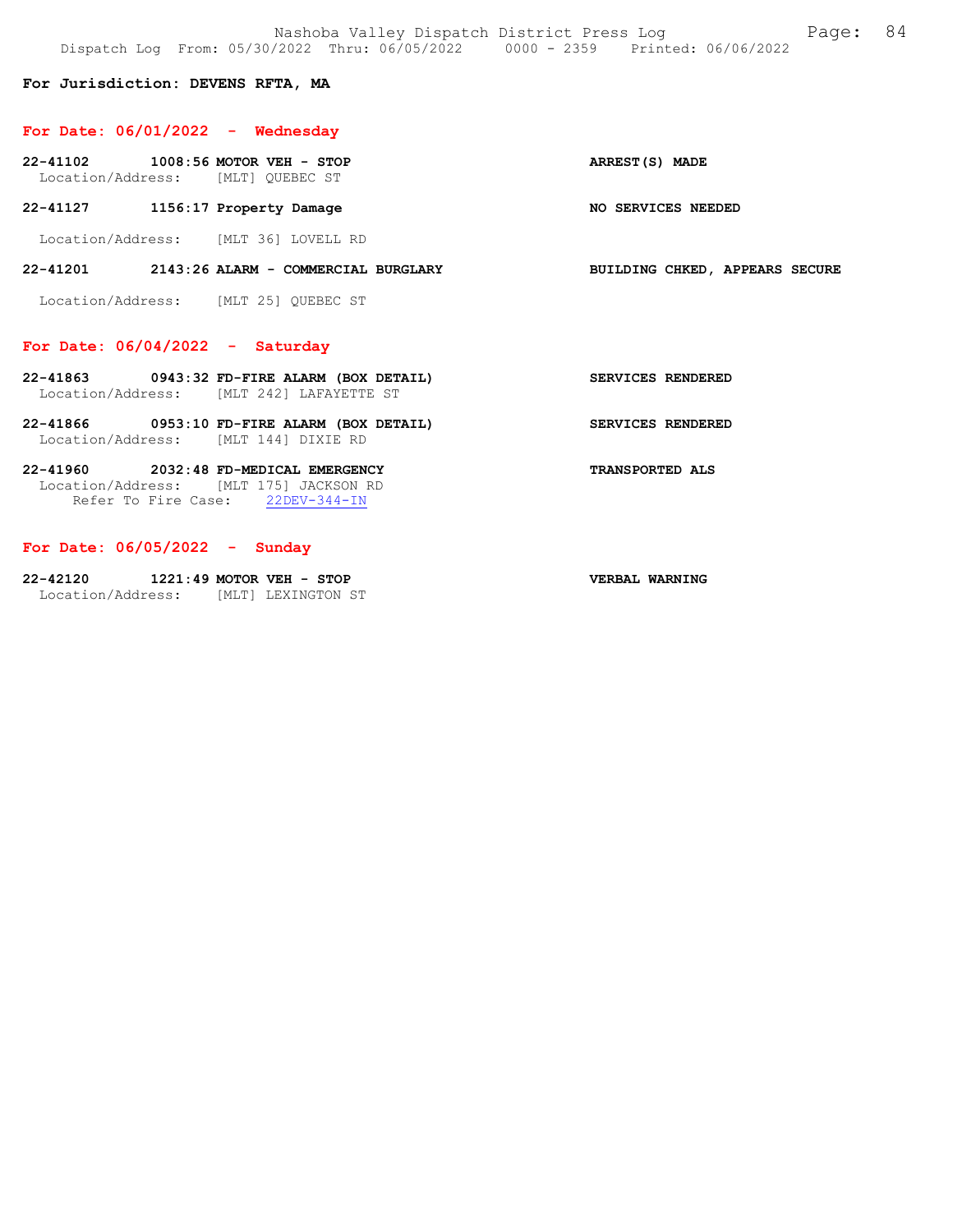### For Jurisdiction: DEVENS RFTA, MA

## For Date: 06/01/2022 - Wednesday

22-41102 1008:56 MOTOR VEH - STOP ARREST(S) MADE Location/Address: [MLT] QUEBEC ST

22-41127 1156:17 Property Damage NO SERVICES NEEDED

Location/Address: [MLT 36] LOVELL RD

#### 22-41201 2143:26 ALARM - COMMERCIAL BURGLARY BUILDING CHKED, APPEARS SECURE

Location/Address: [MLT 25] QUEBEC ST

### For Date: 06/04/2022 - Saturday

- 22-41863 0943:32 FD-FIRE ALARM (BOX DETAIL) SERVICES RENDERED Location/Address: [MLT 242] LAFAYETTE ST
- 22-41866 0953:10 FD-FIRE ALARM (BOX DETAIL) SERVICES RENDERED Location/Address: [MLT 144] DIXIE RD

### 22-41960 2032:48 FD-MEDICAL EMERGENCY TRANSPORTED ALS Location/Address: [MLT 175] JACKSON RD Refer To Fire Case: 22DEV-344-IN

# For Date: 06/05/2022 - Sunday

| 22-42120          | $1221:49$ MOTOR VEH - STOP |                    | VERBAL WARNING |
|-------------------|----------------------------|--------------------|----------------|
| Location/Address: |                            | [MLT] LEXINGTON ST |                |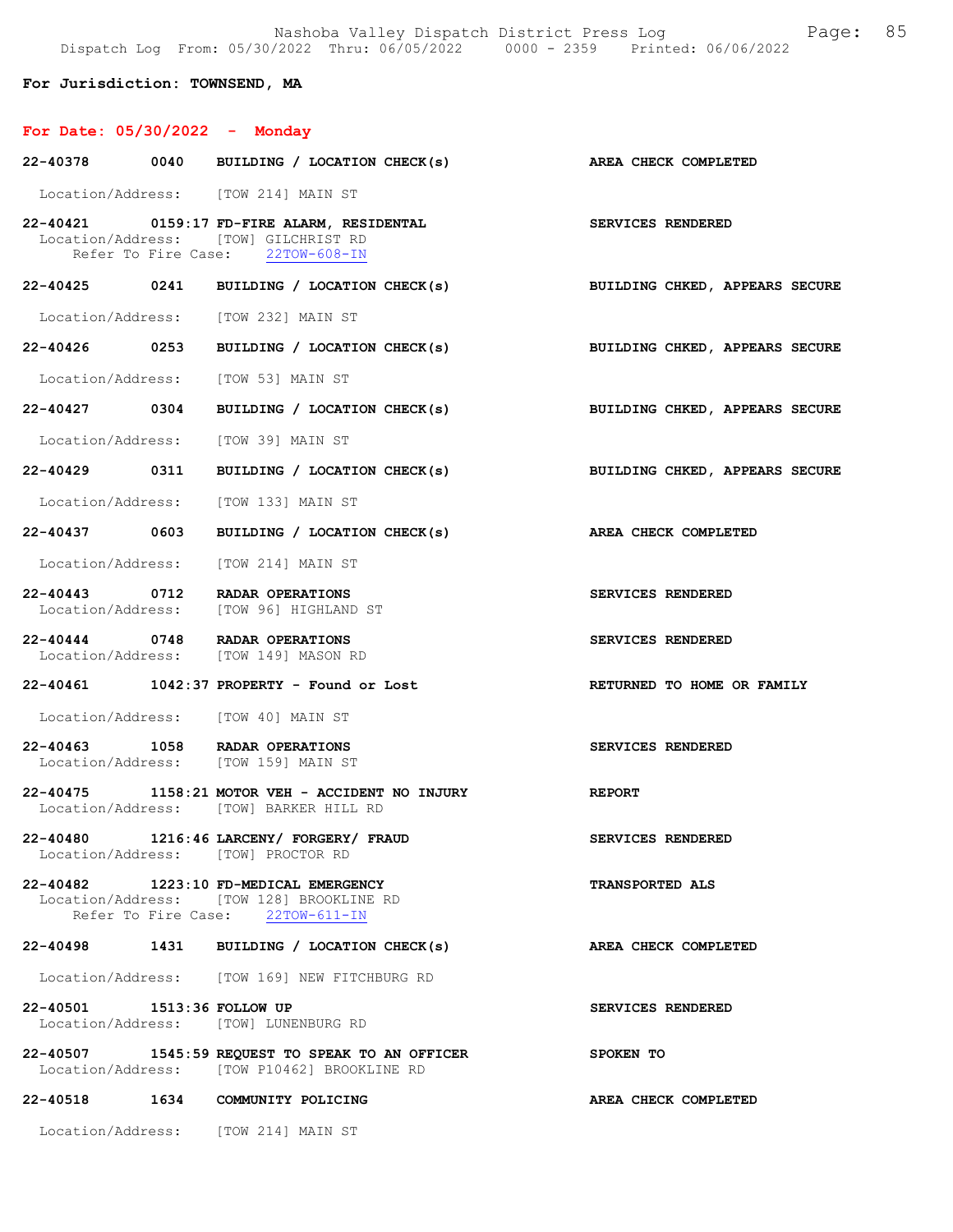Nashoba Valley Dispatch District Press Log Fage: 85 Dispatch Log From: 05/30/2022 Thru: 06/05/2022 0000 - 2359 Printed: 06/06/2022

For Jurisdiction: TOWNSEND, MA

# For Date: 05/30/2022 - Monday

|                            | 22-40378 0040 BUILDING / LOCATION CHECK(s)                                                                             | AREA CHECK COMPLETED           |
|----------------------------|------------------------------------------------------------------------------------------------------------------------|--------------------------------|
|                            | Location/Address: [TOW 214] MAIN ST                                                                                    |                                |
|                            | 22-40421 0159:17 FD-FIRE ALARM, RESIDENTAL<br>Location/Address: [TOW] GILCHRIST RD<br>Refer To Fire Case: 22TOW-608-IN | <b>SERVICES RENDERED</b>       |
|                            | 22-40425 0241 BUILDING / LOCATION CHECK(s) BUILDING CHKED, APPEARS SECURE                                              |                                |
|                            | Location/Address: [TOW 232] MAIN ST                                                                                    |                                |
|                            | 22-40426 0253 BUILDING / LOCATION CHECK(s) BUILDING CHKED, APPEARS SECURE                                              |                                |
|                            | Location/Address: [TOW 53] MAIN ST                                                                                     |                                |
|                            | 22-40427 0304 BUILDING / LOCATION CHECK(s)                                                                             | BUILDING CHKED, APPEARS SECURE |
|                            | Location/Address: [TOW 39] MAIN ST                                                                                     |                                |
|                            | 22-40429 0311 BUILDING / LOCATION CHECK(s) BUILDING CHKED, APPEARS SECURE                                              |                                |
|                            | Location/Address: [TOW 133] MAIN ST                                                                                    |                                |
|                            | 22-40437 0603 BUILDING / LOCATION CHECK(s)                                                                             | AREA CHECK COMPLETED           |
|                            | Location/Address: [TOW 214] MAIN ST                                                                                    |                                |
|                            | 22-40443 0712 RADAR OPERATIONS<br>Location/Address: [TOW 96] HIGHLAND ST                                               | SERVICES RENDERED              |
|                            | 22-40444 0748 RADAR OPERATIONS<br>Location/Address: [TOW 149] MASON RD                                                 | SERVICES RENDERED              |
|                            | 22-40461   1042:37 PROPERTY - Found or Lost                                                                            | RETURNED TO HOME OR FAMILY     |
|                            | Location/Address: [TOW 40] MAIN ST                                                                                     |                                |
|                            | 22-40463 1058 RADAR OPERATIONS<br>Location/Address: [TOW 159] MAIN ST                                                  | SERVICES RENDERED              |
|                            | 22-40475 1158:21 MOTOR VEH - ACCIDENT NO INJURY<br>Location/Address: [TOW] BARKER HILL RD                              | <b>REPORT</b>                  |
|                            | 22-40480 1216:46 LARCENY/ FORGERY/ FRAUD<br>Location/Address: [TOW] PROCTOR RD                                         | SERVICES RENDERED              |
|                            | 22-40482 1223:10 FD-MEDICAL EMERGENCY<br>Location/Address: [TOW 128] BROOKLINE RD<br>Refer To Fire Case: 22TOW-611-IN  | <b>TRANSPORTED ALS</b>         |
| 22-40498                   | 1431 BUILDING / LOCATION CHECK(s)                                                                                      | AREA CHECK COMPLETED           |
|                            | Location/Address: [TOW 169] NEW FITCHBURG RD                                                                           |                                |
| 22-40501 1513:36 FOLLOW UP | Location/Address: [TOW] LUNENBURG RD                                                                                   | SERVICES RENDERED              |
|                            | 22-40507 1545:59 REQUEST TO SPEAK TO AN OFFICER<br>Location/Address: [TOW P10462] BROOKLINE RD                         | SPOKEN TO                      |
|                            | 22-40518 1634 COMMUNITY POLICING                                                                                       | AREA CHECK COMPLETED           |
|                            | Location/Address: [TOW 214] MAIN ST                                                                                    |                                |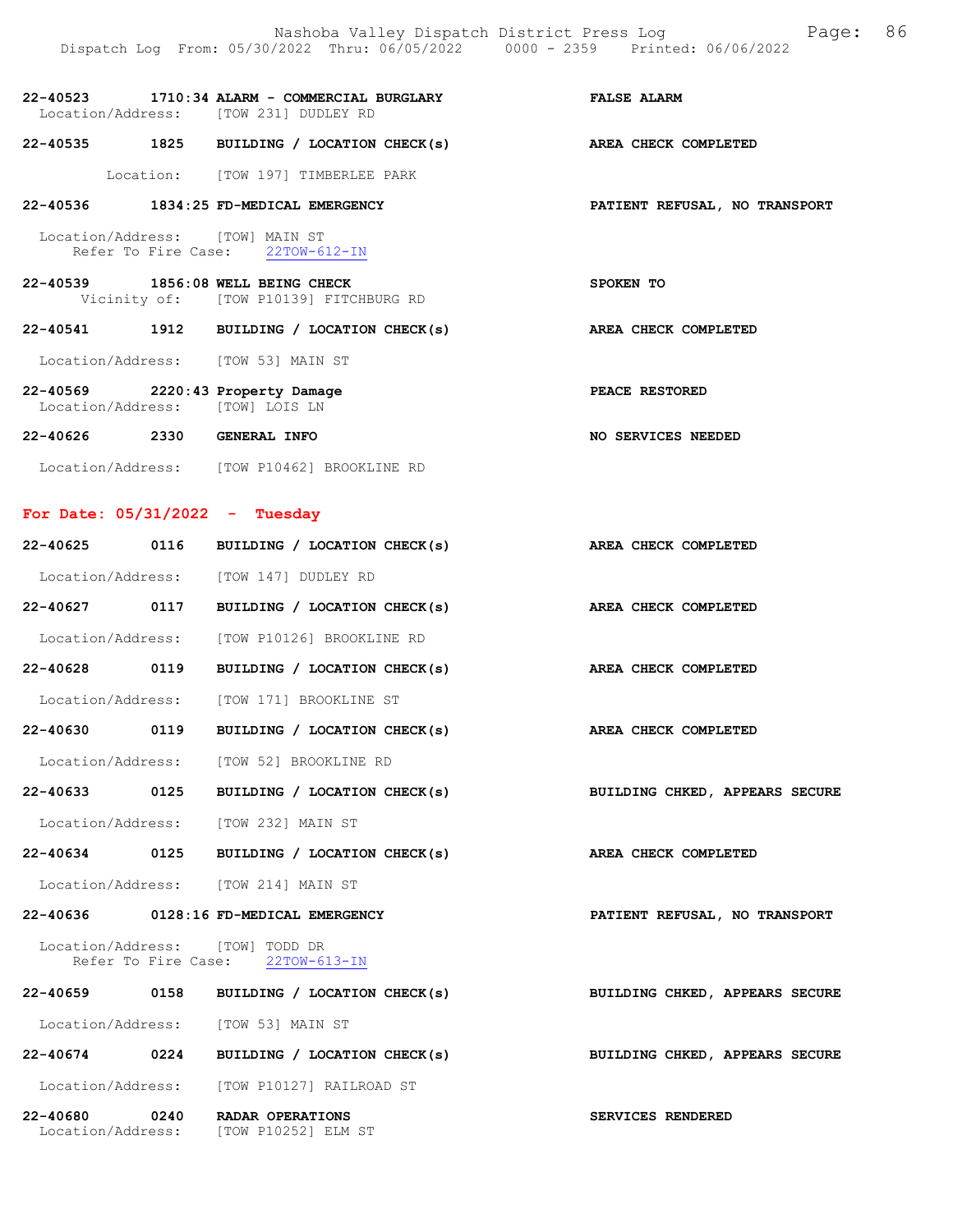|  | 22-40523 1710:34 ALARM - COMMERCIAL BURGLARY<br>Location/Address: [TOW 231] DUDLEY RD | <b>FALSE ALARM</b>            |
|--|---------------------------------------------------------------------------------------|-------------------------------|
|  | 22-40535 1825 BUILDING / LOCATION CHECK(s)                                            | AREA CHECK COMPLETED          |
|  | Location: [TOW 197] TIMBERLEE PARK                                                    |                               |
|  | 22-40536 1834:25 FD-MEDICAL EMERGENCY                                                 | PATIENT REFUSAL, NO TRANSPORT |
|  | Location/Address: [TOW] MAIN ST<br>Refer To Fire Case: 22TOW-612-IN                   |                               |
|  | 22-40539 1856:08 WELL BEING CHECK<br>Vicinity of: [TOW P10139] FITCHBURG RD           | SPOKEN TO                     |
|  | 22-40541 1912 BUILDING / LOCATION CHECK(s)                                            | AREA CHECK COMPLETED          |
|  | Location/Address: [TOW 53] MAIN ST                                                    |                               |
|  | 22-40569 2220:43 Property Damage<br>Location/Address: [TOW] LOIS LN                   | PEACE RESTORED                |
|  | 22-40626 2330 GENERAL INFO                                                            | NO SERVICES NEEDED            |
|  | Location/Address: [TOW P10462] BROOKLINE RD                                           |                               |

# For Date: 05/31/2022 - Tuesday

| 22-40625 0116 | BUILDING / LOCATION CHECK(s)                                              | AREA CHECK COMPLETED          |
|---------------|---------------------------------------------------------------------------|-------------------------------|
|               | Location/Address: [TOW 147] DUDLEY RD                                     |                               |
|               | 22-40627 0117 BUILDING / LOCATION CHECK(s) AREA CHECK COMPLETED           |                               |
|               | Location/Address: [TOW P10126] BROOKLINE RD                               |                               |
| 22-40628 0119 | BUILDING / LOCATION CHECK(s)                                              | AREA CHECK COMPLETED          |
|               | Location/Address: [TOW 171] BROOKLINE ST                                  |                               |
|               | $22-40630$ 0119 BUILDING / LOCATION CHECK(s)                              | AREA CHECK COMPLETED          |
|               | Location/Address: [TOW 52] BROOKLINE RD                                   |                               |
|               | 22-40633 0125 BUILDING / LOCATION CHECK(s) BUILDING CHKED, APPEARS SECURE |                               |
|               | Location/Address: [TOW 232] MAIN ST                                       |                               |
|               | 22-40634 0125 BUILDING / LOCATION CHECK(s) AREA CHECK COMPLETED           |                               |
|               | Location/Address: [TOW 214] MAIN ST                                       |                               |
|               | 22-40636 0128:16 FD-MEDICAL EMERGENCY                                     | PATIENT REFUSAL, NO TRANSPORT |
|               | Location/Address: [TOW] TODD DR<br>Refer To Fire Case: 22TOW-613-IN       |                               |
|               | 22-40659 0158 BUILDING / LOCATION CHECK(s) BUILDING CHKED, APPEARS SECURE |                               |
|               | Location/Address: [TOW 53] MAIN ST                                        |                               |
|               | 22-40674 0224 BUILDING / LOCATION CHECK(s) BUILDING CHKED, APPEARS SECURE |                               |
|               | Location/Address: [TOW P10127] RAILROAD ST                                |                               |
|               | 22-40680 0240 RADAR OPERATIONS<br>Location/Address: [TOW P10252] ELM ST   | SERVICES RENDERED             |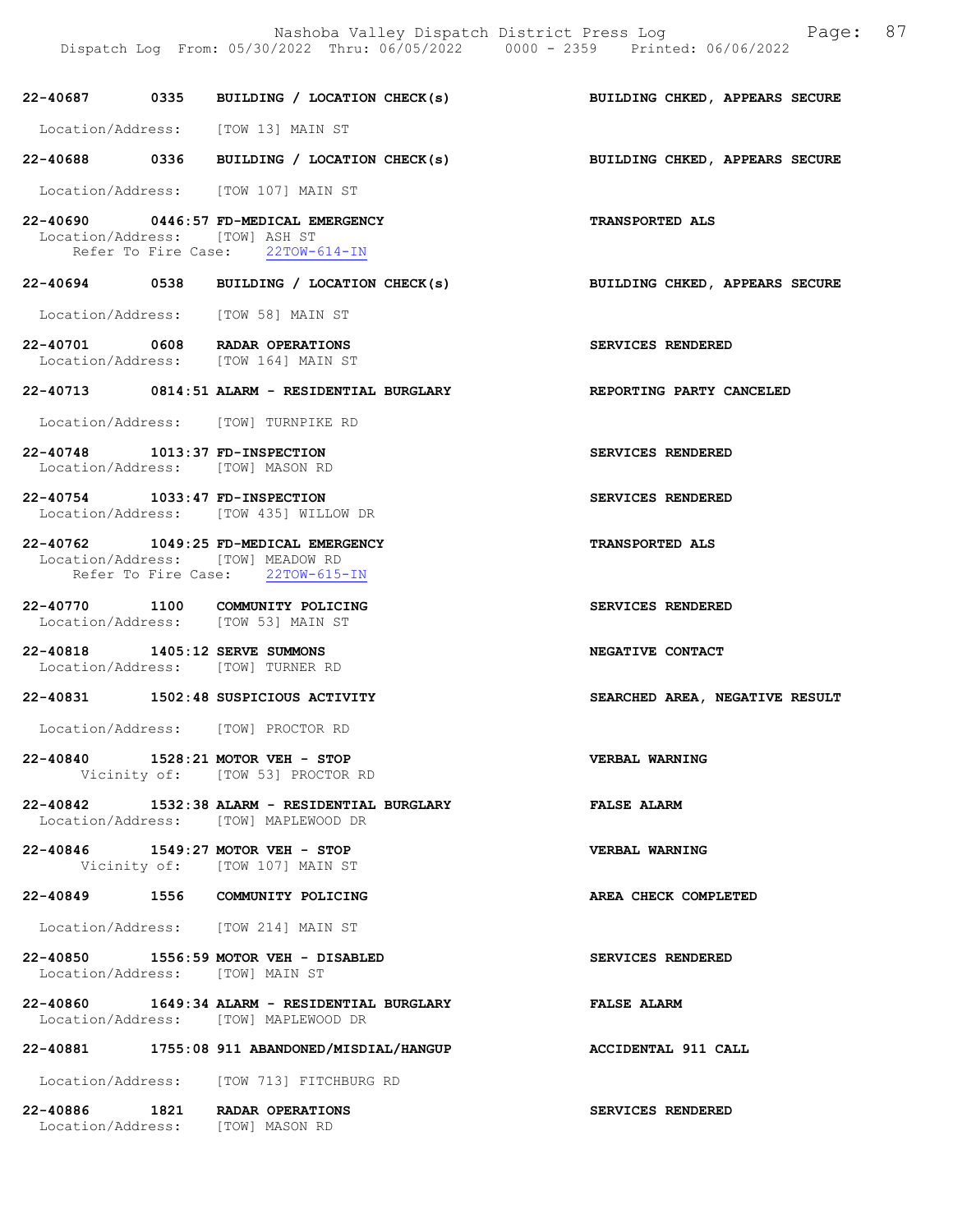22-40687 0335 BUILDING / LOCATION CHECK(s) BUILDING CHKED, APPEARS SECURE

 Location/Address: [TOW 13] MAIN ST 22-40688 0336 BUILDING / LOCATION CHECK(s) BUILDING CHKED, APPEARS SECURE Location/Address: [TOW 107] MAIN ST 22-40690 0446:57 FD-MEDICAL EMERGENCY TRANSPORTED ALS Location/Address: [TOW] ASH ST Refer To Fire Case: 22TOW-614-IN 22-40694 0538 BUILDING / LOCATION CHECK(s) BUILDING CHKED, APPEARS SECURE Location/Address: [TOW 58] MAIN ST 22-40701 0608 RADAR OPERATIONS SERVICES RENDERED Location/Address: [TOW 164] MAIN ST 22-40713 0814:51 ALARM - RESIDENTIAL BURGLARY REPORTING PARTY CANCELED Location/Address: [TOW] TURNPIKE RD 22-40748 1013:37 FD-INSPECTION SERVICES RENDERED Location/Address: [TOW] MASON RD 22-40754 1033:47 FD-INSPECTION SERVICES RENDERED Location/Address: [TOW 435] WILLOW DR 22-40762 1049:25 FD-MEDICAL EMERGENCY TRANSPORTED ALS Location/Address: [TOW] MEADOW RD<br>Refer To Fire Case: 22TOW-615-IN Refer To Fire Case: 22-40770 1100 COMMUNITY POLICING<br>
Location/Address: [TOW 53] MAIN ST Location/Address: 22-40818 1405:12 SERVE SUMMONS NEGATIVE CONTACT Location/Address: [TOW] TURNER RD 22-40831 1502:48 SUSPICIOUS ACTIVITY SEARCHED AREA, NEGATIVE RESULT Location/Address: [TOW] PROCTOR RD 22-40840 1528:21 MOTOR VEH - STOP VERBAL WARNING Vicinity of: [TOW 53] PROCTOR RD 22-40842 1532:38 ALARM - RESIDENTIAL BURGLARY FALSE ALARM Location/Address: [TOW] MAPLEWOOD DR 22-40846 1549:27 MOTOR VEH - STOP VERBAL WARNING Vicinity of: [TOW 107] MAIN ST

22-40849 1556 COMMUNITY POLICING AREA CHECK COMPLETED

Location/Address: [TOW 214] MAIN ST

22-40850 1556:59 MOTOR VEH - DISABLED SERVICES RENDERED Location/Address: [TOW] MAIN ST

22-40860 1649:34 ALARM - RESIDENTIAL BURGLARY FALSE ALARM Location/Address: [TOW] MAPLEWOOD DR

22-40881 1755:08 911 ABANDONED/MISDIAL/HANGUP ACCIDENTAL 911 CALL

Location/Address: [TOW 713] FITCHBURG RD

| 22-40886          | 1821 | RADAR OPERATIONS |  |
|-------------------|------|------------------|--|
| Location/Address: |      | [TOW] MASON RD   |  |

SERVICES RENDERED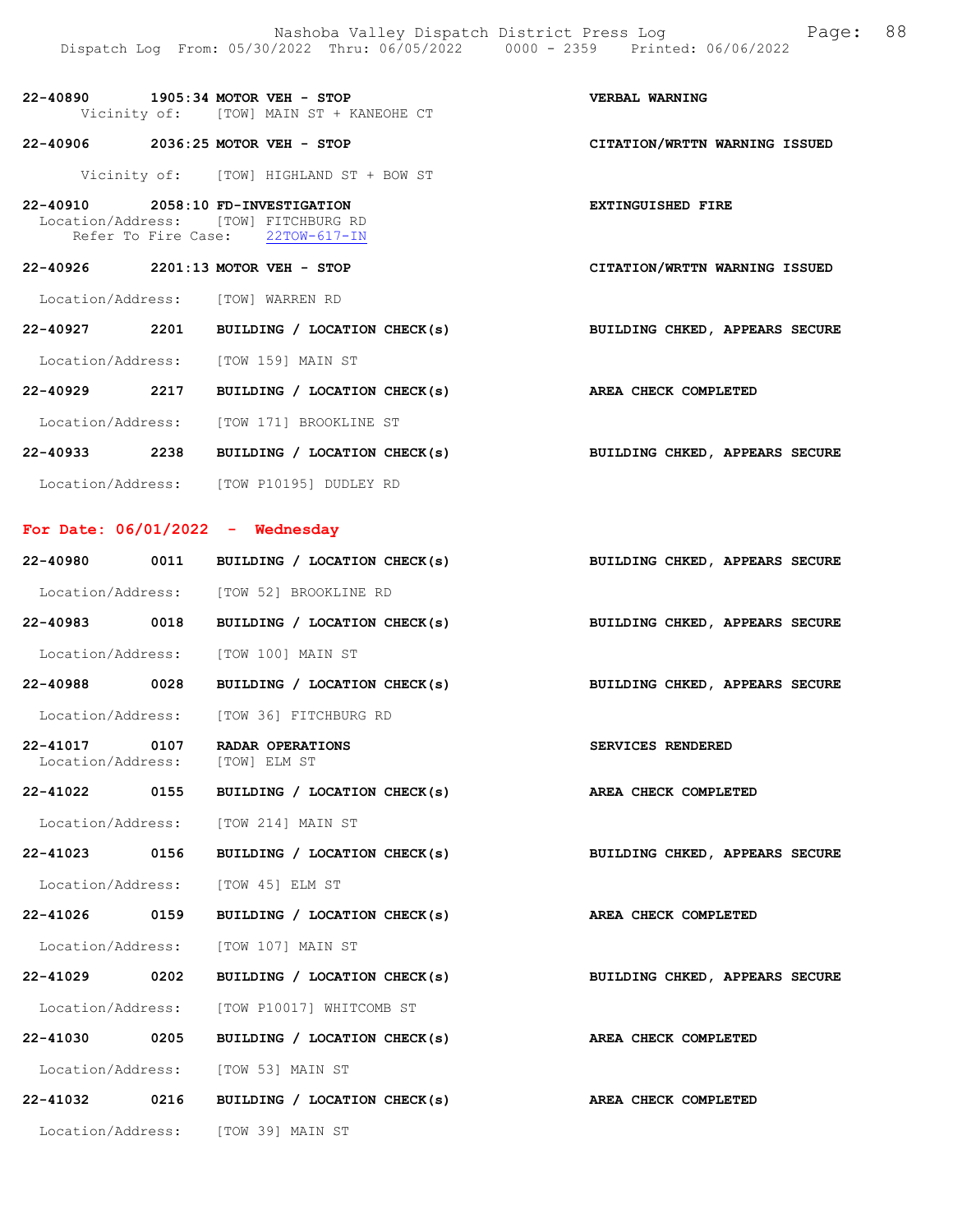EXTINGUISHED FIRE

| 22-40890                                | $1905:34$ MOTOR VEH - STOP |  |  |  | <b>VERBAL WARNING</b> |
|-----------------------------------------|----------------------------|--|--|--|-----------------------|
| Vicinity of: [TOW] MAIN ST + KANEOHE CT |                            |  |  |  |                       |

22-40906 2036:25 MOTOR VEH - STOP CITATION/WRTTN WARNING ISSUED

Vicinity of: [TOW] HIGHLAND ST + BOW ST

| 22-40910            |  | 2058:10 FD-INVESTIGATION |
|---------------------|--|--------------------------|
| Location/Address:   |  | [TOW] FITCHBURG RD       |
| Refer To Fire Case: |  | $22TOW-617-TN$           |

22-40926 2201:13 MOTOR VEH - STOP CITATION/WRTTN WARNING ISSUED

Location/Address: [TOW] WARREN RD

22-40927 2201 BUILDING / LOCATION CHECK(s) BUILDING CHKED, APPEARS SECURE

Location/Address: [TOW 159] MAIN ST

22-40929 2217 BUILDING / LOCATION CHECK(s) AREA CHECK COMPLETED

Location/Address: [TOW 171] BROOKLINE ST

22-40933 2238 BUILDING / LOCATION CHECK(s) BUILDING CHKED, APPEARS SECURE Location/Address: [TOW P10195] DUDLEY RD

### For Date: 06/01/2022 - Wednesday

|               | 22-40980 0011 BUILDING / LOCATION CHECK(s)                  | BUILDING CHKED, APPEARS SECURE |
|---------------|-------------------------------------------------------------|--------------------------------|
|               | Location/Address: [TOW 52] BROOKLINE RD                     |                                |
| 22-40983 0018 | BUILDING / LOCATION CHECK(s) BUILDING CHKED, APPEARS SECURE |                                |
|               | Location/Address: [TOW 100] MAIN ST                         |                                |
| 22-40988 0028 | BUILDING / LOCATION CHECK(s) BUILDING CHKED, APPEARS SECURE |                                |
|               | Location/Address: [TOW 36] FITCHBURG RD                     |                                |
| 22-41017 0107 | RADAR OPERATIONS<br>Location/Address: [TOW] ELM ST          | SERVICES RENDERED              |
| 22-41022 0155 | BUILDING / LOCATION CHECK(s) AREA CHECK COMPLETED           |                                |
|               | Location/Address: [TOW 214] MAIN ST                         |                                |
| 22-41023 0156 | BUILDING / LOCATION CHECK(s) BUILDING CHKED, APPEARS SECURE |                                |
|               | Location/Address: [TOW 45] ELM ST                           |                                |
| 22-41026 0159 | BUILDING / LOCATION CHECK(s)                                | AREA CHECK COMPLETED           |
|               | Location/Address: [TOW 107] MAIN ST                         |                                |
| 22-41029 0202 | BUILDING / LOCATION CHECK(s)                                | BUILDING CHKED, APPEARS SECURE |
|               | Location/Address: [TOW P10017] WHITCOMB ST                  |                                |
| 22-41030 0205 | BUILDING / LOCATION CHECK(s) AREA CHECK COMPLETED           |                                |
|               | Location/Address: [TOW 53] MAIN ST                          |                                |
| 22-41032 0216 | BUILDING / LOCATION CHECK(s) AREA CHECK COMPLETED           |                                |
|               | Location/Address: [TOW 39] MAIN ST                          |                                |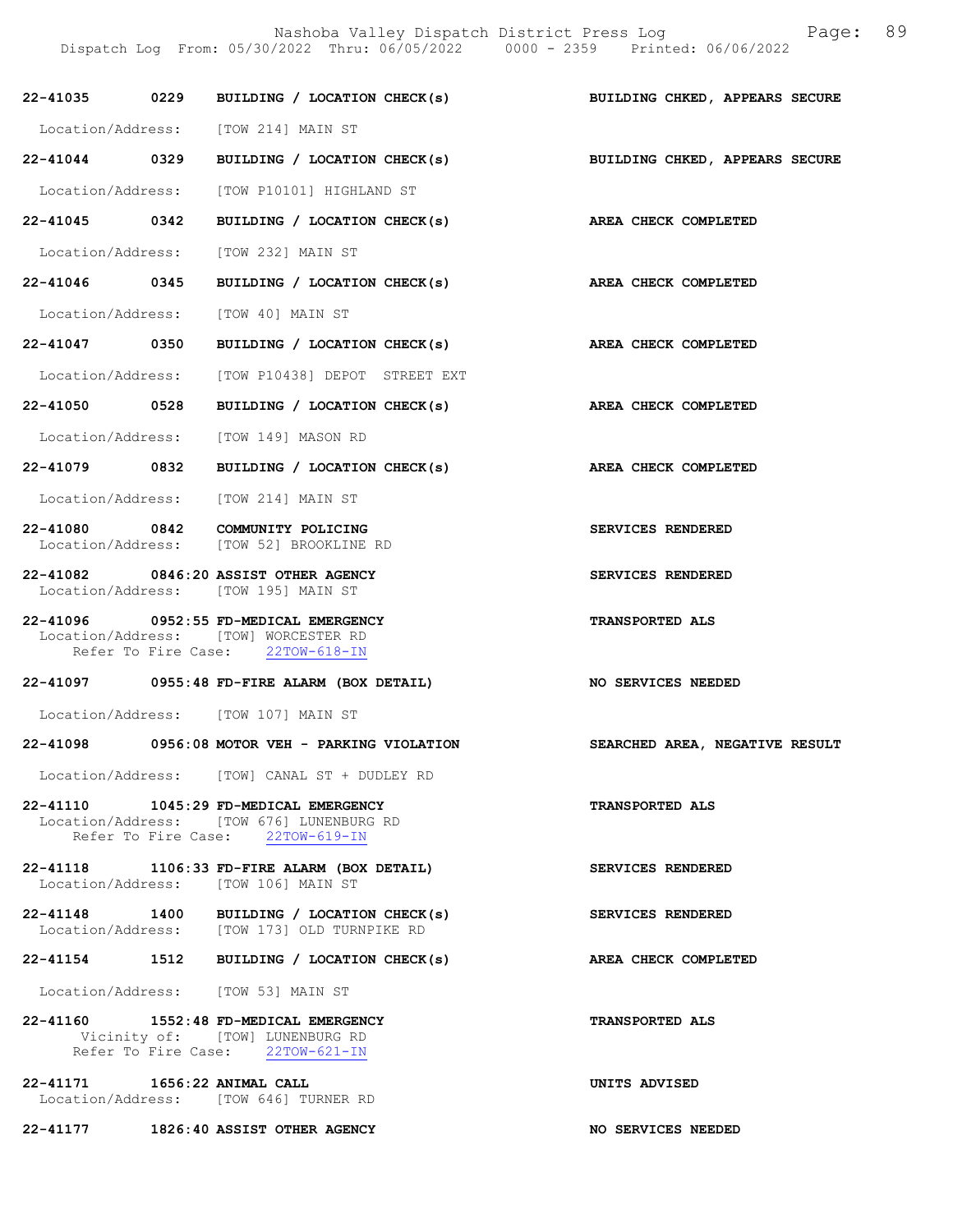Nashoba Valley Dispatch District Press Log Fage: 89 Dispatch Log From: 05/30/2022 Thru: 06/05/2022 0000 - 2359 Printed: 06/06/2022

|                              | 22-41035 0229 BUILDING / LOCATION CHECK(s)                                                                            | <b>BUILDING CHKED, APPEARS SECURE</b> |
|------------------------------|-----------------------------------------------------------------------------------------------------------------------|---------------------------------------|
|                              | Location/Address: [TOW 214] MAIN ST                                                                                   |                                       |
|                              | 22-41044 0329 BUILDING / LOCATION CHECK(s) BUILDING CHKED, APPEARS SECURE                                             |                                       |
|                              | Location/Address: [TOW P10101] HIGHLAND ST                                                                            |                                       |
|                              | 22-41045 0342 BUILDING / LOCATION CHECK(s) AREA CHECK COMPLETED                                                       |                                       |
|                              | Location/Address: [TOW 232] MAIN ST                                                                                   |                                       |
|                              | 22-41046 0345 BUILDING / LOCATION CHECK(s) AREA CHECK COMPLETED                                                       |                                       |
|                              | Location/Address: [TOW 40] MAIN ST                                                                                    |                                       |
|                              | 22-41047 0350 BUILDING / LOCATION CHECK(s) AREA CHECK COMPLETED                                                       |                                       |
|                              | Location/Address: [TOW P10438] DEPOT STREET EXT                                                                       |                                       |
|                              | 22-41050 0528 BUILDING / LOCATION CHECK(s)                                                                            | AREA CHECK COMPLETED                  |
|                              | Location/Address: [TOW 149] MASON RD                                                                                  |                                       |
|                              | 22-41079 0832 BUILDING / LOCATION CHECK(s)                                                                            | AREA CHECK COMPLETED                  |
|                              | Location/Address: [TOW 214] MAIN ST                                                                                   |                                       |
|                              | 22-41080 0842 COMMUNITY POLICING<br>Location/Address: [TOW 52] BROOKLINE RD                                           | SERVICES RENDERED                     |
|                              | 22-41082 0846:20 ASSIST OTHER AGENCY<br>Location/Address: [TOW 195] MAIN ST                                           | SERVICES RENDERED                     |
|                              | 22-41096 0952:55 FD-MEDICAL EMERGENCY<br>Location/Address: [TOW] WORCESTER RD<br>Refer To Fire Case: 22TOW-618-IN     | <b>TRANSPORTED ALS</b>                |
|                              | 22-41097 0955:48 FD-FIRE ALARM (BOX DETAIL)                                                                           | <b>NO SERVICES NEEDED</b>             |
|                              | Location/Address: [TOW 107] MAIN ST                                                                                   |                                       |
|                              | 22-41098 0956:08 MOTOR VEH - PARKING VIOLATION                                                                        | SEARCHED AREA, NEGATIVE RESULT        |
|                              | Location/Address: [TOW] CANAL ST + DUDLEY RD                                                                          |                                       |
|                              | 22-41110 1045:29 FD-MEDICAL EMERGENCY<br>Location/Address: [TOW 676] LUNENBURG RD<br>Refer To Fire Case: 22TOW-619-IN | <b>TRANSPORTED ALS</b>                |
|                              | 22-41118 1106:33 FD-FIRE ALARM (BOX DETAIL)<br>Location/Address: [TOW 106] MAIN ST                                    | SERVICES RENDERED                     |
|                              | 22-41148 1400 BUILDING / LOCATION CHECK(s)<br>Location/Address: [TOW 173] OLD TURNPIKE RD                             | SERVICES RENDERED                     |
|                              | 22-41154 1512 BUILDING / LOCATION CHECK(s)                                                                            | AREA CHECK COMPLETED                  |
|                              | Location/Address: [TOW 53] MAIN ST                                                                                    |                                       |
|                              | 22-41160 1552:48 FD-MEDICAL EMERGENCY<br>Vicinity of: [TOW] LUNENBURG RD<br>Refer To Fire Case: 22TOW-621-IN          | <b>TRANSPORTED ALS</b>                |
| 22-41171 1656:22 ANIMAL CALL | Location/Address: [TOW 646] TURNER RD                                                                                 | UNITS ADVISED                         |

22-41177 1826:40 ASSIST OTHER AGENCY NO SERVICES NEEDED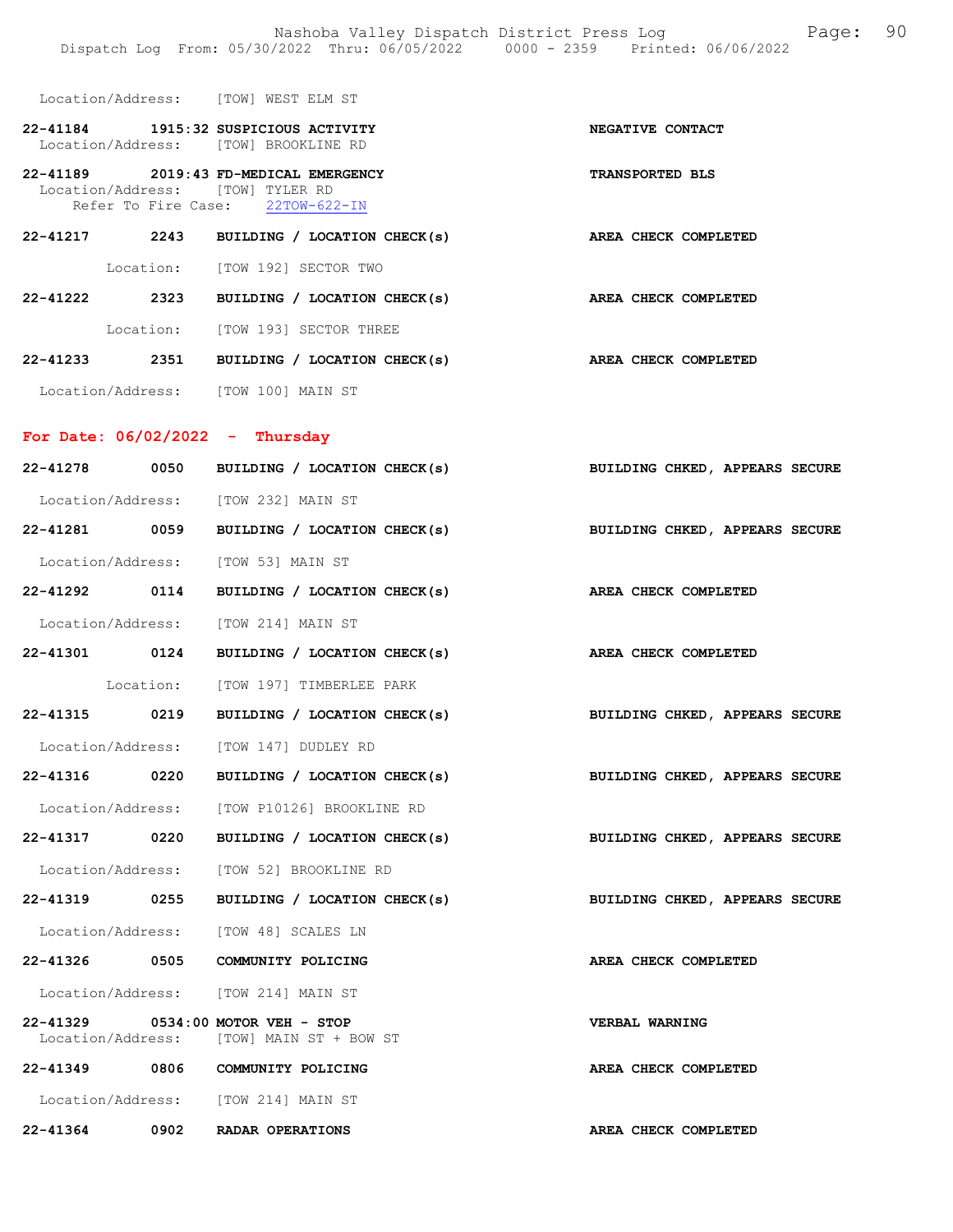|                                   |      | Location/Address: [TOW] WEST ELM ST                                                                           |                                |
|-----------------------------------|------|---------------------------------------------------------------------------------------------------------------|--------------------------------|
|                                   |      | 22-41184 1915:32 SUSPICIOUS ACTIVITY<br>Location/Address: [TOW] BROOKLINE RD                                  | NEGATIVE CONTACT               |
|                                   |      | 22-41189 2019:43 FD-MEDICAL EMERGENCY<br>Location/Address: [TOW] TYLER RD<br>Refer To Fire Case: 22TOW-622-IN | <b>TRANSPORTED BLS</b>         |
|                                   |      | $22-41217$ 2243 BUILDING / LOCATION CHECK(s)                                                                  | AREA CHECK COMPLETED           |
|                                   |      | Location: [TOW 192] SECTOR TWO                                                                                |                                |
|                                   |      | 22-41222 2323 BUILDING / LOCATION CHECK(s) AREA CHECK COMPLETED                                               |                                |
|                                   |      | Location: [TOW 193] SECTOR THREE                                                                              |                                |
|                                   |      | 22-41233 2351 BUILDING / LOCATION CHECK(s)                                                                    | AREA CHECK COMPLETED           |
|                                   |      | Location/Address: [TOW 100] MAIN ST                                                                           |                                |
| For Date: $06/02/2022 - Thursday$ |      |                                                                                                               |                                |
|                                   |      | 22-41278 0050 BUILDING / LOCATION CHECK(s) BUILDING CHKED, APPEARS SECURE                                     |                                |
|                                   |      | Location/Address: [TOW 232] MAIN ST                                                                           |                                |
|                                   |      | 22-41281 0059 BUILDING / LOCATION CHECK(s)                                                                    | BUILDING CHKED, APPEARS SECURE |
|                                   |      | Location/Address: [TOW 53] MAIN ST                                                                            |                                |
|                                   |      | 22-41292 0114 BUILDING / LOCATION CHECK(s)                                                                    | AREA CHECK COMPLETED           |
|                                   |      | Location/Address: [TOW 214] MAIN ST                                                                           |                                |
|                                   |      | 22-41301 0124 BUILDING / LOCATION CHECK(s) AREA CHECK COMPLETED                                               |                                |
|                                   |      | Location: [TOW 197] TIMBERLEE PARK                                                                            |                                |
|                                   |      | 22-41315 0219 BUILDING / LOCATION CHECK(s)                                                                    | BUILDING CHKED, APPEARS SECURE |
|                                   |      | Location/Address: [TOW 147] DUDLEY RD                                                                         |                                |
|                                   |      | 22-41316 0220 BUILDING / LOCATION CHECK(s) BUILDING CHKED, APPEARS SECURE                                     |                                |
|                                   |      | Location/Address: [TOW P10126] BROOKLINE RD                                                                   |                                |
| 22-41317 0220                     |      | BUILDING / LOCATION CHECK(s)                                                                                  | BUILDING CHKED, APPEARS SECURE |
|                                   |      | Location/Address: [TOW 52] BROOKLINE RD                                                                       |                                |
| 22-41319                          | 0255 | BUILDING / LOCATION CHECK(s)                                                                                  | BUILDING CHKED, APPEARS SECURE |
| Location/Address:                 |      | [TOW 48] SCALES LN                                                                                            |                                |
| 22-41326                          | 0505 | COMMUNITY POLICING                                                                                            | AREA CHECK COMPLETED           |
|                                   |      | Location/Address: [TOW 214] MAIN ST                                                                           |                                |
|                                   |      | 22-41329 0534:00 MOTOR VEH - STOP<br>Location/Address: [TOW] MAIN ST + BOW ST                                 | VERBAL WARNING                 |
| 22-41349                          | 0806 | COMMUNITY POLICING                                                                                            | AREA CHECK COMPLETED           |
|                                   |      | Location/Address: [TOW 214] MAIN ST                                                                           |                                |
| 22-41364                          | 0902 | <b>RADAR OPERATIONS</b>                                                                                       | AREA CHECK COMPLETED           |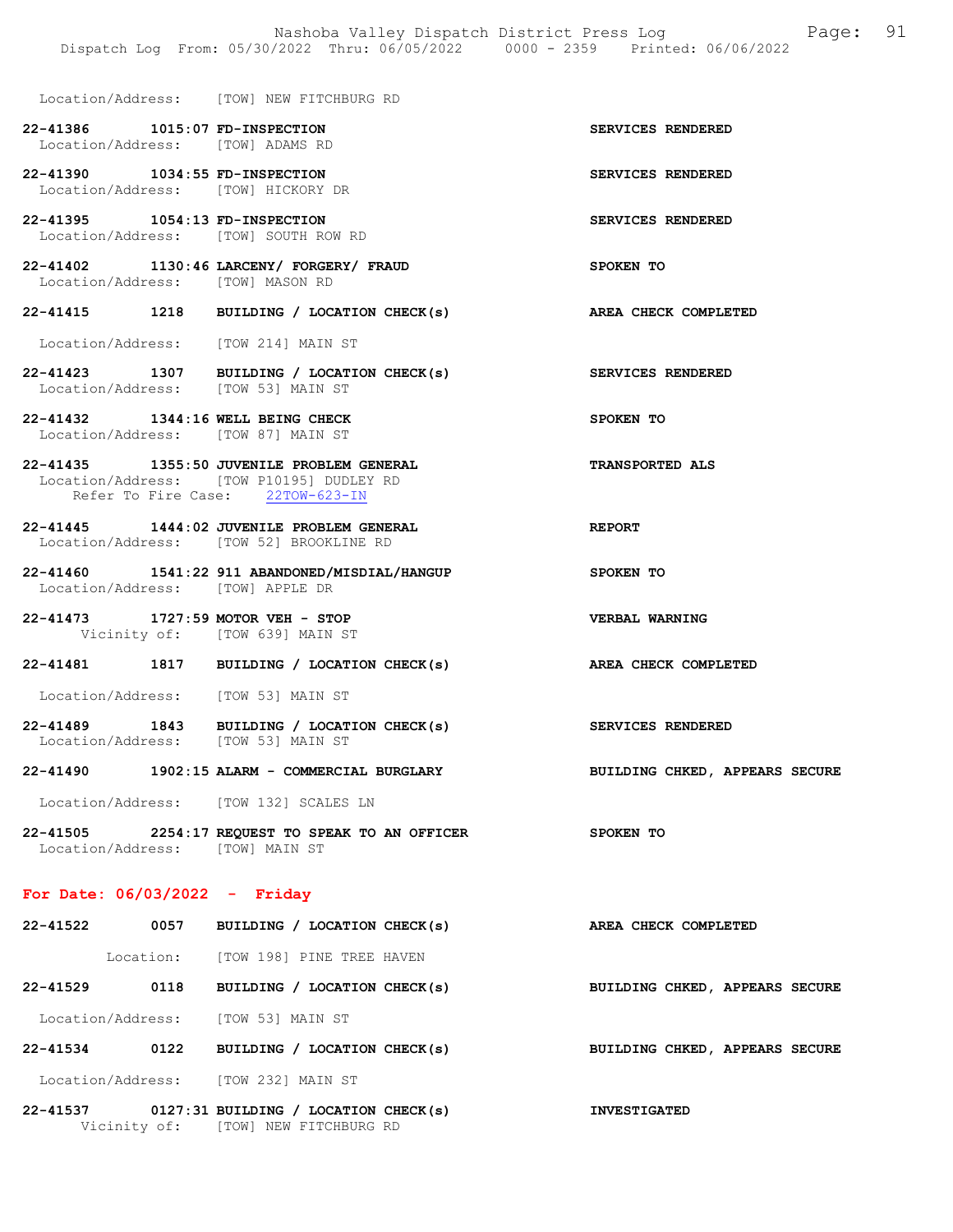Location/Address: [TOW] NEW FITCHBURG RD

| 22-41386          |                   | 1015:07 FD-INSPECTION           | <b>SERVICES RENDERED</b> |
|-------------------|-------------------|---------------------------------|--------------------------|
|                   | Location/Address: | [TOW] ADAMS RD                  |                          |
| 22-41390          |                   | 1034:55 FD-INSPECTION           | <b>SERVICES RENDERED</b> |
|                   | Location/Address: | [TOW] HICKORY DR                |                          |
| 22-41395          |                   | $1054:13$ FD-INSPECTION         | <b>SERVICES RENDERED</b> |
|                   | Location/Address: | [TOW] SOUTH ROW RD              |                          |
| 22-41402          |                   | 1130:46 LARCENY/ FORGERY/ FRAUD | SPOKEN TO                |
| Location/Address: |                   | [TOW] MASON RD                  |                          |

22-41415 1218 BUILDING / LOCATION CHECK(s) AREA CHECK COMPLETED

Location/Address: [TOW 214] MAIN ST

- 22-41423 1307 BUILDING / LOCATION CHECK(s) SERVICES RENDERED Location/Address: [TOW 53] MAIN ST
- 22-41432 1344:16 WELL BEING CHECK SPOKEN TO Location/Address: [TOW 87] MAIN ST

### 22-41435 1355:50 JUVENILE PROBLEM GENERAL TRANSPORTED ALS Location/Address: [TOW P10195] DUDLEY RD Refer To Fire Case: 22TOW-623-IN

- 22-41445 1444:02 JUVENILE PROBLEM GENERAL REPORT Location/Address: [TOW 52] BROOKLINE RD
- 22-41460 1541:22 911 ABANDONED/MISDIAL/HANGUP SPOKEN TO Location/Address: [TOW] APPLE DR
- 22-41473 1727:59 MOTOR VEH STOP VERBAL WARNING Vicinity of: [TOW 639] MAIN ST
- 22-41481 1817 BUILDING / LOCATION CHECK(s) AREA CHECK COMPLETED

Location/Address: [TOW 53] MAIN ST

- 22-41489 1843 BUILDING / LOCATION CHECK(s) SERVICES RENDERED Location/Address: [TOW 53] MAIN ST
- 22-41490 1902:15 ALARM COMMERCIAL BURGLARY BUILDING CHKED, APPEARS SECURE

Location/Address: [TOW 132] SCALES LN

22-41505 2254:17 REQUEST TO SPEAK TO AN OFFICER SPOKEN TO Location/Address: [TOW] MAIN ST

#### For Date: 06/03/2022 - Friday

| 22-41522     | 0057              | BUILDING / LOCATION CHECK(s)         | AREA CHECK COMPLETED           |
|--------------|-------------------|--------------------------------------|--------------------------------|
|              | Location:         | [TOW 198] PINE TREE HAVEN            |                                |
| $22 - 41529$ | 0118              | BUILDING / LOCATION CHECK(s)         | BUILDING CHKED, APPEARS SECURE |
|              | Location/Address: | TOW 531 MAIN ST                      |                                |
| $22 - 41534$ | 0122              | BUILDING / LOCATION CHECK(s)         | BUILDING CHKED, APPEARS SECURE |
|              | Location/Address: | [TOW 232] MAIN ST                    |                                |
| $22 - 41537$ |                   | 0127:31 BUILDING / LOCATION CHECK(s) | <b>INVESTIGATED</b>            |

Vicinity of: [TOW] NEW FITCHBURG RD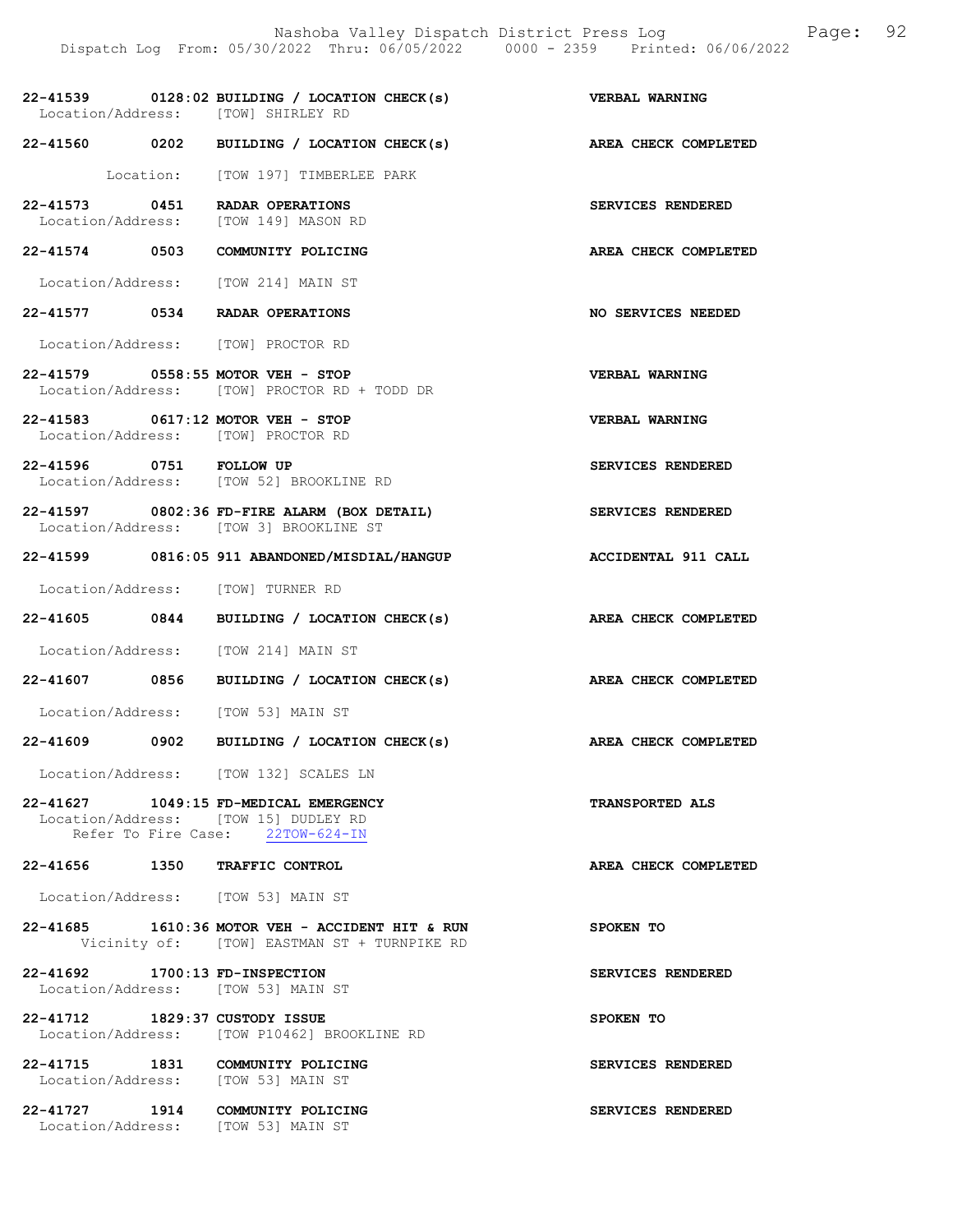| Location/Address: [TOW] SHIRLEY RD                                            | 22-41539 0128:02 BUILDING / LOCATION CHECK(s)                                                  | VERBAL WARNING              |
|-------------------------------------------------------------------------------|------------------------------------------------------------------------------------------------|-----------------------------|
|                                                                               | 22-41560 0202 BUILDING / LOCATION CHECK(s)                                                     | AREA CHECK COMPLETED        |
|                                                                               | Location: [TOW 197] TIMBERLEE PARK                                                             |                             |
| 22-41573 0451 RADAR OPERATIONS<br>Location/Address: [TOW 149] MASON RD        |                                                                                                | SERVICES RENDERED           |
| 22-41574 0503 COMMUNITY POLICING                                              |                                                                                                | AREA CHECK COMPLETED        |
| Location/Address: [TOW 214] MAIN ST                                           |                                                                                                |                             |
| 22-41577 0534 RADAR OPERATIONS                                                |                                                                                                | NO SERVICES NEEDED          |
| Location/Address: [TOW] PROCTOR RD                                            |                                                                                                |                             |
| 22-41579 0558:55 MOTOR VEH - STOP                                             | Location/Address: [TOW] PROCTOR RD + TODD DR                                                   | VERBAL WARNING              |
| 22-41583 0617:12 MOTOR VEH - STOP<br>Location/Address: [TOW] PROCTOR RD       |                                                                                                | VERBAL WARNING              |
| 22-41596 0751 FOLLOW UP                                                       | Location/Address: [TOW 52] BROOKLINE RD                                                        | SERVICES RENDERED           |
|                                                                               | 22-41597 0802:36 FD-FIRE ALARM (BOX DETAIL)<br>Location/Address: [TOW 3] BROOKLINE ST          | SERVICES RENDERED           |
|                                                                               | 22-41599 0816:05 911 ABANDONED/MISDIAL/HANGUP                                                  | ACCIDENTAL 911 CALL         |
| Location/Address: [TOW] TURNER RD                                             |                                                                                                |                             |
|                                                                               | 22-41605 0844 BUILDING / LOCATION CHECK(s)                                                     | <b>AREA CHECK COMPLETED</b> |
| Location/Address: [TOW 214] MAIN ST                                           |                                                                                                |                             |
|                                                                               | 22-41607 0856 BUILDING / LOCATION CHECK(s)                                                     | AREA CHECK COMPLETED        |
| Location/Address: [TOW 53] MAIN ST                                            |                                                                                                |                             |
|                                                                               | $22-41609$ 0902 BUILDING / LOCATION CHECK(s)                                                   | AREA CHECK COMPLETED        |
|                                                                               | Location/Address: [TOW 132] SCALES LN                                                          |                             |
| 22-41627 1049:15 FD-MEDICAL EMERGENCY<br>Location/Address: [TOW 15] DUDLEY RD | Refer To Fire Case: 22TOW-624-IN                                                               | <b>TRANSPORTED ALS</b>      |
| 22-41656 1350 TRAFFIC CONTROL                                                 |                                                                                                | AREA CHECK COMPLETED        |
| Location/Address: [TOW 53] MAIN ST                                            |                                                                                                |                             |
|                                                                               | 22-41685 1610:36 MOTOR VEH - ACCIDENT HIT & RUN<br>Vicinity of: [TOW] EASTMAN ST + TURNPIKE RD | SPOKEN TO                   |
| 22-41692 1700:13 FD-INSPECTION<br>Location/Address: [TOW 53] MAIN ST          |                                                                                                | SERVICES RENDERED           |
| 22-41712 1829:37 CUSTODY ISSUE                                                | Location/Address: [TOW P10462] BROOKLINE RD                                                    | SPOKEN TO                   |
| 22-41715 1831 COMMUNITY POLICING<br>Location/Address: [TOW 53] MAIN ST        |                                                                                                | SERVICES RENDERED           |
| 22-41727 1914 COMMUNITY POLICING<br>Location/Address: [TOW 53] MAIN ST        |                                                                                                | SERVICES RENDERED           |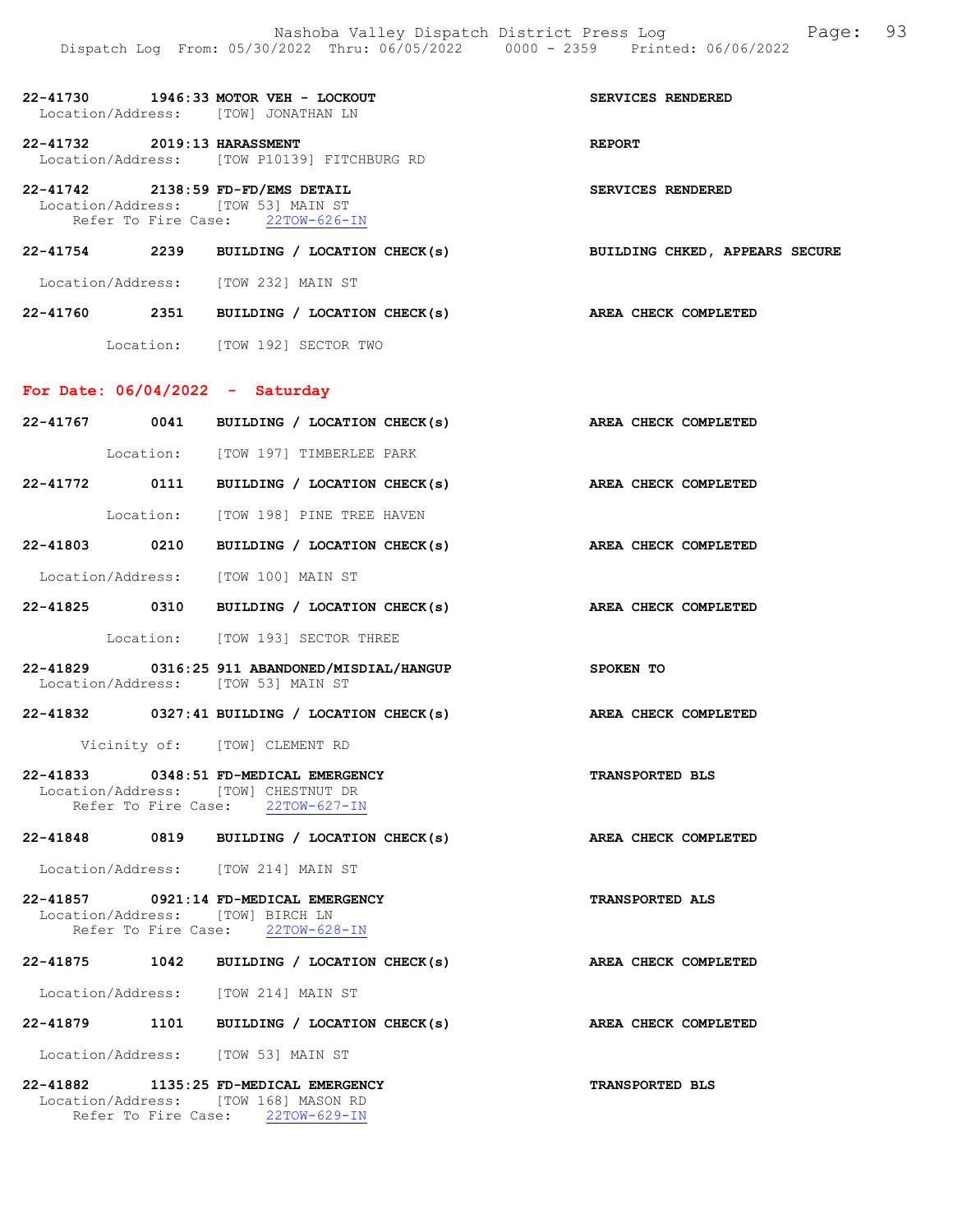| 22-41730<br>Location/Address: [TOW] JONATHAN LN                         | 1946:33 MOTOR VEH - LOCKOUT                 | SERVICES RENDERED |
|-------------------------------------------------------------------------|---------------------------------------------|-------------------|
| 22-41732 2019:13 HARASSMENT                                             | Location/Address: [TOW P10139] FITCHBURG RD | <b>REPORT</b>     |
| 22-41742 2138:59 FD-FD/EMS DETAIL<br>Location/Address: [TOW 53] MAIN ST | Refer To Fire Case: 22TOW-626-IN            | SERVICES RENDERED |

## 22-41754 2239 BUILDING / LOCATION CHECK(s) BUILDING CHKED, APPEARS SECURE

Location/Address: [TOW 232] MAIN ST

| 22-41760 | 2351 | BUILDING / LOCATION CHECK(s)   |  | AREA CHECK COMPLETED |
|----------|------|--------------------------------|--|----------------------|
|          |      | Location: [TOW 192] SECTOR TWO |  |                      |

# For Date: 06/04/2022 - Saturday

|                                       | 22-41767 0041 BUILDING / LOCATION CHECK(s)                                                                       | AREA CHECK COMPLETED        |
|---------------------------------------|------------------------------------------------------------------------------------------------------------------|-----------------------------|
|                                       | Location: [TOW 197] TIMBERLEE PARK                                                                               |                             |
|                                       | 22-41772 0111 BUILDING / LOCATION CHECK(s) AREA CHECK COMPLETED                                                  |                             |
|                                       | Location: [TOW 198] PINE TREE HAVEN                                                                              |                             |
|                                       | 22-41803 0210 BUILDING / LOCATION CHECK(s)                                                                       | <b>AREA CHECK COMPLETED</b> |
|                                       | Location/Address: [TOW 100] MAIN ST                                                                              |                             |
|                                       | 22-41825 0310 BUILDING / LOCATION CHECK(s)                                                                       | AREA CHECK COMPLETED        |
|                                       | Location: [TOW 193] SECTOR THREE                                                                                 |                             |
|                                       | <b>SPOKEN TO</b><br>22-41829 0316:25 911 ABANDONED/MISDIAL/HANGUP<br>Location/Address: [TOW 53] MAIN ST          |                             |
|                                       | $22-41832$ 0327:41 BUILDING / LOCATION CHECK(s)                                                                  | AREA CHECK COMPLETED        |
|                                       | Vicinity of: [TOW] CLEMENT RD                                                                                    |                             |
|                                       | 22-41833 0348:51 FD-MEDICAL EMERGENCY<br>Location/Address: [TOW] CHESTNUT DR<br>Refer To Fire Case: 22TOW-627-IN | <b>TRANSPORTED BLS</b>      |
|                                       | 22-41848 0819 BUILDING / LOCATION CHECK(s)                                                                       | AREA CHECK COMPLETED        |
|                                       | Location/Address: [TOW 214] MAIN ST                                                                              |                             |
| 22-41857 0921:14 FD-MEDICAL EMERGENCY |                                                                                                                  |                             |
|                                       | Location/Address: [TOW] BIRCH LN<br>Refer To Fire Case: 22TOW-628-IN                                             | <b>TRANSPORTED ALS</b>      |
|                                       | 22-41875 1042 BUILDING / LOCATION CHECK(s)                                                                       | AREA CHECK COMPLETED        |
|                                       | Location/Address: [TOW 214] MAIN ST                                                                              |                             |
|                                       | 22-41879 1101 BUILDING / LOCATION CHECK(s)                                                                       | AREA CHECK COMPLETED        |
|                                       | Location/Address: [TOW 53] MAIN ST                                                                               |                             |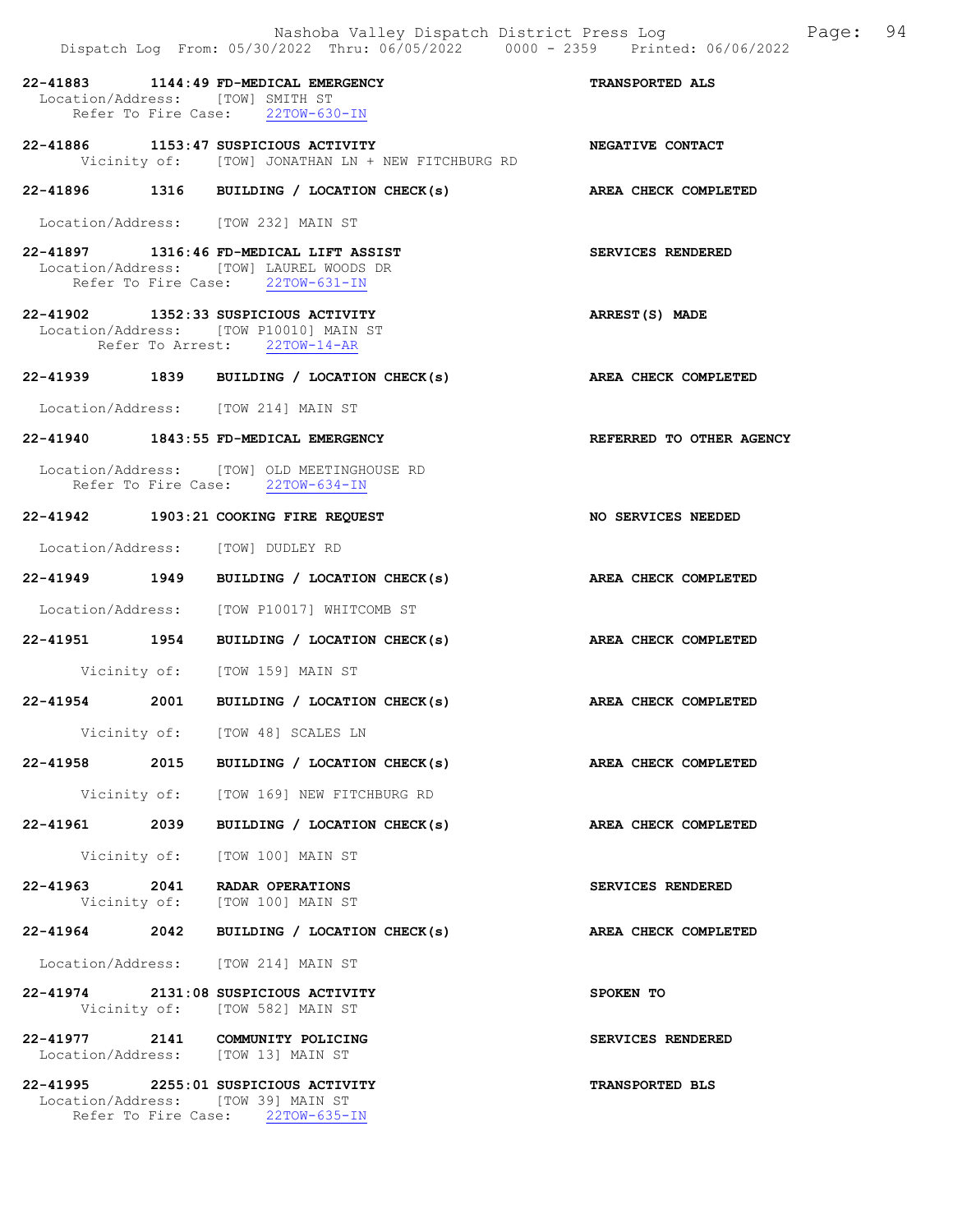|                                  | Nashoba Valley Dispatch District Press Log<br>Dispatch Log From: 05/30/2022 Thru: 06/05/2022 0000 - 2359 Printed: 06/06/2022 |                             | Page: 94 |  |
|----------------------------------|------------------------------------------------------------------------------------------------------------------------------|-----------------------------|----------|--|
| Location/Address: [TOW] SMITH ST | 22-41883 1144:49 FD-MEDICAL EMERGENCY<br>Refer To Fire Case: 22TOW-630-IN                                                    | <b>TRANSPORTED ALS</b>      |          |  |
|                                  | 22-41886 1153:47 SUSPICIOUS ACTIVITY<br>Vicinity of: [TOW] JONATHAN LN + NEW FITCHBURG RD                                    | NEGATIVE CONTACT            |          |  |
|                                  | 22-41896 1316 BUILDING / LOCATION CHECK(s) AREA CHECK COMPLETED                                                              |                             |          |  |
|                                  | Location/Address: [TOW 232] MAIN ST                                                                                          |                             |          |  |
|                                  | 22-41897 1316:46 FD-MEDICAL LIFT ASSIST<br>Location/Address: [TOW] LAUREL WOODS DR<br>Refer To Fire Case: 22TOW-631-IN       | SERVICES RENDERED           |          |  |
|                                  | 22-41902 1352:33 SUSPICIOUS ACTIVITY<br>Location/Address: [TOW P10010] MAIN ST<br>Refer To Arrest: 22TOW-14-AR               | ARREST(S) MADE              |          |  |
|                                  | 22-41939 1839 BUILDING / LOCATION CHECK(s) AREA CHECK COMPLETED                                                              |                             |          |  |
|                                  | Location/Address: [TOW 214] MAIN ST                                                                                          |                             |          |  |
|                                  | 22-41940 1843:55 FD-MEDICAL EMERGENCY                                                                                        | REFERRED TO OTHER AGENCY    |          |  |
|                                  | Location/Address: [TOW] OLD MEETINGHOUSE RD<br>Refer To Fire Case: 22TOW-634-IN                                              |                             |          |  |
|                                  | 22-41942 1903:21 COOKING FIRE REQUEST                                                                                        | <b>NO SERVICES NEEDED</b>   |          |  |
|                                  | Location/Address: [TOW] DUDLEY RD                                                                                            |                             |          |  |
|                                  | 22-41949 1949 BUILDING / LOCATION CHECK(s) AREA CHECK COMPLETED                                                              |                             |          |  |
|                                  | Location/Address: [TOW P10017] WHITCOMB ST                                                                                   |                             |          |  |
|                                  | 22-41951 1954 BUILDING / LOCATION CHECK(s)                                                                                   | AREA CHECK COMPLETED        |          |  |
|                                  | Vicinity of: [TOW 159] MAIN ST                                                                                               |                             |          |  |
|                                  | 22-41954 2001 BUILDING / LOCATION CHECK(s) AREA CHECK COMPLETED                                                              |                             |          |  |
|                                  | Vicinity of: [TOW 48] SCALES LN                                                                                              |                             |          |  |
|                                  | 22-41958 2015 BUILDING / LOCATION CHECK(s) AREA CHECK COMPLETED                                                              |                             |          |  |
|                                  | Vicinity of: [TOW 169] NEW FITCHBURG RD                                                                                      |                             |          |  |
|                                  | 22-41961 2039 BUILDING / LOCATION CHECK(s)                                                                                   | <b>AREA CHECK COMPLETED</b> |          |  |
|                                  | Vicinity of: [TOW 100] MAIN ST                                                                                               |                             |          |  |
|                                  | 22-41963 2041 RADAR OPERATIONS<br>Vicinity of: [TOW 100] MAIN ST                                                             | SERVICES RENDERED           |          |  |
|                                  | 22-41964 2042 BUILDING / LOCATION CHECK(s)                                                                                   | AREA CHECK COMPLETED        |          |  |
|                                  | Location/Address: [TOW 214] MAIN ST                                                                                          |                             |          |  |
|                                  | 22-41974 2131:08 SUSPICIOUS ACTIVITY<br>Vicinity of: [TOW 582] MAIN ST                                                       | SPOKEN TO                   |          |  |
|                                  | 22-41977 2141 COMMUNITY POLICING<br>Location/Address: [TOW 13] MAIN ST                                                       | SERVICES RENDERED           |          |  |
|                                  | 22-41995 2255:01 SUSPICIOUS ACTIVITY<br>Location/Address: [TOW 39] MAIN ST<br>Refer To Fire Case: 22TOW-635-IN               | TRANSPORTED BLS             |          |  |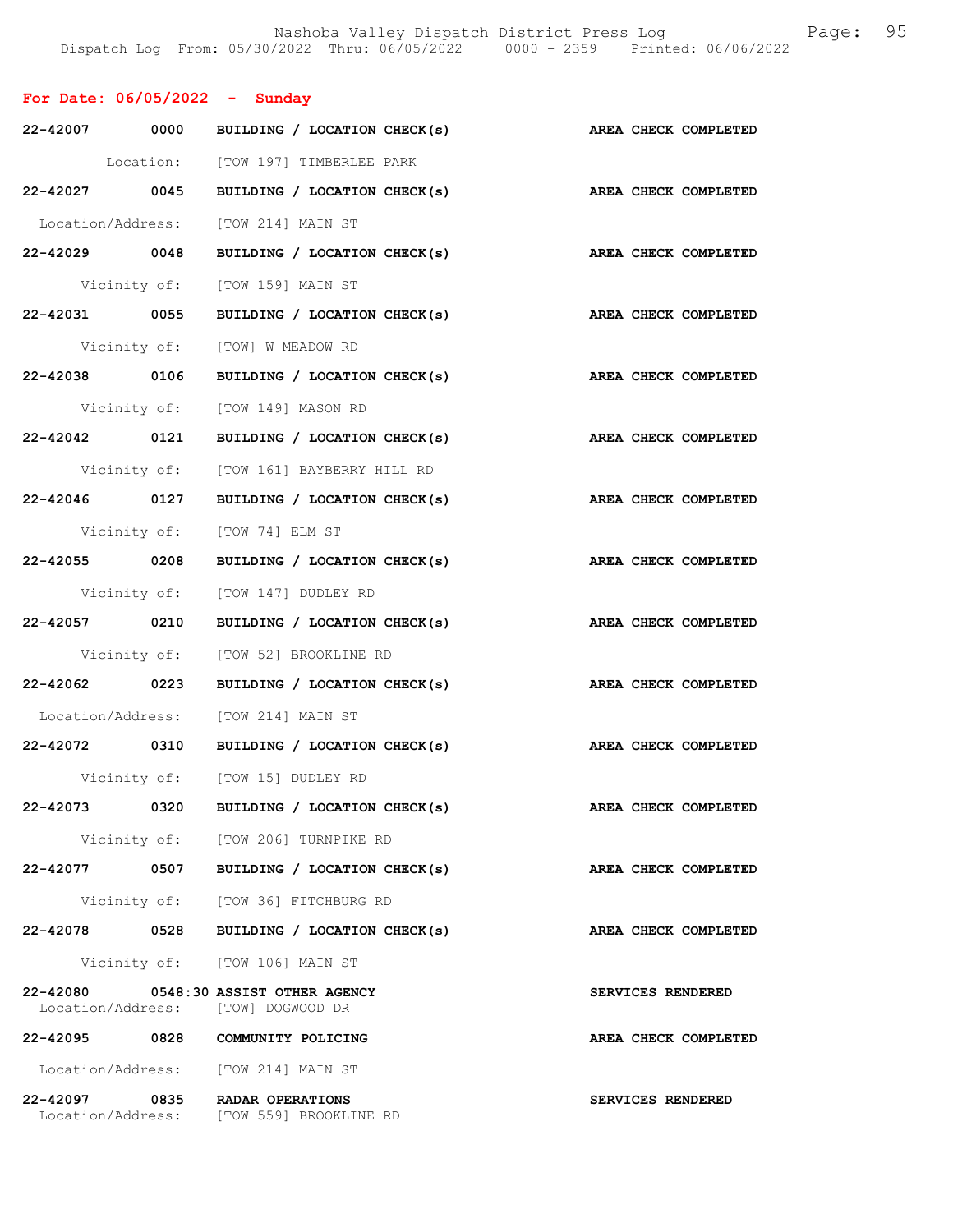| For Date: $06/05/2022 -$ Sunday                                            |                                            |                      |
|----------------------------------------------------------------------------|--------------------------------------------|----------------------|
|                                                                            | 22-42007 0000 BUILDING / LOCATION CHECK(s) | AREA CHECK COMPLETED |
|                                                                            | Location: [TOW 197] TIMBERLEE PARK         |                      |
|                                                                            | 22-42027 0045 BUILDING / LOCATION CHECK(s) | AREA CHECK COMPLETED |
| Location/Address: [TOW 214] MAIN ST                                        |                                            |                      |
|                                                                            | 22-42029 0048 BUILDING / LOCATION CHECK(s) | AREA CHECK COMPLETED |
|                                                                            | Vicinity of: [TOW 159] MAIN ST             |                      |
|                                                                            | 22-42031 0055 BUILDING / LOCATION CHECK(s) | AREA CHECK COMPLETED |
|                                                                            | Vicinity of: [TOW] W MEADOW RD             |                      |
|                                                                            | 22-42038 0106 BUILDING / LOCATION CHECK(s) | AREA CHECK COMPLETED |
|                                                                            | Vicinity of: [TOW 149] MASON RD            |                      |
|                                                                            | 22-42042 0121 BUILDING / LOCATION CHECK(s) | AREA CHECK COMPLETED |
|                                                                            | Vicinity of: [TOW 161] BAYBERRY HILL RD    |                      |
|                                                                            | 22-42046 0127 BUILDING / LOCATION CHECK(s) | AREA CHECK COMPLETED |
| Vicinity of: [TOW 74] ELM ST                                               |                                            |                      |
|                                                                            | 22-42055 0208 BUILDING / LOCATION CHECK(s) | AREA CHECK COMPLETED |
|                                                                            | Vicinity of: [TOW 147] DUDLEY RD           |                      |
|                                                                            | 22-42057 0210 BUILDING / LOCATION CHECK(s) | AREA CHECK COMPLETED |
|                                                                            | Vicinity of: [TOW 52] BROOKLINE RD         |                      |
|                                                                            | 22-42062 0223 BUILDING / LOCATION CHECK(s) | AREA CHECK COMPLETED |
| Location/Address: [TOW 214] MAIN ST                                        |                                            |                      |
|                                                                            | 22-42072 0310 BUILDING / LOCATION CHECK(s) | AREA CHECK COMPLETED |
| Vicinity of:                                                               | [TOW 15] DUDLEY RD                         |                      |
|                                                                            | 22-42073 0320 BUILDING / LOCATION CHECK(s) | AREA CHECK COMPLETED |
|                                                                            | Vicinity of: [TOW 206] TURNPIKE RD         |                      |
|                                                                            | 22-42077 0507 BUILDING / LOCATION CHECK(s) | AREA CHECK COMPLETED |
|                                                                            | Vicinity of: [TOW 36] FITCHBURG RD         |                      |
|                                                                            | 22-42078 0528 BUILDING / LOCATION CHECK(s) | AREA CHECK COMPLETED |
|                                                                            | Vicinity of: [TOW 106] MAIN ST             |                      |
| 22-42080 0548:30 ASSIST OTHER AGENCY<br>Location/Address: [TOW] DOGWOOD DR |                                            | SERVICES RENDERED    |
| 22-42095 0828 COMMUNITY POLICING                                           |                                            | AREA CHECK COMPLETED |
| Location/Address: [TOW 214] MAIN ST                                        |                                            |                      |
| 22-42097 0835 RADAR OPERATIONS                                             | Location/Address: [TOW 559] BROOKLINE RD   | SERVICES RENDERED    |